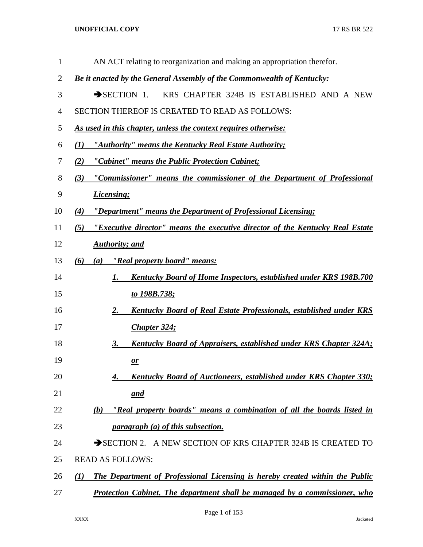| 1              | AN ACT relating to reorganization and making an appropriation therefor.              |
|----------------|--------------------------------------------------------------------------------------|
| $\overline{2}$ | Be it enacted by the General Assembly of the Commonwealth of Kentucky:               |
| 3              | $\rightarrow$ SECTION 1.<br>KRS CHAPTER 324B IS ESTABLISHED AND A NEW                |
| 4              | SECTION THEREOF IS CREATED TO READ AS FOLLOWS:                                       |
| 5              | As used in this chapter, unless the context requires otherwise:                      |
| 6              | "Authority" means the Kentucky Real Estate Authority;<br>(I)                         |
| 7              | "Cabinet" means the Public Protection Cabinet;<br>(2)                                |
| 8              | "Commissioner" means the commissioner of the Department of Professional<br>(3)       |
| 9              | <b>Licensing</b> ;                                                                   |
| 10             | "Department" means the Department of Professional Licensing;<br>(4)                  |
| 11             | "Executive director" means the executive director of the Kentucky Real Estate<br>(5) |
| 12             | <b>Authority</b> ; and                                                               |
| 13             | "Real property board" means:<br>(6)<br>(a)                                           |
| 14             | <b>Kentucky Board of Home Inspectors, established under KRS 198B.700</b><br>1.       |
| 15             | to 198B.738;                                                                         |
| 16             | <b>Kentucky Board of Real Estate Professionals, established under KRS</b><br>2.      |
| 17             | Chapter 324;                                                                         |
| 18             | Kentucky Board of Appraisers, established under KRS Chapter 324A;<br>3.              |
| 19             | $\mathbf{\underline{\mathit{or}}}$                                                   |
| 20             | Kentucky Board of Auctioneers, established under KRS Chapter 330;<br>4.              |
| 21             | <u>and</u>                                                                           |
| 22             | "Real property boards" means a combination of all the boards listed in<br>(b)        |
| 23             | <i>paragraph (a) of this subsection.</i>                                             |
| 24             | SECTION 2. A NEW SECTION OF KRS CHAPTER 324B IS CREATED TO                           |
| 25             | <b>READ AS FOLLOWS:</b>                                                              |
| 26             | The Department of Professional Licensing is hereby created within the Public<br>(1)  |
| 27             | <b>Protection Cabinet. The department shall be managed by a commissioner, who</b>    |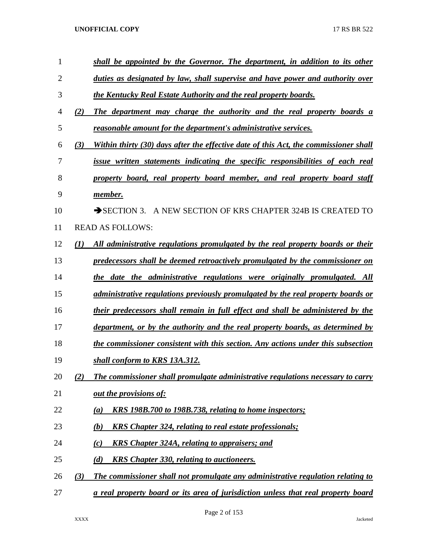| $\mathbf{1}$   |                  | shall be appointed by the Governor. The department, in addition to its other            |
|----------------|------------------|-----------------------------------------------------------------------------------------|
| $\overline{2}$ |                  | duties as designated by law, shall supervise and have power and authority over          |
| 3              |                  | the Kentucky Real Estate Authority and the real property boards.                        |
| 4              | (2)              | The department may charge the authority and the real property boards a                  |
| 5              |                  | reasonable amount for the department's administrative services.                         |
| 6              | (3)              | Within thirty (30) days after the effective date of this Act, the commissioner shall    |
| 7              |                  | issue written statements indicating the specific responsibilities of each real          |
| 8              |                  | property board, real property board member, and real property board staff               |
| 9              |                  | member.                                                                                 |
| 10             |                  | A NEW SECTION OF KRS CHAPTER 324B IS CREATED TO<br>$\rightarrow$ SECTION 3.             |
| 11             |                  | <b>READ AS FOLLOWS:</b>                                                                 |
| 12             | $\mathcal{L}(I)$ | All administrative regulations promulgated by the real property boards or their         |
| 13             |                  | predecessors shall be deemed retroactively promulgated by the commissioner on           |
| 14             |                  | the date the administrative regulations were originally promulgated. All                |
| 15             |                  | <i>administrative regulations previously promulgated by the real property boards or</i> |
| 16             |                  | their predecessors shall remain in full effect and shall be administered by the         |
| 17             |                  | department, or by the authority and the real property boards, as determined by          |
| 18             |                  | the commissioner consistent with this section. Any actions under this subsection        |
| 19             |                  | shall conform to KRS 13A.312.                                                           |
| 20             | (2)              | The commissioner shall promulgate administrative regulations necessary to carry         |
| 21             |                  | out the provisions of:                                                                  |
| 22             |                  | <u>KRS 198B.700 to 198B.738, relating to home inspectors;</u><br>(a)                    |
| 23             |                  | <b>KRS</b> Chapter 324, relating to real estate professionals;<br>(b)                   |
| 24             |                  | (c)<br>KRS Chapter 324A, relating to appraisers; and                                    |
| 25             |                  | <b>KRS</b> Chapter 330, relating to auctioneers.<br>(d)                                 |
| 26             | (3)              | The commissioner shall not promulgate any administrative regulation relating to         |
| 27             |                  | a real property board or its area of jurisdiction unless that real property board       |

Page 2 of 153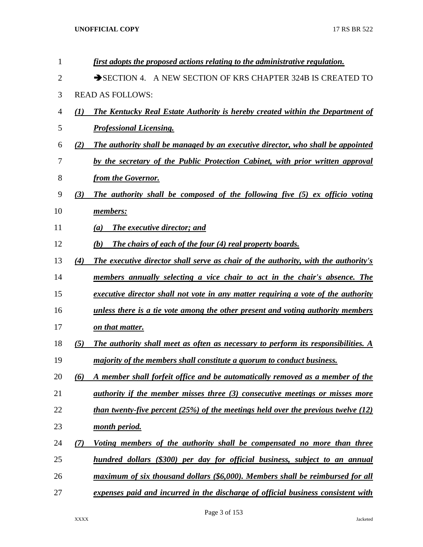| 1  |     | first adopts the proposed actions relating to the administrative regulation.             |
|----|-----|------------------------------------------------------------------------------------------|
| 2  |     | SECTION 4. A NEW SECTION OF KRS CHAPTER 324B IS CREATED TO                               |
| 3  |     | <b>READ AS FOLLOWS:</b>                                                                  |
| 4  | (I) | The Kentucky Real Estate Authority is hereby created within the Department of            |
| 5  |     | <b>Professional Licensing.</b>                                                           |
| 6  | (2) | The authority shall be managed by an executive director, who shall be appointed          |
| 7  |     | by the secretary of the Public Protection Cabinet, with prior written approval           |
| 8  |     | from the Governor.                                                                       |
| 9  | (3) | The authority shall be composed of the following five (5) ex officio voting              |
| 10 |     | members:                                                                                 |
| 11 |     | The executive director; and<br>(a)                                                       |
| 12 |     | The chairs of each of the four (4) real property boards.<br>(b)                          |
| 13 | (4) | The executive director shall serve as chair of the authority, with the authority's       |
| 14 |     | members annually selecting a vice chair to act in the chair's absence. The               |
| 15 |     | executive director shall not vote in any matter requiring a vote of the authority        |
| 16 |     | unless there is a tie vote among the other present and voting authority members          |
| 17 |     | on that matter.                                                                          |
| 18 | (5) | <b>The authority shall meet as often as necessary to perform its responsibilities.</b> A |
| 19 |     | <i>majority of the members shall constitute a quorum to conduct business.</i>            |
| 20 | (6) | A member shall forfeit office and be automatically removed as a member of the            |
| 21 |     | <i>authority if the member misses three (3) consecutive meetings or misses more</i>      |
| 22 |     | than twenty-five percent $(25\%)$ of the meetings held over the previous twelve (12)     |
| 23 |     | month period.                                                                            |
| 24 | (7) | Voting members of the authority shall be compensated no more than three                  |
| 25 |     | hundred dollars (\$300) per day for official business, subject to an annual              |
| 26 |     | maximum of six thousand dollars (\$6,000). Members shall be reimbursed for all           |
| 27 |     | expenses paid and incurred in the discharge of official business consistent with         |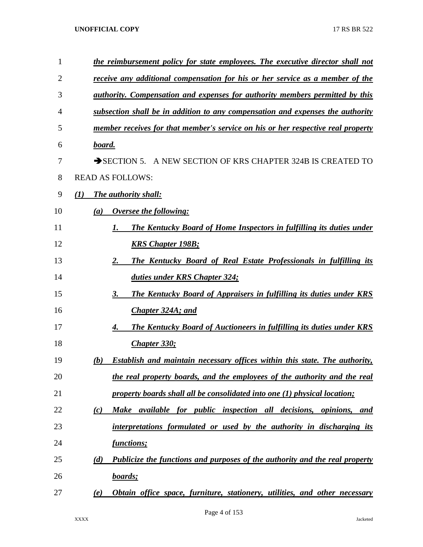| the reimbursement policy for state employees. The executive director shall not           |  |  |  |  |  |  |  |  |  |
|------------------------------------------------------------------------------------------|--|--|--|--|--|--|--|--|--|
| receive any additional compensation for his or her service as a member of the            |  |  |  |  |  |  |  |  |  |
| <i>authority. Compensation and expenses for authority members permitted by this</i>      |  |  |  |  |  |  |  |  |  |
| subsection shall be in addition to any compensation and expenses the authority           |  |  |  |  |  |  |  |  |  |
| member receives for that member's service on his or her respective real property         |  |  |  |  |  |  |  |  |  |
| board.                                                                                   |  |  |  |  |  |  |  |  |  |
| SECTION 5. A NEW SECTION OF KRS CHAPTER 324B IS CREATED TO                               |  |  |  |  |  |  |  |  |  |
| <b>READ AS FOLLOWS:</b>                                                                  |  |  |  |  |  |  |  |  |  |
| The authority shall:<br>(I)                                                              |  |  |  |  |  |  |  |  |  |
| Oversee the following:<br>(a)                                                            |  |  |  |  |  |  |  |  |  |
| <b>The Kentucky Board of Home Inspectors in fulfilling its duties under</b><br>1.        |  |  |  |  |  |  |  |  |  |
| <b>KRS Chapter 198B;</b>                                                                 |  |  |  |  |  |  |  |  |  |
| 2.<br><b>The Kentucky Board of Real Estate Professionals in fulfilling its</b>           |  |  |  |  |  |  |  |  |  |
| duties under KRS Chapter 324;                                                            |  |  |  |  |  |  |  |  |  |
| 3.<br><b>The Kentucky Board of Appraisers in fulfilling its duties under KRS</b>         |  |  |  |  |  |  |  |  |  |
| <b>Chapter 324A; and</b>                                                                 |  |  |  |  |  |  |  |  |  |
| <b>The Kentucky Board of Auctioneers in fulfilling its duties under KRS</b><br>4.        |  |  |  |  |  |  |  |  |  |
| Chapter 330;                                                                             |  |  |  |  |  |  |  |  |  |
| <b>Establish and maintain necessary offices within this state. The authority,</b><br>(b) |  |  |  |  |  |  |  |  |  |
| the real property boards, and the employees of the authority and the real                |  |  |  |  |  |  |  |  |  |
| property boards shall all be consolidated into one (1) physical location;                |  |  |  |  |  |  |  |  |  |
| Make available for public inspection all decisions, opinions, and<br>(c)                 |  |  |  |  |  |  |  |  |  |
| interpretations formulated or used by the authority in discharging its                   |  |  |  |  |  |  |  |  |  |
| <u>functions;</u>                                                                        |  |  |  |  |  |  |  |  |  |
| Publicize the functions and purposes of the authority and the real property<br>(d)       |  |  |  |  |  |  |  |  |  |
| boards;                                                                                  |  |  |  |  |  |  |  |  |  |
| Obtain office space, furniture, stationery, utilities, and other necessary<br>(e)        |  |  |  |  |  |  |  |  |  |
|                                                                                          |  |  |  |  |  |  |  |  |  |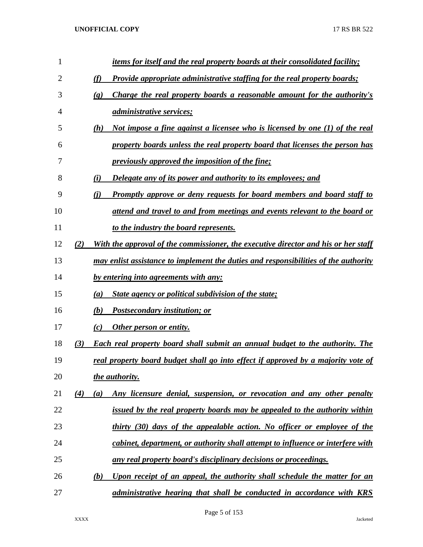| $\mathbf{1}$ |     | <i>items for itself and the real property boards at their consolidated facility;</i>                   |
|--------------|-----|--------------------------------------------------------------------------------------------------------|
| 2            |     | (f)<br>Provide appropriate administrative staffing for the real property boards;                       |
| 3            |     | Charge the real property boards a reasonable amount for the authority's<br>$\left( \mathbf{g} \right)$ |
| 4            |     | <i><u>administrative services;</u></i>                                                                 |
| 5            |     | (h)<br>Not impose a fine against a licensee who is licensed by one (1) of the real                     |
| 6            |     | property boards unless the real property board that licenses the person has                            |
| 7            |     | previously approved the imposition of the fine;                                                        |
| 8            |     | Delegate any of its power and authority to its employees; and<br>(i)                                   |
| 9            |     | <b>Promptly approve or deny requests for board members and board staff to</b><br>(i)                   |
| 10           |     | attend and travel to and from meetings and events relevant to the board or                             |
| 11           |     | to the industry the board represents.                                                                  |
| 12           | (2) | With the approval of the commissioner, the executive director and his or her staff                     |
| 13           |     | may enlist assistance to implement the duties and responsibilities of the authority                    |
| 14           |     | by entering into agreements with any:                                                                  |
| 15           |     | <b>State agency or political subdivision of the state;</b><br>(a)                                      |
| 16           |     | (b)<br><b>Postsecondary institution; or</b>                                                            |
| 17           |     | Other person or entity.<br>(c)                                                                         |
| 18           | (3) | <b>Each real property board shall submit an annual budget to the authority. The</b>                    |
| 19           |     | real property board budget shall go into effect if approved by a majority vote of                      |
| 20           |     | the authority.                                                                                         |
| 21           | (4) | Any licensure denial, suspension, or revocation and any other penalty<br>(a)                           |
| 22           |     | issued by the real property boards may be appealed to the authority within                             |
| 23           |     | thirty (30) days of the appealable action. No officer or employee of the                               |
| 24           |     | cabinet, department, or authority shall attempt to influence or interfere with                         |
| 25           |     | <u>any real property board's disciplinary decisions or proceedings.</u>                                |
| 26           |     | Upon receipt of an appeal, the authority shall schedule the matter for an<br>(b)                       |
| 27           |     | administrative hearing that shall be conducted in accordance with KRS                                  |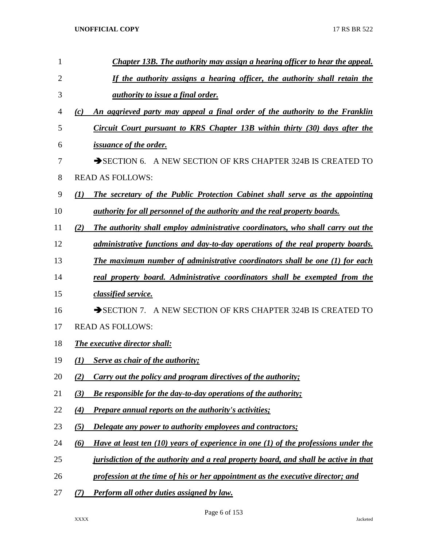| 1              | <b>Chapter 13B. The authority may assign a hearing officer to hear the appeal.</b>            |
|----------------|-----------------------------------------------------------------------------------------------|
| $\overline{2}$ | If the authority assigns a hearing officer, the authority shall retain the                    |
| 3              | <u>authority to issue a final order.</u>                                                      |
| 4              | An aggrieved party may appeal a final order of the authority to the Franklin<br>(c)           |
| 5              | Circuit Court pursuant to KRS Chapter 13B within thirty (30) days after the                   |
| 6              | <i>issuance of the order.</i>                                                                 |
| 7              | SECTION 6. A NEW SECTION OF KRS CHAPTER 324B IS CREATED TO                                    |
| 8              | <b>READ AS FOLLOWS:</b>                                                                       |
| 9              | The secretary of the Public Protection Cabinet shall serve as the appointing<br>(I)           |
| 10             | <u>authority for all personnel of the authority and the real property boards.</u>             |
| 11             | The authority shall employ administrative coordinators, who shall carry out the<br>(2)        |
| 12             | administrative functions and day-to-day operations of the real property boards.               |
| 13             | <b>The maximum number of administrative coordinators shall be one (1) for each</b>            |
| 14             | real property board. Administrative coordinators shall be exempted from the                   |
| 15             | classified service.                                                                           |
| 16             | SECTION 7. A NEW SECTION OF KRS CHAPTER 324B IS CREATED TO                                    |
| 17             | <b>READ AS FOLLOWS:</b>                                                                       |
| 18             | <b>The executive director shall:</b>                                                          |
| 19             | Serve as chair of the authority;<br>(1)                                                       |
| 20             | Carry out the policy and program directives of the authority;<br>(2)                          |
| 21             | (3)<br><b>Be responsible for the day-to-day operations of the authority;</b>                  |
| 22             | <b>Prepare annual reports on the authority's activities;</b><br>(4)                           |
| 23             | Delegate any power to authority employees and contractors;<br>(5)                             |
| 24             | Have at least ten $(10)$ years of experience in one $(1)$ of the professions under the<br>(6) |
| 25             | jurisdiction of the authority and a real property board, and shall be active in that          |
| 26             | profession at the time of his or her appointment as the executive director; and               |
| 27             | Perform all other duties assigned by law.<br>(7)                                              |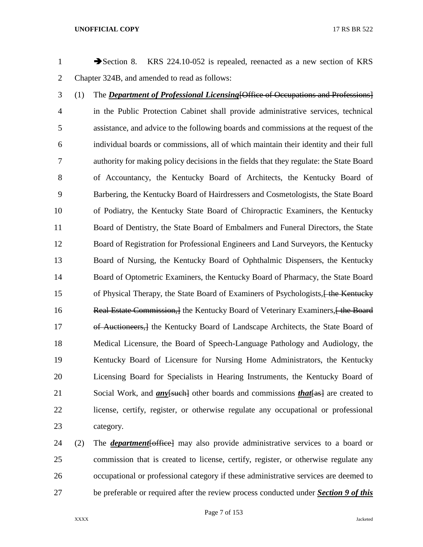1 Section 8. KRS 224.10-052 is repealed, reenacted as a new section of KRS Chapter 324B, and amended to read as follows: (1) The *Department of Professional Licensing*[Office of Occupations and Professions] in the Public Protection Cabinet shall provide administrative services, technical assistance, and advice to the following boards and commissions at the request of the individual boards or commissions, all of which maintain their identity and their full authority for making policy decisions in the fields that they regulate: the State Board of Accountancy, the Kentucky Board of Architects, the Kentucky Board of Barbering, the Kentucky Board of Hairdressers and Cosmetologists, the State Board of Podiatry, the Kentucky State Board of Chiropractic Examiners, the Kentucky Board of Dentistry, the State Board of Embalmers and Funeral Directors, the State Board of Registration for Professional Engineers and Land Surveyors, the Kentucky Board of Nursing, the Kentucky Board of Ophthalmic Dispensers, the Kentucky Board of Optometric Examiners, the Kentucky Board of Pharmacy, the State Board 15 of Physical Therapy, the State Board of Examiners of Psychologists, we know the Kentucky 16 Real Estate Commission, 1 the Kentucky Board of Veterinary Examiners, 1 the Board 17 of Auctioneers, 1 the Kentucky Board of Landscape Architects, the State Board of Medical Licensure, the Board of Speech-Language Pathology and Audiology, the Kentucky Board of Licensure for Nursing Home Administrators, the Kentucky Licensing Board for Specialists in Hearing Instruments, the Kentucky Board of 21 Social Work, and *any* [such] other boards and commissions *that* [as] are created to license, certify, register, or otherwise regulate any occupational or professional category. (2) The *department*[office] may also provide administrative services to a board or

 commission that is created to license, certify, register, or otherwise regulate any occupational or professional category if these administrative services are deemed to be preferable or required after the review process conducted under *Section 9 of this* 

Page 7 of 153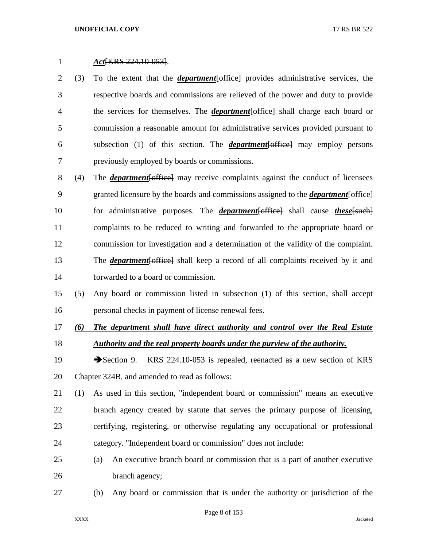*Act*[KRS 224.10-053].

- (3) To the extent that the *department*[office] provides administrative services, the respective boards and commissions are relieved of the power and duty to provide the services for themselves. The *department*[office] shall charge each board or commission a reasonable amount for administrative services provided pursuant to subsection (1) of this section. The *department*[office] may employ persons previously employed by boards or commissions.
- (4) The *department*[office] may receive complaints against the conduct of licensees granted licensure by the boards and commissions assigned to the *department*[office] for administrative purposes. The *department*[office] shall cause *these*[such] complaints to be reduced to writing and forwarded to the appropriate board or commission for investigation and a determination of the validity of the complaint. The *department*[office] shall keep a record of all complaints received by it and forwarded to a board or commission.
- (5) Any board or commission listed in subsection (1) of this section, shall accept personal checks in payment of license renewal fees.
- *(6) The department shall have direct authority and control over the Real Estate Authority and the real property boards under the purview of the authority.*
- 19 Section 9. KRS 224.10-053 is repealed, reenacted as a new section of KRS Chapter 324B, and amended to read as follows:
- (1) As used in this section, "independent board or commission" means an executive branch agency created by statute that serves the primary purpose of licensing, certifying, registering, or otherwise regulating any occupational or professional category. "Independent board or commission" does not include:
- (a) An executive branch board or commission that is a part of another executive 26 branch agency;
- (b) Any board or commission that is under the authority or jurisdiction of the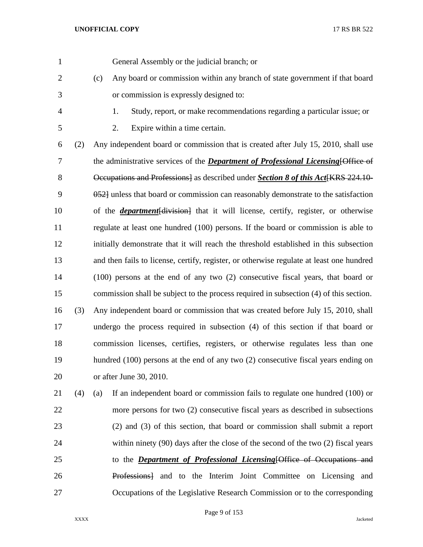| $\mathbf{1}$   |     | General Assembly or the judicial branch; or                                               |
|----------------|-----|-------------------------------------------------------------------------------------------|
| $\overline{2}$ |     | Any board or commission within any branch of state government if that board<br>(c)        |
| 3              |     | or commission is expressly designed to:                                                   |
| 4              |     | Study, report, or make recommendations regarding a particular issue; or<br>1.             |
| 5              |     | 2.<br>Expire within a time certain.                                                       |
| 6              | (2) | Any independent board or commission that is created after July 15, 2010, shall use        |
| 7              |     | the administrative services of the <i>Department of Professional Licensing</i> [Office of |
| 8              |     | Occupations and Professions] as described under Section 8 of this Act [KRS 224.10-        |
| 9              |     | 0.52 unless that board or commission can reasonably demonstrate to the satisfaction       |
| 10             |     | of the <i>department</i> [division] that it will license, certify, register, or otherwise |
| 11             |     | regulate at least one hundred (100) persons. If the board or commission is able to        |
| 12             |     | initially demonstrate that it will reach the threshold established in this subsection     |
| 13             |     | and then fails to license, certify, register, or otherwise regulate at least one hundred  |
| 14             |     | $(100)$ persons at the end of any two $(2)$ consecutive fiscal years, that board or       |
| 15             |     | commission shall be subject to the process required in subsection (4) of this section.    |
| 16             | (3) | Any independent board or commission that was created before July 15, 2010, shall          |
| 17             |     | undergo the process required in subsection (4) of this section if that board or           |
| 18             |     | commission licenses, certifies, registers, or otherwise regulates less than one           |
| 19             |     | hundred (100) persons at the end of any two (2) consecutive fiscal years ending on        |
| 20             |     | or after June 30, 2010.                                                                   |
| 21             | (4) | If an independent board or commission fails to regulate one hundred (100) or<br>(a)       |
| 22             |     | more persons for two (2) consecutive fiscal years as described in subsections             |
| 23             |     | (2) and (3) of this section, that board or commission shall submit a report               |
| 24             |     | within ninety $(90)$ days after the close of the second of the two $(2)$ fiscal years     |
| 25             |     | to the <b>Department of Professional Licensing</b> [Office of Occupations and             |
| 26             |     | Professions] and to the Interim Joint Committee on Licensing and                          |
| 27             |     | Occupations of the Legislative Research Commission or to the corresponding                |

Page 9 of 153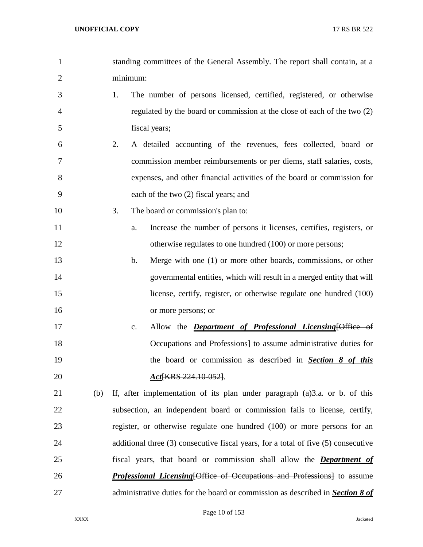| $\mathbf{1}$   | standing committees of the General Assembly. The report shall contain, at a        |  |  |  |  |  |
|----------------|------------------------------------------------------------------------------------|--|--|--|--|--|
| $\overline{2}$ | minimum:                                                                           |  |  |  |  |  |
| 3              | 1.<br>The number of persons licensed, certified, registered, or otherwise          |  |  |  |  |  |
| 4              | regulated by the board or commission at the close of each of the two (2)           |  |  |  |  |  |
| 5              | fiscal years;                                                                      |  |  |  |  |  |
| 6              | A detailed accounting of the revenues, fees collected, board or<br>2.              |  |  |  |  |  |
| 7              | commission member reimbursements or per diems, staff salaries, costs,              |  |  |  |  |  |
| 8              | expenses, and other financial activities of the board or commission for            |  |  |  |  |  |
| 9              | each of the two (2) fiscal years; and                                              |  |  |  |  |  |
| 10             | 3.<br>The board or commission's plan to:                                           |  |  |  |  |  |
| 11             | Increase the number of persons it licenses, certifies, registers, or<br>a.         |  |  |  |  |  |
| 12             | otherwise regulates to one hundred (100) or more persons;                          |  |  |  |  |  |
| 13             | Merge with one (1) or more other boards, commissions, or other<br>$\mathbf b$ .    |  |  |  |  |  |
| 14             | governmental entities, which will result in a merged entity that will              |  |  |  |  |  |
| 15             | license, certify, register, or otherwise regulate one hundred (100)                |  |  |  |  |  |
| 16             | or more persons; or                                                                |  |  |  |  |  |
| 17             | Allow the <i>Department of Professional Licensing</i> [Office of<br>c.             |  |  |  |  |  |
| 18             | Occupations and Professions to assume administrative duties for                    |  |  |  |  |  |
| 19             | the board or commission as described in <b>Section 8 of this</b>                   |  |  |  |  |  |
| 20             | Act KRS 224.10-052].                                                               |  |  |  |  |  |
| 21<br>(b)      | If, after implementation of its plan under paragraph (a)3.a. or b. of this         |  |  |  |  |  |
| 22             | subsection, an independent board or commission fails to license, certify,          |  |  |  |  |  |
| 23             | register, or otherwise regulate one hundred (100) or more persons for an           |  |  |  |  |  |
| 24             | additional three (3) consecutive fiscal years, for a total of five (5) consecutive |  |  |  |  |  |
| 25             | fiscal years, that board or commission shall allow the <b>Department of</b>        |  |  |  |  |  |
| 26             | <b>Professional Licensing Office of Occupations and Professions</b> to assume      |  |  |  |  |  |
| 27             | administrative duties for the board or commission as described in Section 8 of     |  |  |  |  |  |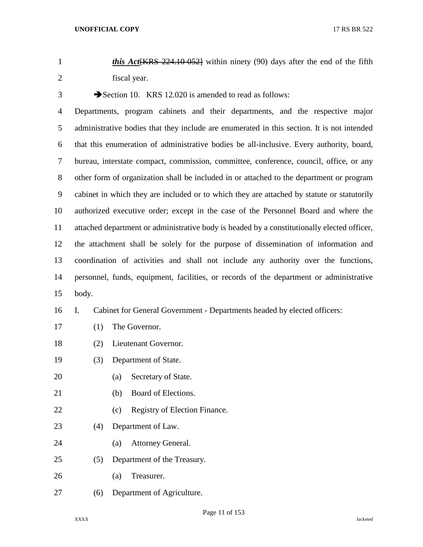*this Act*[KRS 224.10-052] within ninety (90) days after the end of the fifth fiscal year.

3 Section 10. KRS 12.020 is amended to read as follows:

 Departments, program cabinets and their departments, and the respective major administrative bodies that they include are enumerated in this section. It is not intended that this enumeration of administrative bodies be all-inclusive. Every authority, board, bureau, interstate compact, commission, committee, conference, council, office, or any other form of organization shall be included in or attached to the department or program cabinet in which they are included or to which they are attached by statute or statutorily authorized executive order; except in the case of the Personnel Board and where the attached department or administrative body is headed by a constitutionally elected officer, the attachment shall be solely for the purpose of dissemination of information and coordination of activities and shall not include any authority over the functions, personnel, funds, equipment, facilities, or records of the department or administrative body.

## I. Cabinet for General Government - Departments headed by elected officers:

- (1) The Governor.
- (2) Lieutenant Governor.
- (3) Department of State.
- (a) Secretary of State.
- (b) Board of Elections.
- 22 (c) Registry of Election Finance.
- (4) Department of Law.
- (a) Attorney General.
- (5) Department of the Treasury.
- (a) Treasurer.
- (6) Department of Agriculture.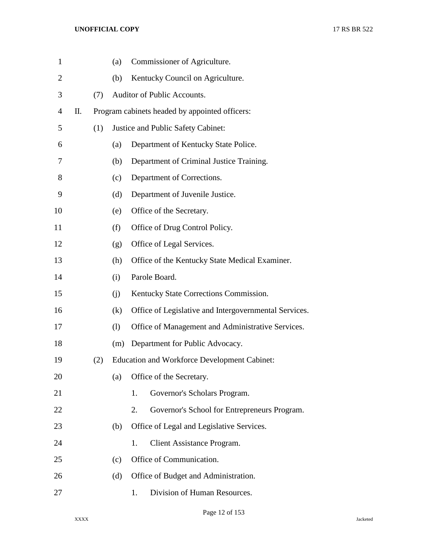| $\mathbf{1}$ |    |     | (a) |                                                       | Commissioner of Agriculture.                        |  |  |  |
|--------------|----|-----|-----|-------------------------------------------------------|-----------------------------------------------------|--|--|--|
| 2            |    |     | (b) | Kentucky Council on Agriculture.                      |                                                     |  |  |  |
| 3            |    | (7) |     | Auditor of Public Accounts.                           |                                                     |  |  |  |
| 4            | П. |     |     |                                                       | Program cabinets headed by appointed officers:      |  |  |  |
| 5            |    | (1) |     |                                                       | Justice and Public Safety Cabinet:                  |  |  |  |
| 6            |    |     | (a) |                                                       | Department of Kentucky State Police.                |  |  |  |
| 7            |    |     | (b) |                                                       | Department of Criminal Justice Training.            |  |  |  |
| 8            |    |     | (c) |                                                       | Department of Corrections.                          |  |  |  |
| 9            |    |     | (d) |                                                       | Department of Juvenile Justice.                     |  |  |  |
| 10           |    |     | (e) |                                                       | Office of the Secretary.                            |  |  |  |
| 11           |    |     | (f) |                                                       | Office of Drug Control Policy.                      |  |  |  |
| 12           |    |     | (g) |                                                       | Office of Legal Services.                           |  |  |  |
| 13           |    |     | (h) |                                                       | Office of the Kentucky State Medical Examiner.      |  |  |  |
| 14           |    |     | (i) |                                                       | Parole Board.                                       |  |  |  |
| 15           |    |     | (i) |                                                       | Kentucky State Corrections Commission.              |  |  |  |
| 16           |    |     | (k) | Office of Legislative and Intergovernmental Services. |                                                     |  |  |  |
| 17           |    |     | (1) |                                                       | Office of Management and Administrative Services.   |  |  |  |
| 18           |    |     | (m) |                                                       | Department for Public Advocacy.                     |  |  |  |
| 19           |    | (2) |     |                                                       | <b>Education and Workforce Development Cabinet:</b> |  |  |  |
| 20           |    |     | (a) |                                                       | Office of the Secretary.                            |  |  |  |
| 21           |    |     |     | 1.                                                    | Governor's Scholars Program.                        |  |  |  |
| 22           |    |     |     | 2.                                                    | Governor's School for Entrepreneurs Program.        |  |  |  |
| 23           |    |     | (b) |                                                       | Office of Legal and Legislative Services.           |  |  |  |
| 24           |    |     |     | 1.                                                    | Client Assistance Program.                          |  |  |  |
| 25           |    |     | (c) |                                                       | Office of Communication.                            |  |  |  |
| 26           |    |     | (d) |                                                       | Office of Budget and Administration.                |  |  |  |
| 27           |    |     |     | 1.                                                    | Division of Human Resources.                        |  |  |  |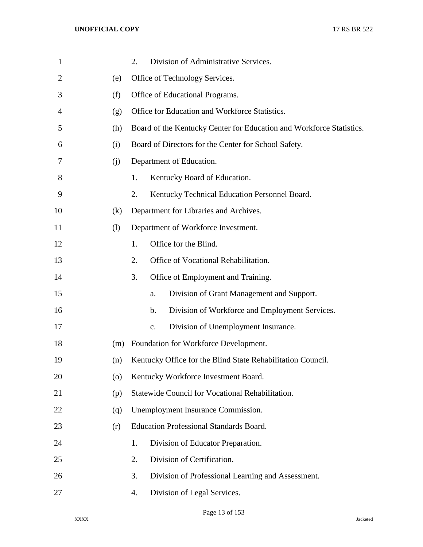| $\mathbf{1}$   |     | Division of Administrative Services.<br>2.                           |  |  |  |
|----------------|-----|----------------------------------------------------------------------|--|--|--|
| $\overline{2}$ | (e) | Office of Technology Services.                                       |  |  |  |
| 3              | (f) | Office of Educational Programs.                                      |  |  |  |
| 4              | (g) | Office for Education and Workforce Statistics.                       |  |  |  |
| 5              | (h) | Board of the Kentucky Center for Education and Workforce Statistics. |  |  |  |
| 6              | (i) | Board of Directors for the Center for School Safety.                 |  |  |  |
| 7              | (i) | Department of Education.                                             |  |  |  |
| 8              |     | Kentucky Board of Education.<br>1.                                   |  |  |  |
| 9              |     | Kentucky Technical Education Personnel Board.<br>2.                  |  |  |  |
| 10             | (k) | Department for Libraries and Archives.                               |  |  |  |
| 11             | (1) | Department of Workforce Investment.                                  |  |  |  |
| 12             |     | Office for the Blind.<br>1.                                          |  |  |  |
| 13             |     | 2.<br>Office of Vocational Rehabilitation.                           |  |  |  |
| 14             |     | Office of Employment and Training.<br>3.                             |  |  |  |
| 15             |     | Division of Grant Management and Support.<br>a.                      |  |  |  |
| 16             |     | Division of Workforce and Employment Services.<br>b.                 |  |  |  |
| 17             |     | Division of Unemployment Insurance.<br>c.                            |  |  |  |
| 18             | (m) | Foundation for Workforce Development.                                |  |  |  |
| 19             | (n) | Kentucky Office for the Blind State Rehabilitation Council.          |  |  |  |
| 20             | (0) | Kentucky Workforce Investment Board.                                 |  |  |  |
| 21             | (p) | Statewide Council for Vocational Rehabilitation.                     |  |  |  |
| 22             | (q) | Unemployment Insurance Commission.                                   |  |  |  |
| 23             | (r) | <b>Education Professional Standards Board.</b>                       |  |  |  |
| 24             |     | Division of Educator Preparation.<br>1.                              |  |  |  |
| 25             |     | Division of Certification.<br>2.                                     |  |  |  |
| 26             |     | Division of Professional Learning and Assessment.<br>3.              |  |  |  |
| 27             |     | Division of Legal Services.<br>4.                                    |  |  |  |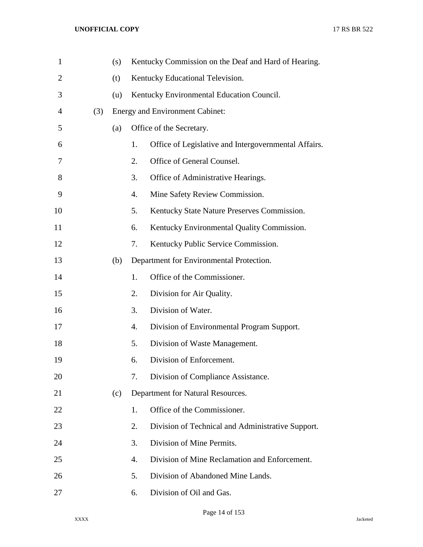| $\mathbf{1}$ |     | (s) | Kentucky Commission on the Deaf and Hard of Hearing. |                                                      |  |
|--------------|-----|-----|------------------------------------------------------|------------------------------------------------------|--|
| 2            |     | (t) | Kentucky Educational Television.                     |                                                      |  |
| 3            |     | (u) | Kentucky Environmental Education Council.            |                                                      |  |
| 4            | (3) |     |                                                      | Energy and Environment Cabinet:                      |  |
| 5            |     | (a) |                                                      | Office of the Secretary.                             |  |
| 6            |     |     | 1.                                                   | Office of Legislative and Intergovernmental Affairs. |  |
| 7            |     |     | 2.                                                   | Office of General Counsel.                           |  |
| 8            |     |     | 3.                                                   | Office of Administrative Hearings.                   |  |
| 9            |     |     | 4.                                                   | Mine Safety Review Commission.                       |  |
| 10           |     |     | 5.                                                   | Kentucky State Nature Preserves Commission.          |  |
| 11           |     |     | 6.                                                   | Kentucky Environmental Quality Commission.           |  |
| 12           |     |     | 7.                                                   | Kentucky Public Service Commission.                  |  |
| 13           |     | (b) |                                                      | Department for Environmental Protection.             |  |
| 14           |     |     | 1.                                                   | Office of the Commissioner.                          |  |
| 15           |     |     | 2.                                                   | Division for Air Quality.                            |  |
| 16           |     |     | 3.                                                   | Division of Water.                                   |  |
| 17           |     |     | 4.                                                   | Division of Environmental Program Support.           |  |
| 18           |     |     | 5.                                                   | Division of Waste Management.                        |  |
| 19           |     |     | 6.                                                   | Division of Enforcement.                             |  |
| 20           |     |     | 7.                                                   | Division of Compliance Assistance.                   |  |
| 21           |     | (c) |                                                      | Department for Natural Resources.                    |  |
| 22           |     |     | 1.                                                   | Office of the Commissioner.                          |  |
| 23           |     |     | 2.                                                   | Division of Technical and Administrative Support.    |  |
| 24           |     |     | 3.                                                   | Division of Mine Permits.                            |  |
| 25           |     |     | 4.                                                   | Division of Mine Reclamation and Enforcement.        |  |
| 26           |     |     | 5.                                                   | Division of Abandoned Mine Lands.                    |  |
| 27           |     |     | 6.                                                   | Division of Oil and Gas.                             |  |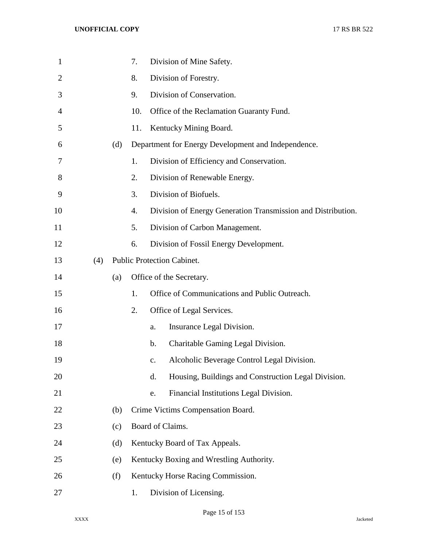| $\mathbf{1}$ |     |     | 7.  |                                   | Division of Mine Safety.                                     |  |  |
|--------------|-----|-----|-----|-----------------------------------|--------------------------------------------------------------|--|--|
| 2            |     |     | 8.  |                                   | Division of Forestry.                                        |  |  |
| 3            |     |     | 9.  |                                   | Division of Conservation.                                    |  |  |
| 4            |     |     | 10. |                                   | Office of the Reclamation Guaranty Fund.                     |  |  |
| 5            |     |     | 11. |                                   | Kentucky Mining Board.                                       |  |  |
| 6            |     | (d) |     |                                   | Department for Energy Development and Independence.          |  |  |
| 7            |     |     | 1.  |                                   | Division of Efficiency and Conservation.                     |  |  |
| 8            |     |     | 2.  |                                   | Division of Renewable Energy.                                |  |  |
| 9            |     |     | 3.  |                                   | Division of Biofuels.                                        |  |  |
| 10           |     |     | 4.  |                                   | Division of Energy Generation Transmission and Distribution. |  |  |
| 11           |     |     | 5.  |                                   | Division of Carbon Management.                               |  |  |
| 12           |     |     | 6.  |                                   | Division of Fossil Energy Development.                       |  |  |
| 13           | (4) |     |     | <b>Public Protection Cabinet.</b> |                                                              |  |  |
| 14           |     | (a) |     |                                   | Office of the Secretary.                                     |  |  |
| 15           |     |     | 1.  |                                   | Office of Communications and Public Outreach.                |  |  |
| 16           |     |     | 2.  |                                   | Office of Legal Services.                                    |  |  |
| 17           |     |     |     | a.                                | Insurance Legal Division.                                    |  |  |
| 18           |     |     |     | $\mathbf b$ .                     | Charitable Gaming Legal Division.                            |  |  |
| 19           |     |     |     | $C_{\bullet}$                     | Alcoholic Beverage Control Legal Division.                   |  |  |
| 20           |     |     |     | d.                                | Housing, Buildings and Construction Legal Division.          |  |  |
| 21           |     |     |     | e.                                | Financial Institutions Legal Division.                       |  |  |
| 22           |     | (b) |     |                                   | Crime Victims Compensation Board.                            |  |  |
| 23           |     | (c) |     |                                   | Board of Claims.                                             |  |  |
| 24           |     | (d) |     |                                   | Kentucky Board of Tax Appeals.                               |  |  |
| 25           |     | (e) |     |                                   | Kentucky Boxing and Wrestling Authority.                     |  |  |
| 26           |     | (f) |     |                                   | Kentucky Horse Racing Commission.                            |  |  |
| 27           |     |     | 1.  |                                   | Division of Licensing.                                       |  |  |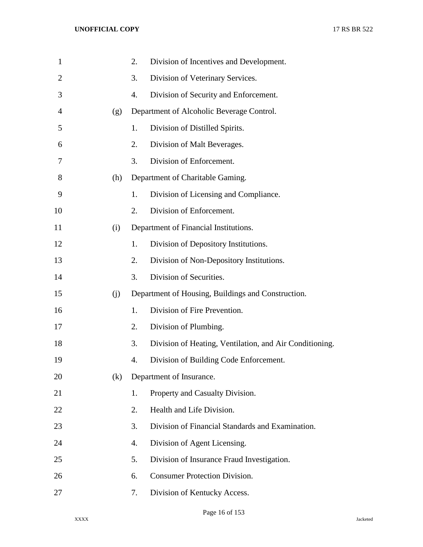| $\mathbf{1}$   |     | 2. | Division of Incentives and Development.                 |
|----------------|-----|----|---------------------------------------------------------|
| $\overline{2}$ |     | 3. | Division of Veterinary Services.                        |
| 3              |     | 4. | Division of Security and Enforcement.                   |
| $\overline{4}$ | (g) |    | Department of Alcoholic Beverage Control.               |
| 5              |     | 1. | Division of Distilled Spirits.                          |
| 6              |     | 2. | Division of Malt Beverages.                             |
| 7              |     | 3. | Division of Enforcement.                                |
| 8              | (h) |    | Department of Charitable Gaming.                        |
| 9              |     | 1. | Division of Licensing and Compliance.                   |
| 10             |     | 2. | Division of Enforcement.                                |
| 11             | (i) |    | Department of Financial Institutions.                   |
| 12             |     | 1. | Division of Depository Institutions.                    |
| 13             |     | 2. | Division of Non-Depository Institutions.                |
| 14             |     | 3. | Division of Securities.                                 |
| 15             | (i) |    | Department of Housing, Buildings and Construction.      |
| 16             |     | 1. | Division of Fire Prevention.                            |
| 17             |     | 2. | Division of Plumbing.                                   |
| 18             |     | 3. | Division of Heating, Ventilation, and Air Conditioning. |
| 19             |     | 4. | Division of Building Code Enforcement.                  |
| 20             | (k) |    | Department of Insurance.                                |
| 21             |     | 1. | Property and Casualty Division.                         |
| 22             |     | 2. | Health and Life Division.                               |
| 23             |     | 3. | Division of Financial Standards and Examination.        |
| 24             |     | 4. | Division of Agent Licensing.                            |
| 25             |     | 5. | Division of Insurance Fraud Investigation.              |
| 26             |     | 6. | <b>Consumer Protection Division.</b>                    |
| 27             |     | 7. | Division of Kentucky Access.                            |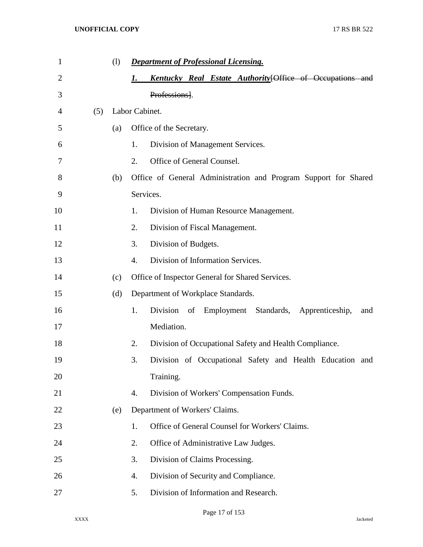| $\mathbf{1}$   |     | (1) |                  | <b>Department of Professional Licensing.</b>                     |
|----------------|-----|-----|------------------|------------------------------------------------------------------|
| $\overline{2}$ |     |     | 1.               | <b>Kentucky Real Estate Authority</b> [Office of Occupations and |
| 3              |     |     |                  | Professions].                                                    |
| 4              | (5) |     | Labor Cabinet.   |                                                                  |
| 5              |     | (a) |                  | Office of the Secretary.                                         |
| 6              |     |     | 1.               | Division of Management Services.                                 |
| 7              |     |     | 2.               | Office of General Counsel.                                       |
| 8              |     | (b) |                  | Office of General Administration and Program Support for Shared  |
| 9              |     |     |                  | Services.                                                        |
| 10             |     |     | 1.               | Division of Human Resource Management.                           |
| 11             |     |     | 2.               | Division of Fiscal Management.                                   |
| 12             |     |     | 3.               | Division of Budgets.                                             |
| 13             |     |     | $\overline{4}$ . | Division of Information Services.                                |
| 14             |     | (c) |                  | Office of Inspector General for Shared Services.                 |
| 15             |     | (d) |                  | Department of Workplace Standards.                               |
| 16             |     |     | 1.               | Division<br>of Employment Standards, Apprenticeship,<br>and      |
| 17             |     |     |                  | Mediation.                                                       |
| 18             |     |     | 2.               | Division of Occupational Safety and Health Compliance.           |
| 19             |     |     | 3.               | Division of Occupational Safety and Health Education and         |
| 20             |     |     |                  | Training.                                                        |
| 21             |     |     | 4.               | Division of Workers' Compensation Funds.                         |
| 22             |     | (e) |                  | Department of Workers' Claims.                                   |
| 23             |     |     | 1.               | Office of General Counsel for Workers' Claims.                   |
| 24             |     |     | 2.               | Office of Administrative Law Judges.                             |
| 25             |     |     | 3.               | Division of Claims Processing.                                   |
| 26             |     |     | 4.               | Division of Security and Compliance.                             |
| 27             |     |     | 5.               | Division of Information and Research.                            |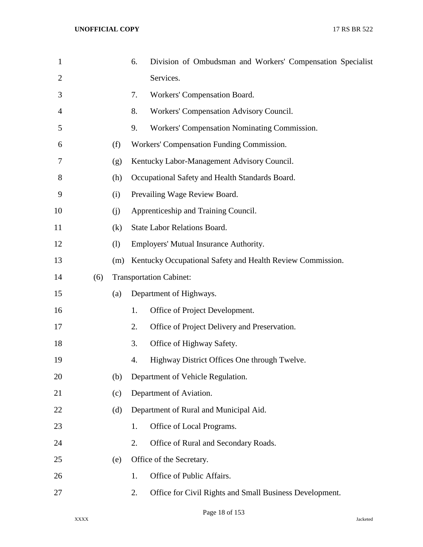| $\mathbf{1}$   |     |     | 6. | Division of Ombudsman and Workers' Compensation Specialist |
|----------------|-----|-----|----|------------------------------------------------------------|
| $\overline{2}$ |     |     |    | Services.                                                  |
| 3              |     |     | 7. | Workers' Compensation Board.                               |
| 4              |     |     | 8. | Workers' Compensation Advisory Council.                    |
| 5              |     |     | 9. | Workers' Compensation Nominating Commission.               |
| 6              |     | (f) |    | Workers' Compensation Funding Commission.                  |
| 7              |     | (g) |    | Kentucky Labor-Management Advisory Council.                |
| 8              |     | (h) |    | Occupational Safety and Health Standards Board.            |
| 9              |     | (i) |    | Prevailing Wage Review Board.                              |
| 10             |     | (j) |    | Apprenticeship and Training Council.                       |
| 11             |     | (k) |    | <b>State Labor Relations Board.</b>                        |
| 12             |     | (1) |    | Employers' Mutual Insurance Authority.                     |
| 13             |     | (m) |    | Kentucky Occupational Safety and Health Review Commission. |
| 14             | (6) |     |    | <b>Transportation Cabinet:</b>                             |
| 15             |     | (a) |    | Department of Highways.                                    |
| 16             |     |     | 1. | Office of Project Development.                             |
| 17             |     |     | 2. | Office of Project Delivery and Preservation.               |
| 18             |     |     | 3. | Office of Highway Safety.                                  |
| 19             |     |     | 4. | Highway District Offices One through Twelve.               |
| 20             |     | (b) |    | Department of Vehicle Regulation.                          |
| 21             |     | (c) |    | Department of Aviation.                                    |
| 22             |     | (d) |    | Department of Rural and Municipal Aid.                     |
| 23             |     |     | 1. | Office of Local Programs.                                  |
| 24             |     |     | 2. | Office of Rural and Secondary Roads.                       |
| 25             |     | (e) |    | Office of the Secretary.                                   |
| 26             |     |     | 1. | Office of Public Affairs.                                  |
| 27             |     |     | 2. | Office for Civil Rights and Small Business Development.    |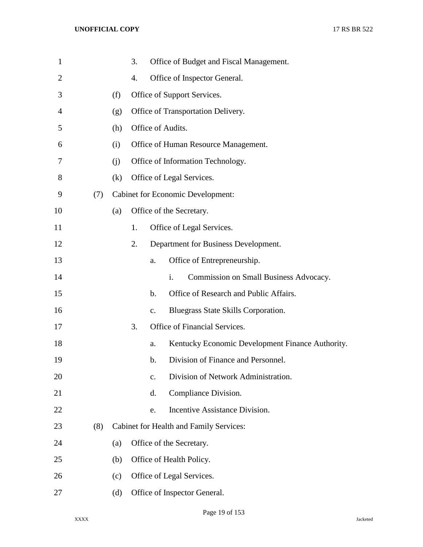| $\mathbf{1}$   |     |     | 3. |               | Office of Budget and Fiscal Management.          |
|----------------|-----|-----|----|---------------|--------------------------------------------------|
| $\overline{2}$ |     |     | 4. |               | Office of Inspector General.                     |
| 3              |     | (f) |    |               | Office of Support Services.                      |
| 4              |     | (g) |    |               | Office of Transportation Delivery.               |
| 5              |     | (h) |    |               | Office of Audits.                                |
| 6              |     | (i) |    |               | Office of Human Resource Management.             |
| 7              |     | (i) |    |               | Office of Information Technology.                |
| 8              |     | (k) |    |               | Office of Legal Services.                        |
| 9              | (7) |     |    |               | <b>Cabinet for Economic Development:</b>         |
| 10             |     | (a) |    |               | Office of the Secretary.                         |
| 11             |     |     | 1. |               | Office of Legal Services.                        |
| 12             |     |     | 2. |               | Department for Business Development.             |
| 13             |     |     |    | a.            | Office of Entrepreneurship.                      |
| 14             |     |     |    |               | Commission on Small Business Advocacy.<br>i.     |
| 15             |     |     |    | $\mathbf b$ . | Office of Research and Public Affairs.           |
| 16             |     |     |    | $C_{\bullet}$ | Bluegrass State Skills Corporation.              |
| 17             |     |     | 3. |               | Office of Financial Services.                    |
| 18             |     |     |    | a.            | Kentucky Economic Development Finance Authority. |
| 19             |     |     |    | b.            | Division of Finance and Personnel.               |
| 20             |     |     |    | c.            | Division of Network Administration.              |
| 21             |     |     |    | d.            | Compliance Division.                             |
| 22             |     |     |    | e.            | Incentive Assistance Division.                   |
| 23             | (8) |     |    |               | Cabinet for Health and Family Services:          |
| 24             |     | (a) |    |               | Office of the Secretary.                         |
| 25             |     | (b) |    |               | Office of Health Policy.                         |
| 26             |     | (c) |    |               | Office of Legal Services.                        |
| 27             |     | (d) |    |               | Office of Inspector General.                     |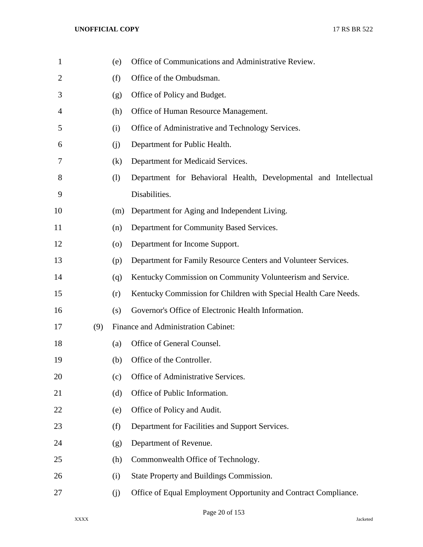| $\mathbf{1}$   |     | (e)                | Office of Communications and Administrative Review.              |
|----------------|-----|--------------------|------------------------------------------------------------------|
| $\overline{2}$ |     | (f)                | Office of the Ombudsman.                                         |
| 3              |     | (g)                | Office of Policy and Budget.                                     |
| 4              |     | (h)                | Office of Human Resource Management.                             |
| 5              |     | (i)                | Office of Administrative and Technology Services.                |
| 6              |     | (j)                | Department for Public Health.                                    |
| 7              |     | (k)                | Department for Medicaid Services.                                |
| 8              |     | (1)                | Department for Behavioral Health, Developmental and Intellectual |
| 9              |     |                    | Disabilities.                                                    |
| 10             |     | (m)                | Department for Aging and Independent Living.                     |
| 11             |     | (n)                | Department for Community Based Services.                         |
| 12             |     | $\left( 0 \right)$ | Department for Income Support.                                   |
| 13             |     | (p)                | Department for Family Resource Centers and Volunteer Services.   |
| 14             |     | (q)                | Kentucky Commission on Community Volunteerism and Service.       |
| 15             |     | (r)                | Kentucky Commission for Children with Special Health Care Needs. |
| 16             |     | (s)                | Governor's Office of Electronic Health Information.              |
| 17             | (9) |                    | Finance and Administration Cabinet:                              |
| 18             |     | (a)                | Office of General Counsel.                                       |
| 19             |     | (b)                | Office of the Controller.                                        |
| 20             |     | (c)                | Office of Administrative Services.                               |
| 21             |     | (d)                | Office of Public Information.                                    |
| 22             |     | (e)                | Office of Policy and Audit.                                      |
| 23             |     | (f)                | Department for Facilities and Support Services.                  |
| 24             |     | (g)                | Department of Revenue.                                           |
| 25             |     | (h)                | Commonwealth Office of Technology.                               |
| 26             |     | (i)                | State Property and Buildings Commission.                         |
| 27             |     | (j)                | Office of Equal Employment Opportunity and Contract Compliance.  |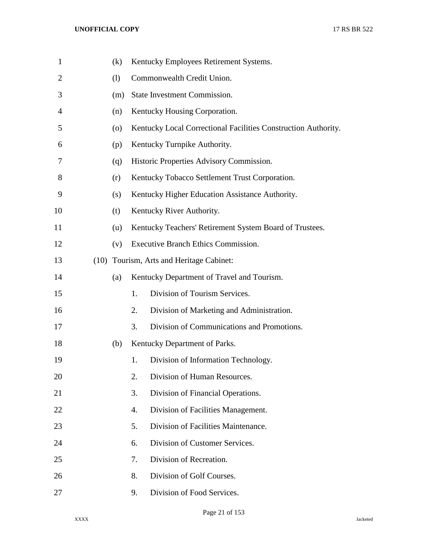| $\mathbf{1}$   |      | (k)                |    | Kentucky Employees Retirement Systems.                         |
|----------------|------|--------------------|----|----------------------------------------------------------------|
| $\overline{2}$ |      | (1)                |    | Commonwealth Credit Union.                                     |
| 3              |      | (m)                |    | State Investment Commission.                                   |
| 4              |      | (n)                |    | Kentucky Housing Corporation.                                  |
| 5              |      | $\left( 0 \right)$ |    | Kentucky Local Correctional Facilities Construction Authority. |
| 6              |      | (p)                |    | Kentucky Turnpike Authority.                                   |
| 7              |      | (q)                |    | Historic Properties Advisory Commission.                       |
| 8              |      | (r)                |    | Kentucky Tobacco Settlement Trust Corporation.                 |
| 9              |      | (s)                |    | Kentucky Higher Education Assistance Authority.                |
| 10             |      | (t)                |    | Kentucky River Authority.                                      |
| 11             |      | (u)                |    | Kentucky Teachers' Retirement System Board of Trustees.        |
| 12             |      | (v)                |    | Executive Branch Ethics Commission.                            |
| 13             | (10) |                    |    | Tourism, Arts and Heritage Cabinet:                            |
| 14             |      | (a)                |    | Kentucky Department of Travel and Tourism.                     |
| 15             |      |                    | 1. | Division of Tourism Services.                                  |
| 16             |      |                    | 2. | Division of Marketing and Administration.                      |
| 17             |      |                    | 3. | Division of Communications and Promotions.                     |
| 18             |      | (b)                |    | Kentucky Department of Parks.                                  |
| 19             |      |                    | 1. | Division of Information Technology.                            |
| 20             |      |                    | 2. | Division of Human Resources.                                   |
| 21             |      |                    | 3. | Division of Financial Operations.                              |
| 22             |      |                    | 4. | Division of Facilities Management.                             |
| 23             |      |                    | 5. | Division of Facilities Maintenance.                            |
| 24             |      |                    | 6. | Division of Customer Services.                                 |
| 25             |      |                    | 7. | Division of Recreation.                                        |
| 26             |      |                    | 8. | Division of Golf Courses.                                      |
| 27             |      |                    | 9. | Division of Food Services.                                     |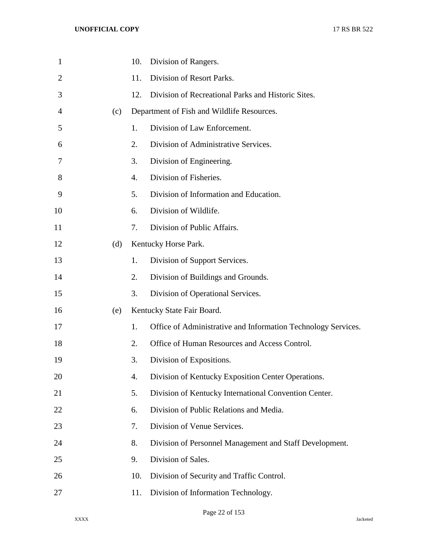| $\mathbf{1}$ |     | 10. | Division of Rangers.                                          |
|--------------|-----|-----|---------------------------------------------------------------|
| 2            |     | 11. | Division of Resort Parks.                                     |
| 3            |     | 12. | Division of Recreational Parks and Historic Sites.            |
| 4            | (c) |     | Department of Fish and Wildlife Resources.                    |
| 5            |     | 1.  | Division of Law Enforcement.                                  |
| 6            |     | 2.  | Division of Administrative Services.                          |
| 7            |     | 3.  | Division of Engineering.                                      |
| 8            |     | 4.  | Division of Fisheries.                                        |
| 9            |     | 5.  | Division of Information and Education.                        |
| 10           |     | 6.  | Division of Wildlife.                                         |
| 11           |     | 7.  | Division of Public Affairs.                                   |
| 12           | (d) |     | Kentucky Horse Park.                                          |
| 13           |     | 1.  | Division of Support Services.                                 |
| 14           |     | 2.  | Division of Buildings and Grounds.                            |
| 15           |     | 3.  | Division of Operational Services.                             |
| 16           | (e) |     | Kentucky State Fair Board.                                    |
| 17           |     | 1.  | Office of Administrative and Information Technology Services. |
| 18           |     | 2.  | Office of Human Resources and Access Control.                 |
| 19           |     | 3.  | Division of Expositions.                                      |
| 20           |     | 4.  | Division of Kentucky Exposition Center Operations.            |
| 21           |     | 5.  | Division of Kentucky International Convention Center.         |
| 22           |     | 6.  | Division of Public Relations and Media.                       |
| 23           |     | 7.  | Division of Venue Services.                                   |
| 24           |     | 8.  | Division of Personnel Management and Staff Development.       |
| 25           |     | 9.  | Division of Sales.                                            |
| 26           |     | 10. | Division of Security and Traffic Control.                     |
| 27           |     | 11. | Division of Information Technology.                           |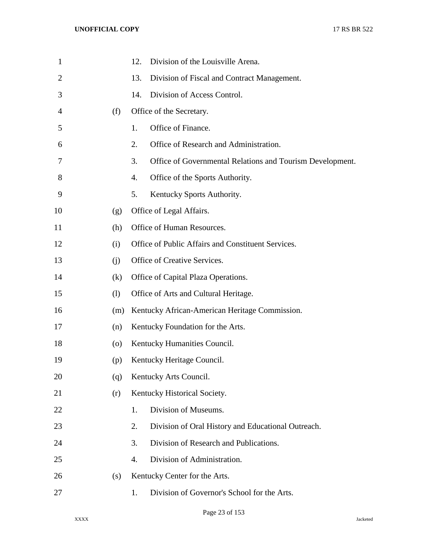| $\mathbf{1}$   |     | Division of the Louisville Arena.<br>12.                        |
|----------------|-----|-----------------------------------------------------------------|
| $\overline{2}$ |     | 13.<br>Division of Fiscal and Contract Management.              |
| 3              |     | Division of Access Control.<br>14.                              |
| 4              | (f) | Office of the Secretary.                                        |
| 5              |     | Office of Finance.<br>1.                                        |
| 6              |     | Office of Research and Administration.<br>2.                    |
| 7              |     | 3.<br>Office of Governmental Relations and Tourism Development. |
| 8              |     | Office of the Sports Authority.<br>4.                           |
| 9              |     | 5.<br>Kentucky Sports Authority.                                |
| 10             | (g) | Office of Legal Affairs.                                        |
| 11             | (h) | Office of Human Resources.                                      |
| 12             | (i) | Office of Public Affairs and Constituent Services.              |
| 13             | (i) | Office of Creative Services.                                    |
| 14             | (k) | Office of Capital Plaza Operations.                             |
| 15             | (1) | Office of Arts and Cultural Heritage.                           |
| 16             | (m) | Kentucky African-American Heritage Commission.                  |
| 17             | (n) | Kentucky Foundation for the Arts.                               |
| 18             | (0) | Kentucky Humanities Council.                                    |
| 19             | (p) | Kentucky Heritage Council.                                      |
| 20             | (q) | Kentucky Arts Council.                                          |
| 21             | (r) | Kentucky Historical Society.                                    |
| 22             |     | Division of Museums.<br>1.                                      |
| 23             |     | Division of Oral History and Educational Outreach.<br>2.        |
| 24             |     | Division of Research and Publications.<br>3.                    |
| 25             |     | Division of Administration.<br>4.                               |
| 26             | (s) | Kentucky Center for the Arts.                                   |
| 27             |     | Division of Governor's School for the Arts.<br>1.               |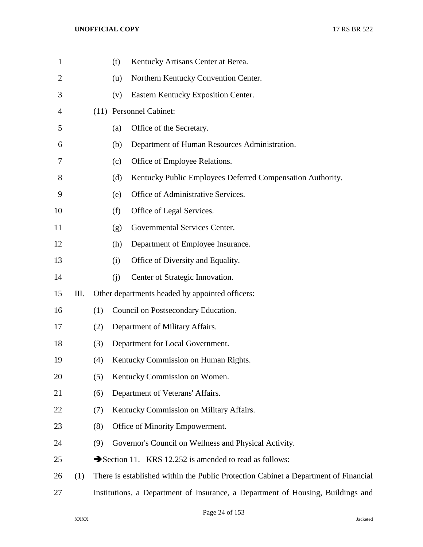| $\mathbf{1}$   |     |     | (t) | Kentucky Artisans Center at Berea.                                                  |
|----------------|-----|-----|-----|-------------------------------------------------------------------------------------|
| $\overline{2}$ |     |     | (u) | Northern Kentucky Convention Center.                                                |
| 3              |     |     | (v) | Eastern Kentucky Exposition Center.                                                 |
| 4              |     |     |     | (11) Personnel Cabinet:                                                             |
| 5              |     |     | (a) | Office of the Secretary.                                                            |
| 6              |     |     | (b) | Department of Human Resources Administration.                                       |
| 7              |     |     | (c) | Office of Employee Relations.                                                       |
| 8              |     |     | (d) | Kentucky Public Employees Deferred Compensation Authority.                          |
| 9              |     |     | (e) | Office of Administrative Services.                                                  |
| 10             |     |     | (f) | Office of Legal Services.                                                           |
| 11             |     |     | (g) | Governmental Services Center.                                                       |
| 12             |     |     | (h) | Department of Employee Insurance.                                                   |
| 13             |     |     | (i) | Office of Diversity and Equality.                                                   |
| 14             |     |     | (j) | Center of Strategic Innovation.                                                     |
| 15             | Ш.  |     |     | Other departments headed by appointed officers:                                     |
| 16             |     | (1) |     | Council on Postsecondary Education.                                                 |
| 17             |     | (2) |     | Department of Military Affairs.                                                     |
| 18             |     | (3) |     | Department for Local Government.                                                    |
| 19             |     | (4) |     | Kentucky Commission on Human Rights.                                                |
| 20             |     | (5) |     | Kentucky Commission on Women.                                                       |
| 21             |     | (6) |     | Department of Veterans' Affairs.                                                    |
| 22             |     | (7) |     | Kentucky Commission on Military Affairs.                                            |
| 23             |     | (8) |     | Office of Minority Empowerment.                                                     |
| 24             |     | (9) |     | Governor's Council on Wellness and Physical Activity.                               |
| 25             |     |     |     | Section 11. KRS 12.252 is amended to read as follows:                               |
| 26             | (1) |     |     | There is established within the Public Protection Cabinet a Department of Financial |
| 27             |     |     |     | Institutions, a Department of Insurance, a Department of Housing, Buildings and     |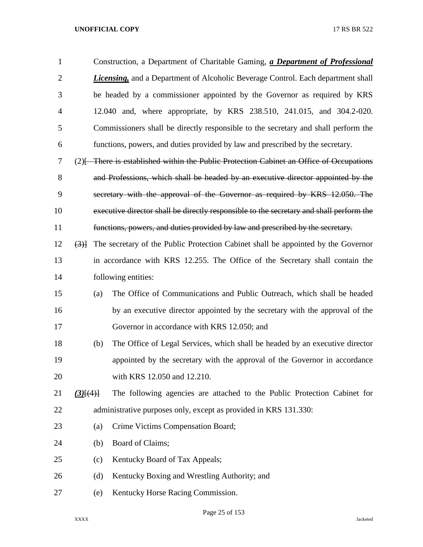| $\mathbf{1}$   |                 | Construction, a Department of Charitable Gaming, a Department of Professional            |
|----------------|-----------------|------------------------------------------------------------------------------------------|
| $\overline{2}$ |                 | <b>Licensing,</b> and a Department of Alcoholic Beverage Control. Each department shall  |
| 3              |                 | be headed by a commissioner appointed by the Governor as required by KRS                 |
| 4              |                 | 12.040 and, where appropriate, by KRS 238.510, 241.015, and 304.2-020.                   |
| 5              |                 | Commissioners shall be directly responsible to the secretary and shall perform the       |
| 6              |                 | functions, powers, and duties provided by law and prescribed by the secretary.           |
| 7              |                 | $(2)$ There is established within the Public Protection Cabinet an Office of Occupations |
| 8              |                 | and Professions, which shall be headed by an executive director appointed by the         |
| 9              |                 | secretary with the approval of the Governor as required by KRS 12.050. The               |
| 10             |                 | executive director shall be directly responsible to the secretary and shall perform the  |
| 11             |                 | functions, powers, and duties provided by law and prescribed by the secretary.           |
| 12             | (3)             | The secretary of the Public Protection Cabinet shall be appointed by the Governor        |
| 13             |                 | in accordance with KRS 12.255. The Office of the Secretary shall contain the             |
| 14             |                 | following entities:                                                                      |
| 15             | (a)             | The Office of Communications and Public Outreach, which shall be headed                  |
| 16             |                 | by an executive director appointed by the secretary with the approval of the             |
| 17             |                 | Governor in accordance with KRS 12.050; and                                              |
| 18             | (b)             | The Office of Legal Services, which shall be headed by an executive director             |
| 19             |                 | appointed by the secretary with the approval of the Governor in accordance               |
| 20             |                 | with KRS 12.050 and 12.210.                                                              |
| 21             | $(3)$ [ $(4)$ ] | The following agencies are attached to the Public Protection Cabinet for                 |
| 22             |                 | administrative purposes only, except as provided in KRS 131.330:                         |
| 23             | (a)             | Crime Victims Compensation Board;                                                        |
| 24             | (b)             | Board of Claims;                                                                         |
| 25             | (c)             | Kentucky Board of Tax Appeals;                                                           |
| 26             | (d)             | Kentucky Boxing and Wrestling Authority; and                                             |
| 27             | (e)             | Kentucky Horse Racing Commission.                                                        |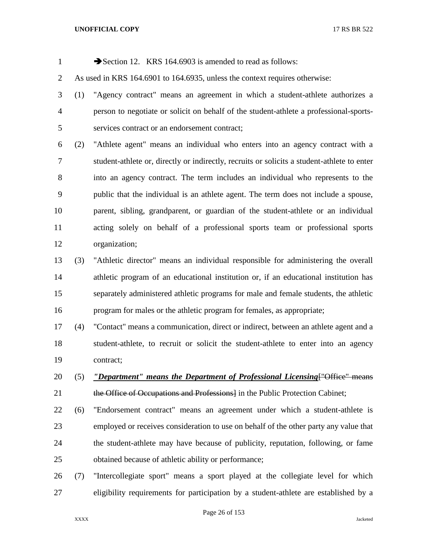| $\mathbf{1}$   |     | Section 12. KRS 164.6903 is amended to read as follows:                                     |
|----------------|-----|---------------------------------------------------------------------------------------------|
| $\overline{2}$ |     | As used in KRS 164.6901 to 164.6935, unless the context requires otherwise:                 |
| 3              | (1) | "Agency contract" means an agreement in which a student-athlete authorizes a                |
| $\overline{4}$ |     | person to negotiate or solicit on behalf of the student-athlete a professional-sports-      |
| 5              |     | services contract or an endorsement contract;                                               |
| 6              | (2) | "Athlete agent" means an individual who enters into an agency contract with a               |
| $\overline{7}$ |     | student-athlete or, directly or indirectly, recruits or solicits a student-athlete to enter |
| $8\,$          |     | into an agency contract. The term includes an individual who represents to the              |
| 9              |     | public that the individual is an athlete agent. The term does not include a spouse,         |
| 10             |     | parent, sibling, grandparent, or guardian of the student-athlete or an individual           |
| 11             |     | acting solely on behalf of a professional sports team or professional sports                |
| 12             |     | organization;                                                                               |
| 13             | (3) | "Athletic director" means an individual responsible for administering the overall           |
| 14             |     | athletic program of an educational institution or, if an educational institution has        |
| 15             |     | separately administered athletic programs for male and female students, the athletic        |
| 16             |     | program for males or the athletic program for females, as appropriate;                      |
| 17             | (4) | "Contact" means a communication, direct or indirect, between an athlete agent and a         |
| 18             |     | student-athlete, to recruit or solicit the student-athlete to enter into an agency          |
| 19             |     | contract;                                                                                   |
| 20             | (5) | <i><u>"Department" means the Department of Professional Licensing ["Office" means"</u></i>  |
| 21             |     | the Office of Occupations and Professions in the Public Protection Cabinet;                 |
| 22             | (6) | "Endorsement contract" means an agreement under which a student-athlete is                  |
| 23             |     | employed or receives consideration to use on behalf of the other party any value that       |
| 24             |     | the student-athlete may have because of publicity, reputation, following, or fame           |
| 25             |     | obtained because of athletic ability or performance;                                        |
| 26             | (7) | "Intercollegiate sport" means a sport played at the collegiate level for which              |

eligibility requirements for participation by a student-athlete are established by a

Page 26 of 153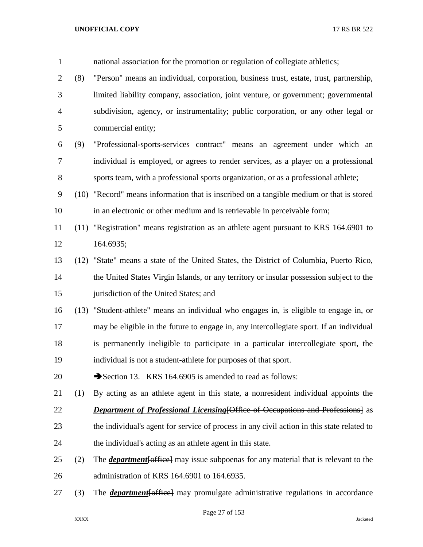| $\mathbf{1}$   |     | national association for the promotion or regulation of collegiate athletics;                      |
|----------------|-----|----------------------------------------------------------------------------------------------------|
| $\overline{2}$ | (8) | "Person" means an individual, corporation, business trust, estate, trust, partnership,             |
| 3              |     | limited liability company, association, joint venture, or government; governmental                 |
| $\overline{4}$ |     | subdivision, agency, or instrumentality; public corporation, or any other legal or                 |
| 5              |     | commercial entity;                                                                                 |
| 6              | (9) | "Professional-sports-services contract" means an agreement under which an                          |
| 7              |     | individual is employed, or agrees to render services, as a player on a professional                |
| 8              |     | sports team, with a professional sports organization, or as a professional athlete;                |
| 9              |     | (10) "Record" means information that is inscribed on a tangible medium or that is stored           |
| 10             |     | in an electronic or other medium and is retrievable in perceivable form;                           |
| 11             |     | (11) "Registration" means registration as an athlete agent pursuant to KRS 164.6901 to             |
| 12             |     | 164.6935;                                                                                          |
| 13             |     | (12) "State" means a state of the United States, the District of Columbia, Puerto Rico,            |
| 14             |     | the United States Virgin Islands, or any territory or insular possession subject to the            |
| 15             |     | jurisdiction of the United States; and                                                             |
| 16             |     | (13) "Student-athlete" means an individual who engages in, is eligible to engage in, or            |
| 17             |     | may be eligible in the future to engage in, any intercollegiate sport. If an individual            |
| 18             |     | is permanently ineligible to participate in a particular intercollegiate sport, the                |
| 19             |     | individual is not a student-athlete for purposes of that sport.                                    |
| 20             |     | Section 13. KRS 164.6905 is amended to read as follows:                                            |
| 21             | (1) | By acting as an athlete agent in this state, a nonresident individual appoints the                 |
| 22             |     | <b>Department of Professional Licensing [Office of Occupations and Professions]</b> as             |
| 23             |     | the individual's agent for service of process in any civil action in this state related to         |
| 24             |     | the individual's acting as an athlete agent in this state.                                         |
| 25             | (2) | The <b><i>department</i></b> [office] may issue subpoenas for any material that is relevant to the |
| 26             |     | administration of KRS 164.6901 to 164.6935.                                                        |
| 27             | (3) | The <b><i>department</i></b> [office] may promulgate administrative regulations in accordance      |

Page 27 of 153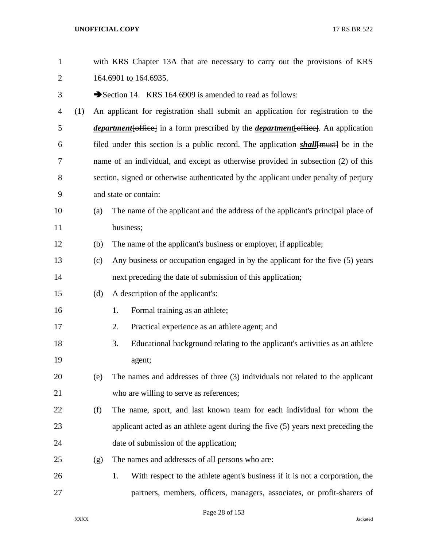| $\mathbf{1}$   |     |     | with KRS Chapter 13A that are necessary to carry out the provisions of KRS                        |
|----------------|-----|-----|---------------------------------------------------------------------------------------------------|
| $\overline{2}$ |     |     | 164.6901 to 164.6935.                                                                             |
| 3              |     |     | Section 14. KRS 164.6909 is amended to read as follows:                                           |
| $\overline{4}$ | (1) |     | An applicant for registration shall submit an application for registration to the                 |
| 5              |     |     | <i>department</i> [office] in a form prescribed by the <i>department</i> [office]. An application |
| 6              |     |     | filed under this section is a public record. The application <i>shall</i> [must] be in the        |
| 7              |     |     | name of an individual, and except as otherwise provided in subsection (2) of this                 |
| 8              |     |     | section, signed or otherwise authenticated by the applicant under penalty of perjury              |
| 9              |     |     | and state or contain:                                                                             |
| 10             |     | (a) | The name of the applicant and the address of the applicant's principal place of                   |
| 11             |     |     | business;                                                                                         |
| 12             |     | (b) | The name of the applicant's business or employer, if applicable;                                  |
| 13             |     | (c) | Any business or occupation engaged in by the applicant for the five (5) years                     |
| 14             |     |     | next preceding the date of submission of this application;                                        |
| 15             |     | (d) | A description of the applicant's:                                                                 |
| 16             |     |     | Formal training as an athlete;<br>1.                                                              |
| 17             |     |     | Practical experience as an athlete agent; and<br>2.                                               |
| 18             |     |     | 3.<br>Educational background relating to the applicant's activities as an athlete                 |
| 19             |     |     | agent;                                                                                            |
| 20             |     | (e) | The names and addresses of three (3) individuals not related to the applicant                     |
| 21             |     |     | who are willing to serve as references;                                                           |
| 22             |     | (f) | The name, sport, and last known team for each individual for whom the                             |
| 23             |     |     | applicant acted as an athlete agent during the five (5) years next preceding the                  |
| 24             |     |     | date of submission of the application;                                                            |
| 25             |     | (g) | The names and addresses of all persons who are:                                                   |
| 26             |     |     | With respect to the athlete agent's business if it is not a corporation, the<br>1.                |
| 27             |     |     | partners, members, officers, managers, associates, or profit-sharers of                           |

Page 28 of 153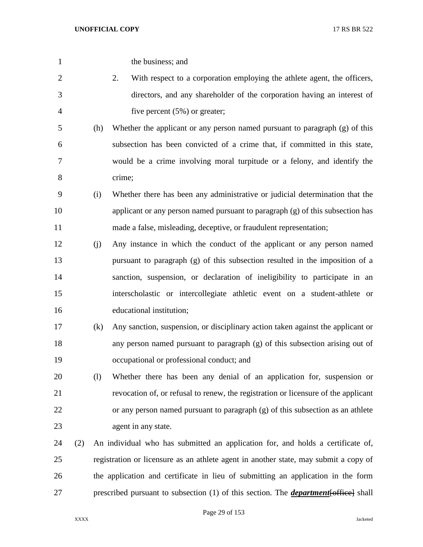| $\mathbf{1}$   |     |     | the business; and                                                                           |
|----------------|-----|-----|---------------------------------------------------------------------------------------------|
| $\mathbf{2}$   |     |     | With respect to a corporation employing the athlete agent, the officers,<br>2.              |
| 3              |     |     | directors, and any shareholder of the corporation having an interest of                     |
| $\overline{4}$ |     |     | five percent $(5\%)$ or greater;                                                            |
| 5              |     | (h) | Whether the applicant or any person named pursuant to paragraph (g) of this                 |
| 6              |     |     | subsection has been convicted of a crime that, if committed in this state,                  |
| $\tau$         |     |     | would be a crime involving moral turpitude or a felony, and identify the                    |
| $8\,$          |     |     | crime;                                                                                      |
| 9              |     | (i) | Whether there has been any administrative or judicial determination that the                |
| 10             |     |     | applicant or any person named pursuant to paragraph (g) of this subsection has              |
| 11             |     |     | made a false, misleading, deceptive, or fraudulent representation;                          |
| 12             |     | (j) | Any instance in which the conduct of the applicant or any person named                      |
| 13             |     |     | pursuant to paragraph (g) of this subsection resulted in the imposition of a                |
| 14             |     |     | sanction, suspension, or declaration of ineligibility to participate in an                  |
| 15             |     |     | interscholastic or intercollegiate athletic event on a student-athlete or                   |
| 16             |     |     | educational institution;                                                                    |
| 17             |     | (k) | Any sanction, suspension, or disciplinary action taken against the applicant or             |
| 18             |     |     | any person named pursuant to paragraph (g) of this subsection arising out of                |
| 19             |     |     | occupational or professional conduct; and                                                   |
| 20             |     | (1) | Whether there has been any denial of an application for, suspension or                      |
| 21             |     |     | revocation of, or refusal to renew, the registration or licensure of the applicant          |
| 22             |     |     | or any person named pursuant to paragraph (g) of this subsection as an athlete              |
| 23             |     |     | agent in any state.                                                                         |
| 24             | (2) |     | An individual who has submitted an application for, and holds a certificate of,             |
| 25             |     |     | registration or licensure as an athlete agent in another state, may submit a copy of        |
| 26             |     |     | the application and certificate in lieu of submitting an application in the form            |
| 27             |     |     | prescribed pursuant to subsection (1) of this section. The <i>department</i> [office] shall |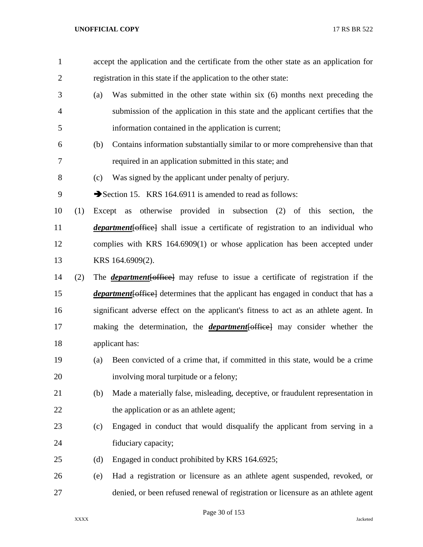| $\mathbf{1}$   |     |        | accept the application and the certificate from the other state as an application for      |
|----------------|-----|--------|--------------------------------------------------------------------------------------------|
| $\overline{2}$ |     |        | registration in this state if the application to the other state:                          |
| 3              |     | (a)    | Was submitted in the other state within six (6) months next preceding the                  |
| $\overline{4}$ |     |        | submission of the application in this state and the applicant certifies that the           |
| 5              |     |        | information contained in the application is current;                                       |
| 6              |     | (b)    | Contains information substantially similar to or more comprehensive than that              |
| 7              |     |        | required in an application submitted in this state; and                                    |
| 8              |     | (c)    | Was signed by the applicant under penalty of perjury.                                      |
| 9              |     |        | Section 15. KRS 164.6911 is amended to read as follows:                                    |
| 10             | (1) | Except | as otherwise provided in subsection (2) of this section,<br>the                            |
| 11             |     |        | <i>department</i> [office] shall issue a certificate of registration to an individual who  |
| 12             |     |        | complies with KRS 164.6909(1) or whose application has been accepted under                 |
| 13             |     |        | KRS 164.6909(2).                                                                           |
| 14             | (2) |        | The <i>department</i> [office] may refuse to issue a certificate of registration if the    |
| 15             |     |        | <i>department</i> [office] determines that the applicant has engaged in conduct that has a |
| 16             |     |        | significant adverse effect on the applicant's fitness to act as an athlete agent. In       |
| 17             |     |        | making the determination, the <i>department</i> [office] may consider whether the          |
| 18             |     |        | applicant has:                                                                             |
| 19             |     | (a)    | Been convicted of a crime that, if committed in this state, would be a crime               |
| 20             |     |        | involving moral turpitude or a felony;                                                     |
| 21             |     | (b)    | Made a materially false, misleading, deceptive, or fraudulent representation in            |
| 22             |     |        | the application or as an athlete agent;                                                    |
| 23             |     | (c)    | Engaged in conduct that would disqualify the applicant from serving in a                   |
| 24             |     |        | fiduciary capacity;                                                                        |
| 25             |     | (d)    | Engaged in conduct prohibited by KRS 164.6925;                                             |
| 26             |     | (e)    | Had a registration or licensure as an athlete agent suspended, revoked, or                 |
| 27             |     |        | denied, or been refused renewal of registration or licensure as an athlete agent           |

Page 30 of 153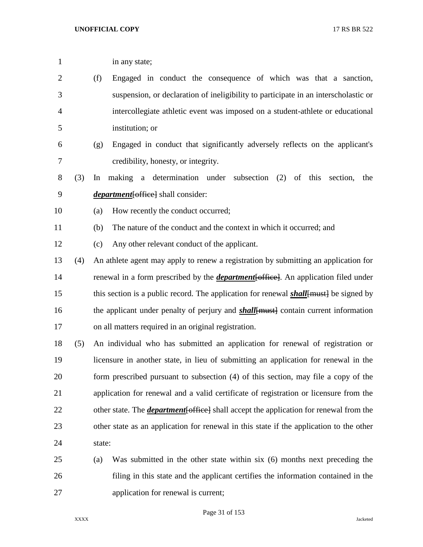1 in any state; (f) Engaged in conduct the consequence of which was that a sanction, suspension, or declaration of ineligibility to participate in an interscholastic or intercollegiate athletic event was imposed on a student-athlete or educational institution; or (g) Engaged in conduct that significantly adversely reflects on the applicant's credibility, honesty, or integrity. (3) In making a determination under subsection (2) of this section, the *department*[office] shall consider: (a) How recently the conduct occurred; (b) The nature of the conduct and the context in which it occurred; and (c) Any other relevant conduct of the applicant. (4) An athlete agent may apply to renew a registration by submitting an application for renewal in a form prescribed by the *department*[office]. An application filed under 15 this section is a public record. The application for renewal *shall*{must} be signed by 16 the applicant under penalty of perjury and **shall**[must] contain current information on all matters required in an original registration. (5) An individual who has submitted an application for renewal of registration or licensure in another state, in lieu of submitting an application for renewal in the form prescribed pursuant to subsection (4) of this section, may file a copy of the application for renewal and a valid certificate of registration or licensure from the 22 other state. The *department* [office] shall accept the application for renewal from the other state as an application for renewal in this state if the application to the other state: (a) Was submitted in the other state within six (6) months next preceding the filing in this state and the applicant certifies the information contained in the application for renewal is current;

Page 31 of 153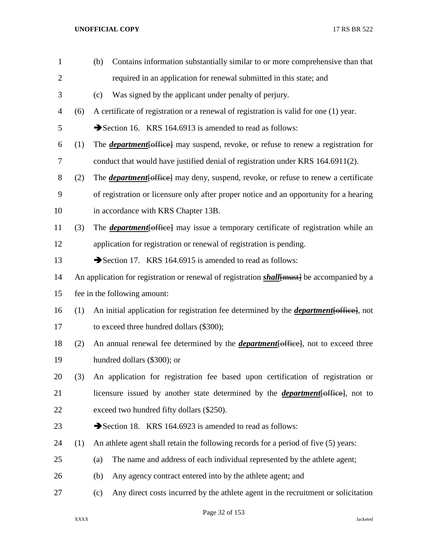| $\mathbf{1}$   |                                                                                                    | Contains information substantially similar to or more comprehensive than that<br>(b)          |  |
|----------------|----------------------------------------------------------------------------------------------------|-----------------------------------------------------------------------------------------------|--|
| $\overline{2}$ |                                                                                                    | required in an application for renewal submitted in this state; and                           |  |
| 3              |                                                                                                    | Was signed by the applicant under penalty of perjury.<br>(c)                                  |  |
| $\overline{4}$ | (6)                                                                                                | A certificate of registration or a renewal of registration is valid for one (1) year.         |  |
| 5              |                                                                                                    | Section 16. KRS 164.6913 is amended to read as follows:                                       |  |
| 6              | (1)                                                                                                | The <i>department</i> [office] may suspend, revoke, or refuse to renew a registration for     |  |
| 7              |                                                                                                    | conduct that would have justified denial of registration under KRS 164.6911(2).               |  |
| $8\,$          | (2)                                                                                                | The <i>department</i> [office] may deny, suspend, revoke, or refuse to renew a certificate    |  |
| 9              |                                                                                                    | of registration or licensure only after proper notice and an opportunity for a hearing        |  |
| 10             |                                                                                                    | in accordance with KRS Chapter 13B.                                                           |  |
| 11             | (3)                                                                                                | The <i>department</i> [office] may issue a temporary certificate of registration while an     |  |
| 12             |                                                                                                    | application for registration or renewal of registration is pending.                           |  |
| 13             |                                                                                                    | Section 17. KRS 164.6915 is amended to read as follows:                                       |  |
| 14             | An application for registration or renewal of registration <i>shall</i> [must] be accompanied by a |                                                                                               |  |
| 15             |                                                                                                    | fee in the following amount:                                                                  |  |
| 16             | (1)                                                                                                | An initial application for registration fee determined by the <i>department</i> [office], not |  |
| 17             |                                                                                                    | to exceed three hundred dollars (\$300);                                                      |  |
| 18             | (2)                                                                                                | An annual renewal fee determined by the <i>department</i> [office], not to exceed three       |  |
| 19             |                                                                                                    | hundred dollars (\$300); or                                                                   |  |
| 20             | (3)                                                                                                | An application for registration fee based upon certification of registration or               |  |
| 21             |                                                                                                    | licensure issued by another state determined by the <i>department</i> [office], not to        |  |
| 22             |                                                                                                    | exceed two hundred fifty dollars (\$250).                                                     |  |
| 23             |                                                                                                    | Section 18. KRS 164.6923 is amended to read as follows:                                       |  |
| 24             | (1)                                                                                                | An athlete agent shall retain the following records for a period of five (5) years:           |  |
| 25             |                                                                                                    | The name and address of each individual represented by the athlete agent;<br>(a)              |  |
| 26             |                                                                                                    | Any agency contract entered into by the athlete agent; and<br>(b)                             |  |
| 27             |                                                                                                    | Any direct costs incurred by the athlete agent in the recruitment or solicitation<br>(c)      |  |
|                |                                                                                                    |                                                                                               |  |

Page 32 of 153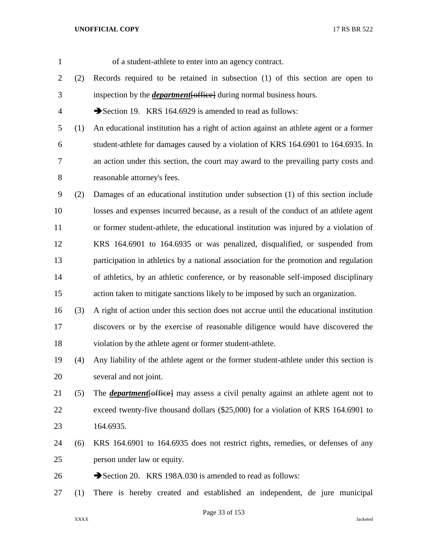of a student-athlete to enter into an agency contract. (2) Records required to be retained in subsection (1) of this section are open to inspection by the *department*[office] during normal business hours. 4 Section 19. KRS 164.6929 is amended to read as follows: (1) An educational institution has a right of action against an athlete agent or a former student-athlete for damages caused by a violation of KRS 164.6901 to 164.6935. In an action under this section, the court may award to the prevailing party costs and reasonable attorney's fees. (2) Damages of an educational institution under subsection (1) of this section include losses and expenses incurred because, as a result of the conduct of an athlete agent or former student-athlete, the educational institution was injured by a violation of KRS 164.6901 to 164.6935 or was penalized, disqualified, or suspended from participation in athletics by a national association for the promotion and regulation of athletics, by an athletic conference, or by reasonable self-imposed disciplinary action taken to mitigate sanctions likely to be imposed by such an organization. (3) A right of action under this section does not accrue until the educational institution discovers or by the exercise of reasonable diligence would have discovered the violation by the athlete agent or former student-athlete. (4) Any liability of the athlete agent or the former student-athlete under this section is several and not joint. (5) The *department*[office] may assess a civil penalty against an athlete agent not to exceed twenty-five thousand dollars (\$25,000) for a violation of KRS 164.6901 to 164.6935. (6) KRS 164.6901 to 164.6935 does not restrict rights, remedies, or defenses of any person under law or equity. 26 Section 20. KRS 198A.030 is amended to read as follows: (1) There is hereby created and established an independent, de jure municipal

Page 33 of 153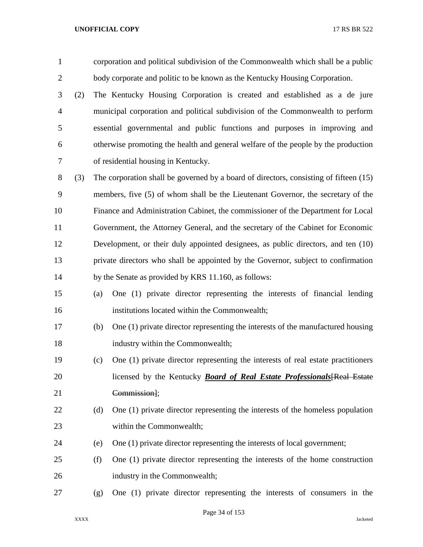| $\mathbf{1}$   |     |     | corporation and political subdivision of the Commonwealth which shall be a public     |
|----------------|-----|-----|---------------------------------------------------------------------------------------|
| $\overline{2}$ |     |     | body corporate and politic to be known as the Kentucky Housing Corporation.           |
| 3              | (2) |     | The Kentucky Housing Corporation is created and established as a de jure              |
| $\overline{4}$ |     |     | municipal corporation and political subdivision of the Commonwealth to perform        |
| 5              |     |     | essential governmental and public functions and purposes in improving and             |
| 6              |     |     | otherwise promoting the health and general welfare of the people by the production    |
| 7              |     |     | of residential housing in Kentucky.                                                   |
| 8              | (3) |     | The corporation shall be governed by a board of directors, consisting of fifteen (15) |
| 9              |     |     | members, five (5) of whom shall be the Lieutenant Governor, the secretary of the      |
| 10             |     |     | Finance and Administration Cabinet, the commissioner of the Department for Local      |
| 11             |     |     | Government, the Attorney General, and the secretary of the Cabinet for Economic       |
| 12             |     |     | Development, or their duly appointed designees, as public directors, and ten (10)     |
| 13             |     |     | private directors who shall be appointed by the Governor, subject to confirmation     |
| 14             |     |     | by the Senate as provided by KRS 11.160, as follows:                                  |
| 15             |     | (a) | One (1) private director representing the interests of financial lending              |
| 16             |     |     | institutions located within the Commonwealth;                                         |
| 17             |     | (b) | One (1) private director representing the interests of the manufactured housing       |
| 18             |     |     | industry within the Commonwealth;                                                     |
| 19             |     | (c) | One (1) private director representing the interests of real estate practitioners      |
| 20             |     |     | licensed by the Kentucky <b>Board of Real Estate Professionals</b> [Real Estate       |
| 21             |     |     | Commission];                                                                          |
| 22             |     | (d) | One (1) private director representing the interests of the homeless population        |
| 23             |     |     | within the Commonwealth;                                                              |
| 24             |     | (e) | One (1) private director representing the interests of local government;              |
| 25             |     | (f) | One (1) private director representing the interests of the home construction          |
| 26             |     |     | industry in the Commonwealth;                                                         |
| 27             |     | (g) | One (1) private director representing the interests of consumers in the               |
|                |     |     |                                                                                       |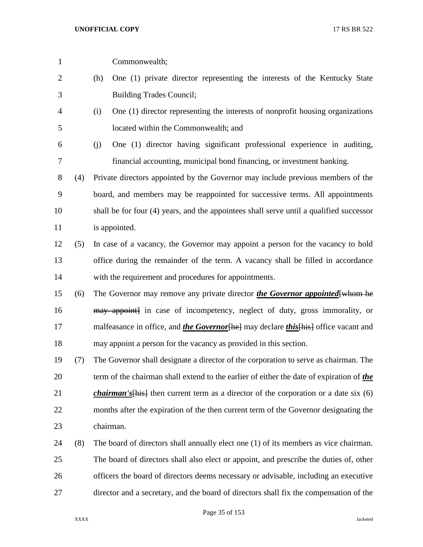| $\mathbf{1}$ |     | Commonwealth;                                                                                       |
|--------------|-----|-----------------------------------------------------------------------------------------------------|
| 2            |     | One (1) private director representing the interests of the Kentucky State<br>(h)                    |
| 3            |     | <b>Building Trades Council;</b>                                                                     |
| 4            |     | One (1) director representing the interests of nonprofit housing organizations<br>(i)               |
| 5            |     | located within the Commonwealth; and                                                                |
| 6            |     | One (1) director having significant professional experience in auditing,<br>(j)                     |
| 7            |     | financial accounting, municipal bond financing, or investment banking.                              |
| 8            | (4) | Private directors appointed by the Governor may include previous members of the                     |
| 9            |     | board, and members may be reappointed for successive terms. All appointments                        |
| 10           |     | shall be for four (4) years, and the appointees shall serve until a qualified successor             |
| 11           |     | is appointed.                                                                                       |
| 12           | (5) | In case of a vacancy, the Governor may appoint a person for the vacancy to hold                     |
| 13           |     | office during the remainder of the term. A vacancy shall be filled in accordance                    |
| 14           |     | with the requirement and procedures for appointments.                                               |
| 15           | (6) | The Governor may remove any private director <i>the Governor appointed</i> [whom he                 |
| 16           |     | may appoint) in case of incompetency, neglect of duty, gross immorality, or                         |
| 17           |     | malfeasance in office, and <i>the Governor</i> [he] may declare <i>this</i> [his] office vacant and |
| 18           |     | may appoint a person for the vacancy as provided in this section.                                   |
| 19           | (7) | The Governor shall designate a director of the corporation to serve as chairman. The                |
| 20           |     | term of the chairman shall extend to the earlier of either the date of expiration of the            |
| 21           |     | <i>chairman's</i> [his] then current term as a director of the corporation or a date six $(6)$      |
| 22           |     | months after the expiration of the then current term of the Governor designating the                |
| 23           |     | chairman.                                                                                           |
| 24           | (8) | The board of directors shall annually elect one (1) of its members as vice chairman.                |
| 25           |     | The board of directors shall also elect or appoint, and prescribe the duties of, other              |
| 26           |     | officers the board of directors deems necessary or advisable, including an executive                |
| 27           |     | director and a secretary, and the board of directors shall fix the compensation of the              |
|              |     |                                                                                                     |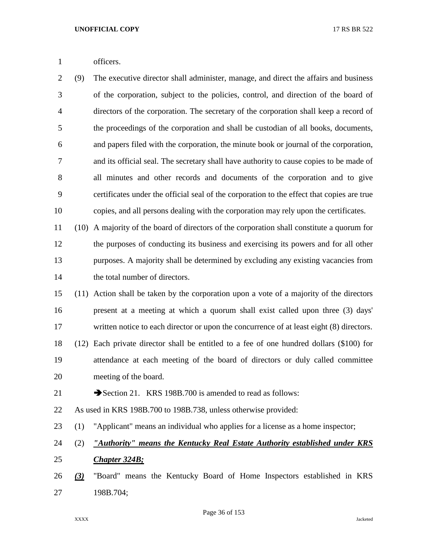officers.

 (9) The executive director shall administer, manage, and direct the affairs and business of the corporation, subject to the policies, control, and direction of the board of directors of the corporation. The secretary of the corporation shall keep a record of the proceedings of the corporation and shall be custodian of all books, documents, and papers filed with the corporation, the minute book or journal of the corporation, and its official seal. The secretary shall have authority to cause copies to be made of all minutes and other records and documents of the corporation and to give certificates under the official seal of the corporation to the effect that copies are true copies, and all persons dealing with the corporation may rely upon the certificates.

 (10) A majority of the board of directors of the corporation shall constitute a quorum for the purposes of conducting its business and exercising its powers and for all other purposes. A majority shall be determined by excluding any existing vacancies from the total number of directors.

 (11) Action shall be taken by the corporation upon a vote of a majority of the directors present at a meeting at which a quorum shall exist called upon three (3) days' 17 written notice to each director or upon the concurrence of at least eight (8) directors. (12) Each private director shall be entitled to a fee of one hundred dollars (\$100) for attendance at each meeting of the board of directors or duly called committee meeting of the board.

21 Section 21. KRS 198B.700 is amended to read as follows:

As used in KRS 198B.700 to 198B.738, unless otherwise provided:

(1) "Applicant" means an individual who applies for a license as a home inspector;

 (2) *"Authority" means the Kentucky Real Estate Authority established under KRS Chapter 324B;*

 *(3)* "Board" means the Kentucky Board of Home Inspectors established in KRS 198B.704;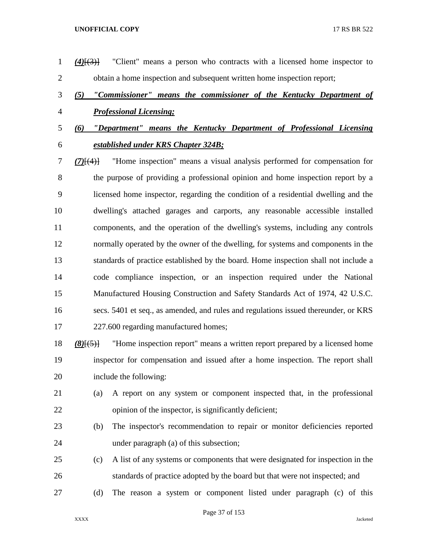obtain a home inspection and subsequent written home inspection report; *(5) "Commissioner" means the commissioner of the Kentucky Department of Professional Licensing; (6) "Department" means the Kentucky Department of Professional Licensing established under KRS Chapter 324B; (7)*[(4)] "Home inspection" means a visual analysis performed for compensation for the purpose of providing a professional opinion and home inspection report by a licensed home inspector, regarding the condition of a residential dwelling and the dwelling's attached garages and carports, any reasonable accessible installed components, and the operation of the dwelling's systems, including any controls normally operated by the owner of the dwelling, for systems and components in the standards of practice established by the board. Home inspection shall not include a code compliance inspection, or an inspection required under the National Manufactured Housing Construction and Safety Standards Act of 1974, 42 U.S.C. secs. 5401 et seq., as amended, and rules and regulations issued thereunder, or KRS 227.600 regarding manufactured homes; *(8)*[(5)] "Home inspection report" means a written report prepared by a licensed home inspector for compensation and issued after a home inspection. The report shall include the following: (a) A report on any system or component inspected that, in the professional 22 opinion of the inspector, is significantly deficient; (b) The inspector's recommendation to repair or monitor deficiencies reported under paragraph (a) of this subsection; (c) A list of any systems or components that were designated for inspection in the standards of practice adopted by the board but that were not inspected; and (d) The reason a system or component listed under paragraph (c) of this

*(4)*[(3)] "Client" means a person who contracts with a licensed home inspector to

Page 37 of 153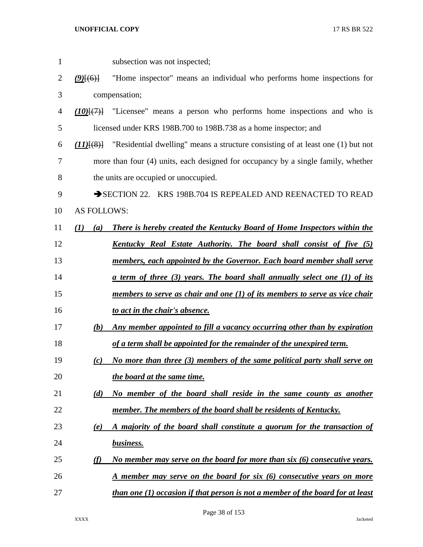| $\mathbf{1}$   |                    | subsection was not inspected;                                                                |
|----------------|--------------------|----------------------------------------------------------------------------------------------|
| 2              | $(9)$ [(6)]        | "Home inspector" means an individual who performs home inspections for                       |
| 3              |                    | compensation;                                                                                |
| $\overline{4}$ |                    | $(10)(7)$ "Licensee" means a person who performs home inspections and who is                 |
| 5              |                    | licensed under KRS 198B.700 to 198B.738 as a home inspector; and                             |
| 6              |                    | $(11)$ [(8)] "Residential dwelling" means a structure consisting of at least one (1) but not |
| 7              |                    | more than four (4) units, each designed for occupancy by a single family, whether            |
| 8              |                    | the units are occupied or unoccupied.                                                        |
| 9              |                    | SECTION 22. KRS 198B.704 IS REPEALED AND REENACTED TO READ                                   |
| 10             | <b>AS FOLLOWS:</b> |                                                                                              |
| 11             | (I)<br>(a)         | <b>There is hereby created the Kentucky Board of Home Inspectors within the</b>              |
| 12             |                    | <u>Kentucky Real Estate Authority. The board shall consist of five (5)</u>                   |
| 13             |                    | members, each appointed by the Governor. Each board member shall serve                       |
| 14             |                    | <u>a term of three (3) years. The board shall annually select one (1) of its</u>             |
| 15             |                    | members to serve as chair and one $(1)$ of its members to serve as vice chair                |
| 16             |                    | to act in the chair's absence.                                                               |
| 17             | (b)                | Any member appointed to fill a vacancy occurring other than by expiration                    |
| 18             |                    | of a term shall be appointed for the remainder of the unexpired term.                        |
| 19             | (c)                | No more than three (3) members of the same political party shall serve on                    |
| 20             |                    | the board at the same time.                                                                  |
| 21             | (d)                | No member of the board shall reside in the same county as another                            |
| 22             |                    | member. The members of the board shall be residents of Kentucky.                             |
| 23             | (e)                | A majority of the board shall constitute a quorum for the transaction of                     |
| 24             |                    | business.                                                                                    |
| 25             | (f)                | No member may serve on the board for more than $six$ (6) consecutive years.                  |
| 26             |                    | A member may serve on the board for six (6) consecutive years on more                        |
| 27             |                    | <i>than one (1) occasion if that person is not a member of the board for at least</i>        |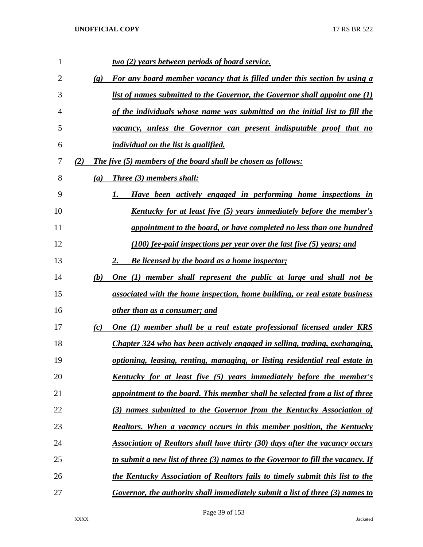| 1  |                             | <u>two (2) years between periods of board service.</u>                                 |
|----|-----------------------------|----------------------------------------------------------------------------------------|
| 2  | $\left( \mathbf{g} \right)$ | <b>For any board member vacancy that is filled under this section by using a</b>       |
| 3  |                             | list of names submitted to the Governor, the Governor shall appoint one (1)            |
| 4  |                             | of the individuals whose name was submitted on the initial list to fill the            |
| 5  |                             | <u>vacancy, unless the Governor can present indisputable proof that no</u>             |
| 6  |                             | <i>individual on the list is qualified.</i>                                            |
| 7  | (2)                         | The five (5) members of the board shall be chosen as follows:                          |
| 8  | $\left(a\right)$            | <b>Three</b> (3) members shall:                                                        |
| 9  |                             | Have been actively engaged in performing home inspections in                           |
| 10 |                             | <u>Kentucky for at least five (5) years immediately before the member's</u>            |
| 11 |                             | appointment to the board, or have completed no less than one hundred                   |
| 12 |                             | $(100)$ fee-paid inspections per year over the last five $(5)$ years; and              |
| 13 |                             | <b>Be licensed by the board as a home inspector;</b><br>2.                             |
| 14 | (b)                         | One (1) member shall represent the public at large and shall not be                    |
| 15 |                             | associated with the home inspection, home building, or real estate business            |
| 16 |                             | <u>other than as a consumer; and</u>                                                   |
| 17 | (c)                         | One (1) member shall be a real estate professional licensed under KRS                  |
| 18 |                             | Chapter 324 who has been actively engaged in selling, trading, exchanging,             |
| 19 |                             | optioning, leasing, renting, managing, or listing residential real estate in           |
| 20 |                             | <u>Kentucky for at least five (5) years immediately before the member's</u>            |
| 21 |                             | appointment to the board. This member shall be selected from a list of three           |
| 22 |                             | (3) names submitted to the Governor from the Kentucky Association of                   |
| 23 |                             | Realtors. When a vacancy occurs in this member position, the Kentucky                  |
| 24 |                             | Association of Realtors shall have thirty (30) days after the vacancy occurs           |
| 25 |                             | <u>to submit a new list of three (3) names to the Governor to fill the vacancy. If</u> |
| 26 |                             | the Kentucky Association of Realtors fails to timely submit this list to the           |
| 27 |                             | Governor, the authority shall immediately submit a list of three (3) names to          |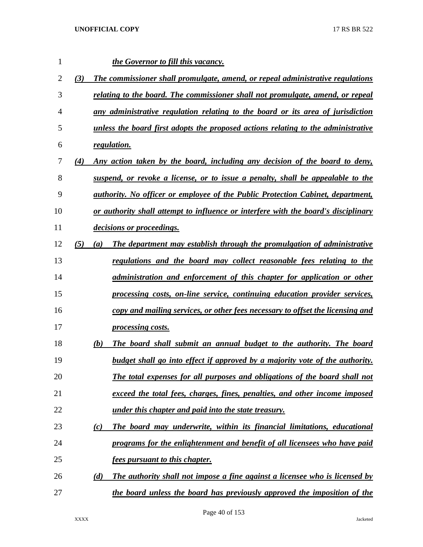| 1              |     |     | the Governor to fill this vacancy.                                                     |
|----------------|-----|-----|----------------------------------------------------------------------------------------|
| $\overline{2}$ | (3) |     | The commissioner shall promulgate, amend, or repeal administrative regulations         |
| 3              |     |     | relating to the board. The commissioner shall not promulgate, amend, or repeal         |
| $\overline{4}$ |     |     | any administrative regulation relating to the board or its area of jurisdiction        |
| 5              |     |     | unless the board first adopts the proposed actions relating to the administrative      |
| 6              |     |     | regulation.                                                                            |
| 7              | (4) |     | Any action taken by the board, including any decision of the board to deny,            |
| 8              |     |     | suspend, or revoke a license, or to issue a penalty, shall be appealable to the        |
| 9              |     |     | <i>authority. No officer or employee of the Public Protection Cabinet, department,</i> |
| 10             |     |     | or authority shall attempt to influence or interfere with the board's disciplinary     |
| 11             |     |     | <i>decisions or proceedings.</i>                                                       |
| 12             | (5) | (a) | The department may establish through the promulgation of administrative                |
| 13             |     |     | regulations and the board may collect reasonable fees relating to the                  |
| 14             |     |     | administration and enforcement of this chapter for application or other                |
| 15             |     |     | processing costs, on-line service, continuing education provider services,             |
| 16             |     |     | copy and mailing services, or other fees necessary to offset the licensing and         |
| 17             |     |     | processing costs.                                                                      |
| 18             |     | (b) | The board shall submit an annual budget to the authority. The board                    |
| 19             |     |     | budget shall go into effect if approved by a majority vote of the authority.           |
| 20             |     |     | The total expenses for all purposes and obligations of the board shall not             |
| 21             |     |     | exceed the total fees, charges, fines, penalties, and other income imposed             |
| 22             |     |     | under this chapter and paid into the state treasury.                                   |
| 23             |     | (c) | The board may underwrite, within its financial limitations, educational                |
| 24             |     |     | programs for the enlightenment and benefit of all licensees who have paid              |
| 25             |     |     | <u>fees pursuant to this chapter.</u>                                                  |
| 26             |     | (d) | The authority shall not impose a fine against a licensee who is licensed by            |
| 27             |     |     | the board unless the board has previously approved the imposition of the               |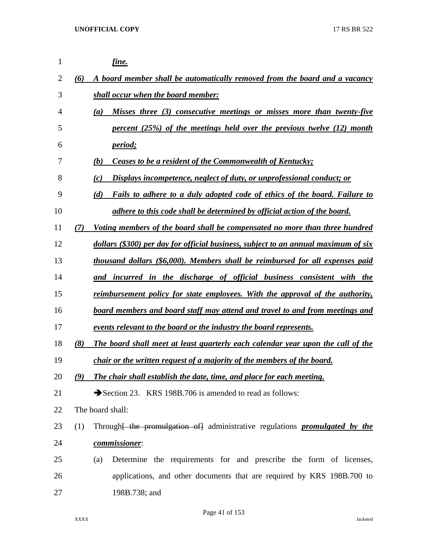| 1  |     | fine.                                                                                          |
|----|-----|------------------------------------------------------------------------------------------------|
| 2  | (6) | A board member shall be automatically removed from the board and a vacancy                     |
| 3  |     | shall occur when the board member:                                                             |
| 4  |     | Misses three (3) consecutive meetings or misses more than twenty-five<br>(a)                   |
| 5  |     | percent $(25%)$ of the meetings held over the previous twelve $(12)$ month                     |
| 6  |     | <i>period</i> ;                                                                                |
| 7  |     | <b>Ceases to be a resident of the Commonwealth of Kentucky;</b><br>(b)                         |
| 8  |     | Displays incompetence, neglect of duty, or unprofessional conduct; or<br>(c)                   |
| 9  |     | Fails to adhere to a duly adopted code of ethics of the board. Failure to<br>(d)               |
| 10 |     | adhere to this code shall be determined by official action of the board.                       |
| 11 | (7) | Voting members of the board shall be compensated no more than three hundred                    |
| 12 |     | dollars (\$300) per day for official business, subject to an annual maximum of six             |
| 13 |     | thousand dollars (\$6,000). Members shall be reimbursed for all expenses paid                  |
| 14 |     | and incurred in the discharge of official business consistent with the                         |
| 15 |     | <u>reimbursement policy for state employees. With the approval of the authority,</u>           |
| 16 |     | board members and board staff may attend and travel to and from meetings and                   |
| 17 |     | events relevant to the board or the industry the board represents.                             |
| 18 | (8) | The board shall meet at least quarterly each calendar year upon the call of the                |
| 19 |     | chair or the written request of a majority of the members of the board.                        |
| 20 | (9) | The chair shall establish the date, time, and place for each meeting.                          |
| 21 |     | Section 23. KRS 198B.706 is amended to read as follows:                                        |
| 22 |     | The board shall:                                                                               |
| 23 | (1) | Through <del>[ the promulgation of]</del> administrative regulations <b>promulgated by the</b> |
| 24 |     | commissioner:                                                                                  |
| 25 |     | Determine the requirements for and prescribe the form of licenses,<br>(a)                      |
| 26 |     | applications, and other documents that are required by KRS 198B.700 to                         |
| 27 |     | 198B.738; and                                                                                  |

Page 41 of 153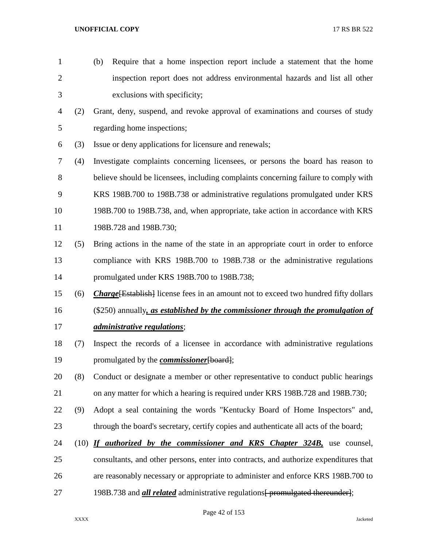- (b) Require that a home inspection report include a statement that the home inspection report does not address environmental hazards and list all other exclusions with specificity;
- (2) Grant, deny, suspend, and revoke approval of examinations and courses of study regarding home inspections;
- (3) Issue or deny applications for licensure and renewals;
- (4) Investigate complaints concerning licensees, or persons the board has reason to believe should be licensees, including complaints concerning failure to comply with KRS 198B.700 to 198B.738 or administrative regulations promulgated under KRS 198B.700 to 198B.738, and, when appropriate, take action in accordance with KRS 198B.728 and 198B.730;
- (5) Bring actions in the name of the state in an appropriate court in order to enforce compliance with KRS 198B.700 to 198B.738 or the administrative regulations promulgated under KRS 198B.700 to 198B.738;
- (6) *Charge*[Establish] license fees in an amount not to exceed two hundred fifty dollars
- (\$250) annually*, as established by the commissioner through the promulgation of administrative regulations*;
- (7) Inspect the records of a licensee in accordance with administrative regulations promulgated by the *commissioner*[board];
- (8) Conduct or designate a member or other representative to conduct public hearings 21 on any matter for which a hearing is required under KRS 198B.728 and 198B.730;
- (9) Adopt a seal containing the words "Kentucky Board of Home Inspectors" and, 23 through the board's secretary, certify copies and authenticate all acts of the board;
- (10) *If authorized by the commissioner and KRS Chapter 324B,* use counsel, consultants, and other persons, enter into contracts, and authorize expenditures that are reasonably necessary or appropriate to administer and enforce KRS 198B.700 to 27 198B.738 and *all related* administrative regulations for promulgated thereunder.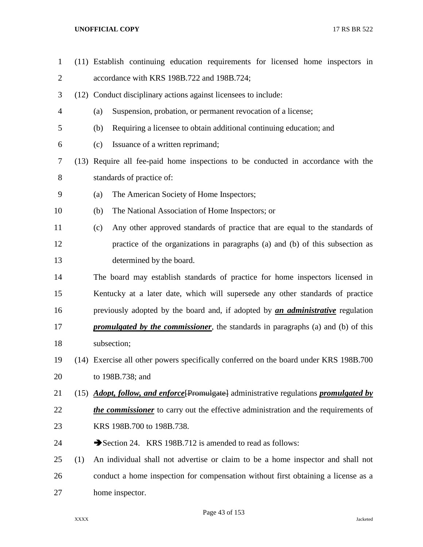| $\mathbf{1}$   |     | (11) Establish continuing education requirements for licensed home inspectors in                     |
|----------------|-----|------------------------------------------------------------------------------------------------------|
| $\overline{2}$ |     | accordance with KRS 198B.722 and 198B.724;                                                           |
| 3              |     | (12) Conduct disciplinary actions against licensees to include:                                      |
| 4              |     | Suspension, probation, or permanent revocation of a license;<br>(a)                                  |
| 5              |     | Requiring a licensee to obtain additional continuing education; and<br>(b)                           |
| 6              |     | Issuance of a written reprimand;<br>(c)                                                              |
| 7              |     | (13) Require all fee-paid home inspections to be conducted in accordance with the                    |
| 8              |     | standards of practice of:                                                                            |
| 9              |     | The American Society of Home Inspectors;<br>(a)                                                      |
| 10             |     | The National Association of Home Inspectors; or<br>(b)                                               |
| 11             |     | Any other approved standards of practice that are equal to the standards of<br>(c)                   |
| 12             |     | practice of the organizations in paragraphs (a) and (b) of this subsection as                        |
| 13             |     | determined by the board.                                                                             |
| 14             |     | The board may establish standards of practice for home inspectors licensed in                        |
| 15             |     | Kentucky at a later date, which will supersede any other standards of practice                       |
| 16             |     | previously adopted by the board and, if adopted by <i>an administrative</i> regulation               |
| 17             |     | <i>promulgated by the commissioner</i> , the standards in paragraphs (a) and (b) of this             |
| 18             |     | subsection;                                                                                          |
| 19             |     | (14) Exercise all other powers specifically conferred on the board under KRS 198B.700                |
| 20             |     | to 198B.738; and                                                                                     |
| 21             |     | (15) <i>Adopt, follow, and enforce</i> [Promulgate] administrative regulations <i>promulgated by</i> |
| 22             |     | the commissioner to carry out the effective administration and the requirements of                   |
| 23             |     | KRS 198B.700 to 198B.738.                                                                            |
| 24             |     | Section 24. KRS 198B.712 is amended to read as follows:                                              |
| 25             | (1) | An individual shall not advertise or claim to be a home inspector and shall not                      |
| 26             |     | conduct a home inspection for compensation without first obtaining a license as a                    |
| 27             |     | home inspector.                                                                                      |
|                |     |                                                                                                      |

Page 43 of 153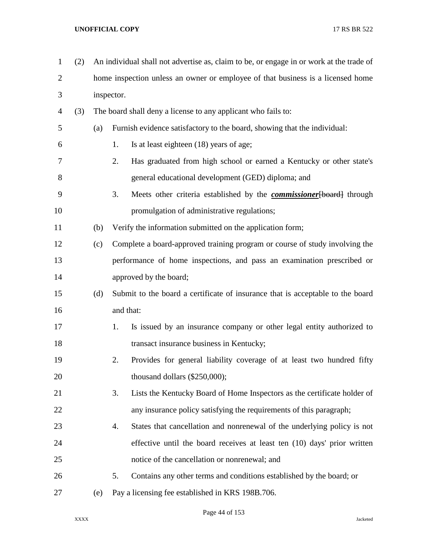| $\mathbf{1}$   | (2) |     | An individual shall not advertise as, claim to be, or engage in or work at the trade of |
|----------------|-----|-----|-----------------------------------------------------------------------------------------|
| $\overline{2}$ |     |     | home inspection unless an owner or employee of that business is a licensed home         |
| 3              |     |     | inspector.                                                                              |
| $\overline{4}$ | (3) |     | The board shall deny a license to any applicant who fails to:                           |
| 5              |     | (a) | Furnish evidence satisfactory to the board, showing that the individual:                |
| 6              |     |     | 1.<br>Is at least eighteen (18) years of age;                                           |
| 7              |     |     | 2.<br>Has graduated from high school or earned a Kentucky or other state's              |
| 8              |     |     | general educational development (GED) diploma; and                                      |
| 9              |     |     | 3.<br>Meets other criteria established by the <i>commissioner</i> [board] through       |
| 10             |     |     | promulgation of administrative regulations;                                             |
| 11             |     | (b) | Verify the information submitted on the application form;                               |
| 12             |     | (c) | Complete a board-approved training program or course of study involving the             |
| 13             |     |     | performance of home inspections, and pass an examination prescribed or                  |
| 14             |     |     | approved by the board;                                                                  |
| 15             |     | (d) | Submit to the board a certificate of insurance that is acceptable to the board          |
| 16             |     |     | and that:                                                                               |
| 17             |     |     | Is issued by an insurance company or other legal entity authorized to<br>1.             |
| 18             |     |     | transact insurance business in Kentucky;                                                |
| 19             |     |     | Provides for general liability coverage of at least two hundred fifty<br>2.             |
| 20             |     |     | thousand dollars (\$250,000);                                                           |
| 21             |     |     | Lists the Kentucky Board of Home Inspectors as the certificate holder of<br>3.          |
| 22             |     |     | any insurance policy satisfying the requirements of this paragraph;                     |
| 23             |     |     | States that cancellation and nonrenewal of the underlying policy is not<br>4.           |
| 24             |     |     | effective until the board receives at least ten (10) days' prior written                |
| 25             |     |     | notice of the cancellation or nonrenewal; and                                           |
| 26             |     |     | Contains any other terms and conditions established by the board; or<br>5.              |
| 27             |     | (e) | Pay a licensing fee established in KRS 198B.706.                                        |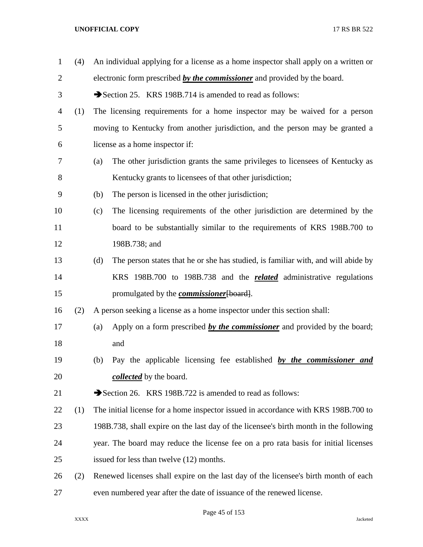| $\mathbf{1}$ | (4) | An individual applying for a license as a home inspector shall apply on a written or     |
|--------------|-----|------------------------------------------------------------------------------------------|
| 2            |     | electronic form prescribed by the commissioner and provided by the board.                |
| 3            |     | Section 25. KRS 198B.714 is amended to read as follows:                                  |
| 4            | (1) | The licensing requirements for a home inspector may be waived for a person               |
| 5            |     | moving to Kentucky from another jurisdiction, and the person may be granted a            |
| 6            |     | license as a home inspector if:                                                          |
| 7            |     | The other jurisdiction grants the same privileges to licensees of Kentucky as<br>(a)     |
| 8            |     | Kentucky grants to licensees of that other jurisdiction;                                 |
| 9            |     | The person is licensed in the other jurisdiction;<br>(b)                                 |
| 10           |     | The licensing requirements of the other jurisdiction are determined by the<br>(c)        |
| 11           |     | board to be substantially similar to the requirements of KRS 198B.700 to                 |
| 12           |     | 198B.738; and                                                                            |
| 13           |     | The person states that he or she has studied, is familiar with, and will abide by<br>(d) |
| 14           |     | KRS 198B.700 to 198B.738 and the <b>related</b> administrative regulations               |
| 15           |     | promulgated by the <i>commissioner</i> [board].                                          |
| 16           | (2) | A person seeking a license as a home inspector under this section shall:                 |
| 17           |     | Apply on a form prescribed by the commissioner and provided by the board;<br>(a)         |
| 18           |     | and                                                                                      |
| 19           |     | Pay the applicable licensing fee established by the commissioner and<br>(b)              |
| 20           |     | <i>collected</i> by the board.                                                           |
| 21           |     | Section 26. KRS 198B.722 is amended to read as follows:                                  |
| 22           | (1) | The initial license for a home inspector issued in accordance with KRS 198B.700 to       |
| 23           |     | 198B.738, shall expire on the last day of the licensee's birth month in the following    |
| 24           |     | year. The board may reduce the license fee on a pro rata basis for initial licenses      |
| 25           |     | issued for less than twelve (12) months.                                                 |
| 26           | (2) | Renewed licenses shall expire on the last day of the licensee's birth month of each      |
| 27           |     | even numbered year after the date of issuance of the renewed license.                    |

Page 45 of 153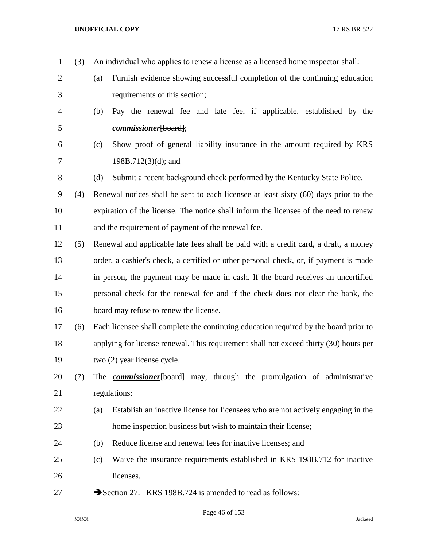| $\mathbf{1}$   | (3) | An individual who applies to renew a license as a licensed home inspector shall:        |
|----------------|-----|-----------------------------------------------------------------------------------------|
| $\overline{2}$ |     | Furnish evidence showing successful completion of the continuing education<br>(a)       |
| 3              |     | requirements of this section;                                                           |
| 4              |     | Pay the renewal fee and late fee, if applicable, established by the<br>(b)              |
| 5              |     | <i>commissioner</i> [board];                                                            |
| 6              |     | Show proof of general liability insurance in the amount required by KRS<br>(c)          |
| 7              |     | $198B.712(3)(d)$ ; and                                                                  |
| 8              |     | (d)<br>Submit a recent background check performed by the Kentucky State Police.         |
| 9              | (4) | Renewal notices shall be sent to each licensee at least sixty (60) days prior to the    |
| 10             |     | expiration of the license. The notice shall inform the licensee of the need to renew    |
| 11             |     | and the requirement of payment of the renewal fee.                                      |
| 12             | (5) | Renewal and applicable late fees shall be paid with a credit card, a draft, a money     |
| 13             |     | order, a cashier's check, a certified or other personal check, or, if payment is made   |
| 14             |     | in person, the payment may be made in cash. If the board receives an uncertified        |
| 15             |     | personal check for the renewal fee and if the check does not clear the bank, the        |
| 16             |     | board may refuse to renew the license.                                                  |
| 17             | (6) | Each licensee shall complete the continuing education required by the board prior to    |
| 18             |     | applying for license renewal. This requirement shall not exceed thirty (30) hours per   |
| 19             |     | two (2) year license cycle.                                                             |
| 20             | (7) | The <b><i>commissioner</i></b> [board] may, through the promulgation of administrative  |
| 21             |     | regulations:                                                                            |
| 22             |     | Establish an inactive license for licensees who are not actively engaging in the<br>(a) |
| 23             |     | home inspection business but wish to maintain their license;                            |
| 24             |     | Reduce license and renewal fees for inactive licenses; and<br>(b)                       |
| 25             |     | Waive the insurance requirements established in KRS 198B.712 for inactive<br>(c)        |
| 26             |     | licenses.                                                                               |
| 27             |     | Section 27. KRS 198B.724 is amended to read as follows:                                 |

Page 46 of 153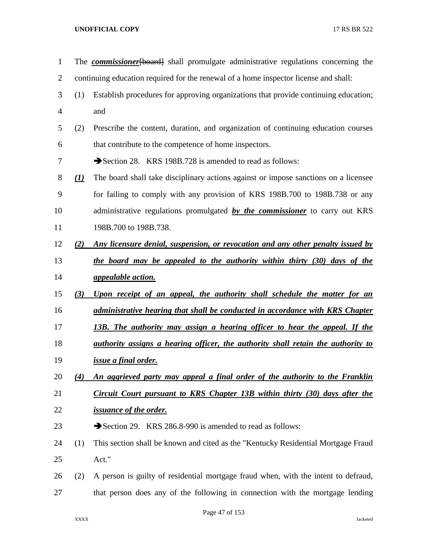| $\mathbf{1}$   |              | The <b>commissioner</b> [board] shall promulgate administrative regulations concerning the |
|----------------|--------------|--------------------------------------------------------------------------------------------|
| $\overline{2}$ |              | continuing education required for the renewal of a home inspector license and shall:       |
| 3              | (1)          | Establish procedures for approving organizations that provide continuing education;        |
| $\overline{4}$ |              | and                                                                                        |
| 5              | (2)          | Prescribe the content, duration, and organization of continuing education courses          |
| 6              |              | that contribute to the competence of home inspectors.                                      |
| 7              |              | Section 28. KRS 198B.728 is amended to read as follows:                                    |
| 8              | $\mathbf{U}$ | The board shall take disciplinary actions against or impose sanctions on a licensee        |
| 9              |              | for failing to comply with any provision of KRS 198B.700 to 198B.738 or any                |
| 10             |              | administrative regulations promulgated by the commissioner to carry out KRS                |
| 11             |              | 198B.700 to 198B.738.                                                                      |
| 12             | (2)          | Any licensure denial, suspension, or revocation and any other penalty issued by            |
| 13             |              | the board may be appealed to the authority within thirty (30) days of the                  |
| 14             |              | <i>appealable action.</i>                                                                  |
| 15             | (3)          | Upon receipt of an appeal, the authority shall schedule the matter for an                  |
| 16             |              | administrative hearing that shall be conducted in accordance with KRS Chapter              |
| 17             |              | <u>13B. The authority may assign a hearing officer to hear the appeal. If the</u>          |
| 18             |              | <u>authority assigns a hearing officer, the authority shall retain the authority to</u>    |
| 19             |              | issue a final order.                                                                       |
| 20             | (4)          | An aggrieved party may appeal a final order of the authority to the Franklin               |
| 21             |              | Circuit Court pursuant to KRS Chapter 13B within thirty (30) days after the                |
| 22             |              | <i>issuance of the order.</i>                                                              |
| 23             |              | Section 29. KRS 286.8-990 is amended to read as follows:                                   |
| 24             | (1)          | This section shall be known and cited as the "Kentucky Residential Mortgage Fraud          |
| 25             |              | Act."                                                                                      |
| 26             | (2)          | A person is guilty of residential mortgage fraud when, with the intent to defraud,         |
| 27             |              | that person does any of the following in connection with the mortgage lending              |
|                |              |                                                                                            |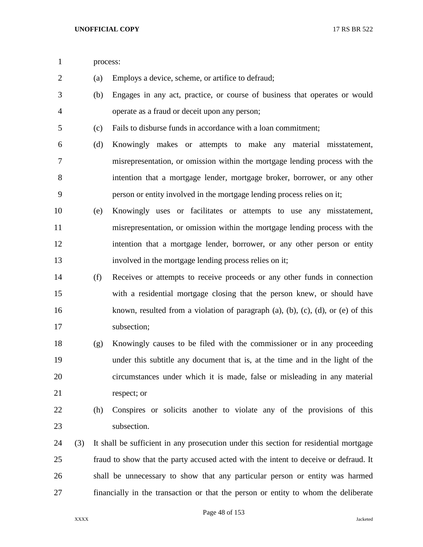process:

- (a) Employs a device, scheme, or artifice to defraud;
- (b) Engages in any act, practice, or course of business that operates or would operate as a fraud or deceit upon any person;
- (c) Fails to disburse funds in accordance with a loan commitment;
- (d) Knowingly makes or attempts to make any material misstatement, misrepresentation, or omission within the mortgage lending process with the intention that a mortgage lender, mortgage broker, borrower, or any other person or entity involved in the mortgage lending process relies on it;
- (e) Knowingly uses or facilitates or attempts to use any misstatement, misrepresentation, or omission within the mortgage lending process with the intention that a mortgage lender, borrower, or any other person or entity involved in the mortgage lending process relies on it;
- (f) Receives or attempts to receive proceeds or any other funds in connection with a residential mortgage closing that the person knew, or should have known, resulted from a violation of paragraph (a), (b), (c), (d), or (e) of this subsection;
- (g) Knowingly causes to be filed with the commissioner or in any proceeding under this subtitle any document that is, at the time and in the light of the circumstances under which it is made, false or misleading in any material respect; or
- 

 (h) Conspires or solicits another to violate any of the provisions of this subsection.

 (3) It shall be sufficient in any prosecution under this section for residential mortgage fraud to show that the party accused acted with the intent to deceive or defraud. It shall be unnecessary to show that any particular person or entity was harmed financially in the transaction or that the person or entity to whom the deliberate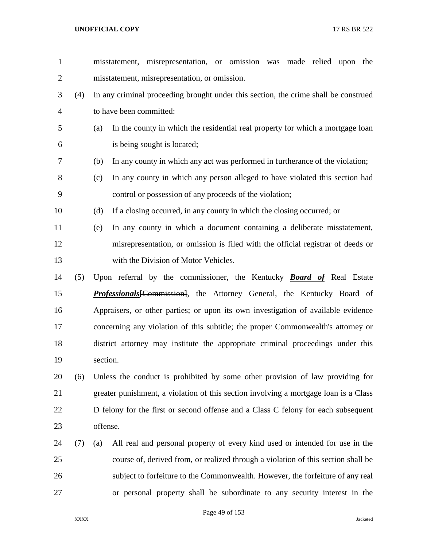| $\mathbf{1}$   |     | misstatement, misrepresentation, or omission was<br>made relied upon<br>the           |
|----------------|-----|---------------------------------------------------------------------------------------|
| $\overline{2}$ |     | misstatement, misrepresentation, or omission.                                         |
| 3              | (4) | In any criminal proceeding brought under this section, the crime shall be construed   |
| $\overline{4}$ |     | to have been committed:                                                               |
| 5              |     | In the county in which the residential real property for which a mortgage loan<br>(a) |
| 6              |     | is being sought is located;                                                           |
| 7              |     | In any county in which any act was performed in furtherance of the violation;<br>(b)  |
| 8              |     | In any county in which any person alleged to have violated this section had<br>(c)    |
| 9              |     | control or possession of any proceeds of the violation;                               |
| 10             |     | If a closing occurred, in any county in which the closing occurred; or<br>(d)         |
| 11             |     | In any county in which a document containing a deliberate misstatement,<br>(e)        |
| 12             |     | misrepresentation, or omission is filed with the official registrar of deeds or       |
| 13             |     | with the Division of Motor Vehicles.                                                  |
| 14             | (5) | Upon referral by the commissioner, the Kentucky <b>Board of</b> Real Estate           |
| 15             |     | Professionals [Commission], the Attorney General, the Kentucky Board of               |
| 16             |     | Appraisers, or other parties; or upon its own investigation of available evidence     |
| 17             |     | concerning any violation of this subtitle; the proper Commonwealth's attorney or      |
| 18             |     | district attorney may institute the appropriate criminal proceedings under this       |
| 19             |     | section.                                                                              |
| 20             | (6) | Unless the conduct is prohibited by some other provision of law providing for         |
| 21             |     | greater punishment, a violation of this section involving a mortgage loan is a Class  |
| 22             |     | D felony for the first or second offense and a Class C felony for each subsequent     |
| 23             |     | offense.                                                                              |
| 24             | (7) | All real and personal property of every kind used or intended for use in the<br>(a)   |
| 25             |     | course of, derived from, or realized through a violation of this section shall be     |
| 26             |     | subject to forfeiture to the Commonwealth. However, the forfeiture of any real        |
| 27             |     | or personal property shall be subordinate to any security interest in the             |
|                |     |                                                                                       |

Page 49 of 153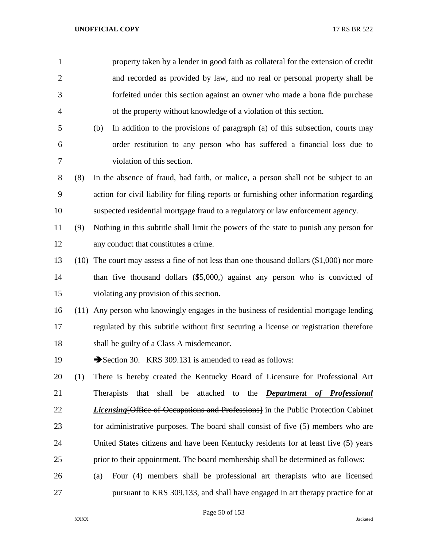| $\mathbf{1}$   |     | property taken by a lender in good faith as collateral for the extension of credit            |
|----------------|-----|-----------------------------------------------------------------------------------------------|
| $\overline{2}$ |     | and recorded as provided by law, and no real or personal property shall be                    |
| 3              |     | forfeited under this section against an owner who made a bona fide purchase                   |
| $\overline{4}$ |     | of the property without knowledge of a violation of this section.                             |
| 5              |     | In addition to the provisions of paragraph (a) of this subsection, courts may<br>(b)          |
| 6              |     | order restitution to any person who has suffered a financial loss due to                      |
| 7              |     | violation of this section.                                                                    |
| 8              | (8) | In the absence of fraud, bad faith, or malice, a person shall not be subject to an            |
| 9              |     | action for civil liability for filing reports or furnishing other information regarding       |
| 10             |     | suspected residential mortgage fraud to a regulatory or law enforcement agency.               |
| 11             | (9) | Nothing in this subtitle shall limit the powers of the state to punish any person for         |
| 12             |     | any conduct that constitutes a crime.                                                         |
| 13             |     | $(10)$ The court may assess a fine of not less than one thousand dollars $(\$1,000)$ nor more |
| 14             |     | than five thousand dollars (\$5,000,) against any person who is convicted of                  |
| 15             |     | violating any provision of this section.                                                      |
| 16             |     | (11) Any person who knowingly engages in the business of residential mortgage lending         |
| 17             |     | regulated by this subtitle without first securing a license or registration therefore         |
| 18             |     | shall be guilty of a Class A misdemeanor.                                                     |
| 19             |     | Section 30. KRS 309.131 is amended to read as follows:                                        |
| 20             | (1) | There is hereby created the Kentucky Board of Licensure for Professional Art                  |
| 21             |     | <b>Therapists</b><br>that<br>shall be<br>attached to the <i>Department of Professional</i>    |
| 22             |     | <i>Licensing</i> [Office of Occupations and Professions] in the Public Protection Cabinet     |
| 23             |     | for administrative purposes. The board shall consist of five (5) members who are              |
| 24             |     | United States citizens and have been Kentucky residents for at least five (5) years           |
| 25             |     | prior to their appointment. The board membership shall be determined as follows:              |
| 26             |     | Four (4) members shall be professional art therapists who are licensed<br>(a)                 |
| 27             |     | pursuant to KRS 309.133, and shall have engaged in art therapy practice for at                |

Page 50 of 153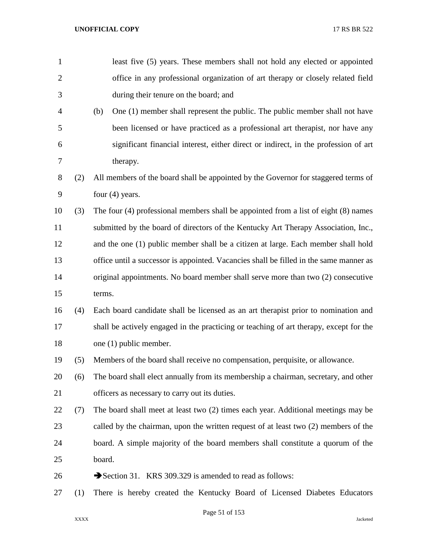| $\mathbf{1}$   |     | least five (5) years. These members shall not hold any elected or appointed             |
|----------------|-----|-----------------------------------------------------------------------------------------|
| $\overline{2}$ |     | office in any professional organization of art therapy or closely related field         |
| 3              |     | during their tenure on the board; and                                                   |
| 4              |     | (b)<br>One (1) member shall represent the public. The public member shall not have      |
| 5              |     | been licensed or have practiced as a professional art therapist, nor have any           |
| 6              |     | significant financial interest, either direct or indirect, in the profession of art     |
| 7              |     | therapy.                                                                                |
| 8              | (2) | All members of the board shall be appointed by the Governor for staggered terms of      |
| 9              |     | four $(4)$ years.                                                                       |
| 10             | (3) | The four $(4)$ professional members shall be appointed from a list of eight $(8)$ names |
| 11             |     | submitted by the board of directors of the Kentucky Art Therapy Association, Inc.,      |
| 12             |     | and the one (1) public member shall be a citizen at large. Each member shall hold       |
| 13             |     | office until a successor is appointed. Vacancies shall be filled in the same manner as  |
| 14             |     | original appointments. No board member shall serve more than two (2) consecutive        |
| 15             |     | terms.                                                                                  |
| 16             | (4) | Each board candidate shall be licensed as an art therapist prior to nomination and      |
| 17             |     | shall be actively engaged in the practicing or teaching of art therapy, except for the  |
| 18             |     | one (1) public member.                                                                  |
| 19             | (5) | Members of the board shall receive no compensation, perquisite, or allowance.           |
| 20             | (6) | The board shall elect annually from its membership a chairman, secretary, and other     |
| 21             |     | officers as necessary to carry out its duties.                                          |
| 22             | (7) | The board shall meet at least two (2) times each year. Additional meetings may be       |
| 23             |     | called by the chairman, upon the written request of at least two (2) members of the     |
| 24             |     | board. A simple majority of the board members shall constitute a quorum of the          |
| 25             |     | board.                                                                                  |
| 26             |     | Section 31. KRS 309.329 is amended to read as follows:                                  |
| 27             | (1) | There is hereby created the Kentucky Board of Licensed Diabetes Educators               |

Page 51 of 153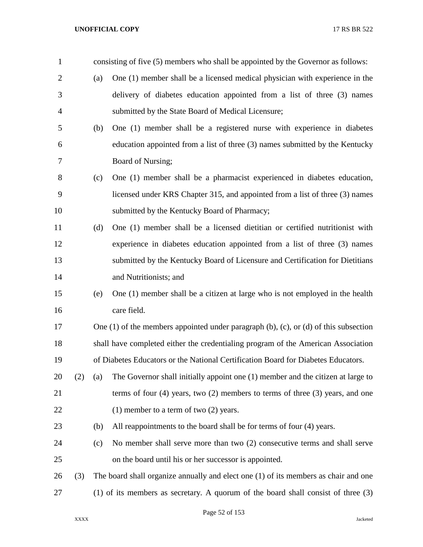| $\mathbf{1}$   |     |     | consisting of five (5) members who shall be appointed by the Governor as follows:              |
|----------------|-----|-----|------------------------------------------------------------------------------------------------|
| $\overline{2}$ |     | (a) | One (1) member shall be a licensed medical physician with experience in the                    |
| 3              |     |     | delivery of diabetes education appointed from a list of three (3) names                        |
| $\overline{4}$ |     |     | submitted by the State Board of Medical Licensure;                                             |
| 5              |     | (b) | One (1) member shall be a registered nurse with experience in diabetes                         |
| 6              |     |     | education appointed from a list of three (3) names submitted by the Kentucky                   |
| 7              |     |     | Board of Nursing;                                                                              |
| 8              |     | (c) | One (1) member shall be a pharmacist experienced in diabetes education,                        |
| 9              |     |     | licensed under KRS Chapter 315, and appointed from a list of three (3) names                   |
| 10             |     |     | submitted by the Kentucky Board of Pharmacy;                                                   |
| 11             |     | (d) | One (1) member shall be a licensed dietitian or certified nutritionist with                    |
| 12             |     |     | experience in diabetes education appointed from a list of three (3) names                      |
| 13             |     |     | submitted by the Kentucky Board of Licensure and Certification for Dietitians                  |
| 14             |     |     | and Nutritionists; and                                                                         |
| 15             |     | (e) | One (1) member shall be a citizen at large who is not employed in the health                   |
| 16             |     |     | care field.                                                                                    |
| 17             |     |     | One $(1)$ of the members appointed under paragraph $(b)$ , $(c)$ , or $(d)$ of this subsection |
| 18             |     |     | shall have completed either the credentialing program of the American Association              |
| 19             |     |     | of Diabetes Educators or the National Certification Board for Diabetes Educators.              |
| 20             | (2) | (a) | The Governor shall initially appoint one (1) member and the citizen at large to                |
| 21             |     |     | terms of four $(4)$ years, two $(2)$ members to terms of three $(3)$ years, and one            |
| 22             |     |     | $(1)$ member to a term of two $(2)$ years.                                                     |
| 23             |     | (b) | All reappointments to the board shall be for terms of four (4) years.                          |
| 24             |     | (c) | No member shall serve more than two (2) consecutive terms and shall serve                      |
| 25             |     |     | on the board until his or her successor is appointed.                                          |
| 26             | (3) |     | The board shall organize annually and elect one $(1)$ of its members as chair and one          |
| 27             |     |     | $(1)$ of its members as secretary. A quorum of the board shall consist of three $(3)$          |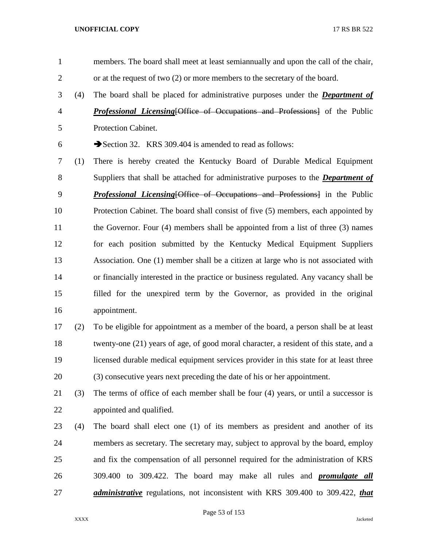- members. The board shall meet at least semiannually and upon the call of the chair, or at the request of two (2) or more members to the secretary of the board.
- (4) The board shall be placed for administrative purposes under the *Department of Professional Licensing*[Office of Occupations and Professions] of the Public Protection Cabinet.
- 6 Section 32. KRS 309.404 is amended to read as follows:
- (1) There is hereby created the Kentucky Board of Durable Medical Equipment Suppliers that shall be attached for administrative purposes to the *Department of Professional Licensing*[Office of Occupations and Professions] in the Public Protection Cabinet. The board shall consist of five (5) members, each appointed by 11 the Governor. Four (4) members shall be appointed from a list of three (3) names for each position submitted by the Kentucky Medical Equipment Suppliers Association. One (1) member shall be a citizen at large who is not associated with or financially interested in the practice or business regulated. Any vacancy shall be filled for the unexpired term by the Governor, as provided in the original appointment.
- (2) To be eligible for appointment as a member of the board, a person shall be at least twenty-one (21) years of age, of good moral character, a resident of this state, and a licensed durable medical equipment services provider in this state for at least three (3) consecutive years next preceding the date of his or her appointment.
- (3) The terms of office of each member shall be four (4) years, or until a successor is appointed and qualified.
- (4) The board shall elect one (1) of its members as president and another of its members as secretary. The secretary may, subject to approval by the board, employ and fix the compensation of all personnel required for the administration of KRS 309.400 to 309.422. The board may make all rules and *promulgate all administrative* regulations, not inconsistent with KRS 309.400 to 309.422, *that*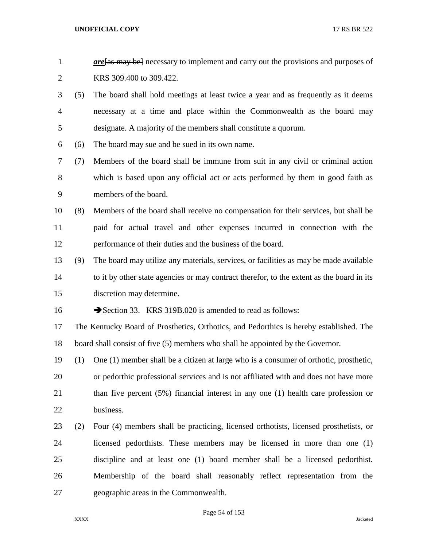| $are$ are $\frac{1}{2}$ are $\frac{1}{2}$ are $\frac{1}{2}$ are necessary to implement and carry out the provisions and purposes of |
|-------------------------------------------------------------------------------------------------------------------------------------|
| KRS 309.400 to 309.422.                                                                                                             |

- (5) The board shall hold meetings at least twice a year and as frequently as it deems necessary at a time and place within the Commonwealth as the board may designate. A majority of the members shall constitute a quorum.
- (6) The board may sue and be sued in its own name.
- (7) Members of the board shall be immune from suit in any civil or criminal action which is based upon any official act or acts performed by them in good faith as members of the board.
- (8) Members of the board shall receive no compensation for their services, but shall be paid for actual travel and other expenses incurred in connection with the performance of their duties and the business of the board.
- (9) The board may utilize any materials, services, or facilities as may be made available 14 to it by other state agencies or may contract therefor, to the extent as the board in its discretion may determine.
- 16 Section 33. KRS 319B.020 is amended to read as follows:
- The Kentucky Board of Prosthetics, Orthotics, and Pedorthics is hereby established. The board shall consist of five (5) members who shall be appointed by the Governor.
- (1) One (1) member shall be a citizen at large who is a consumer of orthotic, prosthetic, or pedorthic professional services and is not affiliated with and does not have more 21 than five percent (5%) financial interest in any one (1) health care profession or business.
- (2) Four (4) members shall be practicing, licensed orthotists, licensed prosthetists, or licensed pedorthists. These members may be licensed in more than one (1) discipline and at least one (1) board member shall be a licensed pedorthist. Membership of the board shall reasonably reflect representation from the geographic areas in the Commonwealth.

Page 54 of 153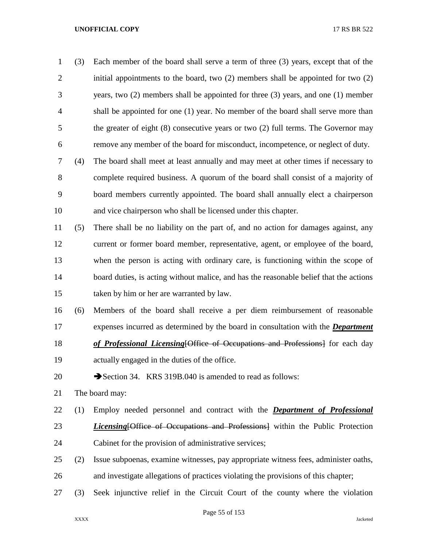| $\mathbf 1$    | (3) | Each member of the board shall serve a term of three (3) years, except that of the      |
|----------------|-----|-----------------------------------------------------------------------------------------|
| $\overline{2}$ |     | initial appointments to the board, two (2) members shall be appointed for two (2)       |
| 3              |     | years, two $(2)$ members shall be appointed for three $(3)$ years, and one $(1)$ member |
| 4              |     | shall be appointed for one (1) year. No member of the board shall serve more than       |
| 5              |     | the greater of eight (8) consecutive years or two (2) full terms. The Governor may      |
| 6              |     | remove any member of the board for misconduct, incompetence, or neglect of duty.        |
| 7              | (4) | The board shall meet at least annually and may meet at other times if necessary to      |
| 8              |     | complete required business. A quorum of the board shall consist of a majority of        |
| 9              |     | board members currently appointed. The board shall annually elect a chairperson         |
| 10             |     | and vice chairperson who shall be licensed under this chapter.                          |
| 11             | (5) | There shall be no liability on the part of, and no action for damages against, any      |
| 12             |     | current or former board member, representative, agent, or employee of the board,        |
| 13             |     | when the person is acting with ordinary care, is functioning within the scope of        |
| 14             |     | board duties, is acting without malice, and has the reasonable belief that the actions  |
| 15             |     | taken by him or her are warranted by law.                                               |
| 16             | (6) | Members of the board shall receive a per diem reimbursement of reasonable               |
| 17             |     | expenses incurred as determined by the board in consultation with the <i>Department</i> |
| 18             |     | of Professional Licensing [Office of Occupations and Professions] for each day          |
| 19             |     | actually engaged in the duties of the office.                                           |
| 20             |     | Section 34. KRS 319B.040 is amended to read as follows:                                 |
| 21             |     | The board may:                                                                          |
| 22             | (1) | Employ needed personnel and contract with the <b>Department of Professional</b>         |
| 23             |     | <b>Licensing Office of Occupations and Professions</b> within the Public Protection     |
| 24             |     | Cabinet for the provision of administrative services;                                   |
| 25             | (2) | Issue subpoenas, examine witnesses, pay appropriate witness fees, administer oaths,     |
| 26             |     | and investigate allegations of practices violating the provisions of this chapter;      |
|                |     |                                                                                         |

(3) Seek injunctive relief in the Circuit Court of the county where the violation

Page 55 of 153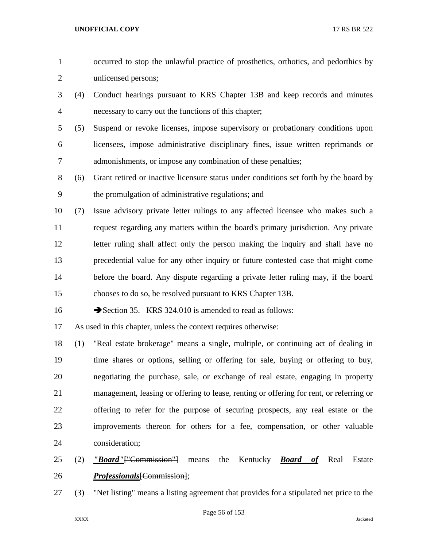- occurred to stop the unlawful practice of prosthetics, orthotics, and pedorthics by unlicensed persons;
- (4) Conduct hearings pursuant to KRS Chapter 13B and keep records and minutes necessary to carry out the functions of this chapter;
- (5) Suspend or revoke licenses, impose supervisory or probationary conditions upon licensees, impose administrative disciplinary fines, issue written reprimands or admonishments, or impose any combination of these penalties;
- (6) Grant retired or inactive licensure status under conditions set forth by the board by the promulgation of administrative regulations; and
- (7) Issue advisory private letter rulings to any affected licensee who makes such a request regarding any matters within the board's primary jurisdiction. Any private letter ruling shall affect only the person making the inquiry and shall have no precedential value for any other inquiry or future contested case that might come before the board. Any dispute regarding a private letter ruling may, if the board chooses to do so, be resolved pursuant to KRS Chapter 13B.
- 16 Section 35. KRS 324.010 is amended to read as follows:

As used in this chapter, unless the context requires otherwise:

- (1) "Real estate brokerage" means a single, multiple, or continuing act of dealing in time shares or options, selling or offering for sale, buying or offering to buy, negotiating the purchase, sale, or exchange of real estate, engaging in property management, leasing or offering to lease, renting or offering for rent, or referring or offering to refer for the purpose of securing prospects, any real estate or the improvements thereon for others for a fee, compensation, or other valuable consideration;
- (2) *"Board"*["Commission"] means the Kentucky *Board of* Real Estate *Professionals*[Commission];
- (3) "Net listing" means a listing agreement that provides for a stipulated net price to the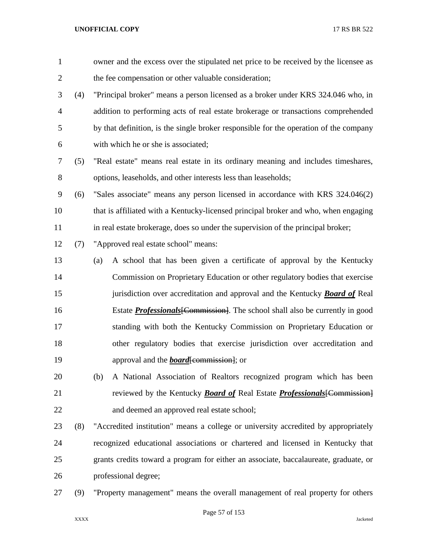| $\mathbf{1}$   |     | owner and the excess over the stipulated net price to be received by the licensee as   |
|----------------|-----|----------------------------------------------------------------------------------------|
| $\overline{2}$ |     | the fee compensation or other valuable consideration;                                  |
| 3              | (4) | "Principal broker" means a person licensed as a broker under KRS 324.046 who, in       |
| $\overline{4}$ |     | addition to performing acts of real estate brokerage or transactions comprehended      |
| 5              |     | by that definition, is the single broker responsible for the operation of the company  |
| 6              |     | with which he or she is associated;                                                    |
| 7              | (5) | "Real estate" means real estate in its ordinary meaning and includes timeshares,       |
| $8\,$          |     | options, leaseholds, and other interests less than leaseholds;                         |
| 9              | (6) | "Sales associate" means any person licensed in accordance with KRS 324.046(2)          |
| 10             |     | that is affiliated with a Kentucky-licensed principal broker and who, when engaging    |
| 11             |     | in real estate brokerage, does so under the supervision of the principal broker;       |
| 12             | (7) | "Approved real estate school" means:                                                   |
| 13             |     | A school that has been given a certificate of approval by the Kentucky<br>(a)          |
| 14             |     | Commission on Proprietary Education or other regulatory bodies that exercise           |
| 15             |     | jurisdiction over accreditation and approval and the Kentucky <b>Board of</b> Real     |
| 16             |     | Estate <b>Professionals</b> [Commission]. The school shall also be currently in good   |
| 17             |     | standing with both the Kentucky Commission on Proprietary Education or                 |
| 18             |     | other regulatory bodies that exercise jurisdiction over accreditation and              |
| 19             |     | approval and the <b>board</b> [commission]; or                                         |
| 20             |     | A National Association of Realtors recognized program which has been<br>(b)            |
| 21             |     | reviewed by the Kentucky <b>Board of</b> Real Estate <b>Professionals</b> [Commission] |
| 22             |     | and deemed an approved real estate school;                                             |
| 23             | (8) | "Accredited institution" means a college or university accredited by appropriately     |
| 24             |     | recognized educational associations or chartered and licensed in Kentucky that         |
| 25             |     | grants credits toward a program for either an associate, baccalaureate, graduate, or   |
| 26             |     | professional degree;                                                                   |
| 27             | (9) | "Property management" means the overall management of real property for others         |

# Page 57 of 153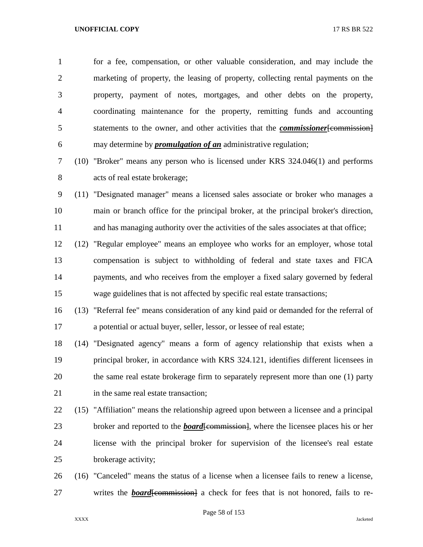for a fee, compensation, or other valuable consideration, and may include the marketing of property, the leasing of property, collecting rental payments on the property, payment of notes, mortgages, and other debts on the property, coordinating maintenance for the property, remitting funds and accounting statements to the owner, and other activities that the *commissioner*[commission] may determine by *promulgation of an* administrative regulation;

- (10) "Broker" means any person who is licensed under KRS 324.046(1) and performs acts of real estate brokerage;
- (11) "Designated manager" means a licensed sales associate or broker who manages a main or branch office for the principal broker, at the principal broker's direction, and has managing authority over the activities of the sales associates at that office;
- (12) "Regular employee" means an employee who works for an employer, whose total compensation is subject to withholding of federal and state taxes and FICA payments, and who receives from the employer a fixed salary governed by federal wage guidelines that is not affected by specific real estate transactions;
- (13) "Referral fee" means consideration of any kind paid or demanded for the referral of a potential or actual buyer, seller, lessor, or lessee of real estate;
- (14) "Designated agency" means a form of agency relationship that exists when a principal broker, in accordance with KRS 324.121, identifies different licensees in the same real estate brokerage firm to separately represent more than one (1) party 21 in the same real estate transaction;
- (15) "Affiliation" means the relationship agreed upon between a licensee and a principal 23 broker and reported to the *board*[commission], where the licensee places his or her license with the principal broker for supervision of the licensee's real estate brokerage activity;
- (16) "Canceled" means the status of a license when a licensee fails to renew a license, 27 writes the *board* [commission] a check for fees that is not honored, fails to re-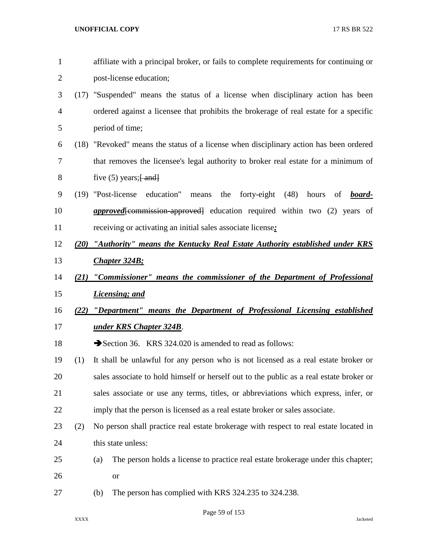| $\mathbf{1}$   |      | affiliate with a principal broker, or fails to complete requirements for continuing or      |
|----------------|------|---------------------------------------------------------------------------------------------|
| $\mathbf{2}$   |      | post-license education;                                                                     |
| 3              |      | (17) "Suspended" means the status of a license when disciplinary action has been            |
| $\overline{4}$ |      | ordered against a licensee that prohibits the brokerage of real estate for a specific       |
| 5              |      | period of time;                                                                             |
| 6              |      | (18) "Revoked" means the status of a license when disciplinary action has been ordered      |
| 7              |      | that removes the licensee's legal authority to broker real estate for a minimum of          |
| 8              |      | five $(5)$ years; $\{ and \}$                                                               |
| 9              |      | (19) "Post-license education"<br>the forty-eight (48)<br>means<br>hours<br>of <b>board-</b> |
| 10             |      | <i>approved</i> [commission approved] education required within two (2) years of            |
| 11             |      | receiving or activating an initial sales associate license;                                 |
| 12             | (20) | "Authority" means the Kentucky Real Estate Authority established under KRS                  |
| 13             |      | <b>Chapter 324B;</b>                                                                        |
| 14             | (21) | "Commissioner" means the commissioner of the Department of Professional                     |
| 15             |      | <b>Licensing</b> ; and                                                                      |
| 16             | (22) | "Department" means the Department of Professional Licensing established                     |
| 17             |      | <u>under KRS Chapter 324B</u> .                                                             |
| 18             |      | Section 36. KRS 324.020 is amended to read as follows:                                      |
| 19             | (1)  | It shall be unlawful for any person who is not licensed as a real estate broker or          |
| 20             |      | sales associate to hold himself or herself out to the public as a real estate broker or     |
| 21             |      | sales associate or use any terms, titles, or abbreviations which express, infer, or         |
| 22             |      | imply that the person is licensed as a real estate broker or sales associate.               |
| 23             | (2)  | No person shall practice real estate brokerage with respect to real estate located in       |
| 24             |      | this state unless:                                                                          |
| 25             |      | The person holds a license to practice real estate brokerage under this chapter;<br>(a)     |
| 26             |      | <b>or</b>                                                                                   |
|                |      |                                                                                             |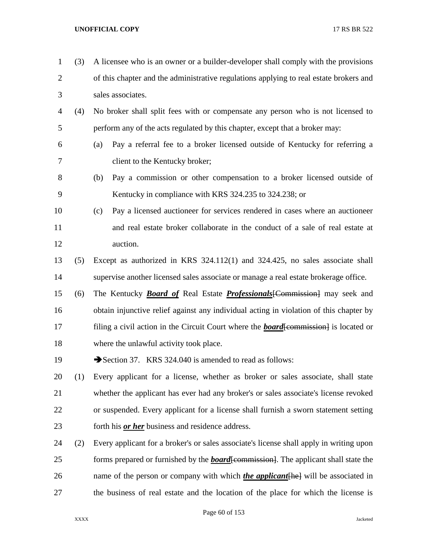| $\mathbf{1}$   | (3) | A licensee who is an owner or a builder-developer shall comply with the provisions           |
|----------------|-----|----------------------------------------------------------------------------------------------|
| $\overline{2}$ |     | of this chapter and the administrative regulations applying to real estate brokers and       |
| 3              |     | sales associates.                                                                            |
| 4              | (4) | No broker shall split fees with or compensate any person who is not licensed to              |
| 5              |     | perform any of the acts regulated by this chapter, except that a broker may:                 |
| 6              |     | Pay a referral fee to a broker licensed outside of Kentucky for referring a<br>(a)           |
| 7              |     | client to the Kentucky broker;                                                               |
| 8              |     | Pay a commission or other compensation to a broker licensed outside of<br>(b)                |
| 9              |     | Kentucky in compliance with KRS 324.235 to 324.238; or                                       |
| 10             |     | Pay a licensed auctioneer for services rendered in cases where an auctioneer<br>(c)          |
| 11             |     | and real estate broker collaborate in the conduct of a sale of real estate at                |
| 12             |     | auction.                                                                                     |
| 13             | (5) | Except as authorized in KRS 324.112(1) and 324.425, no sales associate shall                 |
| 14             |     | supervise another licensed sales associate or manage a real estate brokerage office.         |
| 15             | (6) | The Kentucky <b>Board of</b> Real Estate <b>Professionals</b> [Commission] may seek and      |
| 16             |     | obtain injunctive relief against any individual acting in violation of this chapter by       |
| 17             |     | filing a civil action in the Circuit Court where the <b>board</b> [commission] is located or |
| 18             |     | where the unlawful activity took place.                                                      |
| 19             |     | Section 37. KRS 324.040 is amended to read as follows:                                       |
| 20             | (1) | Every applicant for a license, whether as broker or sales associate, shall state             |
| 21             |     | whether the applicant has ever had any broker's or sales associate's license revoked         |
| 22             |     | or suspended. Every applicant for a license shall furnish a sworn statement setting          |
| 23             |     | forth his <i>or her</i> business and residence address.                                      |
| 24             | (2) | Every applicant for a broker's or sales associate's license shall apply in writing upon      |
| 25             |     | forms prepared or furnished by the <b>board</b> [commission]. The applicant shall state the  |
| 26             |     | name of the person or company with which <i>the applicant</i> [he] will be associated in     |
| 27             |     | the business of real estate and the location of the place for which the license is           |

Page 60 of 153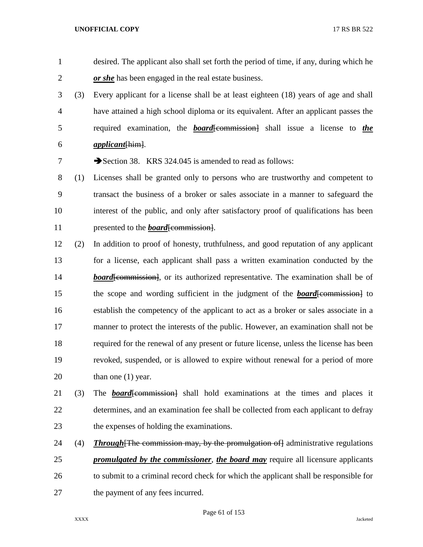desired. The applicant also shall set forth the period of time, if any, during which he *or she* has been engaged in the real estate business.

 (3) Every applicant for a license shall be at least eighteen (18) years of age and shall have attained a high school diploma or its equivalent. After an applicant passes the required examination, the *board*[commission] shall issue a license to *the applicant*[him].

7 Section 38. KRS 324.045 is amended to read as follows:

 (1) Licenses shall be granted only to persons who are trustworthy and competent to transact the business of a broker or sales associate in a manner to safeguard the interest of the public, and only after satisfactory proof of qualifications has been 11 presented to the *board*[commission].

- (2) In addition to proof of honesty, truthfulness, and good reputation of any applicant for a license, each applicant shall pass a written examination conducted by the *board*[commission], or its authorized representative. The examination shall be of 15 the scope and wording sufficient in the judgment of the *board*[commission] to establish the competency of the applicant to act as a broker or sales associate in a manner to protect the interests of the public. However, an examination shall not be required for the renewal of any present or future license, unless the license has been revoked, suspended, or is allowed to expire without renewal for a period of more 20 than one (1) year.
- 21 (3) The **board**[commission] shall hold examinations at the times and places it determines, and an examination fee shall be collected from each applicant to defray the expenses of holding the examinations.
- 24 (4) *Through* [The commission may, by the promulgation of administrative regulations *promulgated by the commissioner*, *the board may* require all licensure applicants to submit to a criminal record check for which the applicant shall be responsible for 27 the payment of any fees incurred.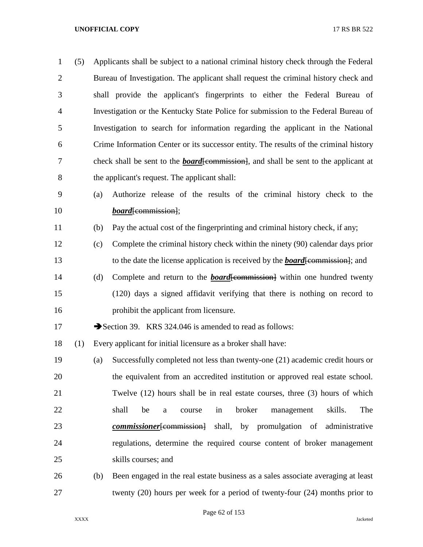| $\mathbf{1}$   | (5) |     | Applicants shall be subject to a national criminal history check through the Federal        |
|----------------|-----|-----|---------------------------------------------------------------------------------------------|
| $\overline{2}$ |     |     | Bureau of Investigation. The applicant shall request the criminal history check and         |
| 3              |     |     | shall provide the applicant's fingerprints to either the Federal Bureau of                  |
| $\overline{4}$ |     |     | Investigation or the Kentucky State Police for submission to the Federal Bureau of          |
| 5              |     |     | Investigation to search for information regarding the applicant in the National             |
| 6              |     |     | Crime Information Center or its successor entity. The results of the criminal history       |
| 7              |     |     | check shall be sent to the <b>board</b> [commission], and shall be sent to the applicant at |
| $8\,$          |     |     | the applicant's request. The applicant shall:                                               |
| 9              |     | (a) | Authorize release of the results of the criminal history check to the                       |
| 10             |     |     | <i>board</i> [commission];                                                                  |
| 11             |     | (b) | Pay the actual cost of the fingerprinting and criminal history check, if any;               |
| 12             |     | (c) | Complete the criminal history check within the ninety (90) calendar days prior              |
| 13             |     |     | to the date the license application is received by the <b>board</b> [commission]; and       |
| 14             |     | (d) | Complete and return to the <b>board</b> [commission] within one hundred twenty              |
| 15             |     |     | (120) days a signed affidavit verifying that there is nothing on record to                  |
| 16             |     |     | prohibit the applicant from licensure.                                                      |
| 17             |     |     | Section 39. KRS 324.046 is amended to read as follows:                                      |
| 18             | (1) |     | Every applicant for initial licensure as a broker shall have:                               |
| 19             |     | (a) | Successfully completed not less than twenty-one (21) academic credit hours or               |
| 20             |     |     | the equivalent from an accredited institution or approved real estate school.               |
| 21             |     |     | Twelve (12) hours shall be in real estate courses, three (3) hours of which                 |
| 22             |     |     | shall<br>broker<br>skills.<br>The<br>be<br>in<br>management<br>course<br>a                  |
| 23             |     |     | commissioner [commission] shall, by promulgation of administrative                          |
| 24             |     |     | regulations, determine the required course content of broker management                     |
| 25             |     |     | skills courses; and                                                                         |
| 26             |     | (b) | Been engaged in the real estate business as a sales associate averaging at least            |
| 27             |     |     | twenty $(20)$ hours per week for a period of twenty-four $(24)$ months prior to             |

Page 62 of 153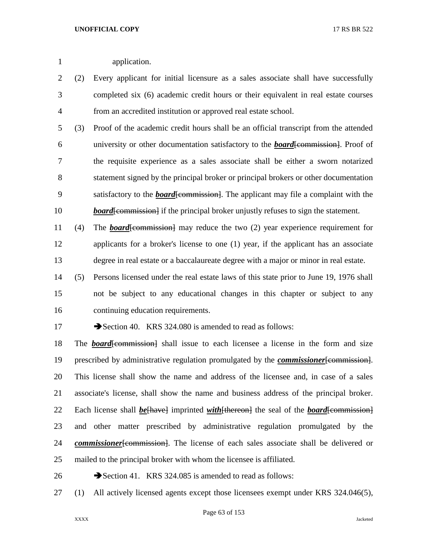application.

 (2) Every applicant for initial licensure as a sales associate shall have successfully completed six (6) academic credit hours or their equivalent in real estate courses from an accredited institution or approved real estate school.

 (3) Proof of the academic credit hours shall be an official transcript from the attended university or other documentation satisfactory to the *board*[commission]. Proof of the requisite experience as a sales associate shall be either a sworn notarized statement signed by the principal broker or principal brokers or other documentation satisfactory to the *board*[commission]. The applicant may file a complaint with the *board*[commission] if the principal broker unjustly refuses to sign the statement.

11 (4) The *board*[commission] may reduce the two (2) year experience requirement for applicants for a broker's license to one (1) year, if the applicant has an associate degree in real estate or a baccalaureate degree with a major or minor in real estate.

 (5) Persons licensed under the real estate laws of this state prior to June 19, 1976 shall not be subject to any educational changes in this chapter or subject to any continuing education requirements.

17 Section 40. KRS 324.080 is amended to read as follows:

 The *board*[commission] shall issue to each licensee a license in the form and size prescribed by administrative regulation promulgated by the *commissioner*[commission]. This license shall show the name and address of the licensee and, in case of a sales associate's license, shall show the name and business address of the principal broker. 22 Each license shall *be*[have] imprinted *with*[thereon] the seal of the *board*[commission] and other matter prescribed by administrative regulation promulgated by the *commissioner*[commission]. The license of each sales associate shall be delivered or mailed to the principal broker with whom the licensee is affiliated.

26 Section 41. KRS 324.085 is amended to read as follows:

(1) All actively licensed agents except those licensees exempt under KRS 324.046(5),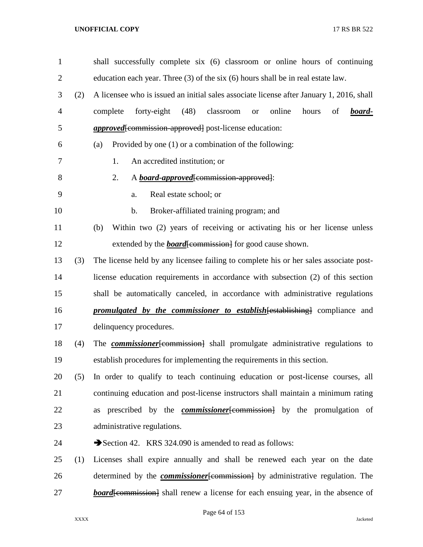| $\mathbf{1}$   |     | shall successfully complete six (6) classroom or online hours of continuing                  |
|----------------|-----|----------------------------------------------------------------------------------------------|
| $\overline{2}$ |     | education each year. Three $(3)$ of the six $(6)$ hours shall be in real estate law.         |
| 3              | (2) | A licensee who is issued an initial sales associate license after January 1, 2016, shall     |
| 4              |     | (48)<br>forty-eight<br>classroom<br>online<br>of<br>complete<br>hours<br>board-<br><b>or</b> |
| 5              |     | <i>approved</i> [commission approved] post-license education:                                |
| 6              |     | Provided by one (1) or a combination of the following:<br>(a)                                |
| 7              |     | An accredited institution; or<br>1.                                                          |
| 8              |     | 2.<br>A <i>board-approved</i> [commission-approved]:                                         |
| 9              |     | Real estate school; or<br>a.                                                                 |
| 10             |     | b.<br>Broker-affiliated training program; and                                                |
| 11             |     | Within two (2) years of receiving or activating his or her license unless<br>(b)             |
| 12             |     | extended by the <b>board</b> [commission] for good cause shown.                              |
| 13             | (3) | The license held by any licensee failing to complete his or her sales associate post-        |
| 14             |     | license education requirements in accordance with subsection (2) of this section             |
| 15             |     | shall be automatically canceled, in accordance with administrative regulations               |
| 16             |     | <b>promulgated by the commissioner to establish [establishing]</b> compliance and            |
| 17             |     | delinquency procedures.                                                                      |
| 18             | (4) | The <b><i>commissioner</i></b> [commission] shall promulgate administrative regulations to   |
| 19             |     | establish procedures for implementing the requirements in this section.                      |
| 20             | (5) | In order to qualify to teach continuing education or post-license courses, all               |
| 21             |     | continuing education and post-license instructors shall maintain a minimum rating            |
| 22             |     | as prescribed by the <b><i>commissioner</i></b> [commission] by the promulgation of          |
| 23             |     | administrative regulations.                                                                  |
| 24             |     | Section 42. KRS 324.090 is amended to read as follows:                                       |
| 25             | (1) | Licenses shall expire annually and shall be renewed each year on the date                    |
| 26             |     | determined by the <i>commissioner</i> [commission] by administrative regulation. The         |
| 27             |     | <b>board</b> [commission] shall renew a license for each ensuing year, in the absence of     |

Page 64 of 153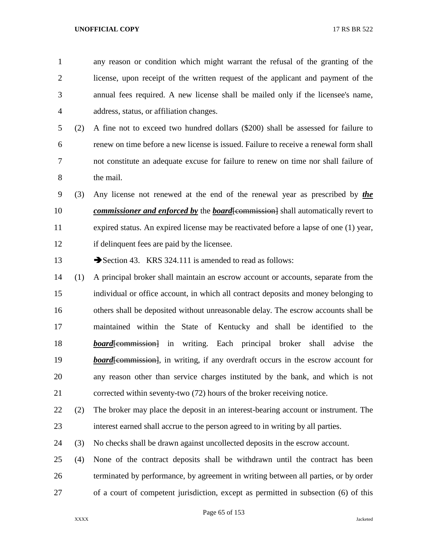any reason or condition which might warrant the refusal of the granting of the license, upon receipt of the written request of the applicant and payment of the annual fees required. A new license shall be mailed only if the licensee's name, address, status, or affiliation changes. (2) A fine not to exceed two hundred dollars (\$200) shall be assessed for failure to renew on time before a new license is issued. Failure to receive a renewal form shall not constitute an adequate excuse for failure to renew on time nor shall failure of the mail. (3) Any license not renewed at the end of the renewal year as prescribed by *the commissioner and enforced by the board*[commission] shall automatically revert to expired status. An expired license may be reactivated before a lapse of one (1) year, if delinquent fees are paid by the licensee. 13 Section 43. KRS 324.111 is amended to read as follows: (1) A principal broker shall maintain an escrow account or accounts, separate from the individual or office account, in which all contract deposits and money belonging to others shall be deposited without unreasonable delay. The escrow accounts shall be maintained within the State of Kentucky and shall be identified to the *board*[commission] in writing. Each principal broker shall advise the **board** [commission], in writing, if any overdraft occurs in the escrow account for any reason other than service charges instituted by the bank, and which is not corrected within seventy-two (72) hours of the broker receiving notice. (2) The broker may place the deposit in an interest-bearing account or instrument. The interest earned shall accrue to the person agreed to in writing by all parties. (3) No checks shall be drawn against uncollected deposits in the escrow account. (4) None of the contract deposits shall be withdrawn until the contract has been

 terminated by performance, by agreement in writing between all parties, or by order of a court of competent jurisdiction, except as permitted in subsection (6) of this

Page 65 of 153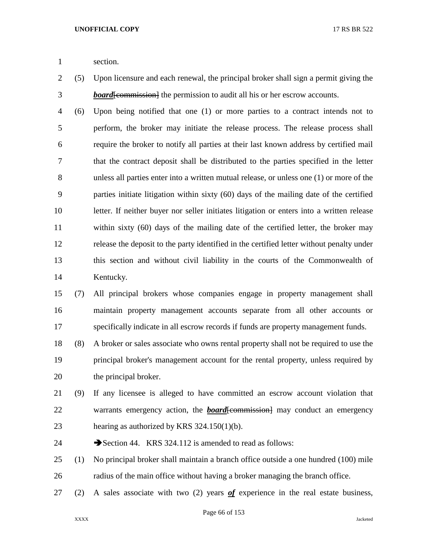section.

 (5) Upon licensure and each renewal, the principal broker shall sign a permit giving the *board*[commission] the permission to audit all his or her escrow accounts.

 (6) Upon being notified that one (1) or more parties to a contract intends not to perform, the broker may initiate the release process. The release process shall require the broker to notify all parties at their last known address by certified mail that the contract deposit shall be distributed to the parties specified in the letter unless all parties enter into a written mutual release, or unless one (1) or more of the parties initiate litigation within sixty (60) days of the mailing date of the certified letter. If neither buyer nor seller initiates litigation or enters into a written release within sixty (60) days of the mailing date of the certified letter, the broker may release the deposit to the party identified in the certified letter without penalty under this section and without civil liability in the courts of the Commonwealth of Kentucky.

 (7) All principal brokers whose companies engage in property management shall maintain property management accounts separate from all other accounts or specifically indicate in all escrow records if funds are property management funds.

 (8) A broker or sales associate who owns rental property shall not be required to use the principal broker's management account for the rental property, unless required by the principal broker.

- (9) If any licensee is alleged to have committed an escrow account violation that 22 warrants emergency action, the *board*[commission] may conduct an emergency hearing as authorized by KRS 324.150(1)(b).
- 24 Section 44. KRS 324.112 is amended to read as follows:
- (1) No principal broker shall maintain a branch office outside a one hundred (100) mile radius of the main office without having a broker managing the branch office.
- (2) A sales associate with two (2) years *of* experience in the real estate business,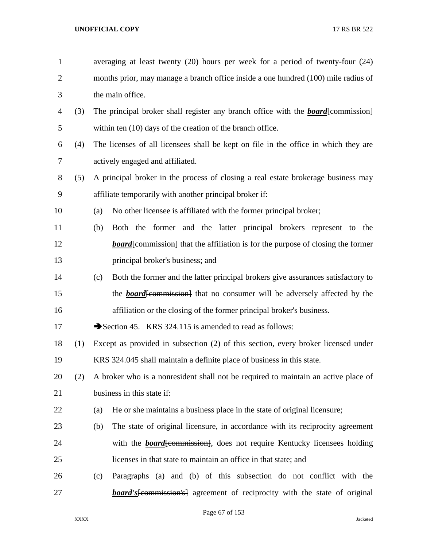| $\mathbf{1}$   |     | averaging at least twenty $(20)$ hours per week for a period of twenty-four $(24)$       |
|----------------|-----|------------------------------------------------------------------------------------------|
| $\overline{2}$ |     | months prior, may manage a branch office inside a one hundred (100) mile radius of       |
| 3              |     | the main office.                                                                         |
| 4              | (3) | The principal broker shall register any branch office with the <b>board</b> [commission] |
| 5              |     | within ten (10) days of the creation of the branch office.                               |
| 6              | (4) | The licenses of all licensees shall be kept on file in the office in which they are      |
| 7              |     | actively engaged and affiliated.                                                         |
| 8              | (5) | A principal broker in the process of closing a real estate brokerage business may        |
| 9              |     | affiliate temporarily with another principal broker if:                                  |
| 10             |     | No other licensee is affiliated with the former principal broker;<br>(a)                 |
| 11             |     | Both the former and the latter principal brokers represent to the<br>(b)                 |
| 12             |     | <b>board</b> [commission] that the affiliation is for the purpose of closing the former  |
| 13             |     | principal broker's business; and                                                         |
| 14             |     | Both the former and the latter principal brokers give assurances satisfactory to<br>(c)  |
| 15             |     | the <b>board</b> [commission] that no consumer will be adversely affected by the         |
| 16             |     | affiliation or the closing of the former principal broker's business.                    |
| 17             |     | Section 45. KRS 324.115 is amended to read as follows:                                   |
| 18             | (1) | Except as provided in subsection (2) of this section, every broker licensed under        |
| 19             |     | KRS 324.045 shall maintain a definite place of business in this state.                   |
| 20             | (2) | A broker who is a nonresident shall not be required to maintain an active place of       |
| 21             |     | business in this state if:                                                               |
| 22             |     | He or she maintains a business place in the state of original licensure;<br>(a)          |
| 23             |     | The state of original licensure, in accordance with its reciprocity agreement<br>(b)     |
| 24             |     | with the <b>board</b> [commission], does not require Kentucky licensees holding          |
| 25             |     | licenses in that state to maintain an office in that state; and                          |
| 26             |     | Paragraphs (a) and (b) of this subsection do not conflict with the<br>(c)                |
| 27             |     | <b>board's</b> [commission's] agreement of reciprocity with the state of original        |

Page 67 of 153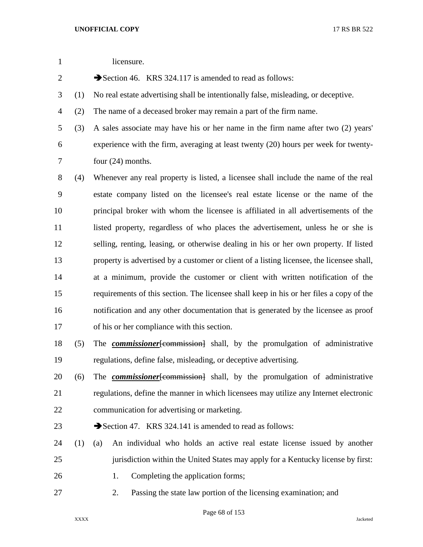| $\mathbf{1}$   |     | licensure.                                                                                |
|----------------|-----|-------------------------------------------------------------------------------------------|
| $\overline{c}$ |     | Section 46. KRS 324.117 is amended to read as follows:                                    |
| 3              | (1) | No real estate advertising shall be intentionally false, misleading, or deceptive.        |
| 4              | (2) | The name of a deceased broker may remain a part of the firm name.                         |
| 5              | (3) | A sales associate may have his or her name in the firm name after two (2) years'          |
| 6              |     | experience with the firm, averaging at least twenty (20) hours per week for twenty-       |
| 7              |     | four $(24)$ months.                                                                       |
| 8              | (4) | Whenever any real property is listed, a licensee shall include the name of the real       |
| 9              |     | estate company listed on the licensee's real estate license or the name of the            |
| 10             |     | principal broker with whom the licensee is affiliated in all advertisements of the        |
| 11             |     | listed property, regardless of who places the advertisement, unless he or she is          |
| 12             |     | selling, renting, leasing, or otherwise dealing in his or her own property. If listed     |
| 13             |     | property is advertised by a customer or client of a listing licensee, the licensee shall, |
| 14             |     | at a minimum, provide the customer or client with written notification of the             |
| 15             |     | requirements of this section. The licensee shall keep in his or her files a copy of the   |
| 16             |     | notification and any other documentation that is generated by the licensee as proof       |
| 17             |     | of his or her compliance with this section.                                               |
| 18             | (5) | The <b><i>commissioner</i></b> [commission] shall, by the promulgation of administrative  |
| 19             |     | regulations, define false, misleading, or deceptive advertising.                          |
| 20             | (6) | The <b><i>commissioner</i></b> [commission] shall, by the promulgation of administrative  |
| 21             |     | regulations, define the manner in which licensees may utilize any Internet electronic     |
| 22             |     | communication for advertising or marketing.                                               |
| 23             |     | Section 47. KRS 324.141 is amended to read as follows:                                    |
| 24             | (1) | An individual who holds an active real estate license issued by another<br>(a)            |
| 25             |     | jurisdiction within the United States may apply for a Kentucky license by first:          |
| 26             |     | Completing the application forms;<br>1.                                                   |
| 27             |     | Passing the state law portion of the licensing examination; and<br>2.                     |

Page 68 of 153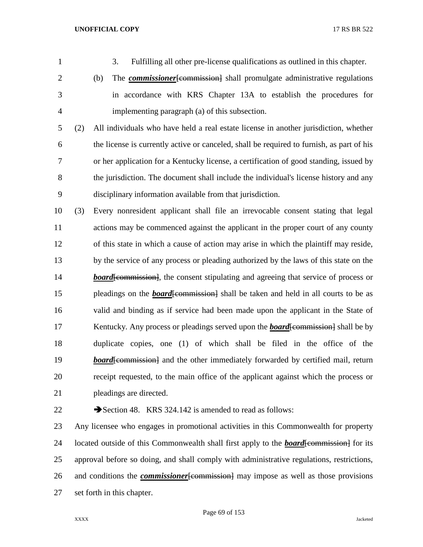- 
- 

3. Fulfilling all other pre-license qualifications as outlined in this chapter.

2 (b) The *commissioner* [commission] shall promulgate administrative regulations in accordance with KRS Chapter 13A to establish the procedures for implementing paragraph (a) of this subsection.

 (2) All individuals who have held a real estate license in another jurisdiction, whether the license is currently active or canceled, shall be required to furnish, as part of his or her application for a Kentucky license, a certification of good standing, issued by the jurisdiction. The document shall include the individual's license history and any disciplinary information available from that jurisdiction.

 (3) Every nonresident applicant shall file an irrevocable consent stating that legal actions may be commenced against the applicant in the proper court of any county of this state in which a cause of action may arise in which the plaintiff may reside, by the service of any process or pleading authorized by the laws of this state on the *board*[commission], the consent stipulating and agreeing that service of process or 15 pleadings on the *board* [commission] shall be taken and held in all courts to be as valid and binding as if service had been made upon the applicant in the State of 17 Kentucky. Any process or pleadings served upon the *board*[commission] shall be by duplicate copies, one (1) of which shall be filed in the office of the *board*[commission] and the other immediately forwarded by certified mail, return receipt requested, to the main office of the applicant against which the process or pleadings are directed.

22 Section 48. KRS 324.142 is amended to read as follows:

 Any licensee who engages in promotional activities in this Commonwealth for property 24 located outside of this Commonwealth shall first apply to the *board*[commission] for its approval before so doing, and shall comply with administrative regulations, restrictions, 26 and conditions the *commissioner* [commission] may impose as well as those provisions set forth in this chapter.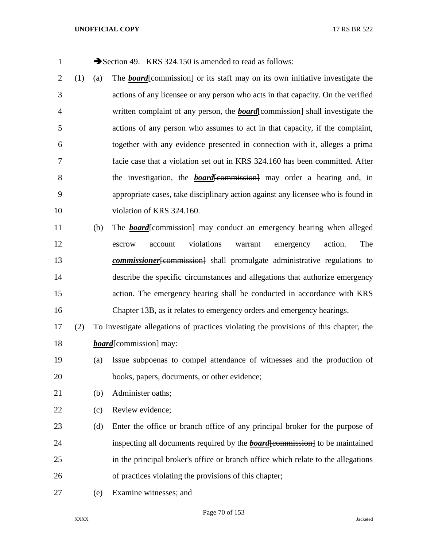1 Section 49. KRS 324.150 is amended to read as follows: (1) (a) The *board*[commission] or its staff may on its own initiative investigate the actions of any licensee or any person who acts in that capacity. On the verified written complaint of any person, the *board*[commission] shall investigate the actions of any person who assumes to act in that capacity, if the complaint, together with any evidence presented in connection with it, alleges a prima facie case that a violation set out in KRS 324.160 has been committed. After 8 the investigation, the *board*[commission] may order a hearing and, in appropriate cases, take disciplinary action against any licensee who is found in 10 violation of KRS 324.160. 11 (b) The *board*[commission] may conduct an emergency hearing when alleged escrow account violations warrant emergency action. The *commissioner* [commission] shall promulgate administrative regulations to describe the specific circumstances and allegations that authorize emergency action. The emergency hearing shall be conducted in accordance with KRS Chapter 13B, as it relates to emergency orders and emergency hearings. (2) To investigate allegations of practices violating the provisions of this chapter, the *board*<del>[commission]</del> may: (a) Issue subpoenas to compel attendance of witnesses and the production of books, papers, documents, or other evidence; (b) Administer oaths; (c) Review evidence;

- (d) Enter the office or branch office of any principal broker for the purpose of 24 inspecting all documents required by the *board*[commission] to be maintained in the principal broker's office or branch office which relate to the allegations of practices violating the provisions of this chapter;
- (e) Examine witnesses; and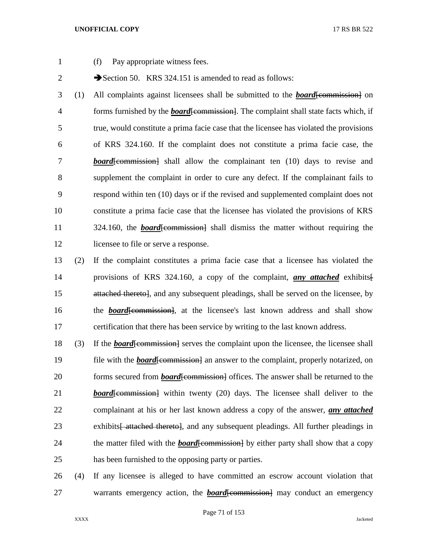- 
- 1 (f) Pay appropriate witness fees.

2 Section 50. KRS 324.151 is amended to read as follows:

 (1) All complaints against licensees shall be submitted to the *board*[commission] on 4 forms furnished by the *board* [commission]. The complaint shall state facts which, if true, would constitute a prima facie case that the licensee has violated the provisions of KRS 324.160. If the complaint does not constitute a prima facie case, the **board**[commission] shall allow the complainant ten (10) days to revise and supplement the complaint in order to cure any defect. If the complainant fails to respond within ten (10) days or if the revised and supplemented complaint does not constitute a prima facie case that the licensee has violated the provisions of KRS 11 324.160, the *board*[commission] shall dismiss the matter without requiring the 12 licensee to file or serve a response.

- 13 (2) If the complaint constitutes a prima facie case that a licensee has violated the 14 provisions of KRS 324.160, a copy of the complaint, *any attached* exhibits[ 15 attached thereto], and any subsequent pleadings, shall be served on the licensee, by 16 the **board** commission, at the licensee's last known address and shall show 17 certification that there has been service by writing to the last known address.
- 18 (3) If the *board*[commission] serves the complaint upon the licensee, the licensee shall 19 file with the *board* [commission] an answer to the complaint, properly notarized, on 20 forms secured from *board*[commission] offices. The answer shall be returned to the 21 *board*[commission] within twenty (20) days. The licensee shall deliver to the 22 complainant at his or her last known address a copy of the answer, *any attached* 23 exhibits<del> attached thereto</del>, and any subsequent pleadings. All further pleadings in 24 the matter filed with the *board*[commission] by either party shall show that a copy 25 has been furnished to the opposing party or parties.
- 26 (4) If any licensee is alleged to have committed an escrow account violation that 27 warrants emergency action, the *board*[commission] may conduct an emergency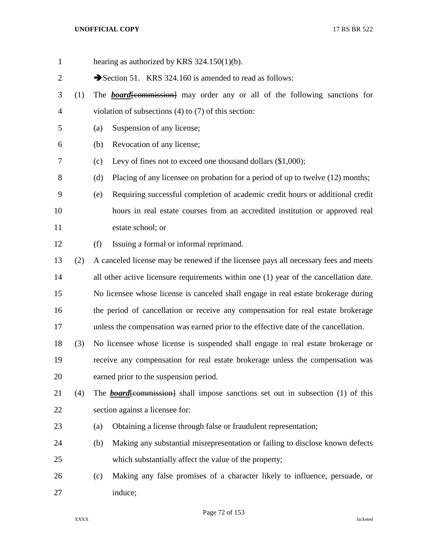hearing as authorized by KRS 324.150(1)(b). 2 Section 51. KRS 324.160 is amended to read as follows: (1) The *board*[commission] may order any or all of the following sanctions for violation of subsections (4) to (7) of this section: (a) Suspension of any license; (b) Revocation of any license; (c) Levy of fines not to exceed one thousand dollars (\$1,000); (d) Placing of any licensee on probation for a period of up to twelve (12) months; (e) Requiring successful completion of academic credit hours or additional credit hours in real estate courses from an accredited institution or approved real estate school; or (f) Issuing a formal or informal reprimand. (2) A canceled license may be renewed if the licensee pays all necessary fees and meets 14 all other active licensure requirements within one (1) year of the cancellation date. No licensee whose license is canceled shall engage in real estate brokerage during the period of cancellation or receive any compensation for real estate brokerage unless the compensation was earned prior to the effective date of the cancellation. (3) No licensee whose license is suspended shall engage in real estate brokerage or receive any compensation for real estate brokerage unless the compensation was earned prior to the suspension period. 21 (4) The *board* [commission] shall impose sanctions set out in subsection (1) of this section against a licensee for: (a) Obtaining a license through false or fraudulent representation; (b) Making any substantial misrepresentation or failing to disclose known defects which substantially affect the value of the property; (c) Making any false promises of a character likely to influence, persuade, or induce;

Page 72 of 153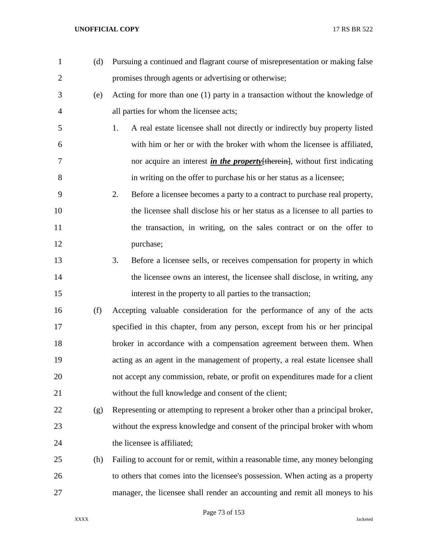| $\mathbf{1}$   | (d) | Pursuing a continued and flagrant course of misrepresentation or making false      |
|----------------|-----|------------------------------------------------------------------------------------|
| $\overline{2}$ |     | promises through agents or advertising or otherwise;                               |
| 3              | (e) | Acting for more than one (1) party in a transaction without the knowledge of       |
| $\overline{4}$ |     | all parties for whom the licensee acts;                                            |
| 5              |     | A real estate licensee shall not directly or indirectly buy property listed<br>1.  |
| 6              |     | with him or her or with the broker with whom the licensee is affiliated,           |
| 7              |     | nor acquire an interest <i>in the property</i> [therein], without first indicating |
| 8              |     | in writing on the offer to purchase his or her status as a licensee;               |
| 9              |     | Before a licensee becomes a party to a contract to purchase real property,<br>2.   |
| 10             |     | the licensee shall disclose his or her status as a licensee to all parties to      |
| 11             |     | the transaction, in writing, on the sales contract or on the offer to              |
| 12             |     | purchase;                                                                          |
| 13             |     | Before a licensee sells, or receives compensation for property in which<br>3.      |
| 14             |     | the licensee owns an interest, the licensee shall disclose, in writing, any        |
| 15             |     | interest in the property to all parties to the transaction;                        |
| 16             | (f) | Accepting valuable consideration for the performance of any of the acts            |
| 17             |     | specified in this chapter, from any person, except from his or her principal       |
| 18             |     | broker in accordance with a compensation agreement between them. When              |
| 19             |     | acting as an agent in the management of property, a real estate licensee shall     |
| 20             |     | not accept any commission, rebate, or profit on expenditures made for a client     |
| 21             |     | without the full knowledge and consent of the client;                              |
| 22             | (g) | Representing or attempting to represent a broker other than a principal broker,    |
| 23             |     | without the express knowledge and consent of the principal broker with whom        |
| 24             |     | the licensee is affiliated;                                                        |
| 25             | (h) | Failing to account for or remit, within a reasonable time, any money belonging     |
| 26             |     | to others that comes into the licensee's possession. When acting as a property     |
| 27             |     | manager, the licensee shall render an accounting and remit all moneys to his       |

Page 73 of 153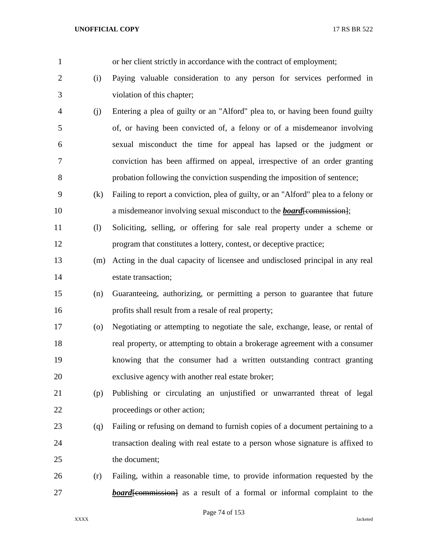| $\mathbf{1}$   |                    | or her client strictly in accordance with the contract of employment;              |
|----------------|--------------------|------------------------------------------------------------------------------------|
| $\overline{c}$ | (i)                | Paying valuable consideration to any person for services performed in              |
| 3              |                    | violation of this chapter;                                                         |
| 4              | (j)                | Entering a plea of guilty or an "Alford" plea to, or having been found guilty      |
| 5              |                    | of, or having been convicted of, a felony or of a misdemeanor involving            |
| 6              |                    | sexual misconduct the time for appeal has lapsed or the judgment or                |
| 7              |                    | conviction has been affirmed on appeal, irrespective of an order granting          |
| 8              |                    | probation following the conviction suspending the imposition of sentence;          |
| 9              | (k)                | Failing to report a conviction, plea of guilty, or an "Alford" plea to a felony or |
| 10             |                    | a misdemeanor involving sexual misconduct to the <b>board</b> [commission];        |
| 11             | (1)                | Soliciting, selling, or offering for sale real property under a scheme or          |
| 12             |                    | program that constitutes a lottery, contest, or deceptive practice;                |
| 13             | (m)                | Acting in the dual capacity of licensee and undisclosed principal in any real      |
| 14             |                    | estate transaction;                                                                |
| 15             | (n)                | Guaranteeing, authorizing, or permitting a person to guarantee that future         |
| 16             |                    | profits shall result from a resale of real property;                               |
| 17             | $\left( 0 \right)$ | Negotiating or attempting to negotiate the sale, exchange, lease, or rental of     |
| 18             |                    | real property, or attempting to obtain a brokerage agreement with a consumer       |
| 19             |                    | knowing that the consumer had a written outstanding contract granting              |
| 20             |                    | exclusive agency with another real estate broker;                                  |
| 21             | (p)                | Publishing or circulating an unjustified or unwarranted threat of legal            |
| 22             |                    | proceedings or other action;                                                       |
| 23             | (q)                | Failing or refusing on demand to furnish copies of a document pertaining to a      |
| 24             |                    | transaction dealing with real estate to a person whose signature is affixed to     |
| 25             |                    | the document;                                                                      |
| 26             | (r)                | Failing, within a reasonable time, to provide information requested by the         |
| 27             |                    | <b>board</b> [commission] as a result of a formal or informal complaint to the     |
|                |                    |                                                                                    |

Page 74 of 153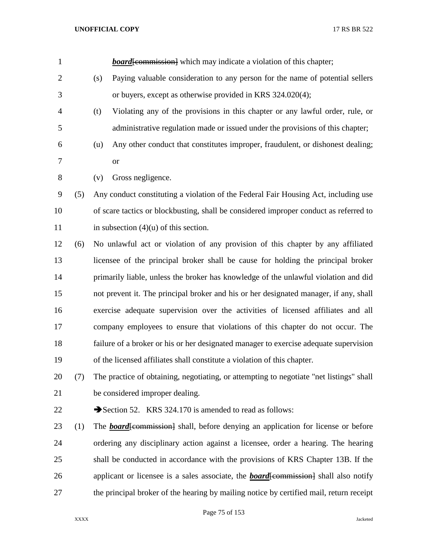| $\mathbf{1}$   |     | <b>board</b> [commission] which may indicate a violation of this chapter;                   |
|----------------|-----|---------------------------------------------------------------------------------------------|
| $\overline{2}$ |     | Paying valuable consideration to any person for the name of potential sellers<br>(s)        |
| 3              |     | or buyers, except as otherwise provided in KRS 324.020(4);                                  |
| 4              |     | Violating any of the provisions in this chapter or any lawful order, rule, or<br>(t)        |
| 5              |     | administrative regulation made or issued under the provisions of this chapter;              |
| 6              |     | Any other conduct that constitutes improper, fraudulent, or dishonest dealing;<br>(u)       |
| 7              |     | <b>or</b>                                                                                   |
| 8              |     | Gross negligence.<br>(v)                                                                    |
| 9              | (5) | Any conduct constituting a violation of the Federal Fair Housing Act, including use         |
| 10             |     | of scare tactics or blockbusting, shall be considered improper conduct as referred to       |
| 11             |     | in subsection $(4)(u)$ of this section.                                                     |
| 12             | (6) | No unlawful act or violation of any provision of this chapter by any affiliated             |
| 13             |     | licensee of the principal broker shall be cause for holding the principal broker            |
| 14             |     | primarily liable, unless the broker has knowledge of the unlawful violation and did         |
| 15             |     | not prevent it. The principal broker and his or her designated manager, if any, shall       |
| 16             |     | exercise adequate supervision over the activities of licensed affiliates and all            |
| 17             |     | company employees to ensure that violations of this chapter do not occur. The               |
| 18             |     | failure of a broker or his or her designated manager to exercise adequate supervision       |
| 19             |     | of the licensed affiliates shall constitute a violation of this chapter.                    |
| 20             | (7) | The practice of obtaining, negotiating, or attempting to negotiate "net listings" shall     |
| 21             |     | be considered improper dealing.                                                             |
| 22             |     | Section 52. KRS 324.170 is amended to read as follows:                                      |
| 23             | (1) | The <b>board</b> [commission] shall, before denying an application for license or before    |
| 24             |     | ordering any disciplinary action against a licensee, order a hearing. The hearing           |
| 25             |     | shall be conducted in accordance with the provisions of KRS Chapter 13B. If the             |
| 26             |     | applicant or licensee is a sales associate, the <b>board</b> [commission] shall also notify |
| 27             |     | the principal broker of the hearing by mailing notice by certified mail, return receipt     |
|                |     |                                                                                             |

Page 75 of 153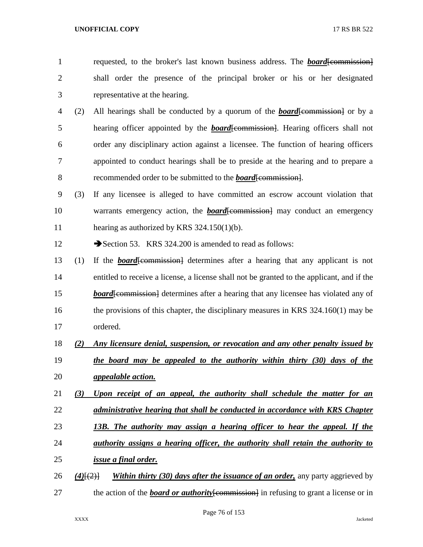- 1 requested, to the broker's last known business address. The *board*[commission] shall order the presence of the principal broker or his or her designated representative at the hearing.
- (2) All hearings shall be conducted by a quorum of the *board*[commission] or by a 5 hearing officer appointed by the **board**[commission]. Hearing officers shall not order any disciplinary action against a licensee. The function of hearing officers appointed to conduct hearings shall be to preside at the hearing and to prepare a recommended order to be submitted to the *board*[commission].
- (3) If any licensee is alleged to have committed an escrow account violation that 10 warrants emergency action, the *board*[commission] may conduct an emergency hearing as authorized by KRS 324.150(1)(b).
- 12 Section 53. KRS 324.200 is amended to read as follows:
- (1) If the *board*[commission] determines after a hearing that any applicant is not entitled to receive a license, a license shall not be granted to the applicant, and if the *board*[commission] determines after a hearing that any licensee has violated any of 16 the provisions of this chapter, the disciplinary measures in KRS 324.160(1) may be ordered.
- *(2) Any licensure denial, suspension, or revocation and any other penalty issued by*
- *the board may be appealed to the authority within thirty (30) days of the appealable action.*
- *(3) Upon receipt of an appeal, the authority shall schedule the matter for an*
- *administrative hearing that shall be conducted in accordance with KRS Chapter*
- *13B. The authority may assign a hearing officer to hear the appeal. If the*
- *authority assigns a hearing officer, the authority shall retain the authority to issue a final order.*
- *(4)*[(2)] *Within thirty (30) days after the issuance of an order,* any party aggrieved by 27 the action of the *board* or **authority** [commission] in refusing to grant a license or in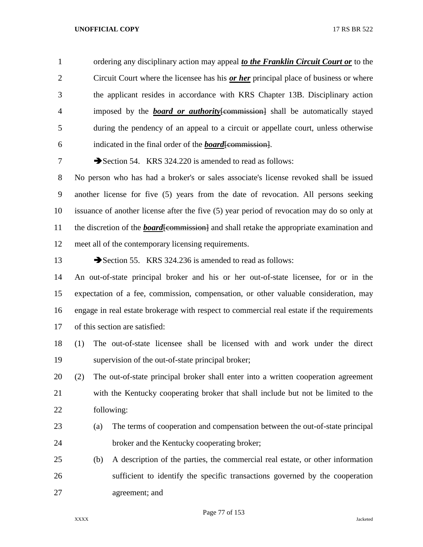ordering any disciplinary action may appeal *to the Franklin Circuit Court or* to the Circuit Court where the licensee has his *or her* principal place of business or where the applicant resides in accordance with KRS Chapter 13B. Disciplinary action imposed by the *board or authority*[commission] shall be automatically stayed during the pendency of an appeal to a circuit or appellate court, unless otherwise indicated in the final order of the *board*[commission].

7 Section 54. KRS 324.220 is amended to read as follows:

 No person who has had a broker's or sales associate's license revoked shall be issued another license for five (5) years from the date of revocation. All persons seeking issuance of another license after the five (5) year period of revocation may do so only at 11 the discretion of the *board*[commission] and shall retake the appropriate examination and meet all of the contemporary licensing requirements.

13 Section 55. KRS 324.236 is amended to read as follows:

 An out-of-state principal broker and his or her out-of-state licensee, for or in the expectation of a fee, commission, compensation, or other valuable consideration, may engage in real estate brokerage with respect to commercial real estate if the requirements of this section are satisfied:

 (1) The out-of-state licensee shall be licensed with and work under the direct supervision of the out-of-state principal broker;

 (2) The out-of-state principal broker shall enter into a written cooperation agreement with the Kentucky cooperating broker that shall include but not be limited to the following:

- (a) The terms of cooperation and compensation between the out-of-state principal broker and the Kentucky cooperating broker;
- (b) A description of the parties, the commercial real estate, or other information sufficient to identify the specific transactions governed by the cooperation agreement; and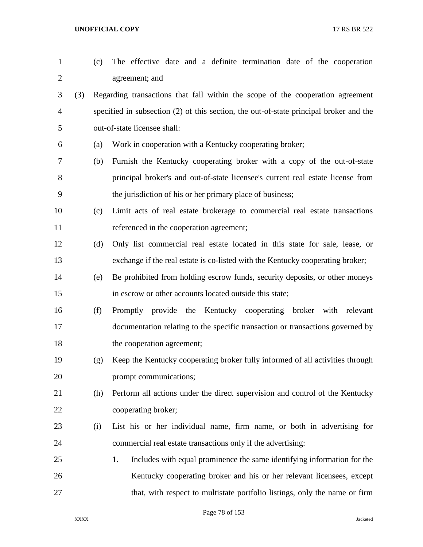| $\mathbf{1}$   |     | (c) | The effective date and a definite termination date of the cooperation                  |
|----------------|-----|-----|----------------------------------------------------------------------------------------|
| $\overline{c}$ |     |     | agreement; and                                                                         |
| 3              | (3) |     | Regarding transactions that fall within the scope of the cooperation agreement         |
| 4              |     |     | specified in subsection (2) of this section, the out-of-state principal broker and the |
| 5              |     |     | out-of-state licensee shall:                                                           |
| 6              |     | (a) | Work in cooperation with a Kentucky cooperating broker;                                |
| 7              |     | (b) | Furnish the Kentucky cooperating broker with a copy of the out-of-state                |
| 8              |     |     | principal broker's and out-of-state licensee's current real estate license from        |
| 9              |     |     | the jurisdiction of his or her primary place of business;                              |
| 10             |     | (c) | Limit acts of real estate brokerage to commercial real estate transactions             |
| 11             |     |     | referenced in the cooperation agreement;                                               |
| 12             |     | (d) | Only list commercial real estate located in this state for sale, lease, or             |
| 13             |     |     | exchange if the real estate is co-listed with the Kentucky cooperating broker;         |
| 14             |     | (e) | Be prohibited from holding escrow funds, security deposits, or other moneys            |
| 15             |     |     | in escrow or other accounts located outside this state;                                |
| 16             |     | (f) | Promptly provide the Kentucky cooperating broker with relevant                         |
| 17             |     |     | documentation relating to the specific transaction or transactions governed by         |
| 18             |     |     | the cooperation agreement;                                                             |
| 19             |     | (g) | Keep the Kentucky cooperating broker fully informed of all activities through          |
| 20             |     |     | prompt communications;                                                                 |
| 21             |     | (h) | Perform all actions under the direct supervision and control of the Kentucky           |
| 22             |     |     | cooperating broker;                                                                    |
| 23             |     | (i) | List his or her individual name, firm name, or both in advertising for                 |
| 24             |     |     | commercial real estate transactions only if the advertising:                           |
| 25             |     |     | Includes with equal prominence the same identifying information for the<br>1.          |
| 26             |     |     | Kentucky cooperating broker and his or her relevant licensees, except                  |
| 27             |     |     | that, with respect to multistate portfolio listings, only the name or firm             |

Page 78 of 153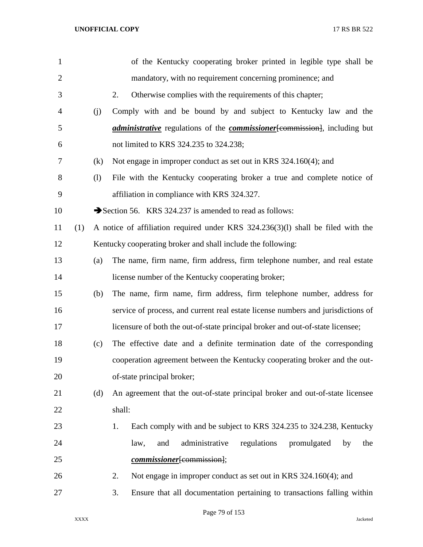| 1              |     |     | of the Kentucky cooperating broker printed in legible type shall be                      |
|----------------|-----|-----|------------------------------------------------------------------------------------------|
| $\overline{2}$ |     |     | mandatory, with no requirement concerning prominence; and                                |
| 3              |     |     | Otherwise complies with the requirements of this chapter;<br>2.                          |
| $\overline{4}$ |     | (j) | Comply with and be bound by and subject to Kentucky law and the                          |
| 5              |     |     | <i>administrative</i> regulations of the <i>commissioner</i> [commission], including but |
| 6              |     |     | not limited to KRS 324.235 to 324.238;                                                   |
| 7              |     | (k) | Not engage in improper conduct as set out in KRS 324.160(4); and                         |
| 8              |     | (1) | File with the Kentucky cooperating broker a true and complete notice of                  |
| 9              |     |     | affiliation in compliance with KRS 324.327.                                              |
| 10             |     |     | Section 56. KRS 324.237 is amended to read as follows:                                   |
| 11             | (1) |     | A notice of affiliation required under KRS 324.236(3)(1) shall be filed with the         |
| 12             |     |     | Kentucky cooperating broker and shall include the following:                             |
| 13             |     | (a) | The name, firm name, firm address, firm telephone number, and real estate                |
| 14             |     |     | license number of the Kentucky cooperating broker;                                       |
| 15             |     | (b) | The name, firm name, firm address, firm telephone number, address for                    |
| 16             |     |     | service of process, and current real estate license numbers and jurisdictions of         |
| 17             |     |     | licensure of both the out-of-state principal broker and out-of-state licensee;           |
| 18             |     | (c) | The effective date and a definite termination date of the corresponding                  |
| 19             |     |     | cooperation agreement between the Kentucky cooperating broker and the out-               |
| 20             |     |     | of-state principal broker;                                                               |
| 21             |     | (d) | An agreement that the out-of-state principal broker and out-of-state licensee            |
| 22             |     |     | shall:                                                                                   |
| 23             |     |     | Each comply with and be subject to KRS 324.235 to 324.238, Kentucky<br>1.                |
| 24             |     |     | administrative<br>regulations<br>promulgated<br>law,<br>and<br>by<br>the                 |
| 25             |     |     | commissioner[commission];                                                                |
| 26             |     |     | Not engage in improper conduct as set out in KRS 324.160(4); and<br>2.                   |
| 27             |     |     | Ensure that all documentation pertaining to transactions falling within<br>3.            |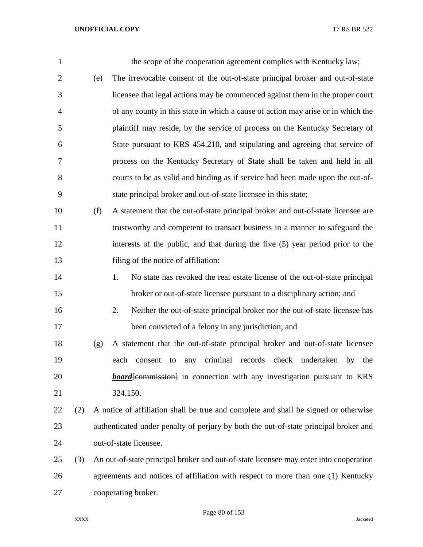| 1              |     |     | the scope of the cooperation agreement complies with Kentucky law;                    |
|----------------|-----|-----|---------------------------------------------------------------------------------------|
| $\overline{2}$ |     | (e) | The irrevocable consent of the out-of-state principal broker and out-of-state         |
| 3              |     |     | licensee that legal actions may be commenced against them in the proper court         |
| $\overline{4}$ |     |     | of any county in this state in which a cause of action may arise or in which the      |
| 5              |     |     | plaintiff may reside, by the service of process on the Kentucky Secretary of          |
| 6              |     |     | State pursuant to KRS 454.210, and stipulating and agreeing that service of           |
| 7              |     |     | process on the Kentucky Secretary of State shall be taken and held in all             |
| 8              |     |     | courts to be as valid and binding as if service had been made upon the out-of-        |
| 9              |     |     | state principal broker and out-of-state licensee in this state;                       |
| 10             |     | (f) | A statement that the out-of-state principal broker and out-of-state licensee are      |
| 11             |     |     | trustworthy and competent to transact business in a manner to safeguard the           |
| 12             |     |     | interests of the public, and that during the five (5) year period prior to the        |
| 13             |     |     | filing of the notice of affiliation:                                                  |
| 14             |     |     | No state has revoked the real estate license of the out-of-state principal<br>1.      |
| 15             |     |     | broker or out-of-state licensee pursuant to a disciplinary action; and                |
| 16             |     |     | Neither the out-of-state principal broker nor the out-of-state licensee has<br>2.     |
| 17             |     |     | been convicted of a felony in any jurisdiction; and                                   |
| 18             |     | (g) | A statement that the out-of-state principal broker and out-of-state licensee          |
| 19             |     |     | any criminal records check undertaken<br>each<br>by<br>the<br>consent<br>to           |
| 20             |     |     | <b>board</b> [commission] in connection with any investigation pursuant to KRS        |
| 21             |     |     | 324.150.                                                                              |
| 22             | (2) |     | A notice of affiliation shall be true and complete and shall be signed or otherwise   |
| 23             |     |     | authenticated under penalty of perjury by both the out-of-state principal broker and  |
| 24             |     |     | out-of-state licensee.                                                                |
| 25             | (3) |     | An out-of-state principal broker and out-of-state licensee may enter into cooperation |
| 26             |     |     | agreements and notices of affiliation with respect to more than one (1) Kentucky      |
| 27             |     |     | cooperating broker.                                                                   |

Page 80 of 153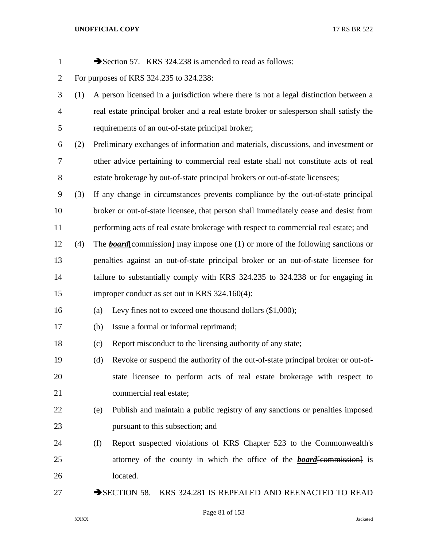| $\mathbf{1}$   |     |     | Section 57. KRS 324.238 is amended to read as follows:                                   |
|----------------|-----|-----|------------------------------------------------------------------------------------------|
| $\overline{2}$ |     |     | For purposes of KRS 324.235 to 324.238:                                                  |
| 3              | (1) |     | A person licensed in a jurisdiction where there is not a legal distinction between a     |
| $\overline{4}$ |     |     | real estate principal broker and a real estate broker or salesperson shall satisfy the   |
| 5              |     |     | requirements of an out-of-state principal broker;                                        |
| 6              | (2) |     | Preliminary exchanges of information and materials, discussions, and investment or       |
| $\overline{7}$ |     |     | other advice pertaining to commercial real estate shall not constitute acts of real      |
| 8              |     |     | estate brokerage by out-of-state principal brokers or out-of-state licensees;            |
| 9              | (3) |     | If any change in circumstances prevents compliance by the out-of-state principal         |
| 10             |     |     | broker or out-of-state licensee, that person shall immediately cease and desist from     |
| 11             |     |     | performing acts of real estate brokerage with respect to commercial real estate; and     |
| 12             | (4) |     | The <b>board</b> [commission] may impose one $(1)$ or more of the following sanctions or |
| 13             |     |     | penalties against an out-of-state principal broker or an out-of-state licensee for       |
| 14             |     |     | failure to substantially comply with KRS 324.235 to 324.238 or for engaging in           |
| 15             |     |     | improper conduct as set out in KRS 324.160(4):                                           |
| 16             |     | (a) | Levy fines not to exceed one thousand dollars $(\$1,000)$ ;                              |
| 17             |     | (b) | Issue a formal or informal reprimand;                                                    |
| 18             |     | (c) | Report misconduct to the licensing authority of any state;                               |
| 19             |     | (d) | Revoke or suspend the authority of the out-of-state principal broker or out-of-          |
| 20             |     |     | state licensee to perform acts of real estate brokerage with respect to                  |
| 21             |     |     | commercial real estate;                                                                  |
| 22             |     | (e) | Publish and maintain a public registry of any sanctions or penalties imposed             |
| 23             |     |     | pursuant to this subsection; and                                                         |
| 24             |     | (f) | Report suspected violations of KRS Chapter 523 to the Commonwealth's                     |
| 25             |     |     | attorney of the county in which the office of the <b>board</b> [commission] is           |
| 26             |     |     | located.                                                                                 |
| 27             |     |     | $\rightarrow$ SECTION 58.<br>KRS 324.281 IS REPEALED AND REENACTED TO READ               |

Page 81 of 153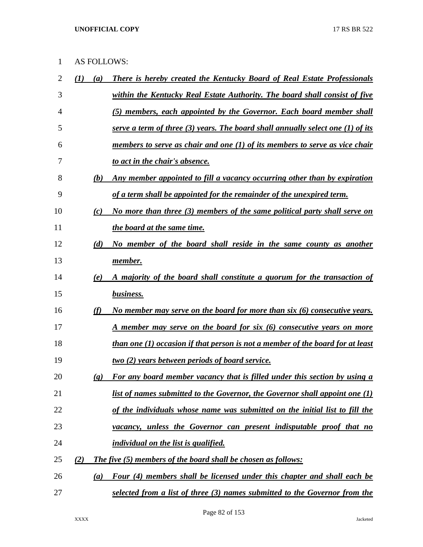# AS FOLLOWS:

| 2  |     | $\left(a\right)$            | <u>There is hereby created the Kentucky Board of Real Estate Professionals</u>      |
|----|-----|-----------------------------|-------------------------------------------------------------------------------------|
| 3  |     |                             | within the Kentucky Real Estate Authority. The board shall consist of five          |
| 4  |     |                             | (5) members, each appointed by the Governor. Each board member shall                |
| 5  |     |                             | serve a term of three $(3)$ years. The board shall annually select one $(1)$ of its |
| 6  |     |                             | members to serve as chair and one (1) of its members to serve as vice chair         |
| 7  |     |                             | to act in the chair's absence.                                                      |
| 8  |     | (b)                         | Any member appointed to fill a vacancy occurring other than by expiration           |
| 9  |     |                             | of a term shall be appointed for the remainder of the unexpired term.               |
| 10 |     | (c)                         | No more than three (3) members of the same political party shall serve on           |
| 11 |     |                             | the board at the same time.                                                         |
| 12 |     | (d)                         | No member of the board shall reside in the same county as another                   |
| 13 |     |                             | member.                                                                             |
| 14 |     | (e)                         | A majority of the board shall constitute a quorum for the transaction of            |
| 15 |     |                             | business.                                                                           |
| 16 |     | (f)                         | No member may serve on the board for more than six (6) consecutive years.           |
| 17 |     |                             | <u>A member may serve on the board for six (6) consecutive years on more</u>        |
| 18 |     |                             | than one (1) occasion if that person is not a member of the board for at least      |
| 19 |     |                             | <u>two (2) years between periods of board service.</u>                              |
| 20 |     | $\left( \mathbf{g} \right)$ | For any board member vacancy that is filled under this section by using a           |
| 21 |     |                             | <u>list of names submitted to the Governor, the Governor shall appoint one (1)</u>  |
| 22 |     |                             | of the individuals whose name was submitted on the initial list to fill the         |
| 23 |     |                             | vacancy, unless the Governor can present indisputable proof that no                 |
| 24 |     |                             | individual on the list is qualified.                                                |
| 25 | (2) |                             | The five (5) members of the board shall be chosen as follows:                       |
| 26 |     | $\left( a\right)$           | Four (4) members shall be licensed under this chapter and shall each be             |
| 27 |     |                             | selected from a list of three (3) names submitted to the Governor from the          |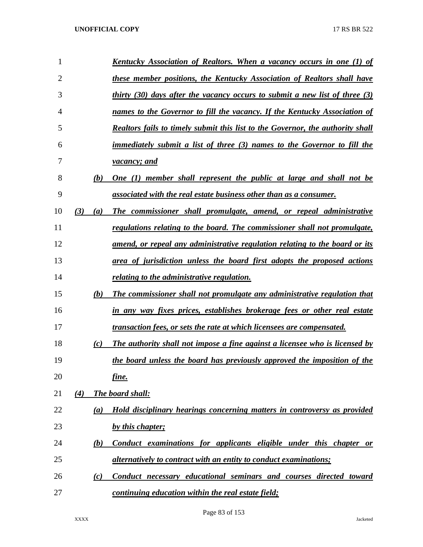| 1              |     |     | Kentucky Association of Realtors. When a vacancy occurs in one (1) of           |
|----------------|-----|-----|---------------------------------------------------------------------------------|
| $\overline{2}$ |     |     | these member positions, the Kentucky Association of Realtors shall have         |
| 3              |     |     | thirty $(30)$ days after the vacancy occurs to submit a new list of three $(3)$ |
| 4              |     |     | names to the Governor to fill the vacancy. If the Kentucky Association of       |
| 5              |     |     | Realtors fails to timely submit this list to the Governor, the authority shall  |
| 6              |     |     | immediately submit a list of three (3) names to the Governor to fill the        |
| 7              |     |     | <i>vacancy</i> ; and                                                            |
| 8              |     | (b) | One (1) member shall represent the public at large and shall not be             |
| 9              |     |     | associated with the real estate business other than as a consumer.              |
| 10             | (3) | (a) | The commissioner shall promulgate, amend, or repeal administrative              |
| 11             |     |     | regulations relating to the board. The commissioner shall not promulgate,       |
| 12             |     |     | amend, or repeal any administrative regulation relating to the board or its     |
| 13             |     |     | area of jurisdiction unless the board first adopts the proposed actions         |
| 14             |     |     | relating to the administrative regulation.                                      |
| 15             |     | (b) | The commissioner shall not promulgate any administrative regulation that        |
| 16             |     |     | in any way fixes prices, establishes brokerage fees or other real estate        |
| 17             |     |     | transaction fees, or sets the rate at which licensees are compensated.          |
| 18             |     | (c) | The authority shall not impose a fine against a licensee who is licensed by     |
| 19             |     |     | the board unless the board has previously approved the imposition of the        |
| 20             |     |     | <u>fine.</u>                                                                    |
| 21             | (4) |     | The board shall:                                                                |
| 22             |     | (a) | Hold disciplinary hearings concerning matters in controversy as provided        |
| 23             |     |     | by this chapter;                                                                |
| 24             |     | (b) | Conduct examinations for applicants eligible under this chapter or              |
| 25             |     |     | <i>alternatively to contract with an entity to conduct examinations;</i>        |
| 26             |     | (c) | Conduct necessary educational seminars and courses directed toward              |
| 27             |     |     | continuing education within the real estate field;                              |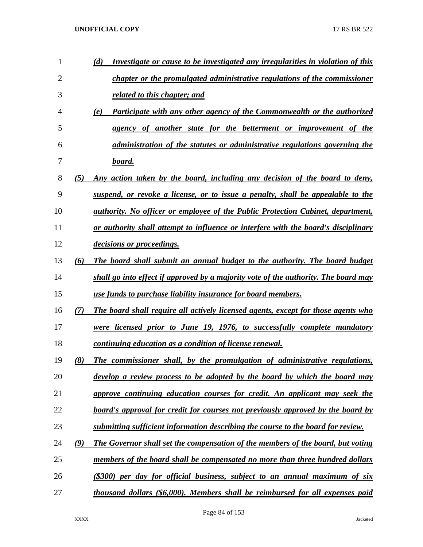| 1  |               | Investigate or cause to be investigated any irregularities in violation of this<br>(d) |
|----|---------------|----------------------------------------------------------------------------------------|
| 2  |               | chapter or the promulgated administrative regulations of the commissioner              |
| 3  |               | related to this chapter; and                                                           |
| 4  |               | Participate with any other agency of the Commonwealth or the authorized<br>(e)         |
| 5  |               | agency of another state for the betterment or improvement of the                       |
| 6  |               | administration of the statutes or administrative regulations governing the             |
| 7  |               | board.                                                                                 |
| 8  | (5)           | Any action taken by the board, including any decision of the board to deny,            |
| 9  |               | suspend, or revoke a license, or to issue a penalty, shall be appealable to the        |
| 10 |               | <i>authority. No officer or employee of the Public Protection Cabinet, department,</i> |
| 11 |               | or authority shall attempt to influence or interfere with the board's disciplinary     |
| 12 |               | <i>decisions or proceedings.</i>                                                       |
| 13 | (6)           | The board shall submit an annual budget to the authority. The board budget             |
| 14 |               | shall go into effect if approved by a majority vote of the authority. The board may    |
| 15 |               | use funds to purchase liability insurance for board members.                           |
| 16 | (7)           | The board shall require all actively licensed agents, except for those agents who      |
| 17 |               | were licensed prior to June 19, 1976, to successfully complete mandatory               |
| 18 |               | continuing education as a condition of license renewal.                                |
| 19 | (8)           | The commissioner shall, by the promulgation of administrative regulations,             |
| 20 |               | <u>develop a review process to be adopted by the board by which the board may</u>      |
| 21 |               | approve continuing education courses for credit. An applicant may seek the             |
| 22 |               | board's approval for credit for courses not previously approved by the board by        |
| 23 |               | submitting sufficient information describing the course to the board for review.       |
| 24 | $\mathcal{L}$ | The Governor shall set the compensation of the members of the board, but voting        |
| 25 |               | members of the board shall be compensated no more than three hundred dollars           |
| 26 |               | (\$300) per day for official business, subject to an annual maximum of six             |
| 27 |               | thousand dollars (\$6,000). Members shall be reimbursed for all expenses paid          |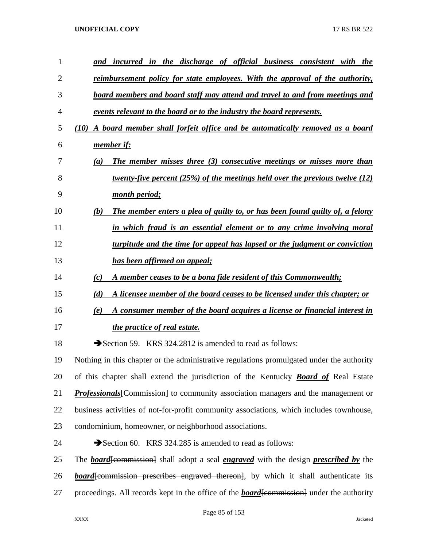| $\mathbf{1}$ | and incurred in the discharge of official business consistent with the                                    |
|--------------|-----------------------------------------------------------------------------------------------------------|
| 2            | <u>reimbursement policy for state employees. With the approval of the authority,</u>                      |
| 3            | board members and board staff may attend and travel to and from meetings and                              |
| 4            | events relevant to the board or to the industry the board represents.                                     |
| 5            | A board member shall forfeit office and be automatically removed as a board<br>(10)                       |
| 6            | member if:                                                                                                |
| 7            | The member misses three (3) consecutive meetings or misses more than<br>(a)                               |
| 8            | twenty-five percent $(25%)$ of the meetings held over the previous twelve $(12)$                          |
| 9            | month period;                                                                                             |
| 10           | The member enters a plea of guilty to, or has been found guilty of, a felony<br>(b)                       |
| 11           | in which fraud is an essential element or to any crime involving moral                                    |
| 12           | turpitude and the time for appeal has lapsed or the judgment or conviction                                |
| 13           | has been affirmed on appeal;                                                                              |
| 14           | A member ceases to be a bona fide resident of this Commonwealth;<br>(c)                                   |
| 15           | (d)<br>A licensee member of the board ceases to be licensed under this chapter; or                        |
| 16           | A consumer member of the board acquires a license or financial interest in<br>(e)                         |
| 17           | the practice of real estate.                                                                              |
| 18           | Section 59. KRS 324.2812 is amended to read as follows:                                                   |
| 19           | Nothing in this chapter or the administrative regulations promulgated under the authority                 |
| 20           | of this chapter shall extend the jurisdiction of the Kentucky <b>Board of</b> Real Estate                 |
| 21           | <b>Professionals</b> [Commission] to community association managers and the management or                 |
| 22           | business activities of not-for-profit community associations, which includes townhouse,                   |
| 23           | condominium, homeowner, or neighborhood associations.                                                     |
| 24           | Section 60. KRS 324.285 is amended to read as follows:                                                    |
| 25           | The <b>board</b> [commission] shall adopt a seal <i>engraved</i> with the design <i>prescribed by</i> the |
| 26           | <b>board</b> especial prescribes engraved thereon, by which it shall authenticate its                     |
| 27           | proceedings. All records kept in the office of the <b>board</b> [commission] under the authority          |
|              |                                                                                                           |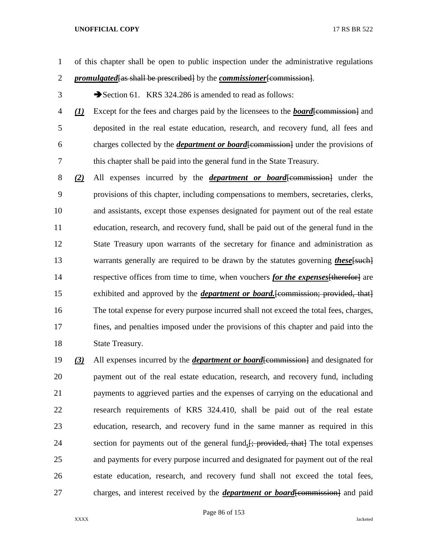- of this chapter shall be open to public inspection under the administrative regulations *promulgated*[as shall be prescribed] by the *commissioner*[commission].
- 3 Section 61. KRS 324.286 is amended to read as follows:
- *(1)* Except for the fees and charges paid by the licensees to the *board*[commission] and deposited in the real estate education, research, and recovery fund, all fees and charges collected by the *department or board*[commission] under the provisions of this chapter shall be paid into the general fund in the State Treasury.
- *(2)* All expenses incurred by the *department or board*[commission] under the provisions of this chapter, including compensations to members, secretaries, clerks, and assistants, except those expenses designated for payment out of the real estate education, research, and recovery fund, shall be paid out of the general fund in the State Treasury upon warrants of the secretary for finance and administration as 13 warrants generally are required to be drawn by the statutes governing *these* [such] respective offices from time to time, when vouchers *for the expenses*[therefor] are exhibited and approved by the *department or board.*[commission; provided, that] The total expense for every purpose incurred shall not exceed the total fees, charges, fines, and penalties imposed under the provisions of this chapter and paid into the State Treasury.
- *(3)* All expenses incurred by the *department or board*[commission] and designated for payment out of the real estate education, research, and recovery fund, including payments to aggrieved parties and the expenses of carrying on the educational and research requirements of KRS 324.410, shall be paid out of the real estate education, research, and recovery fund in the same manner as required in this 24 section for payments out of the general fund.  $\frac{1}{2}$  provided, that The total expenses and payments for every purpose incurred and designated for payment out of the real estate education, research, and recovery fund shall not exceed the total fees, charges, and interest received by the *department or board*[commission] and paid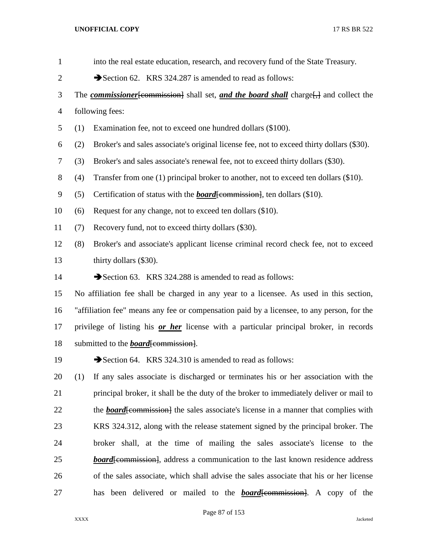| $\mathbf{1}$   | into the real estate education, research, and recovery fund of the State Treasury.                                |
|----------------|-------------------------------------------------------------------------------------------------------------------|
| $\overline{2}$ | Section 62. KRS 324.287 is amended to read as follows:                                                            |
| 3              | The <b><i>commissioner</i></b> [commission] shall set, and the board shall charge <sup>[11]</sup> and collect the |
| 4              | following fees:                                                                                                   |
| 5              | Examination fee, not to exceed one hundred dollars (\$100).<br>(1)                                                |
| 6              | Broker's and sales associate's original license fee, not to exceed thirty dollars (\$30).<br>(2)                  |
| 7              | Broker's and sales associate's renewal fee, not to exceed thirty dollars (\$30).<br>(3)                           |
| 8              | (4)<br>Transfer from one (1) principal broker to another, not to exceed ten dollars (\$10).                       |
| 9              | (5)<br>Certification of status with the <b>board</b> [commission], ten dollars (\$10).                            |
| 10             | Request for any change, not to exceed ten dollars (\$10).<br>(6)                                                  |
| 11             | Recovery fund, not to exceed thirty dollars (\$30).<br>(7)                                                        |
| 12             | (8)<br>Broker's and associate's applicant license criminal record check fee, not to exceed                        |
| 13             | thirty dollars (\$30).                                                                                            |
| 14             | Section 63. KRS 324.288 is amended to read as follows:                                                            |
| 15             | No affiliation fee shall be charged in any year to a licensee. As used in this section,                           |
| 16             | "affiliation fee" means any fee or compensation paid by a licensee, to any person, for the                        |
| 17             | privilege of listing his or her license with a particular principal broker, in records                            |
| 18             | submitted to the <b>board</b> [commission].                                                                       |
| 19             | Section 64. KRS 324.310 is amended to read as follows:                                                            |
| 20             | If any sales associate is discharged or terminates his or her association with the<br>(1)                         |
| 21             | principal broker, it shall be the duty of the broker to immediately deliver or mail to                            |
| 22             | the <b>board</b> [commission] the sales associate's license in a manner that complies with                        |
| 23             | KRS 324.312, along with the release statement signed by the principal broker. The                                 |
| 24             | broker shall, at the time of mailing the sales associate's license to the                                         |
| 25             | <b>board</b> [commission], address a communication to the last known residence address                            |
| 26             | of the sales associate, which shall advise the sales associate that his or her license                            |
| 27             | been delivered or mailed to the <b>board</b> [commission]. A copy of the<br>has                                   |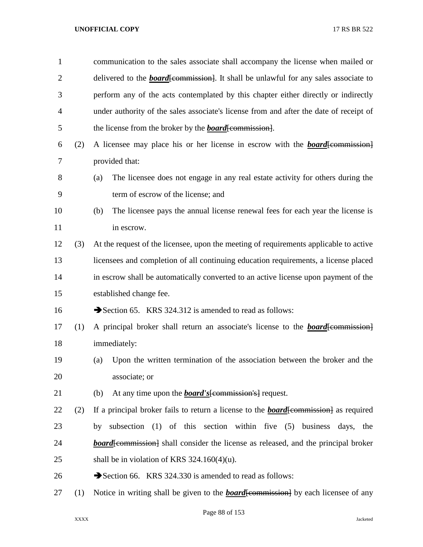| $\mathbf{1}$   |     | communication to the sales associate shall accompany the license when mailed or                                                                                                                                                     |  |  |
|----------------|-----|-------------------------------------------------------------------------------------------------------------------------------------------------------------------------------------------------------------------------------------|--|--|
| $\overline{2}$ |     | delivered to the <b>board</b> [commission]. It shall be unlawful for any sales associate to                                                                                                                                         |  |  |
| 3              |     | perform any of the acts contemplated by this chapter either directly or indirectly                                                                                                                                                  |  |  |
| 4              |     | under authority of the sales associate's license from and after the date of receipt of                                                                                                                                              |  |  |
| 5              |     | the license from the broker by the <b>board</b> [commission].                                                                                                                                                                       |  |  |
| 6              | (2) | A licensee may place his or her license in escrow with the <b>board</b> [commission]                                                                                                                                                |  |  |
| $\overline{7}$ |     | provided that:                                                                                                                                                                                                                      |  |  |
| 8              |     | The licensee does not engage in any real estate activity for others during the<br>(a)                                                                                                                                               |  |  |
| 9              |     | term of escrow of the license; and                                                                                                                                                                                                  |  |  |
| 10             |     | The licensee pays the annual license renewal fees for each year the license is<br>(b)                                                                                                                                               |  |  |
| 11             |     | in escrow.                                                                                                                                                                                                                          |  |  |
| 12             | (3) | At the request of the licensee, upon the meeting of requirements applicable to active                                                                                                                                               |  |  |
| 13             |     | licensees and completion of all continuing education requirements, a license placed                                                                                                                                                 |  |  |
| 14             |     | in escrow shall be automatically converted to an active license upon payment of the                                                                                                                                                 |  |  |
| 15             |     | established change fee.                                                                                                                                                                                                             |  |  |
| 16             |     | Section 65. KRS 324.312 is amended to read as follows:                                                                                                                                                                              |  |  |
| 17             | (1) | A principal broker shall return an associate's license to the <b>board</b> [commission]                                                                                                                                             |  |  |
| 18             |     | immediately:                                                                                                                                                                                                                        |  |  |
| 19             |     | Upon the written termination of the association between the broker and the<br>(a)                                                                                                                                                   |  |  |
| 20             |     | associate; or                                                                                                                                                                                                                       |  |  |
| 21             |     | At any time upon the <b>board's</b> [commission's] request.<br>(b)                                                                                                                                                                  |  |  |
| 22             | (2) | If a principal broker fails to return a license to the <b>board</b> [commission] as required                                                                                                                                        |  |  |
| 23             |     | subsection (1) of this section within five (5) business days,<br>by<br>the                                                                                                                                                          |  |  |
| 24             |     | <b>board</b> feed enterproduce being being board board board board board board board board board board board board board board board board board board board board board board board board board board board board board board boar |  |  |
| 25             |     | shall be in violation of KRS $324.160(4)(u)$ .                                                                                                                                                                                      |  |  |
| 26             |     | Section 66. KRS 324.330 is amended to read as follows:                                                                                                                                                                              |  |  |
| 27             | (1) | Notice in writing shall be given to the <b>board</b> [commission] by each licensee of any                                                                                                                                           |  |  |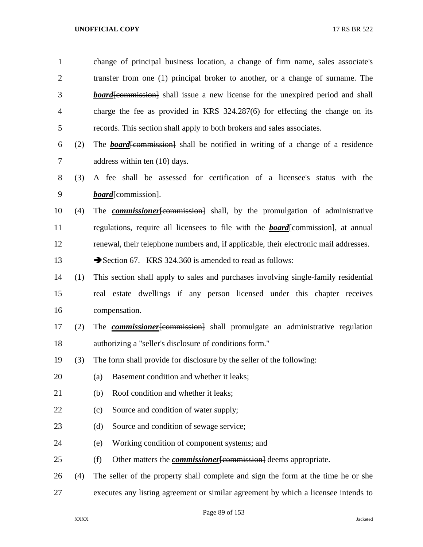| $\mathbf{1}$   |     | change of principal business location, a change of firm name, sales associate's             |
|----------------|-----|---------------------------------------------------------------------------------------------|
| $\overline{c}$ |     | transfer from one (1) principal broker to another, or a change of surname. The              |
| 3              |     | <b>board</b> especial especial shall issue a new license for the unexpired period and shall |
| $\overline{4}$ |     | charge the fee as provided in KRS $324.287(6)$ for effecting the change on its              |
| 5              |     | records. This section shall apply to both brokers and sales associates.                     |
| 6              | (2) | The <b>board</b> [commission] shall be notified in writing of a change of a residence       |
| 7              |     | address within ten (10) days.                                                               |
| 8              | (3) | A fee shall be assessed for certification of a licensee's status with the                   |
| 9              |     | <i>board</i> [commission].                                                                  |
| 10             | (4) | The <b><i>commissioner</i></b> [commission] shall, by the promulgation of administrative    |
| 11             |     | regulations, require all licensees to file with the <b>board</b> [commission], at annual    |
| 12             |     | renewal, their telephone numbers and, if applicable, their electronic mail addresses.       |
| 13             |     | Section 67. KRS 324.360 is amended to read as follows:                                      |
| 14             | (1) | This section shall apply to sales and purchases involving single-family residential         |
| 15             |     | real estate dwellings if any person licensed under this chapter receives                    |
| 16             |     | compensation.                                                                               |
| 17             | (2) | The <b><i>commissioner</i></b> [commission] shall promulgate an administrative regulation   |
| 18             |     | authorizing a "seller's disclosure of conditions form."                                     |
| 19             | (3) | The form shall provide for disclosure by the seller of the following:                       |
| 20             |     | Basement condition and whether it leaks;<br>(a)                                             |
| 21             |     | Roof condition and whether it leaks;<br>(b)                                                 |
| 22             |     | Source and condition of water supply;<br>(c)                                                |
| 23             |     | Source and condition of sewage service;<br>(d)                                              |
| 24             |     | Working condition of component systems; and<br>(e)                                          |
| 25             |     | Other matters the <b><i>commissioner</i></b> [commission] deems appropriate.<br>(f)         |
| 26             | (4) | The seller of the property shall complete and sign the form at the time he or she           |
| 27             |     | executes any listing agreement or similar agreement by which a licensee intends to          |

Page 89 of 153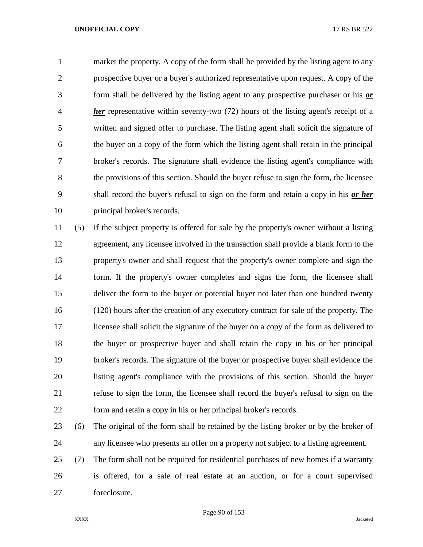market the property. A copy of the form shall be provided by the listing agent to any prospective buyer or a buyer's authorized representative upon request. A copy of the form shall be delivered by the listing agent to any prospective purchaser or his *or her* representative within seventy-two (72) hours of the listing agent's receipt of a written and signed offer to purchase. The listing agent shall solicit the signature of the buyer on a copy of the form which the listing agent shall retain in the principal broker's records. The signature shall evidence the listing agent's compliance with the provisions of this section. Should the buyer refuse to sign the form, the licensee shall record the buyer's refusal to sign on the form and retain a copy in his *or her* principal broker's records.

 (5) If the subject property is offered for sale by the property's owner without a listing agreement, any licensee involved in the transaction shall provide a blank form to the property's owner and shall request that the property's owner complete and sign the form. If the property's owner completes and signs the form, the licensee shall deliver the form to the buyer or potential buyer not later than one hundred twenty (120) hours after the creation of any executory contract for sale of the property. The licensee shall solicit the signature of the buyer on a copy of the form as delivered to the buyer or prospective buyer and shall retain the copy in his or her principal broker's records. The signature of the buyer or prospective buyer shall evidence the listing agent's compliance with the provisions of this section. Should the buyer refuse to sign the form, the licensee shall record the buyer's refusal to sign on the form and retain a copy in his or her principal broker's records.

- (6) The original of the form shall be retained by the listing broker or by the broker of any licensee who presents an offer on a property not subject to a listing agreement.
- (7) The form shall not be required for residential purchases of new homes if a warranty is offered, for a sale of real estate at an auction, or for a court supervised foreclosure.

Page 90 of 153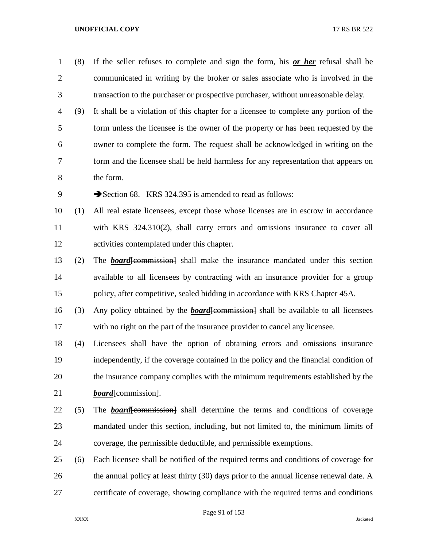- (8) If the seller refuses to complete and sign the form, his *or her* refusal shall be communicated in writing by the broker or sales associate who is involved in the transaction to the purchaser or prospective purchaser, without unreasonable delay.
- (9) It shall be a violation of this chapter for a licensee to complete any portion of the form unless the licensee is the owner of the property or has been requested by the owner to complete the form. The request shall be acknowledged in writing on the form and the licensee shall be held harmless for any representation that appears on the form.

9 Section 68. KRS 324.395 is amended to read as follows:

- (1) All real estate licensees, except those whose licenses are in escrow in accordance with KRS 324.310(2), shall carry errors and omissions insurance to cover all activities contemplated under this chapter.
- (2) The *board*[commission] shall make the insurance mandated under this section available to all licensees by contracting with an insurance provider for a group policy, after competitive, sealed bidding in accordance with KRS Chapter 45A.
- (3) Any policy obtained by the *board*[commission] shall be available to all licensees with no right on the part of the insurance provider to cancel any licensee.
- (4) Licensees shall have the option of obtaining errors and omissions insurance independently, if the coverage contained in the policy and the financial condition of the insurance company complies with the minimum requirements established by the 21 *board*<del>[commission]</del>.
- (5) The *board*[commission] shall determine the terms and conditions of coverage mandated under this section, including, but not limited to, the minimum limits of coverage, the permissible deductible, and permissible exemptions.
- (6) Each licensee shall be notified of the required terms and conditions of coverage for 26 the annual policy at least thirty (30) days prior to the annual license renewal date. A certificate of coverage, showing compliance with the required terms and conditions

Page 91 of 153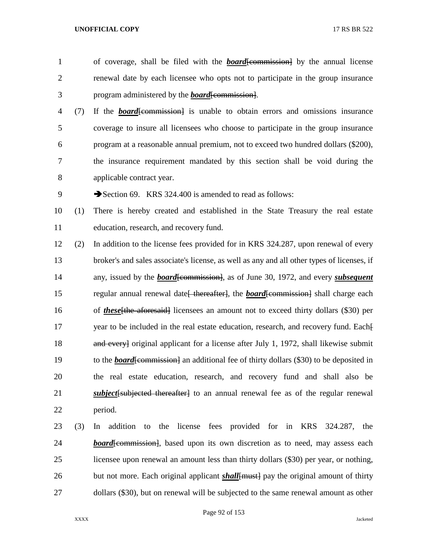- of coverage, shall be filed with the *board*[commission] by the annual license renewal date by each licensee who opts not to participate in the group insurance program administered by the *board*[commission].
- (7) If the *board*[commission] is unable to obtain errors and omissions insurance coverage to insure all licensees who choose to participate in the group insurance program at a reasonable annual premium, not to exceed two hundred dollars (\$200), the insurance requirement mandated by this section shall be void during the applicable contract year.

9 Section 69. KRS 324.400 is amended to read as follows:

 (1) There is hereby created and established in the State Treasury the real estate education, research, and recovery fund.

- (2) In addition to the license fees provided for in KRS 324.287, upon renewal of every broker's and sales associate's license, as well as any and all other types of licenses, if 14 any, issued by the *board* [commission], as of June 30, 1972, and every *subsequent* 15 regular annual renewal date<del> thereafter]</del>, the *board* [commission] shall charge each 16 of *these* [the aforesaid] licensees an amount not to exceed thirty dollars (\$30) per 17 year to be included in the real estate education, research, and recovery fund. Each-18 and every original applicant for a license after July 1, 1972, shall likewise submit 19 to the *board* [commission] an additional fee of thirty dollars (\$30) to be deposited in the real estate education, research, and recovery fund and shall also be *subject*[subjected thereafter] to an annual renewal fee as of the regular renewal period.
- (3) In addition to the license fees provided for in KRS 324.287, the *board*[commission], based upon its own discretion as to need, may assess each licensee upon renewal an amount less than thirty dollars (\$30) per year, or nothing, but not more. Each original applicant *shall*[must] pay the original amount of thirty dollars (\$30), but on renewal will be subjected to the same renewal amount as other

Page 92 of 153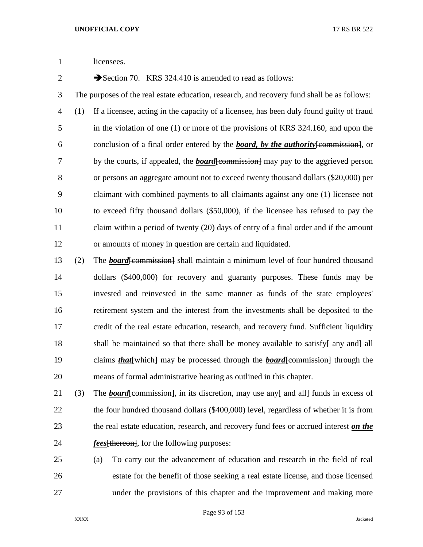licensees.

2 Section 70. KRS 324.410 is amended to read as follows:

 The purposes of the real estate education, research, and recovery fund shall be as follows: (1) If a licensee, acting in the capacity of a licensee, has been duly found guilty of fraud in the violation of one (1) or more of the provisions of KRS 324.160, and upon the conclusion of a final order entered by the *board, by the authority*[commission], or 7 by the courts, if appealed, the *board*[commission] may pay to the aggrieved person or persons an aggregate amount not to exceed twenty thousand dollars (\$20,000) per claimant with combined payments to all claimants against any one (1) licensee not to exceed fifty thousand dollars (\$50,000), if the licensee has refused to pay the 11 claim within a period of twenty (20) days of entry of a final order and if the amount or amounts of money in question are certain and liquidated.

13 (2) The *board* [commission] shall maintain a minimum level of four hundred thousand dollars (\$400,000) for recovery and guaranty purposes. These funds may be invested and reinvested in the same manner as funds of the state employees' retirement system and the interest from the investments shall be deposited to the credit of the real estate education, research, and recovery fund. Sufficient liquidity 18 shall be maintained so that there shall be money available to satisfy $\frac{2}{3}$  and all 19 claims *that* [which] may be processed through the *board* [commission] through the means of formal administrative hearing as outlined in this chapter.

21 (3) The *board* [commission], in its discretion, may use any [equal all] funds in excess of 22 the four hundred thousand dollars (\$400,000) level, regardless of whether it is from the real estate education, research, and recovery fund fees or accrued interest *on the fees*[thereon], for the following purposes:

 (a) To carry out the advancement of education and research in the field of real estate for the benefit of those seeking a real estate license, and those licensed under the provisions of this chapter and the improvement and making more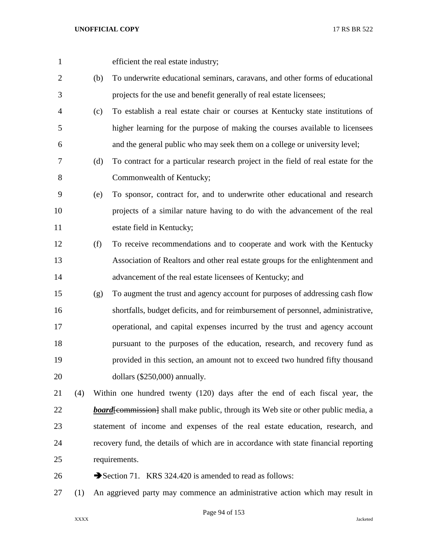efficient the real estate industry;

- (b) To underwrite educational seminars, caravans, and other forms of educational projects for the use and benefit generally of real estate licensees;
- (c) To establish a real estate chair or courses at Kentucky state institutions of higher learning for the purpose of making the courses available to licensees and the general public who may seek them on a college or university level;
- (d) To contract for a particular research project in the field of real estate for the Commonwealth of Kentucky;
- (e) To sponsor, contract for, and to underwrite other educational and research projects of a similar nature having to do with the advancement of the real estate field in Kentucky;
- (f) To receive recommendations and to cooperate and work with the Kentucky Association of Realtors and other real estate groups for the enlightenment and advancement of the real estate licensees of Kentucky; and
- (g) To augment the trust and agency account for purposes of addressing cash flow shortfalls, budget deficits, and for reimbursement of personnel, administrative, operational, and capital expenses incurred by the trust and agency account pursuant to the purposes of the education, research, and recovery fund as provided in this section, an amount not to exceed two hundred fifty thousand dollars (\$250,000) annually.
- (4) Within one hundred twenty (120) days after the end of each fiscal year, the **board**[commission] shall make public, through its Web site or other public media, a statement of income and expenses of the real estate education, research, and recovery fund, the details of which are in accordance with state financial reporting requirements.
- 26  $\rightarrow$  Section 71. KRS 324.420 is amended to read as follows:
- (1) An aggrieved party may commence an administrative action which may result in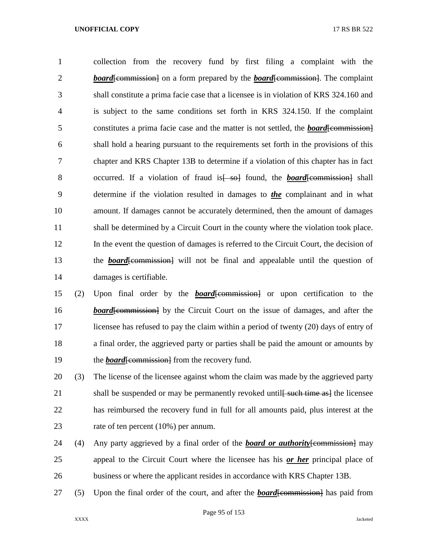collection from the recovery fund by first filing a complaint with the **board** [commission] on a form prepared by the **board** [commission]. The complaint shall constitute a prima facie case that a licensee is in violation of KRS 324.160 and is subject to the same conditions set forth in KRS 324.150. If the complaint 5 constitutes a prima facie case and the matter is not settled, the **board**[commission] shall hold a hearing pursuant to the requirements set forth in the provisions of this chapter and KRS Chapter 13B to determine if a violation of this chapter has in fact 8 occurred. If a violation of fraud is  $\frac{1}{5}$  found, the **board** [commission] shall determine if the violation resulted in damages to *the* complainant and in what amount. If damages cannot be accurately determined, then the amount of damages shall be determined by a Circuit Court in the county where the violation took place. In the event the question of damages is referred to the Circuit Court, the decision of 13 the **board**[commission] will not be final and appealable until the question of damages is certifiable.

 (2) Upon final order by the *board*[commission] or upon certification to the **board**[commission] by the Circuit Court on the issue of damages, and after the licensee has refused to pay the claim within a period of twenty (20) days of entry of a final order, the aggrieved party or parties shall be paid the amount or amounts by 19 the *board* [commission] from the recovery fund.

 (3) The license of the licensee against whom the claim was made by the aggrieved party 21 shall be suspended or may be permanently revoked until<del> such time as al</del> the licensee has reimbursed the recovery fund in full for all amounts paid, plus interest at the rate of ten percent (10%) per annum.

- (4) Any party aggrieved by a final order of the *board or authority*[commission] may appeal to the Circuit Court where the licensee has his *or her* principal place of business or where the applicant resides in accordance with KRS Chapter 13B.
- 27 (5) Upon the final order of the court, and after the *board*[commission] has paid from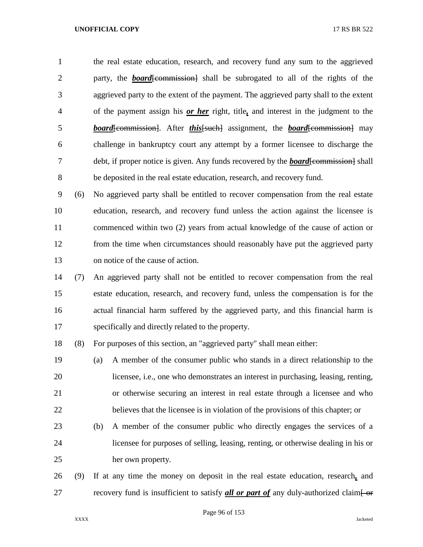the real estate education, research, and recovery fund any sum to the aggrieved 2 party, the **board**[commission] shall be subrogated to all of the rights of the aggrieved party to the extent of the payment. The aggrieved party shall to the extent of the payment assign his *or her* right, title*,* and interest in the judgment to the *board*[commission]. After *this*[such] assignment, the *board*[commission] may challenge in bankruptcy court any attempt by a former licensee to discharge the 7 debt, if proper notice is given. Any funds recovered by the *board*[commission] shall be deposited in the real estate education, research, and recovery fund.

 (6) No aggrieved party shall be entitled to recover compensation from the real estate education, research, and recovery fund unless the action against the licensee is commenced within two (2) years from actual knowledge of the cause of action or from the time when circumstances should reasonably have put the aggrieved party on notice of the cause of action.

 (7) An aggrieved party shall not be entitled to recover compensation from the real estate education, research, and recovery fund, unless the compensation is for the actual financial harm suffered by the aggrieved party, and this financial harm is specifically and directly related to the property.

(8) For purposes of this section, an "aggrieved party" shall mean either:

 (a) A member of the consumer public who stands in a direct relationship to the licensee, i.e., one who demonstrates an interest in purchasing, leasing, renting, or otherwise securing an interest in real estate through a licensee and who believes that the licensee is in violation of the provisions of this chapter; or

- (b) A member of the consumer public who directly engages the services of a licensee for purposes of selling, leasing, renting, or otherwise dealing in his or her own property.
- (9) If at any time the money on deposit in the real estate education, research*,* and 27 recovery fund is insufficient to satisfy *all or part of* any duly-authorized claim-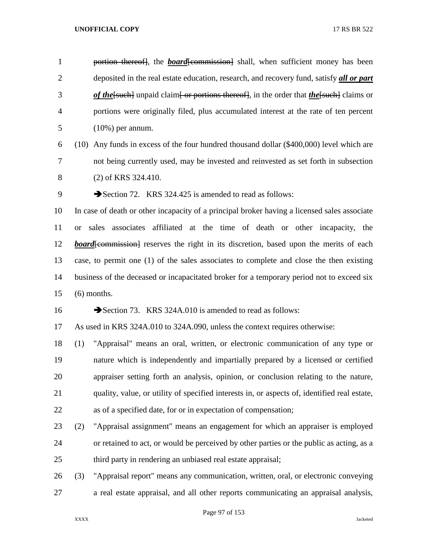1 portion thereof, the *board*[commission] shall, when sufficient money has been deposited in the real estate education, research, and recovery fund, satisfy *all or part*  **of the**[such] unpaid claim] or portions thereof], in the order that **the**[such] claims or portions were originally filed, plus accumulated interest at the rate of ten percent (10%) per annum.

- (10) Any funds in excess of the four hundred thousand dollar (\$400,000) level which are not being currently used, may be invested and reinvested as set forth in subsection (2) of KRS 324.410.
- 

9 Section 72. KRS 324.425 is amended to read as follows:

 In case of death or other incapacity of a principal broker having a licensed sales associate or sales associates affiliated at the time of death or other incapacity, the *board*[commission] reserves the right in its discretion, based upon the merits of each case, to permit one (1) of the sales associates to complete and close the then existing business of the deceased or incapacitated broker for a temporary period not to exceed six (6) months.

16 Section 73. KRS 324A.010 is amended to read as follows:

As used in KRS 324A.010 to 324A.090, unless the context requires otherwise:

 (1) "Appraisal" means an oral, written, or electronic communication of any type or nature which is independently and impartially prepared by a licensed or certified appraiser setting forth an analysis, opinion, or conclusion relating to the nature, quality, value, or utility of specified interests in, or aspects of, identified real estate, as of a specified date, for or in expectation of compensation;

- (2) "Appraisal assignment" means an engagement for which an appraiser is employed or retained to act, or would be perceived by other parties or the public as acting, as a third party in rendering an unbiased real estate appraisal;
- (3) "Appraisal report" means any communication, written, oral, or electronic conveying a real estate appraisal, and all other reports communicating an appraisal analysis,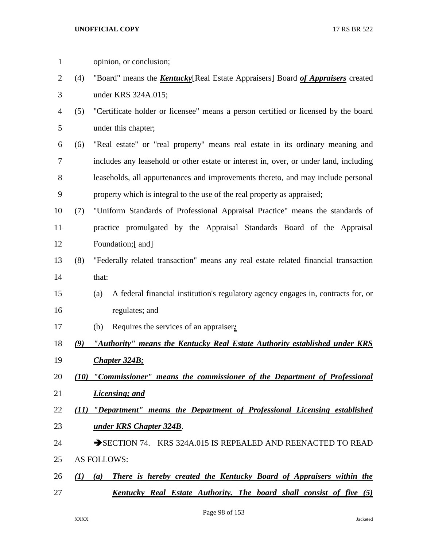| $\mathbf{1}$ |      | opinion, or conclusion;                                                                  |
|--------------|------|------------------------------------------------------------------------------------------|
| 2            | (4)  | "Board" means the <b>Kentucky</b> [Real Estate Appraisers] Board of Appraisers created   |
| 3            |      | under KRS 324A.015;                                                                      |
| 4            | (5)  | "Certificate holder or licensee" means a person certified or licensed by the board       |
| 5            |      | under this chapter;                                                                      |
| 6            | (6)  | "Real estate" or "real property" means real estate in its ordinary meaning and           |
| 7            |      | includes any leasehold or other estate or interest in, over, or under land, including    |
| 8            |      | leaseholds, all appurtenances and improvements thereto, and may include personal         |
| 9            |      | property which is integral to the use of the real property as appraised;                 |
| 10           | (7)  | "Uniform Standards of Professional Appraisal Practice" means the standards of            |
| 11           |      | practice promulgated by the Appraisal Standards Board of the Appraisal                   |
| 12           |      | Foundation; [ and]                                                                       |
| 13           | (8)  | "Federally related transaction" means any real estate related financial transaction      |
| 14           |      | that:                                                                                    |
| 15           |      | A federal financial institution's regulatory agency engages in, contracts for, or<br>(a) |
| 16           |      | regulates; and                                                                           |
| 17           |      | Requires the services of an appraiser.<br>(b)                                            |
| 18           |      | (9) "Authority" means the Kentucky Real Estate Authority established under KRS           |
| 19           |      | <b>Chapter 324B;</b>                                                                     |
| 20           |      | (10) "Commissioner" means the commissioner of the Department of Professional             |
| 21           |      | Licensing; and                                                                           |
| 22           | (11) | "Department" means the Department of Professional Licensing established                  |
| 23           |      | under KRS Chapter 324B.                                                                  |
| 24           |      | SECTION 74. KRS 324A.015 IS REPEALED AND REENACTED TO READ                               |
| 25           |      | <b>AS FOLLOWS:</b>                                                                       |
| 26           | (I)  | There is hereby created the Kentucky Board of Appraisers within the<br>(a)               |
| 27           |      | Kentucky Real Estate Authority. The board shall consist of five (5)                      |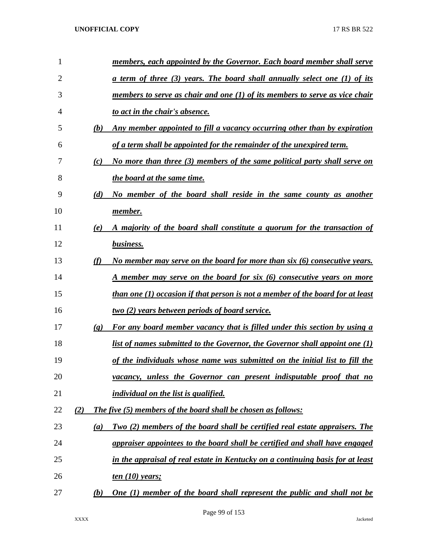| 1              |                          | members, each appointed by the Governor. Each board member shall serve         |
|----------------|--------------------------|--------------------------------------------------------------------------------|
| $\overline{2}$ |                          | a term of three (3) years. The board shall annually select one (1) of its      |
| 3              |                          | members to serve as chair and one $(1)$ of its members to serve as vice chair  |
| 4              |                          | to act in the chair's absence.                                                 |
| 5              | (b)                      | Any member appointed to fill a vacancy occurring other than by expiration      |
| 6              |                          | of a term shall be appointed for the remainder of the unexpired term.          |
| 7              | (c)                      | No more than three (3) members of the same political party shall serve on      |
| 8              |                          | the board at the same time.                                                    |
| 9              | (d)                      | No member of the board shall reside in the same county as another              |
| 10             |                          | member.                                                                        |
| 11             | (e)                      | A majority of the board shall constitute a quorum for the transaction of       |
| 12             |                          | business.                                                                      |
| 13             | (f)                      | No member may serve on the board for more than $s$ ix $(6)$ consecutive years. |
| 14             |                          | A member may serve on the board for six (6) consecutive years on more          |
| 15             |                          | than one (1) occasion if that person is not a member of the board for at least |
| 16             |                          | <u>two (2)</u> years between periods of board service.                         |
| 17             | $\left( \varrho \right)$ | For any board member vacancy that is filled under this section by using a      |
| 18             |                          | list of names submitted to the Governor, the Governor shall appoint one $(1)$  |
| 19             |                          | of the individuals whose name was submitted on the initial list to fill the    |
| 20             |                          | vacancy, unless the Governor can present indisputable proof that no            |
| 21             |                          | individual on the list is qualified.                                           |
| 22             | (2)                      | <b>The five (5) members of the board shall be chosen as follows:</b>           |
| 23             | (a)                      | Two (2) members of the board shall be certified real estate appraisers. The    |
| 24             |                          | appraiser appointees to the board shall be certified and shall have engaged    |
| 25             |                          | in the appraisal of real estate in Kentucky on a continuing basis for at least |
| 26             |                          | <u>ten (10)</u> years;                                                         |
| 27             | (b)                      | <b>One (1) member of the board shall represent the public and shall not be</b> |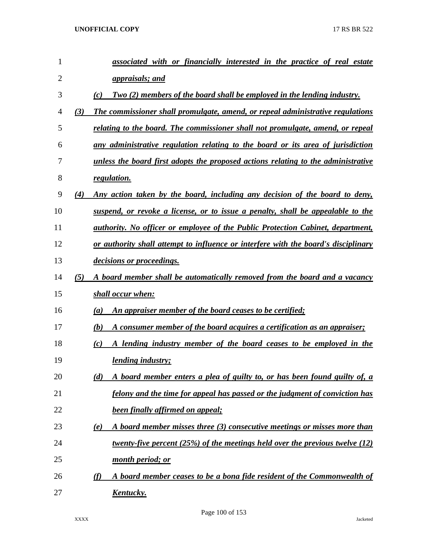| 1  |     | associated with or financially interested in the practice of real estate               |
|----|-----|----------------------------------------------------------------------------------------|
| 2  |     | <u>appraisals; and</u>                                                                 |
| 3  |     | Two (2) members of the board shall be employed in the lending industry.<br>(c)         |
| 4  | (3) | The commissioner shall promulgate, amend, or repeal administrative regulations         |
| 5  |     | relating to the board. The commissioner shall not promulgate, amend, or repeal         |
| 6  |     | any administrative regulation relating to the board or its area of jurisdiction        |
| 7  |     | unless the board first adopts the proposed actions relating to the administrative      |
| 8  |     | regulation.                                                                            |
| 9  | (4) | Any action taken by the board, including any decision of the board to deny,            |
| 10 |     | suspend, or revoke a license, or to issue a penalty, shall be appealable to the        |
| 11 |     | <u>authority. No officer or employee of the Public Protection Cabinet, department,</u> |
| 12 |     | or authority shall attempt to influence or interfere with the board's disciplinary     |
| 13 |     | decisions or proceedings.                                                              |
| 14 | (5) | A board member shall be automatically removed from the board and a vacancy             |
| 15 |     | shall occur when:                                                                      |
| 16 |     | <u>An appraiser member of the board ceases to be certified;</u><br>(a)                 |
| 17 |     | A consumer member of the board acquires a certification as an appraiser;<br>(b)        |
| 18 |     | A lending industry member of the board ceases to be employed in the<br>(c)             |
| 19 |     | <i>lending industry;</i>                                                               |
| 20 |     | A board member enters a plea of guilty to, or has been found guilty of, a<br>(d)       |
| 21 |     | felony and the time for appeal has passed or the judgment of conviction has            |
| 22 |     | <b>been finally affirmed on appeal;</b>                                                |
| 23 |     | A board member misses three (3) consecutive meetings or misses more than<br>(e)        |
| 24 |     | twenty-five percent $(25%)$ of the meetings held over the previous twelve $(12)$       |
| 25 |     | month period; or                                                                       |
| 26 |     | A board member ceases to be a bona fide resident of the Commonwealth of<br>$\varphi$   |
| 27 |     | <u>Kentucky.</u>                                                                       |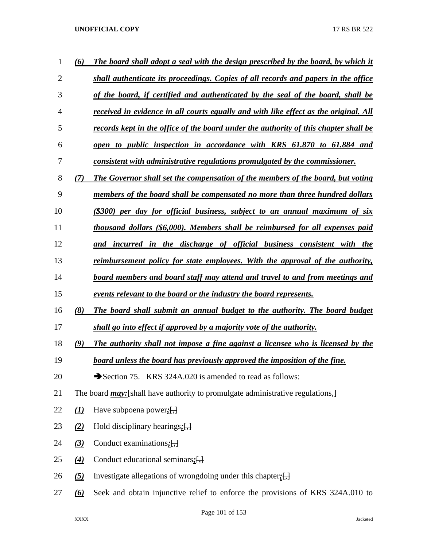| $\mathbf 1$    | (6)                        | The board shall adopt a seal with the design prescribed by the board, by which it       |
|----------------|----------------------------|-----------------------------------------------------------------------------------------|
| $\overline{2}$ |                            | shall authenticate its proceedings. Copies of all records and papers in the office      |
| 3              |                            | of the board, if certified and authenticated by the seal of the board, shall be         |
| 4              |                            | received in evidence in all courts equally and with like effect as the original. All    |
| 5              |                            | records kept in the office of the board under the authority of this chapter shall be    |
| 6              |                            | open to public inspection in accordance with KRS 61.870 to 61.884 and                   |
| 7              |                            | consistent with administrative regulations promulgated by the commissioner.             |
| 8              | (7)                        | The Governor shall set the compensation of the members of the board, but voting         |
| 9              |                            | members of the board shall be compensated no more than three hundred dollars            |
| 10             |                            | (\$300) per day for official business, subject to an annual maximum of six              |
| 11             |                            | thousand dollars (\$6,000). Members shall be reimbursed for all expenses paid           |
| 12             |                            | and incurred in the discharge of official business consistent with the                  |
| 13             |                            | reimbursement policy for state employees. With the approval of the authority,           |
| 14             |                            | board members and board staff may attend and travel to and from meetings and            |
| 15             |                            | events relevant to the board or the industry the board represents.                      |
| 16             | (8)                        | The board shall submit an annual budget to the authority. The board budget              |
| 17             |                            | shall go into effect if approved by a majority vote of the authority.                   |
| 18             | (9)                        | The authority shall not impose a fine against a licensee who is licensed by the         |
| 19             |                            | board unless the board has previously approved the imposition of the fine.              |
| 20             |                            | Section 75. KRS 324A.020 is amended to read as follows:                                 |
| 21             |                            | The board <i>may</i> : [shall have authority to promulgate administrative regulations,] |
| 22             | $\underline{(\mathbf{1})}$ | Have subpoena power: $\left\{\frac{1}{2}\right\}$                                       |
| 23             | (2)                        | Hold disciplinary hearings: $\left\{\frac{1}{2}\right\}$                                |
| 24             | $\underline{32}$           | Conduct examinations: $\left\{\frac{1}{2}\right\}$                                      |
| 25             | $\mathbf{A}$               | Conduct educational seminars $:$ $[$ , $]$                                              |
| 26             | $\left( 5\right)$          | Investigate allegations of wrongdoing under this chapter; $[\cdot]$                     |
| 27             | <u>(6)</u>                 | Seek and obtain injunctive relief to enforce the provisions of KRS 324A.010 to          |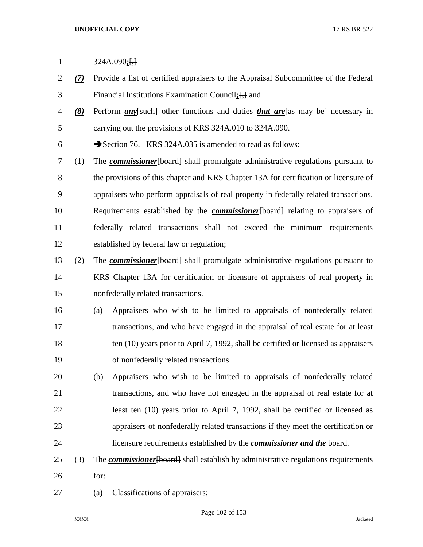- *(7)* Provide a list of certified appraisers to the Appraisal Subcommittee of the Federal Financial Institutions Examination Council*;*[,] and
- *(8)* Perform *any*[such] other functions and duties *that are*[as may be] necessary in carrying out the provisions of KRS 324A.010 to 324A.090.

6 Section 76. KRS 324A.035 is amended to read as follows:

 (1) The *commissioner*[board] shall promulgate administrative regulations pursuant to 8 the provisions of this chapter and KRS Chapter 13A for certification or licensure of appraisers who perform appraisals of real property in federally related transactions. Requirements established by the *commissioner*[board] relating to appraisers of federally related transactions shall not exceed the minimum requirements established by federal law or regulation;

- (2) The *commissioner*[board] shall promulgate administrative regulations pursuant to KRS Chapter 13A for certification or licensure of appraisers of real property in nonfederally related transactions.
- (a) Appraisers who wish to be limited to appraisals of nonfederally related transactions, and who have engaged in the appraisal of real estate for at least ten (10) years prior to April 7, 1992, shall be certified or licensed as appraisers of nonfederally related transactions.
- (b) Appraisers who wish to be limited to appraisals of nonfederally related transactions, and who have not engaged in the appraisal of real estate for at least ten (10) years prior to April 7, 1992, shall be certified or licensed as appraisers of nonfederally related transactions if they meet the certification or licensure requirements established by the *commissioner and the* board.
- 25 (3) The *commissioner* [board] shall establish by administrative regulations requirements for:
- (a) Classifications of appraisers;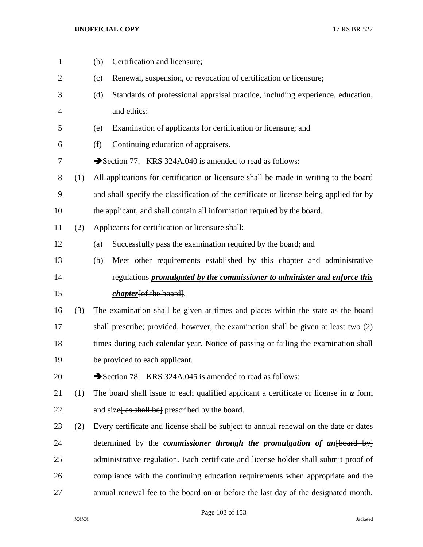| $\mathbf{1}$   |     | Certification and licensure;<br>(b)                                                                |
|----------------|-----|----------------------------------------------------------------------------------------------------|
| $\overline{2}$ |     | Renewal, suspension, or revocation of certification or licensure;<br>(c)                           |
| 3              |     | Standards of professional appraisal practice, including experience, education,<br>(d)              |
| $\overline{4}$ |     | and ethics;                                                                                        |
| 5              |     | Examination of applicants for certification or licensure; and<br>(e)                               |
| 6              |     | (f)<br>Continuing education of appraisers.                                                         |
| 7              |     | Section 77. KRS 324A.040 is amended to read as follows:                                            |
| $8\,$          | (1) | All applications for certification or licensure shall be made in writing to the board              |
| 9              |     | and shall specify the classification of the certificate or license being applied for by            |
| 10             |     | the applicant, and shall contain all information required by the board.                            |
| 11             | (2) | Applicants for certification or licensure shall:                                                   |
| 12             |     | Successfully pass the examination required by the board; and<br>(a)                                |
| 13             |     | Meet other requirements established by this chapter and administrative<br>(b)                      |
| 14             |     | regulations <i>promulgated by the commissioner to administer and enforce this</i>                  |
| 15             |     | <i>chapter</i> [of the board].                                                                     |
| 16             | (3) | The examination shall be given at times and places within the state as the board                   |
| 17             |     | shall prescribe; provided, however, the examination shall be given at least two (2)                |
| 18             |     | times during each calendar year. Notice of passing or failing the examination shall                |
| 19             |     | be provided to each applicant.                                                                     |
| 20             |     | Section 78. KRS 324A.045 is amended to read as follows:                                            |
| 21             | (1) | The board shall issue to each qualified applicant a certificate or license in $\underline{a}$ form |
| 22             |     | and size as shall be prescribed by the board.                                                      |
| 23             | (2) | Every certificate and license shall be subject to annual renewal on the date or dates              |
| 24             |     | determined by the <i>commissioner through the promulgation of an</i> [board by]                    |
| 25             |     | administrative regulation. Each certificate and license holder shall submit proof of               |
| 26             |     | compliance with the continuing education requirements when appropriate and the                     |
| 27             |     | annual renewal fee to the board on or before the last day of the designated month.                 |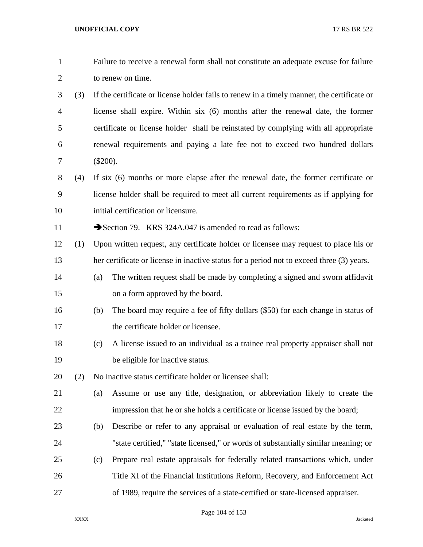| $\mathbf{1}$   |     |                   | Failure to receive a renewal form shall not constitute an adequate excuse for failure      |  |
|----------------|-----|-------------------|--------------------------------------------------------------------------------------------|--|
| $\overline{2}$ |     | to renew on time. |                                                                                            |  |
| 3              | (3) |                   | If the certificate or license holder fails to renew in a timely manner, the certificate or |  |
| 4              |     |                   | license shall expire. Within six (6) months after the renewal date, the former             |  |
| 5              |     |                   | certificate or license holder shall be reinstated by complying with all appropriate        |  |
| 6              |     |                   | renewal requirements and paying a late fee not to exceed two hundred dollars               |  |
| 7              |     | $(\$200).$        |                                                                                            |  |
| 8              | (4) |                   | If six (6) months or more elapse after the renewal date, the former certificate or         |  |
| 9              |     |                   | license holder shall be required to meet all current requirements as if applying for       |  |
| 10             |     |                   | initial certification or licensure.                                                        |  |
| 11             |     |                   | Section 79. KRS 324A.047 is amended to read as follows:                                    |  |
| 12             | (1) |                   | Upon written request, any certificate holder or licensee may request to place his or       |  |
| 13             |     |                   | her certificate or license in inactive status for a period not to exceed three (3) years.  |  |
| 14             |     | (a)               | The written request shall be made by completing a signed and sworn affidavit               |  |
| 15             |     |                   | on a form approved by the board.                                                           |  |
| 16             |     | (b)               | The board may require a fee of fifty dollars (\$50) for each change in status of           |  |
| 17             |     |                   | the certificate holder or licensee.                                                        |  |
| 18             |     | (c)               | A license issued to an individual as a trainee real property appraiser shall not           |  |
| 19             |     |                   | be eligible for inactive status.                                                           |  |
| 20             | (2) |                   | No inactive status certificate holder or licensee shall:                                   |  |
| 21             |     | (a)               | Assume or use any title, designation, or abbreviation likely to create the                 |  |
| 22             |     |                   | impression that he or she holds a certificate or license issued by the board;              |  |
| 23             |     | (b)               | Describe or refer to any appraisal or evaluation of real estate by the term,               |  |
| 24             |     |                   | "state certified," "state licensed," or words of substantially similar meaning; or         |  |
| 25             |     | (c)               | Prepare real estate appraisals for federally related transactions which, under             |  |
| 26             |     |                   | Title XI of the Financial Institutions Reform, Recovery, and Enforcement Act               |  |
| 27             |     |                   | of 1989, require the services of a state-certified or state-licensed appraiser.            |  |

Page 104 of 153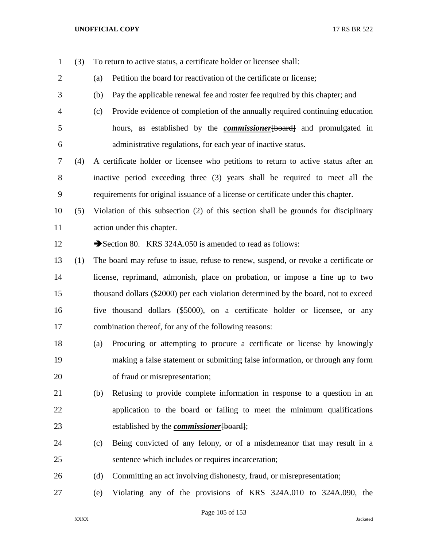(3) To return to active status, a certificate holder or licensee shall:

 (a) Petition the board for reactivation of the certificate or license; (b) Pay the applicable renewal fee and roster fee required by this chapter; and (c) Provide evidence of completion of the annually required continuing education hours, as established by the *commissioner*[board] and promulgated in administrative regulations, for each year of inactive status. (4) A certificate holder or licensee who petitions to return to active status after an inactive period exceeding three (3) years shall be required to meet all the requirements for original issuance of a license or certificate under this chapter. (5) Violation of this subsection (2) of this section shall be grounds for disciplinary action under this chapter. 12 Section 80. KRS 324A.050 is amended to read as follows: (1) The board may refuse to issue, refuse to renew, suspend, or revoke a certificate or license, reprimand, admonish, place on probation, or impose a fine up to two thousand dollars (\$2000) per each violation determined by the board, not to exceed five thousand dollars (\$5000), on a certificate holder or licensee, or any combination thereof, for any of the following reasons: (a) Procuring or attempting to procure a certificate or license by knowingly making a false statement or submitting false information, or through any form of fraud or misrepresentation; (b) Refusing to provide complete information in response to a question in an application to the board or failing to meet the minimum qualifications established by the *commissioner*[board]; (c) Being convicted of any felony, or of a misdemeanor that may result in a sentence which includes or requires incarceration; (d) Committing an act involving dishonesty, fraud, or misrepresentation; (e) Violating any of the provisions of KRS 324A.010 to 324A.090, the

Page 105 of 153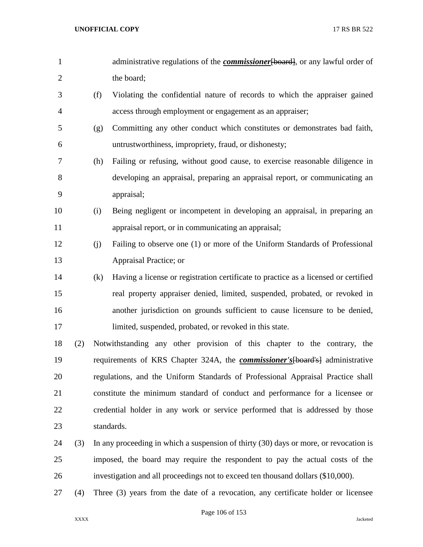| $\mathbf{1}$   |     |     | administrative regulations of the <i>commissioner</i> [board], or any lawful order of       |
|----------------|-----|-----|---------------------------------------------------------------------------------------------|
| $\overline{2}$ |     |     | the board;                                                                                  |
| 3              |     | (f) | Violating the confidential nature of records to which the appraiser gained                  |
| $\overline{4}$ |     |     | access through employment or engagement as an appraiser;                                    |
| 5              |     | (g) | Committing any other conduct which constitutes or demonstrates bad faith,                   |
| 6              |     |     | untrustworthiness, impropriety, fraud, or dishonesty;                                       |
| 7              |     | (h) | Failing or refusing, without good cause, to exercise reasonable diligence in                |
| 8              |     |     | developing an appraisal, preparing an appraisal report, or communicating an                 |
| 9              |     |     | appraisal;                                                                                  |
| 10             |     | (i) | Being negligent or incompetent in developing an appraisal, in preparing an                  |
| 11             |     |     | appraisal report, or in communicating an appraisal;                                         |
| 12             |     | (j) | Failing to observe one (1) or more of the Uniform Standards of Professional                 |
| 13             |     |     | Appraisal Practice; or                                                                      |
| 14             |     | (k) | Having a license or registration certificate to practice as a licensed or certified         |
| 15             |     |     | real property appraiser denied, limited, suspended, probated, or revoked in                 |
| 16             |     |     | another jurisdiction on grounds sufficient to cause licensure to be denied,                 |
| 17             |     |     | limited, suspended, probated, or revoked in this state.                                     |
| 18             | (2) |     | Notwithstanding any other provision of this chapter to the contrary, the                    |
| 19             |     |     | requirements of KRS Chapter 324A, the <b><i>commissioner's</i></b> [board's] administrative |
| 20             |     |     | regulations, and the Uniform Standards of Professional Appraisal Practice shall             |
| 21             |     |     | constitute the minimum standard of conduct and performance for a licensee or                |
| 22             |     |     | credential holder in any work or service performed that is addressed by those               |
| 23             |     |     | standards.                                                                                  |
| 24             | (3) |     | In any proceeding in which a suspension of thirty (30) days or more, or revocation is       |
| 25             |     |     | imposed, the board may require the respondent to pay the actual costs of the                |
| 26             |     |     | investigation and all proceedings not to exceed ten thousand dollars (\$10,000).            |
| 27             | (4) |     | Three (3) years from the date of a revocation, any certificate holder or licensee           |

Page 106 of 153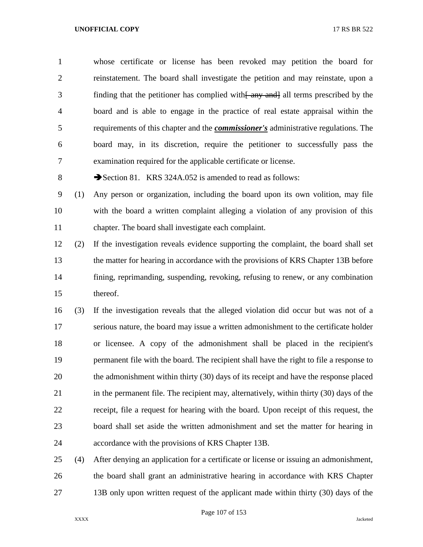whose certificate or license has been revoked may petition the board for reinstatement. The board shall investigate the petition and may reinstate, upon a 3 finding that the petitioner has complied with  $\frac{2}{\text{day}}$  and all terms prescribed by the board and is able to engage in the practice of real estate appraisal within the requirements of this chapter and the *commissioner's* administrative regulations. The board may, in its discretion, require the petitioner to successfully pass the examination required for the applicable certificate or license.

8 Section 81. KRS 324A.052 is amended to read as follows:

 (1) Any person or organization, including the board upon its own volition, may file with the board a written complaint alleging a violation of any provision of this chapter. The board shall investigate each complaint.

 (2) If the investigation reveals evidence supporting the complaint, the board shall set the matter for hearing in accordance with the provisions of KRS Chapter 13B before fining, reprimanding, suspending, revoking, refusing to renew, or any combination thereof.

 (3) If the investigation reveals that the alleged violation did occur but was not of a serious nature, the board may issue a written admonishment to the certificate holder or licensee. A copy of the admonishment shall be placed in the recipient's permanent file with the board. The recipient shall have the right to file a response to the admonishment within thirty (30) days of its receipt and have the response placed in the permanent file. The recipient may, alternatively, within thirty (30) days of the receipt, file a request for hearing with the board. Upon receipt of this request, the board shall set aside the written admonishment and set the matter for hearing in accordance with the provisions of KRS Chapter 13B.

 (4) After denying an application for a certificate or license or issuing an admonishment, the board shall grant an administrative hearing in accordance with KRS Chapter 27 13B only upon written request of the applicant made within thirty (30) days of the

Page 107 of 153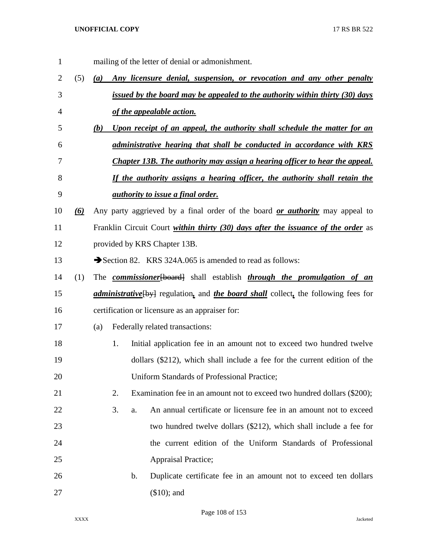mailing of the letter of denial or admonishment. (5) *(a) Any licensure denial, suspension, or revocation and any other penalty issued by the board may be appealed to the authority within thirty (30) days of the appealable action. (b) Upon receipt of an appeal, the authority shall schedule the matter for an administrative hearing that shall be conducted in accordance with KRS Chapter 13B. The authority may assign a hearing officer to hear the appeal. If the authority assigns a hearing officer, the authority shall retain the authority to issue a final order. (6)* Any party aggrieved by a final order of the board *or authority* may appeal to Franklin Circuit Court *within thirty (30) days after the issuance of the order* as provided by KRS Chapter 13B. 13 Section 82. KRS 324A,065 is amended to read as follows: (1) The *commissioner*[board] shall establish *through the promulgation of an administrative*[by] regulation*,* and *the board shall* collect*,* the following fees for certification or licensure as an appraiser for: (a) Federally related transactions: 1. Initial application fee in an amount not to exceed two hundred twelve dollars (\$212), which shall include a fee for the current edition of the Uniform Standards of Professional Practice; 2. Examination fee in an amount not to exceed two hundred dollars (\$200); 3. a. An annual certificate or licensure fee in an amount not to exceed two hundred twelve dollars (\$212), which shall include a fee for the current edition of the Uniform Standards of Professional Appraisal Practice; b. Duplicate certificate fee in an amount not to exceed ten dollars (\$10); and

Page 108 of 153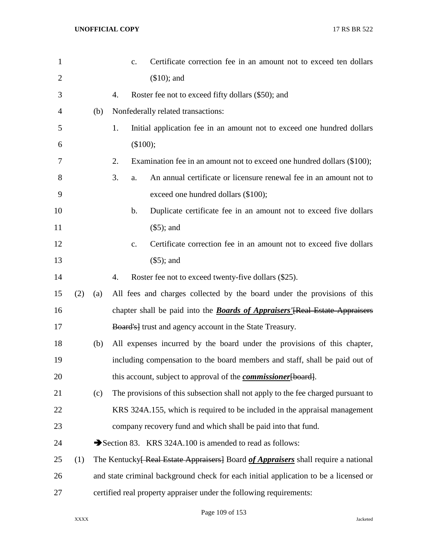| $\mathbf{1}$   |     |     | $\mathbf{c}$ . | Certificate correction fee in an amount not to exceed ten dollars                                     |
|----------------|-----|-----|----------------|-------------------------------------------------------------------------------------------------------|
| $\overline{2}$ |     |     |                | $($10)$ ; and                                                                                         |
| 3              |     |     | 4.             | Roster fee not to exceed fifty dollars (\$50); and                                                    |
| 4              |     | (b) |                | Nonfederally related transactions:                                                                    |
| 5              |     |     | 1.             | Initial application fee in an amount not to exceed one hundred dollars                                |
| 6              |     |     |                | (\$100);                                                                                              |
| 7              |     |     | 2.             | Examination fee in an amount not to exceed one hundred dollars (\$100);                               |
| 8              |     |     | 3.<br>a.       | An annual certificate or licensure renewal fee in an amount not to                                    |
| 9              |     |     |                | exceed one hundred dollars (\$100);                                                                   |
| 10             |     |     | b.             | Duplicate certificate fee in an amount not to exceed five dollars                                     |
| 11             |     |     |                | $(\$5)$ ; and                                                                                         |
| 12             |     |     | $\mathbf{c}$ . | Certificate correction fee in an amount not to exceed five dollars                                    |
| 13             |     |     |                | $(\$5)$ ; and                                                                                         |
| 14             |     |     | 4.             | Roster fee not to exceed twenty-five dollars (\$25).                                                  |
| 15             | (2) | (a) |                | All fees and charges collected by the board under the provisions of this                              |
| 16             |     |     |                | chapter shall be paid into the <b>Boards of Appraisers</b> '[Real Estate Appraisers]                  |
| 17             |     |     |                | <b>Board's</b> trust and agency account in the State Treasury.                                        |
| 18             |     | (b) |                | All expenses incurred by the board under the provisions of this chapter,                              |
| 19             |     |     |                | including compensation to the board members and staff, shall be paid out of                           |
| 20             |     |     |                | this account, subject to approval of the <i>commissioner</i> [board].                                 |
| 21             |     | (c) |                | The provisions of this subsection shall not apply to the fee charged pursuant to                      |
| 22             |     |     |                | KRS 324A.155, which is required to be included in the appraisal management                            |
| 23             |     |     |                | company recovery fund and which shall be paid into that fund.                                         |
| 24             |     |     |                | Section 83. KRS 324A.100 is amended to read as follows:                                               |
| 25             | (1) |     |                | The Kentucky <del>[ Real Estate Appraisers]</del> Board <i>of Appraisers</i> shall require a national |
| 26             |     |     |                | and state criminal background check for each initial application to be a licensed or                  |
| 27             |     |     |                | certified real property appraiser under the following requirements:                                   |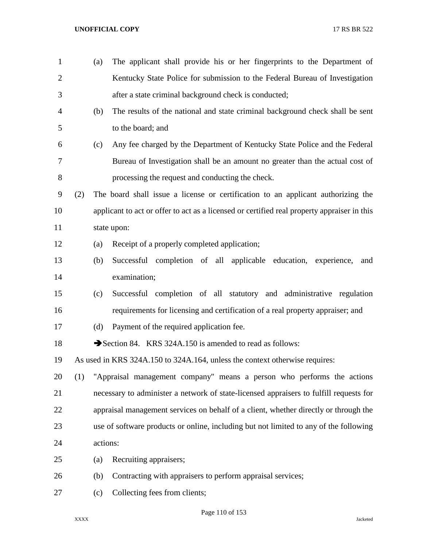(a) The applicant shall provide his or her fingerprints to the Department of Kentucky State Police for submission to the Federal Bureau of Investigation after a state criminal background check is conducted; (b) The results of the national and state criminal background check shall be sent to the board; and (c) Any fee charged by the Department of Kentucky State Police and the Federal Bureau of Investigation shall be an amount no greater than the actual cost of processing the request and conducting the check. (2) The board shall issue a license or certification to an applicant authorizing the applicant to act or offer to act as a licensed or certified real property appraiser in this state upon: (a) Receipt of a properly completed application; (b) Successful completion of all applicable education, experience, and examination; (c) Successful completion of all statutory and administrative regulation requirements for licensing and certification of a real property appraiser; and (d) Payment of the required application fee. 18 Section 84. KRS 324A.150 is amended to read as follows: As used in KRS 324A.150 to 324A.164, unless the context otherwise requires: (1) "Appraisal management company" means a person who performs the actions necessary to administer a network of state-licensed appraisers to fulfill requests for appraisal management services on behalf of a client, whether directly or through the use of software products or online, including but not limited to any of the following actions: (a) Recruiting appraisers; (b) Contracting with appraisers to perform appraisal services; 27 (c) Collecting fees from clients;

Page 110 of 153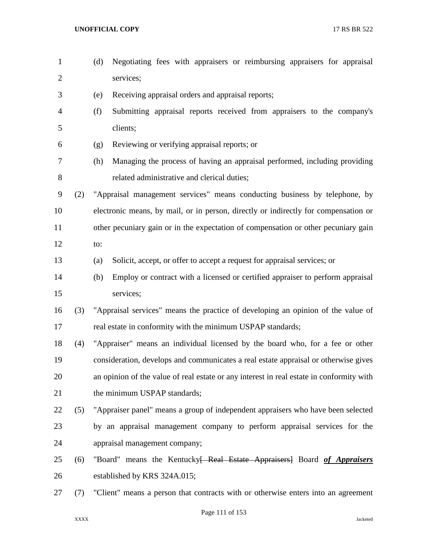- (d) Negotiating fees with appraisers or reimbursing appraisers for appraisal services;
- (e) Receiving appraisal orders and appraisal reports;
- (f) Submitting appraisal reports received from appraisers to the company's clients;
- (g) Reviewing or verifying appraisal reports; or
- (h) Managing the process of having an appraisal performed, including providing related administrative and clerical duties;

 (2) "Appraisal management services" means conducting business by telephone, by electronic means, by mail, or in person, directly or indirectly for compensation or 11 other pecuniary gain or in the expectation of compensation or other pecuniary gain

- to:
- (a) Solicit, accept, or offer to accept a request for appraisal services; or
- (b) Employ or contract with a licensed or certified appraiser to perform appraisal services;
- (3) "Appraisal services" means the practice of developing an opinion of the value of real estate in conformity with the minimum USPAP standards;

 (4) "Appraiser" means an individual licensed by the board who, for a fee or other consideration, develops and communicates a real estate appraisal or otherwise gives an opinion of the value of real estate or any interest in real estate in conformity with 21 the minimum USPAP standards;

- (5) "Appraiser panel" means a group of independent appraisers who have been selected by an appraisal management company to perform appraisal services for the appraisal management company;
- (6) "Board" means the Kentucky[ Real Estate Appraisers] Board *of Appraisers* established by KRS 324A.015;
- (7) "Client" means a person that contracts with or otherwise enters into an agreement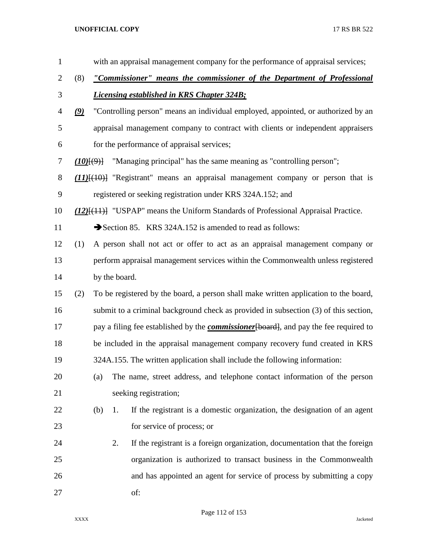| $\mathbf{1}$   |               |         |               | with an appraisal management company for the performance of appraisal services;                     |
|----------------|---------------|---------|---------------|-----------------------------------------------------------------------------------------------------|
| $\overline{2}$ | (8)           |         |               | "Commissioner" means the commissioner of the Department of Professional                             |
| 3              |               |         |               | <b>Licensing established in KRS Chapter 324B;</b>                                                   |
| 4              | $\mathcal{Q}$ |         |               | "Controlling person" means an individual employed, appointed, or authorized by an                   |
| 5              |               |         |               | appraisal management company to contract with clients or independent appraisers                     |
| 6              |               |         |               | for the performance of appraisal services;                                                          |
| 7              |               | (10)(9) |               | "Managing principal" has the same meaning as "controlling person";                                  |
| 8              |               |         |               | $(11)$ [ $(10)$ ] "Registrant" means an appraisal management company or person that is              |
| 9              |               |         |               | registered or seeking registration under KRS 324A.152; and                                          |
| 10             |               |         |               | $(12)$ [ $(11)$ ] "USPAP" means the Uniform Standards of Professional Appraisal Practice.           |
| 11             |               |         |               | Section 85. KRS 324A.152 is amended to read as follows:                                             |
| 12             | (1)           |         |               | A person shall not act or offer to act as an appraisal management company or                        |
| 13             |               |         |               | perform appraisal management services within the Commonwealth unless registered                     |
| 14             |               |         | by the board. |                                                                                                     |
| 15             | (2)           |         |               | To be registered by the board, a person shall make written application to the board,                |
| 16             |               |         |               | submit to a criminal background check as provided in subsection (3) of this section,                |
| 17             |               |         |               | pay a filing fee established by the <b><i>commissioner</i></b> [board], and pay the fee required to |
| 18             |               |         |               | be included in the appraisal management company recovery fund created in KRS                        |
| 19             |               |         |               | 324A.155. The written application shall include the following information:                          |
| 20             |               | (a)     |               | The name, street address, and telephone contact information of the person                           |
| 21             |               |         |               | seeking registration;                                                                               |
| 22             |               | (b)     | 1.            | If the registrant is a domestic organization, the designation of an agent                           |
| 23             |               |         |               | for service of process; or                                                                          |
| 24             |               |         | 2.            | If the registrant is a foreign organization, documentation that the foreign                         |
| 25             |               |         |               | organization is authorized to transact business in the Commonwealth                                 |
| 26             |               |         |               | and has appointed an agent for service of process by submitting a copy                              |
| 27             |               |         |               | of:                                                                                                 |

Page 112 of 153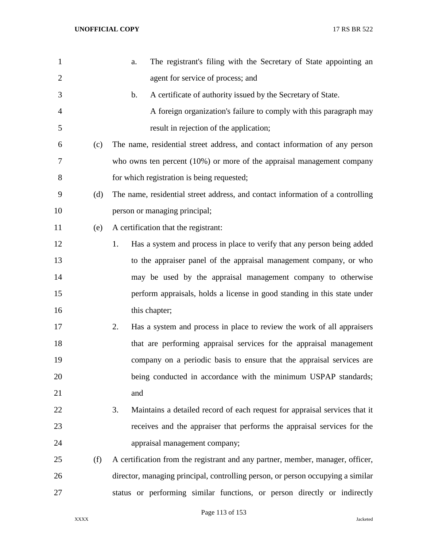| 1              |     | The registrant's filing with the Secretary of State appointing an<br>a.          |
|----------------|-----|----------------------------------------------------------------------------------|
| $\overline{2}$ |     | agent for service of process; and                                                |
| 3              |     | A certificate of authority issued by the Secretary of State.<br>$\mathbf b$ .    |
| 4              |     | A foreign organization's failure to comply with this paragraph may               |
| 5              |     | result in rejection of the application;                                          |
| 6              | (c) | The name, residential street address, and contact information of any person      |
| 7              |     | who owns ten percent $(10\%)$ or more of the appraisal management company        |
| 8              |     | for which registration is being requested;                                       |
| 9              | (d) | The name, residential street address, and contact information of a controlling   |
| 10             |     | person or managing principal;                                                    |
| 11             | (e) | A certification that the registrant:                                             |
| 12             |     | Has a system and process in place to verify that any person being added<br>1.    |
| 13             |     | to the appraiser panel of the appraisal management company, or who               |
| 14             |     | may be used by the appraisal management company to otherwise                     |
| 15             |     | perform appraisals, holds a license in good standing in this state under         |
| 16             |     | this chapter;                                                                    |
| 17             |     | 2.<br>Has a system and process in place to review the work of all appraisers     |
| 18             |     | that are performing appraisal services for the appraisal management              |
| 19             |     | company on a periodic basis to ensure that the appraisal services are            |
| 20             |     | being conducted in accordance with the minimum USPAP standards;                  |
| 21             |     | and                                                                              |
| 22             |     | Maintains a detailed record of each request for appraisal services that it<br>3. |
| 23             |     | receives and the appraiser that performs the appraisal services for the          |
| 24             |     | appraisal management company;                                                    |
| 25             | (f) | A certification from the registrant and any partner, member, manager, officer,   |
| 26             |     | director, managing principal, controlling person, or person occupying a similar  |
| 27             |     | status or performing similar functions, or person directly or indirectly         |

Page 113 of 153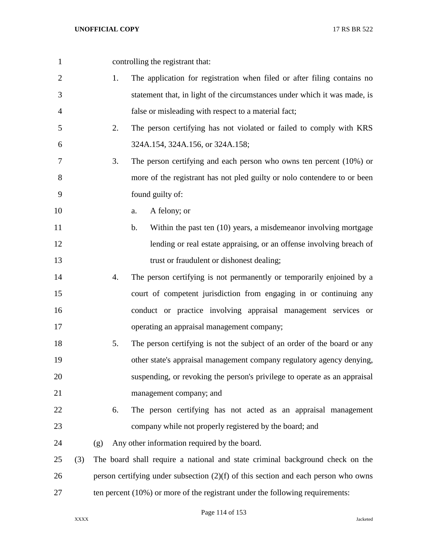| $\mathbf{1}$ |     |     | controlling the registrant that:                                                     |
|--------------|-----|-----|--------------------------------------------------------------------------------------|
| $\mathbf{2}$ |     | 1.  | The application for registration when filed or after filing contains no              |
| 3            |     |     | statement that, in light of the circumstances under which it was made, is            |
| 4            |     |     | false or misleading with respect to a material fact;                                 |
| 5            |     | 2.  | The person certifying has not violated or failed to comply with KRS                  |
| 6            |     |     | 324A.154, 324A.156, or 324A.158;                                                     |
| $\tau$       |     | 3.  | The person certifying and each person who owns ten percent $(10\%)$ or               |
| 8            |     |     | more of the registrant has not pled guilty or nolo contendere to or been             |
| 9            |     |     | found guilty of:                                                                     |
| 10           |     |     | A felony; or<br>a.                                                                   |
| 11           |     |     | Within the past ten (10) years, a misdemeanor involving mortgage<br>$\mathbf b$ .    |
| 12           |     |     | lending or real estate appraising, or an offense involving breach of                 |
| 13           |     |     | trust or fraudulent or dishonest dealing;                                            |
| 14           |     | 4.  | The person certifying is not permanently or temporarily enjoined by a                |
| 15           |     |     | court of competent jurisdiction from engaging in or continuing any                   |
| 16           |     |     | conduct or practice involving appraisal management services or                       |
| 17           |     |     | operating an appraisal management company;                                           |
| 18           |     | 5.  | The person certifying is not the subject of an order of the board or any             |
| 19           |     |     | other state's appraisal management company regulatory agency denying,                |
| 20           |     |     | suspending, or revoking the person's privilege to operate as an appraisal            |
| 21           |     |     | management company; and                                                              |
| 22           |     | 6.  | The person certifying has not acted as an appraisal management                       |
| 23           |     |     | company while not properly registered by the board; and                              |
| 24           |     | (g) | Any other information required by the board.                                         |
| 25           | (3) |     | The board shall require a national and state criminal background check on the        |
| 26           |     |     | person certifying under subsection $(2)(f)$ of this section and each person who owns |
| 27           |     |     | ten percent $(10\%)$ or more of the registrant under the following requirements:     |

Page 114 of 153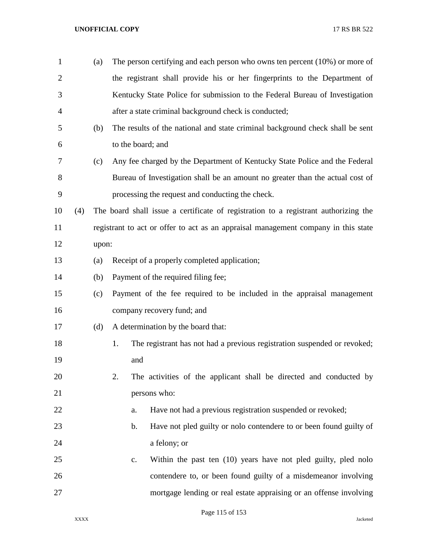| $\mathbf{1}$   |     | (a)   | The person certifying and each person who owns ten percent $(10\%)$ or more of      |
|----------------|-----|-------|-------------------------------------------------------------------------------------|
| $\overline{2}$ |     |       | the registrant shall provide his or her fingerprints to the Department of           |
| 3              |     |       | Kentucky State Police for submission to the Federal Bureau of Investigation         |
| 4              |     |       | after a state criminal background check is conducted;                               |
| 5              |     | (b)   | The results of the national and state criminal background check shall be sent       |
| 6              |     |       | to the board; and                                                                   |
| 7              |     | (c)   | Any fee charged by the Department of Kentucky State Police and the Federal          |
| 8              |     |       | Bureau of Investigation shall be an amount no greater than the actual cost of       |
| 9              |     |       | processing the request and conducting the check.                                    |
| 10             | (4) |       | The board shall issue a certificate of registration to a registrant authorizing the |
| 11             |     |       | registrant to act or offer to act as an appraisal management company in this state  |
| 12             |     | upon: |                                                                                     |
| 13             |     | (a)   | Receipt of a properly completed application;                                        |
| 14             |     | (b)   | Payment of the required filing fee;                                                 |
| 15             |     | (c)   | Payment of the fee required to be included in the appraisal management              |
| 16             |     |       | company recovery fund; and                                                          |
| 17             |     | (d)   | A determination by the board that:                                                  |
| 18             |     |       | 1.<br>The registrant has not had a previous registration suspended or revoked;      |
| 19             |     |       | and                                                                                 |
| 20             |     |       | 2.<br>The activities of the applicant shall be directed and conducted by            |
| 21             |     |       | persons who:                                                                        |
| 22             |     |       | Have not had a previous registration suspended or revoked;<br>a.                    |
| 23             |     |       | Have not pled guilty or nolo contendere to or been found guilty of<br>b.            |
| 24             |     |       | a felony; or                                                                        |
| 25             |     |       | Within the past ten (10) years have not pled guilty, pled nolo<br>$\mathbf{c}$ .    |
| 26             |     |       | contendere to, or been found guilty of a misdemeanor involving                      |
| 27             |     |       | mortgage lending or real estate appraising or an offense involving                  |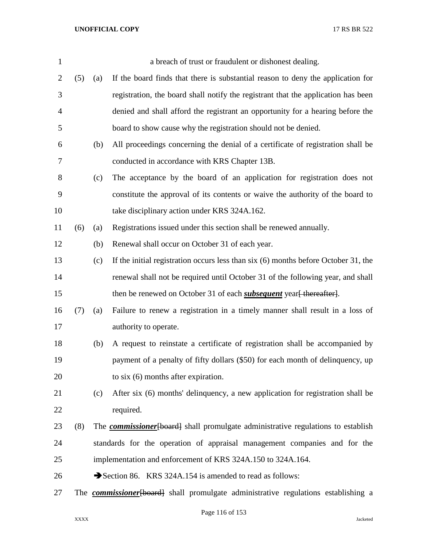| $\mathbf{1}$   |     |     | a breach of trust or fraudulent or dishonest dealing.                                      |
|----------------|-----|-----|--------------------------------------------------------------------------------------------|
| $\overline{2}$ | (5) | (a) | If the board finds that there is substantial reason to deny the application for            |
| 3              |     |     | registration, the board shall notify the registrant that the application has been          |
| $\overline{4}$ |     |     | denied and shall afford the registrant an opportunity for a hearing before the             |
| 5              |     |     | board to show cause why the registration should not be denied.                             |
| 6              |     | (b) | All proceedings concerning the denial of a certificate of registration shall be            |
| 7              |     |     | conducted in accordance with KRS Chapter 13B.                                              |
| 8              |     | (c) | The acceptance by the board of an application for registration does not                    |
| 9              |     |     | constitute the approval of its contents or waive the authority of the board to             |
| 10             |     |     | take disciplinary action under KRS 324A.162.                                               |
| 11             | (6) | (a) | Registrations issued under this section shall be renewed annually.                         |
| 12             |     | (b) | Renewal shall occur on October 31 of each year.                                            |
| 13             |     | (c) | If the initial registration occurs less than $six(6)$ months before October 31, the        |
| 14             |     |     | renewal shall not be required until October 31 of the following year, and shall            |
| 15             |     |     | then be renewed on October 31 of each <i>subsequent</i> year <del>[thereafter]</del> .     |
| 16             | (7) | (a) | Failure to renew a registration in a timely manner shall result in a loss of               |
| 17             |     |     | authority to operate.                                                                      |
| 18             |     | (b) | A request to reinstate a certificate of registration shall be accompanied by               |
| 19             |     |     | payment of a penalty of fifty dollars (\$50) for each month of delinquency, up             |
| 20             |     |     | to six $(6)$ months after expiration.                                                      |
| 21             |     | (c) | After six (6) months' delinquency, a new application for registration shall be             |
| 22             |     |     | required.                                                                                  |
| 23             | (8) |     | The <b>commissioner</b> [board] shall promulgate administrative regulations to establish   |
| 24             |     |     | standards for the operation of appraisal management companies and for the                  |
| 25             |     |     | implementation and enforcement of KRS 324A.150 to 324A.164.                                |
| 26             |     |     | Section 86. KRS 324A.154 is amended to read as follows:                                    |
| 27             |     |     | The <b>commissioner</b> [board] shall promulgate administrative regulations establishing a |

Page 116 of 153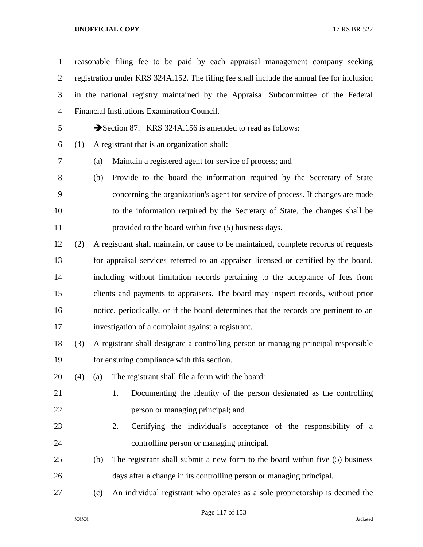reasonable filing fee to be paid by each appraisal management company seeking registration under KRS 324A.152. The filing fee shall include the annual fee for inclusion in the national registry maintained by the Appraisal Subcommittee of the Federal Financial Institutions Examination Council.

5 Section 87. KRS 324A.156 is amended to read as follows:

- (1) A registrant that is an organization shall:
- 

(a) Maintain a registered agent for service of process; and

- (b) Provide to the board the information required by the Secretary of State concerning the organization's agent for service of process. If changes are made to the information required by the Secretary of State, the changes shall be provided to the board within five (5) business days.
- (2) A registrant shall maintain, or cause to be maintained, complete records of requests for appraisal services referred to an appraiser licensed or certified by the board, including without limitation records pertaining to the acceptance of fees from clients and payments to appraisers. The board may inspect records, without prior notice, periodically, or if the board determines that the records are pertinent to an investigation of a complaint against a registrant.
- (3) A registrant shall designate a controlling person or managing principal responsible for ensuring compliance with this section.
- (4) (a) The registrant shall file a form with the board:
- 1. Documenting the identity of the person designated as the controlling **person or managing principal; and**
- 2. Certifying the individual's acceptance of the responsibility of a controlling person or managing principal.
- (b) The registrant shall submit a new form to the board within five (5) business days after a change in its controlling person or managing principal.
- (c) An individual registrant who operates as a sole proprietorship is deemed the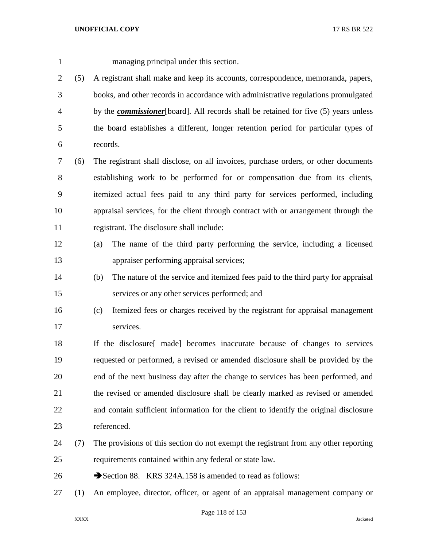managing principal under this section.

 (5) A registrant shall make and keep its accounts, correspondence, memoranda, papers, books, and other records in accordance with administrative regulations promulgated

 by the *commissioner*[board]. All records shall be retained for five (5) years unless the board establishes a different, longer retention period for particular types of records.

 (6) The registrant shall disclose, on all invoices, purchase orders, or other documents establishing work to be performed for or compensation due from its clients, itemized actual fees paid to any third party for services performed, including appraisal services, for the client through contract with or arrangement through the registrant. The disclosure shall include:

- (a) The name of the third party performing the service, including a licensed appraiser performing appraisal services;
- (b) The nature of the service and itemized fees paid to the third party for appraisal services or any other services performed; and
- (c) Itemized fees or charges received by the registrant for appraisal management services.

18 If the disclosure f made becomes inaccurate because of changes to services requested or performed, a revised or amended disclosure shall be provided by the end of the next business day after the change to services has been performed, and the revised or amended disclosure shall be clearly marked as revised or amended and contain sufficient information for the client to identify the original disclosure referenced.

- (7) The provisions of this section do not exempt the registrant from any other reporting requirements contained within any federal or state law.
- 26 Section 88. KRS 324A.158 is amended to read as follows:
- (1) An employee, director, officer, or agent of an appraisal management company or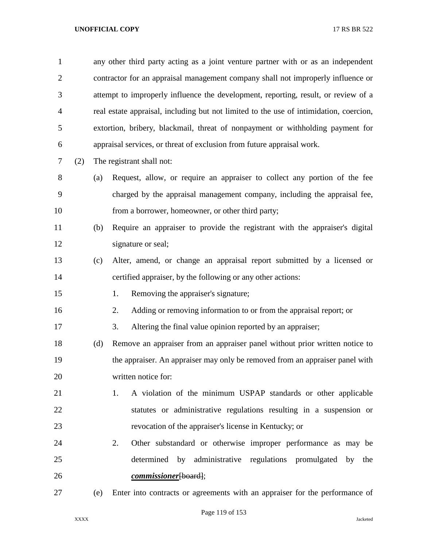| $\mathbf{1}$   |     |     | any other third party acting as a joint venture partner with or as an independent      |
|----------------|-----|-----|----------------------------------------------------------------------------------------|
| $\overline{2}$ |     |     | contractor for an appraisal management company shall not improperly influence or       |
| 3              |     |     | attempt to improperly influence the development, reporting, result, or review of a     |
| 4              |     |     | real estate appraisal, including but not limited to the use of intimidation, coercion, |
| 5              |     |     | extortion, bribery, blackmail, threat of nonpayment or withholding payment for         |
| 6              |     |     | appraisal services, or threat of exclusion from future appraisal work.                 |
| 7              | (2) |     | The registrant shall not:                                                              |
| 8              |     | (a) | Request, allow, or require an appraiser to collect any portion of the fee              |
| 9              |     |     | charged by the appraisal management company, including the appraisal fee,              |
| 10             |     |     | from a borrower, homeowner, or other third party;                                      |
| 11             |     | (b) | Require an appraiser to provide the registrant with the appraiser's digital            |
| 12             |     |     | signature or seal;                                                                     |
| 13             |     | (c) | Alter, amend, or change an appraisal report submitted by a licensed or                 |
| 14             |     |     | certified appraiser, by the following or any other actions:                            |
| 15             |     |     | 1.<br>Removing the appraiser's signature;                                              |
| 16             |     |     | Adding or removing information to or from the appraisal report; or<br>2.               |
| 17             |     |     | 3.<br>Altering the final value opinion reported by an appraiser;                       |
| 18             |     | (d) | Remove an appraiser from an appraiser panel without prior written notice to            |
| 19             |     |     | the appraiser. An appraiser may only be removed from an appraiser panel with           |
| 20             |     |     | written notice for:                                                                    |
| 21             |     |     | A violation of the minimum USPAP standards or other applicable<br>1.                   |
| 22             |     |     | statutes or administrative regulations resulting in a suspension or                    |
| 23             |     |     | revocation of the appraiser's license in Kentucky; or                                  |
| 24             |     |     | Other substandard or otherwise improper performance as may be<br>2.                    |
| 25             |     |     | determined by administrative regulations promulgated by the                            |
| 26             |     |     | commissioner[board];                                                                   |
| 27             |     | (e) | Enter into contracts or agreements with an appraiser for the performance of            |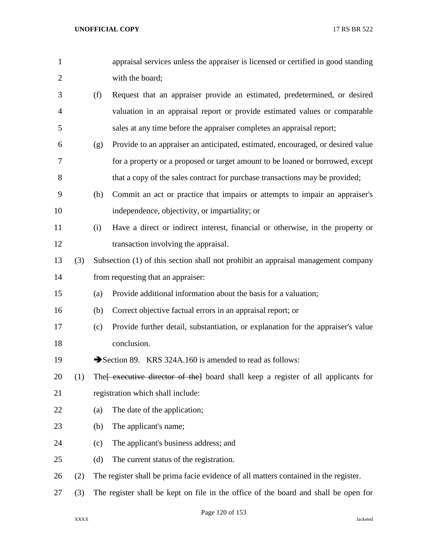| $\mathbf{1}$   |     |     | appraisal services unless the appraiser is licensed or certified in good standing    |
|----------------|-----|-----|--------------------------------------------------------------------------------------|
| $\overline{c}$ |     |     | with the board;                                                                      |
| 3              |     | (f) | Request that an appraiser provide an estimated, predetermined, or desired            |
| 4              |     |     | valuation in an appraisal report or provide estimated values or comparable           |
| 5              |     |     | sales at any time before the appraiser completes an appraisal report;                |
| 6              |     | (g) | Provide to an appraiser an anticipated, estimated, encouraged, or desired value      |
| 7              |     |     | for a property or a proposed or target amount to be loaned or borrowed, except       |
| 8              |     |     | that a copy of the sales contract for purchase transactions may be provided;         |
| 9              |     | (h) | Commit an act or practice that impairs or attempts to impair an appraiser's          |
| 10             |     |     | independence, objectivity, or impartiality; or                                       |
| 11             |     | (i) | Have a direct or indirect interest, financial or otherwise, in the property or       |
| 12             |     |     | transaction involving the appraisal.                                                 |
| 13             | (3) |     | Subsection (1) of this section shall not prohibit an appraisal management company    |
| 14             |     |     | from requesting that an appraiser:                                                   |
| 15             |     | (a) | Provide additional information about the basis for a valuation;                      |
| 16             |     | (b) | Correct objective factual errors in an appraisal report; or                          |
| 17             |     | (c) | Provide further detail, substantiation, or explanation for the appraiser's value     |
| 18             |     |     | conclusion.                                                                          |
| 19             |     |     | Section 89. KRS 324A.160 is amended to read as follows:                              |
| 20             | (1) |     | The executive director of the board shall keep a register of all applicants for      |
| 21             |     |     | registration which shall include:                                                    |
| 22             |     | (a) | The date of the application;                                                         |
| 23             |     | (b) | The applicant's name;                                                                |
| 24             |     | (c) | The applicant's business address; and                                                |
| 25             |     | (d) | The current status of the registration.                                              |
| 26             | (2) |     | The register shall be prima facie evidence of all matters contained in the register. |
| 27             | (3) |     | The register shall be kept on file in the office of the board and shall be open for  |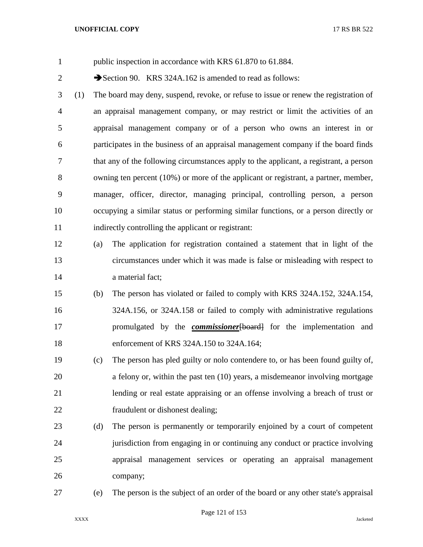- public inspection in accordance with KRS 61.870 to 61.884. 2 Section 90. KRS 324A.162 is amended to read as follows: (1) The board may deny, suspend, revoke, or refuse to issue or renew the registration of an appraisal management company, or may restrict or limit the activities of an appraisal management company or of a person who owns an interest in or participates in the business of an appraisal management company if the board finds that any of the following circumstances apply to the applicant, a registrant, a person owning ten percent (10%) or more of the applicant or registrant, a partner, member, manager, officer, director, managing principal, controlling person, a person occupying a similar status or performing similar functions, or a person directly or indirectly controlling the applicant or registrant: (a) The application for registration contained a statement that in light of the circumstances under which it was made is false or misleading with respect to **a** material fact; (b) The person has violated or failed to comply with KRS 324A.152, 324A.154, 324A.156, or 324A.158 or failed to comply with administrative regulations promulgated by the *commissioner*[board] for the implementation and enforcement of KRS 324A.150 to 324A.164; (c) The person has pled guilty or nolo contendere to, or has been found guilty of, a felony or, within the past ten (10) years, a misdemeanor involving mortgage lending or real estate appraising or an offense involving a breach of trust or fraudulent or dishonest dealing; (d) The person is permanently or temporarily enjoined by a court of competent jurisdiction from engaging in or continuing any conduct or practice involving appraisal management services or operating an appraisal management
- company;
- 

(e) The person is the subject of an order of the board or any other state's appraisal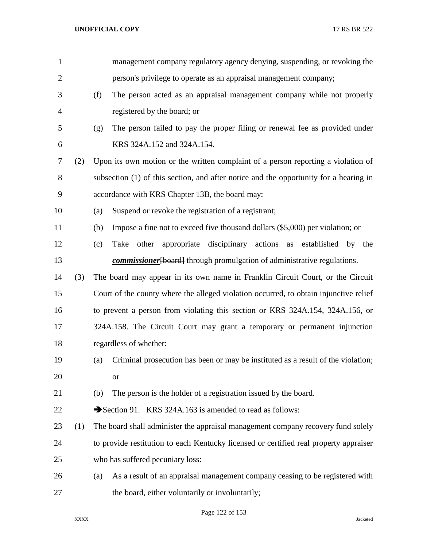| $\mathbf{1}$   |     |     | management company regulatory agency denying, suspending, or revoking the             |
|----------------|-----|-----|---------------------------------------------------------------------------------------|
| $\overline{2}$ |     |     | person's privilege to operate as an appraisal management company;                     |
| 3              |     | (f) | The person acted as an appraisal management company while not properly                |
| 4              |     |     | registered by the board; or                                                           |
| 5              |     | (g) | The person failed to pay the proper filing or renewal fee as provided under           |
| 6              |     |     | KRS 324A.152 and 324A.154.                                                            |
| 7              | (2) |     | Upon its own motion or the written complaint of a person reporting a violation of     |
| 8              |     |     | subsection (1) of this section, and after notice and the opportunity for a hearing in |
| 9              |     |     | accordance with KRS Chapter 13B, the board may:                                       |
| 10             |     | (a) | Suspend or revoke the registration of a registrant;                                   |
| 11             |     | (b) | Impose a fine not to exceed five thousand dollars (\$5,000) per violation; or         |
| 12             |     | (c) | Take other appropriate disciplinary actions as established by the                     |
| 13             |     |     | <i>commissioner</i> [board] through promulgation of administrative regulations.       |
| 14             | (3) |     | The board may appear in its own name in Franklin Circuit Court, or the Circuit        |
| 15             |     |     | Court of the county where the alleged violation occurred, to obtain injunctive relief |
| 16             |     |     | to prevent a person from violating this section or KRS 324A.154, 324A.156, or         |
| 17             |     |     | 324A.158. The Circuit Court may grant a temporary or permanent injunction             |
| 18             |     |     | regardless of whether:                                                                |
| 19             |     | (a) | Criminal prosecution has been or may be instituted as a result of the violation;      |
| 20             |     |     | <b>or</b>                                                                             |
| 21             |     | (b) | The person is the holder of a registration issued by the board.                       |
| 22             |     |     | Section 91. KRS 324A.163 is amended to read as follows:                               |
| 23             | (1) |     | The board shall administer the appraisal management company recovery fund solely      |
| 24             |     |     | to provide restitution to each Kentucky licensed or certified real property appraiser |
| 25             |     |     | who has suffered pecuniary loss:                                                      |
| 26             |     | (a) | As a result of an appraisal management company ceasing to be registered with          |
| 27             |     |     | the board, either voluntarily or involuntarily;                                       |

Page 122 of 153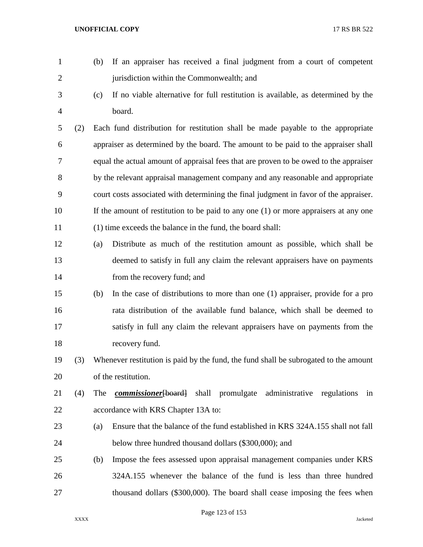| $\mathbf{1}$   |     | (b) | If an appraiser has received a final judgment from a court of competent                |
|----------------|-----|-----|----------------------------------------------------------------------------------------|
| $\mathbf{2}$   |     |     | jurisdiction within the Commonwealth; and                                              |
| $\mathfrak{Z}$ |     | (c) | If no viable alternative for full restitution is available, as determined by the       |
| $\overline{4}$ |     |     | board.                                                                                 |
| 5              | (2) |     | Each fund distribution for restitution shall be made payable to the appropriate        |
| 6              |     |     | appraiser as determined by the board. The amount to be paid to the appraiser shall     |
| 7              |     |     | equal the actual amount of appraisal fees that are proven to be owed to the appraiser  |
| 8              |     |     | by the relevant appraisal management company and any reasonable and appropriate        |
| 9              |     |     | court costs associated with determining the final judgment in favor of the appraiser.  |
| 10             |     |     | If the amount of restitution to be paid to any one $(1)$ or more appraisers at any one |
| 11             |     |     | (1) time exceeds the balance in the fund, the board shall:                             |
| 12             |     | (a) | Distribute as much of the restitution amount as possible, which shall be               |
| 13             |     |     | deemed to satisfy in full any claim the relevant appraisers have on payments           |
| 14             |     |     | from the recovery fund; and                                                            |
| 15             |     | (b) | In the case of distributions to more than one (1) appraiser, provide for a pro         |
| 16             |     |     | rata distribution of the available fund balance, which shall be deemed to              |
| 17             |     |     | satisfy in full any claim the relevant appraisers have on payments from the            |
| 18             |     |     | recovery fund.                                                                         |
| 19             | (3) |     | Whenever restitution is paid by the fund, the fund shall be subrogated to the amount   |
| 20             |     |     | of the restitution.                                                                    |
| 21             | (4) | The | <i>commissioner</i> [board] shall promulgate<br>administrative regulations<br>in       |
| 22             |     |     | accordance with KRS Chapter 13A to:                                                    |
| 23             |     | (a) | Ensure that the balance of the fund established in KRS 324A.155 shall not fall         |
| 24             |     |     | below three hundred thousand dollars (\$300,000); and                                  |
| 25             |     | (b) | Impose the fees assessed upon appraisal management companies under KRS                 |
| 26             |     |     | 324A.155 whenever the balance of the fund is less than three hundred                   |
| 27             |     |     | thousand dollars (\$300,000). The board shall cease imposing the fees when             |

Page 123 of 153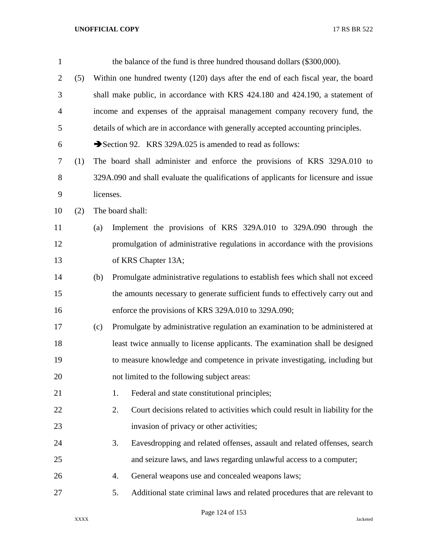| $\mathbf{1}$   |     |           | the balance of the fund is three hundred thousand dollars (\$300,000).               |
|----------------|-----|-----------|--------------------------------------------------------------------------------------|
| $\overline{2}$ | (5) |           | Within one hundred twenty (120) days after the end of each fiscal year, the board    |
| 3              |     |           | shall make public, in accordance with KRS 424.180 and 424.190, a statement of        |
| $\overline{4}$ |     |           | income and expenses of the appraisal management company recovery fund, the           |
| 5              |     |           | details of which are in accordance with generally accepted accounting principles.    |
| 6              |     |           | Section 92. KRS 329A.025 is amended to read as follows:                              |
| 7              | (1) |           | The board shall administer and enforce the provisions of KRS 329A.010 to             |
| 8              |     |           | 329A.090 and shall evaluate the qualifications of applicants for licensure and issue |
| 9              |     | licenses. |                                                                                      |
| 10             | (2) |           | The board shall:                                                                     |
| 11             |     | (a)       | Implement the provisions of KRS 329A.010 to 329A.090 through the                     |
| 12             |     |           | promulgation of administrative regulations in accordance with the provisions         |
| 13             |     |           | of KRS Chapter 13A;                                                                  |
| 14             |     | (b)       | Promulgate administrative regulations to establish fees which shall not exceed       |
| 15             |     |           | the amounts necessary to generate sufficient funds to effectively carry out and      |
| 16             |     |           | enforce the provisions of KRS 329A.010 to 329A.090;                                  |
| 17             |     | (c)       | Promulgate by administrative regulation an examination to be administered at         |
| 18             |     |           | least twice annually to license applicants. The examination shall be designed        |
| 19             |     |           | to measure knowledge and competence in private investigating, including but          |
| 20             |     |           | not limited to the following subject areas:                                          |
| 21             |     |           | Federal and state constitutional principles;<br>1.                                   |
| 22             |     |           | Court decisions related to activities which could result in liability for the<br>2.  |
| 23             |     |           | invasion of privacy or other activities;                                             |
| 24             |     |           | Eavesdropping and related offenses, assault and related offenses, search<br>3.       |
| 25             |     |           | and seizure laws, and laws regarding unlawful access to a computer;                  |
| 26             |     |           | General weapons use and concealed weapons laws;<br>4.                                |
| 27             |     |           | Additional state criminal laws and related procedures that are relevant to<br>5.     |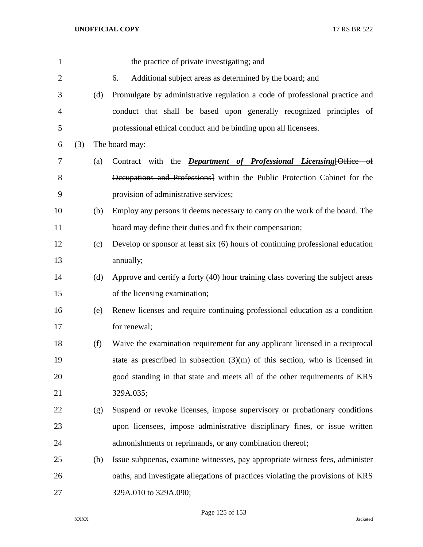| $\mathbf{1}$   |     |     | the practice of private investigating; and                                      |
|----------------|-----|-----|---------------------------------------------------------------------------------|
| $\mathbf{2}$   |     |     | Additional subject areas as determined by the board; and<br>6.                  |
| 3              |     | (d) | Promulgate by administrative regulation a code of professional practice and     |
| $\overline{4}$ |     |     | conduct that shall be based upon generally recognized principles of             |
| 5              |     |     | professional ethical conduct and be binding upon all licensees.                 |
| 6              | (3) |     | The board may:                                                                  |
| $\overline{7}$ |     | (a) | Contract with the <i>Department of Professional Licensing</i> [Office of        |
| $8\,$          |     |     | Occupations and Professions] within the Public Protection Cabinet for the       |
| 9              |     |     | provision of administrative services;                                           |
| 10             |     | (b) | Employ any persons it deems necessary to carry on the work of the board. The    |
| 11             |     |     | board may define their duties and fix their compensation;                       |
| 12             |     | (c) | Develop or sponsor at least six (6) hours of continuing professional education  |
| 13             |     |     | annually;                                                                       |
| 14             |     | (d) | Approve and certify a forty (40) hour training class covering the subject areas |
| 15             |     |     | of the licensing examination;                                                   |
| 16             |     | (e) | Renew licenses and require continuing professional education as a condition     |
| 17             |     |     | for renewal;                                                                    |
| 18             |     | (f) | Waive the examination requirement for any applicant licensed in a reciprocal    |
| 19             |     |     | state as prescribed in subsection $(3)(m)$ of this section, who is licensed in  |
| 20             |     |     | good standing in that state and meets all of the other requirements of KRS      |
| 21             |     |     | 329A.035;                                                                       |
| 22             |     | (g) | Suspend or revoke licenses, impose supervisory or probationary conditions       |
| 23             |     |     | upon licensees, impose administrative disciplinary fines, or issue written      |
| 24             |     |     | admonishments or reprimands, or any combination thereof;                        |
| 25             |     | (h) | Issue subpoenas, examine witnesses, pay appropriate witness fees, administer    |
| 26             |     |     | oaths, and investigate allegations of practices violating the provisions of KRS |
| 27             |     |     | 329A.010 to 329A.090;                                                           |

Page 125 of 153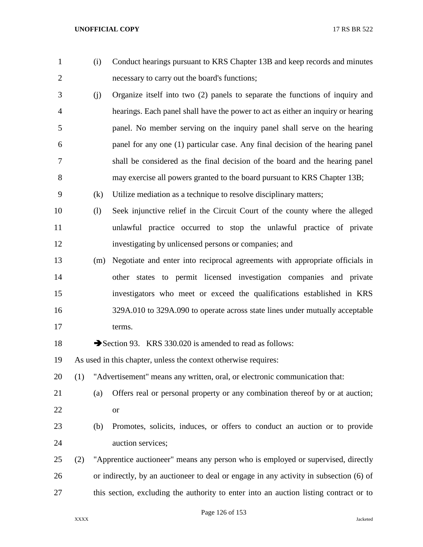| $\mathbf{1}$   |     | (i) | Conduct hearings pursuant to KRS Chapter 13B and keep records and minutes              |
|----------------|-----|-----|----------------------------------------------------------------------------------------|
| $\overline{2}$ |     |     | necessary to carry out the board's functions;                                          |
| 3              |     | (j) | Organize itself into two (2) panels to separate the functions of inquiry and           |
| 4              |     |     | hearings. Each panel shall have the power to act as either an inquiry or hearing       |
| 5              |     |     | panel. No member serving on the inquiry panel shall serve on the hearing               |
| 6              |     |     | panel for any one (1) particular case. Any final decision of the hearing panel         |
| 7              |     |     | shall be considered as the final decision of the board and the hearing panel           |
| 8              |     |     | may exercise all powers granted to the board pursuant to KRS Chapter 13B;              |
| 9              |     | (k) | Utilize mediation as a technique to resolve disciplinary matters;                      |
| 10             |     | (1) | Seek injunctive relief in the Circuit Court of the county where the alleged            |
| 11             |     |     | unlawful practice occurred to stop the unlawful practice of private                    |
| 12             |     |     | investigating by unlicensed persons or companies; and                                  |
| 13             |     | (m) | Negotiate and enter into reciprocal agreements with appropriate officials in           |
| 14             |     |     | other states to permit licensed investigation companies and private                    |
| 15             |     |     | investigators who meet or exceed the qualifications established in KRS                 |
| 16             |     |     | 329A.010 to 329A.090 to operate across state lines under mutually acceptable           |
| 17             |     |     | terms.                                                                                 |
| 18             |     |     | Section 93. KRS 330.020 is amended to read as follows:                                 |
| 19             |     |     | As used in this chapter, unless the context otherwise requires:                        |
| 20             | (1) |     | "Advertisement" means any written, oral, or electronic communication that:             |
| 21             |     | (a) | Offers real or personal property or any combination thereof by or at auction;          |
| 22             |     |     | <b>or</b>                                                                              |
| 23             |     | (b) | Promotes, solicits, induces, or offers to conduct an auction or to provide             |
| 24             |     |     | auction services;                                                                      |
| 25             | (2) |     | "Apprentice auctioneer" means any person who is employed or supervised, directly       |
| 26             |     |     | or indirectly, by an auctioneer to deal or engage in any activity in subsection (6) of |
| 27             |     |     | this section, excluding the authority to enter into an auction listing contract or to  |

Page 126 of 153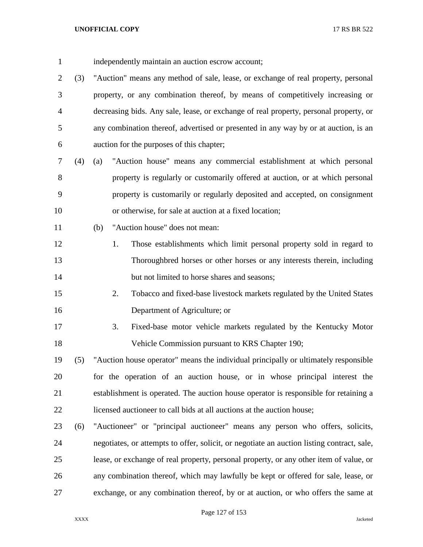- independently maintain an auction escrow account;
- (3) "Auction" means any method of sale, lease, or exchange of real property, personal property, or any combination thereof, by means of competitively increasing or decreasing bids. Any sale, lease, or exchange of real property, personal property, or any combination thereof, advertised or presented in any way by or at auction, is an auction for the purposes of this chapter;
- (4) (a) "Auction house" means any commercial establishment at which personal property is regularly or customarily offered at auction, or at which personal property is customarily or regularly deposited and accepted, on consignment or otherwise, for sale at auction at a fixed location;
- (b) "Auction house" does not mean:
- 1. Those establishments which limit personal property sold in regard to Thoroughbred horses or other horses or any interests therein, including 14 but not limited to horse shares and seasons;
- 2. Tobacco and fixed-base livestock markets regulated by the United States Department of Agriculture; or
- 3. Fixed-base motor vehicle markets regulated by the Kentucky Motor Vehicle Commission pursuant to KRS Chapter 190;
- (5) "Auction house operator" means the individual principally or ultimately responsible for the operation of an auction house, or in whose principal interest the establishment is operated. The auction house operator is responsible for retaining a licensed auctioneer to call bids at all auctions at the auction house;
- (6) "Auctioneer" or "principal auctioneer" means any person who offers, solicits, negotiates, or attempts to offer, solicit, or negotiate an auction listing contract, sale, lease, or exchange of real property, personal property, or any other item of value, or any combination thereof, which may lawfully be kept or offered for sale, lease, or exchange, or any combination thereof, by or at auction, or who offers the same at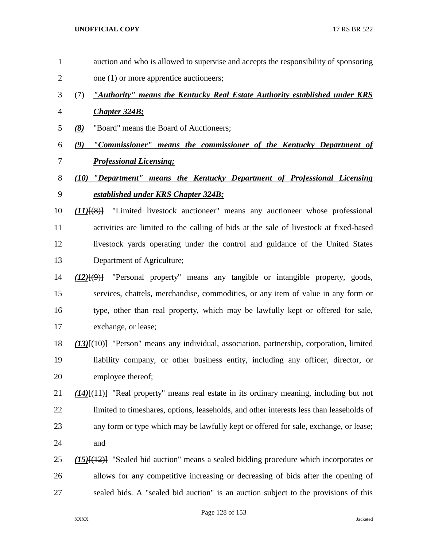- auction and who is allowed to supervise and accepts the responsibility of sponsoring
- 2 one (1) or more apprentice auctioneers;
- (7) *"Authority" means the Kentucky Real Estate Authority established under KRS*
- *Chapter 324B;*
- *(8)* "Board" means the Board of Auctioneers;
- *(9) "Commissioner" means the commissioner of the Kentucky Department of Professional Licensing;*

# *(10) "Department" means the Kentucky Department of Professional Licensing established under KRS Chapter 324B;*

- *(11)*[(8)] "Limited livestock auctioneer" means any auctioneer whose professional activities are limited to the calling of bids at the sale of livestock at fixed-based livestock yards operating under the control and guidance of the United States Department of Agriculture;
- *(12)*[(9)] "Personal property" means any tangible or intangible property, goods, services, chattels, merchandise, commodities, or any item of value in any form or type, other than real property, which may be lawfully kept or offered for sale, exchange, or lease;
- *(13)*[(10)] "Person" means any individual, association, partnership, corporation, limited liability company, or other business entity, including any officer, director, or employee thereof;
- *(14)*[(11)] "Real property" means real estate in its ordinary meaning, including but not limited to timeshares, options, leaseholds, and other interests less than leaseholds of any form or type which may be lawfully kept or offered for sale, exchange, or lease; and
- *(15)*[(12)] "Sealed bid auction" means a sealed bidding procedure which incorporates or allows for any competitive increasing or decreasing of bids after the opening of sealed bids. A "sealed bid auction" is an auction subject to the provisions of this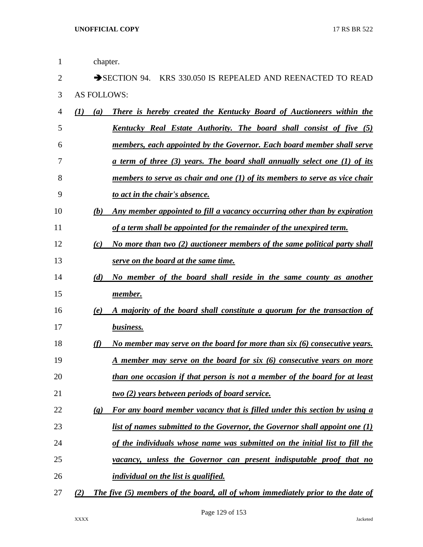| 1  | chapter.                    |                                                                                  |
|----|-----------------------------|----------------------------------------------------------------------------------|
| 2  |                             | SECTION 94. KRS 330.050 IS REPEALED AND REENACTED TO READ                        |
| 3  | <b>AS FOLLOWS:</b>          |                                                                                  |
| 4  | $\mathcal{L}(I)$<br>(a)     | <b>There is hereby created the Kentucky Board of Auctioneers within the</b>      |
| 5  |                             | <u>Kentucky Real Estate Authority. The board shall consist of five (5)</u>       |
| 6  |                             | members, each appointed by the Governor. Each board member shall serve           |
| 7  |                             | <u>a term of three (3) years. The board shall annually select one (1) of its</u> |
| 8  |                             | members to serve as chair and one $(1)$ of its members to serve as vice chair    |
| 9  |                             | to act in the chair's absence.                                                   |
| 10 | (b)                         | Any member appointed to fill a vacancy occurring other than by expiration        |
| 11 |                             | of a term shall be appointed for the remainder of the unexpired term.            |
| 12 | (c)                         | No more than two (2) auctioneer members of the same political party shall        |
| 13 |                             | serve on the board at the same time.                                             |
| 14 | (d)                         | No member of the board shall reside in the same county as another                |
| 15 |                             | <u>member.</u>                                                                   |
| 16 | (e)                         | A majority of the board shall constitute a quorum for the transaction of         |
| 17 |                             | business.                                                                        |
| 18 | (f)                         | No member may serve on the board for more than six (6) consecutive years.        |
| 19 |                             | A member may serve on the board for six (6) consecutive years on more            |
| 20 |                             | than one occasion if that person is not a member of the board for at least       |
| 21 |                             | <u>two (2)</u> years between periods of board service.                           |
| 22 | $\left( \mathbf{g} \right)$ | For any board member vacancy that is filled under this section by using a        |
| 23 |                             | list of names submitted to the Governor, the Governor shall appoint one (1)      |
| 24 |                             | of the individuals whose name was submitted on the initial list to fill the      |
| 25 |                             | vacancy, unless the Governor can present indisputable proof that no              |
| 26 |                             | <i>individual on the list is qualified.</i>                                      |
| 27 | (2)                         | The five (5) members of the board, all of whom immediately prior to the date of  |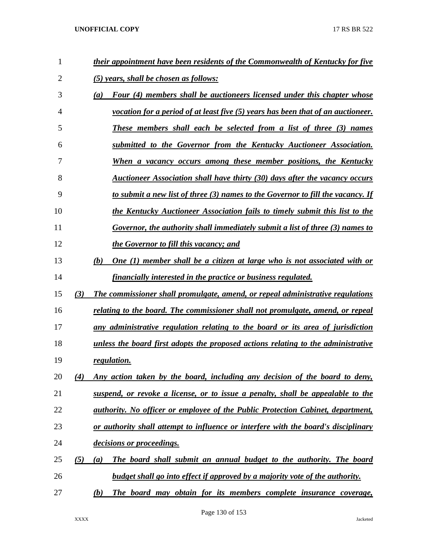| 1  | their appointment have been residents of the Commonwealth of Kentucky for five                   |
|----|--------------------------------------------------------------------------------------------------|
| 2  | <u>(5) years, shall be chosen as follows:</u>                                                    |
| 3  | Four (4) members shall be auctioneers licensed under this chapter whose<br>(a)                   |
| 4  | <i>vocation for a period of at least five</i> $(5)$ <i>years has been that of an auctioneer.</i> |
| 5  | These members shall each be selected from a list of three (3) names                              |
| 6  | submitted to the Governor from the Kentucky Auctioneer Association.                              |
| 7  | When a vacancy occurs among these member positions, the Kentucky                                 |
| 8  | Auctioneer Association shall have thirty (30) days after the vacancy occurs                      |
| 9  | to submit a new list of three (3) names to the Governor to fill the vacancy. If                  |
| 10 | the Kentucky Auctioneer Association fails to timely submit this list to the                      |
| 11 | Governor, the authority shall immediately submit a list of three (3) names to                    |
| 12 | the Governor to fill this vacancy; and                                                           |
| 13 | One (1) member shall be a citizen at large who is not associated with or<br>(b)                  |
| 14 | financially interested in the practice or business regulated.                                    |
| 15 | (3)<br>The commissioner shall promulgate, amend, or repeal administrative regulations            |
| 16 | relating to the board. The commissioner shall not promulgate, amend, or repeal                   |
| 17 | any administrative regulation relating to the board or its area of jurisdiction                  |
| 18 | unless the board first adopts the proposed actions relating to the administrative                |
| 19 | regulation.                                                                                      |
| 20 | Any action taken by the board, including any decision of the board to deny,<br>(4)               |
| 21 | suspend, or revoke a license, or to issue a penalty, shall be appealable to the                  |
| 22 | <i>authority. No officer or employee of the Public Protection Cabinet, department,</i>           |
| 23 | or authority shall attempt to influence or interfere with the board's disciplinary               |
| 24 | decisions or proceedings.                                                                        |
| 25 | (5)<br>The board shall submit an annual budget to the authority. The board<br>(a)                |
| 26 | <b>budget shall go into effect if approved by a majority vote of the authority.</b>              |
| 27 | The board may obtain for its members complete insurance coverage,<br>(b)                         |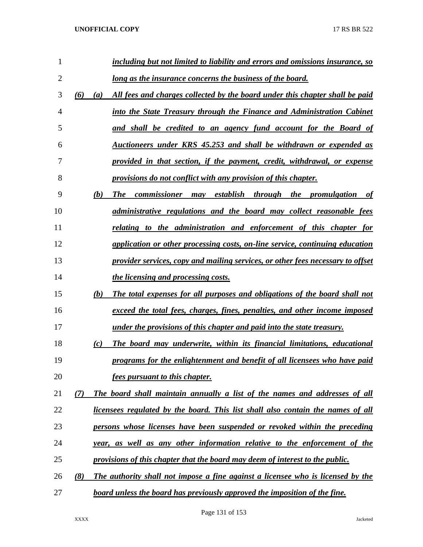| 1              |     | including but not limited to liability and errors and omissions insurance, so       |
|----------------|-----|-------------------------------------------------------------------------------------|
| $\overline{2}$ |     | <u>long as the insurance concerns the business of the board.</u>                    |
| 3              | (6) | All fees and charges collected by the board under this chapter shall be paid<br>(a) |
| 4              |     | into the State Treasury through the Finance and Administration Cabinet              |
| 5              |     | and shall be credited to an agency fund account for the Board of                    |
| 6              |     | Auctioneers under KRS 45.253 and shall be withdrawn or expended as                  |
| 7              |     | provided in that section, if the payment, credit, withdrawal, or expense            |
| 8              |     | provisions do not conflict with any provision of this chapter.                      |
| 9              |     | (b)<br><b>The</b><br>commissioner may establish through the promulgation of         |
| 10             |     | administrative regulations and the board may collect reasonable fees                |
| 11             |     | relating to the administration and enforcement of this chapter for                  |
| 12             |     | application or other processing costs, on-line service, continuing education        |
| 13             |     | provider services, copy and mailing services, or other fees necessary to offset     |
| 14             |     | the licensing and processing costs.                                                 |
| 15             |     | (b)<br>The total expenses for all purposes and obligations of the board shall not   |
| 16             |     | exceed the total fees, charges, fines, penalties, and other income imposed          |
| 17             |     | under the provisions of this chapter and paid into the state treasury.              |
| 18             |     | The board may underwrite, within its financial limitations, educational<br>(c)      |
| 19             |     | programs for the enlightenment and benefit of all licensees who have paid           |
| 20             |     | fees pursuant to this chapter.                                                      |
| 21             | (7) | The board shall maintain annually a list of the names and addresses of all          |
| 22             |     | licensees regulated by the board. This list shall also contain the names of all     |
| 23             |     | persons whose licenses have been suspended or revoked within the preceding          |
| 24             |     | year, as well as any other information relative to the enforcement of the           |
| 25             |     | provisions of this chapter that the board may deem of interest to the public.       |
| 26             | (8) | The authority shall not impose a fine against a licensee who is licensed by the     |
| 27             |     | board unless the board has previously approved the imposition of the fine.          |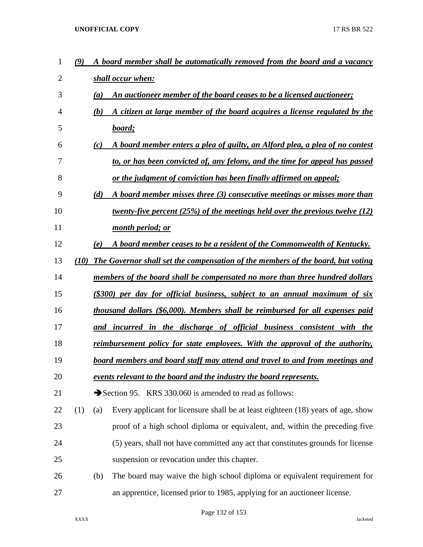| 1  | $\boldsymbol{\left(9\right)}$ |                                                                               | A board member shall be automatically removed from the board and a vacancy       |  |  |  |  |
|----|-------------------------------|-------------------------------------------------------------------------------|----------------------------------------------------------------------------------|--|--|--|--|
| 2  |                               |                                                                               | shall occur when:                                                                |  |  |  |  |
| 3  |                               | (a)                                                                           | An auctioneer member of the board ceases to be a licensed auctioneer;            |  |  |  |  |
| 4  |                               | (b)                                                                           | A citizen at large member of the board acquires a license regulated by the       |  |  |  |  |
| 5  |                               |                                                                               | board;                                                                           |  |  |  |  |
| 6  |                               | (c)                                                                           | A board member enters a plea of guilty, an Alford plea, a plea of no contest     |  |  |  |  |
| 7  |                               |                                                                               | to, or has been convicted of, any felony, and the time for appeal has passed     |  |  |  |  |
| 8  |                               |                                                                               | or the judgment of conviction has been finally affirmed on appeal;               |  |  |  |  |
| 9  |                               | (d)                                                                           | A board member misses three (3) consecutive meetings or misses more than         |  |  |  |  |
| 10 |                               |                                                                               | twenty-five percent $(25%)$ of the meetings held over the previous twelve (12)   |  |  |  |  |
| 11 |                               |                                                                               | month period; or                                                                 |  |  |  |  |
| 12 |                               | (e)                                                                           | A board member ceases to be a resident of the Commonwealth of Kentucky.          |  |  |  |  |
| 13 | <b>(10)</b>                   |                                                                               | The Governor shall set the compensation of the members of the board, but voting  |  |  |  |  |
| 14 |                               |                                                                               | members of the board shall be compensated no more than three hundred dollars     |  |  |  |  |
| 15 |                               |                                                                               | (\$300) per day for official business, subject to an annual maximum of six       |  |  |  |  |
| 16 |                               |                                                                               | thousand dollars (\$6,000). Members shall be reimbursed for all expenses paid    |  |  |  |  |
| 17 |                               |                                                                               | and incurred in the discharge of official business consistent with the           |  |  |  |  |
| 18 |                               | reimbursement policy for state employees. With the approval of the authority, |                                                                                  |  |  |  |  |
| 19 |                               | board members and board staff may attend and travel to and from meetings and  |                                                                                  |  |  |  |  |
| 20 |                               |                                                                               | events relevant to the board and the industry the board represents.              |  |  |  |  |
| 21 |                               |                                                                               | Section 95. KRS 330.060 is amended to read as follows:                           |  |  |  |  |
| 22 | (1)                           | (a)                                                                           | Every applicant for licensure shall be at least eighteen (18) years of age, show |  |  |  |  |
| 23 |                               |                                                                               | proof of a high school diploma or equivalent, and, within the preceding five     |  |  |  |  |
| 24 |                               |                                                                               | (5) years, shall not have committed any act that constitutes grounds for license |  |  |  |  |
| 25 |                               |                                                                               | suspension or revocation under this chapter.                                     |  |  |  |  |
| 26 |                               | (b)                                                                           | The board may waive the high school diploma or equivalent requirement for        |  |  |  |  |
| 27 |                               |                                                                               | an apprentice, licensed prior to 1985, applying for an auctioneer license.       |  |  |  |  |

Page 132 of 153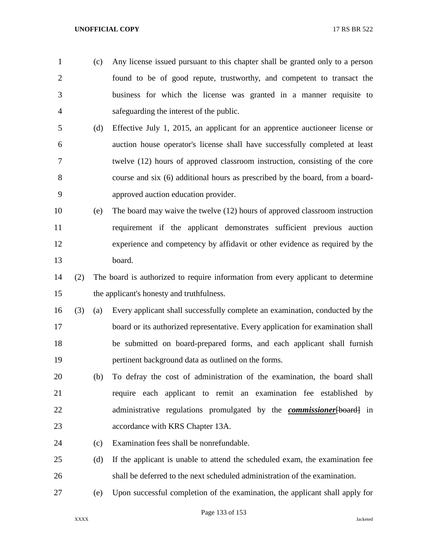- (c) Any license issued pursuant to this chapter shall be granted only to a person found to be of good repute, trustworthy, and competent to transact the business for which the license was granted in a manner requisite to safeguarding the interest of the public.
- (d) Effective July 1, 2015, an applicant for an apprentice auctioneer license or auction house operator's license shall have successfully completed at least twelve (12) hours of approved classroom instruction, consisting of the core course and six (6) additional hours as prescribed by the board, from a board-approved auction education provider.
- (e) The board may waive the twelve (12) hours of approved classroom instruction requirement if the applicant demonstrates sufficient previous auction experience and competency by affidavit or other evidence as required by the board.
- (2) The board is authorized to require information from every applicant to determine the applicant's honesty and truthfulness.
- (3) (a) Every applicant shall successfully complete an examination, conducted by the board or its authorized representative. Every application for examination shall be submitted on board-prepared forms, and each applicant shall furnish pertinent background data as outlined on the forms.
- (b) To defray the cost of administration of the examination, the board shall require each applicant to remit an examination fee established by administrative regulations promulgated by the *commissioner*[board] in accordance with KRS Chapter 13A.
- (c) Examination fees shall be nonrefundable.
- (d) If the applicant is unable to attend the scheduled exam, the examination fee shall be deferred to the next scheduled administration of the examination.
- (e) Upon successful completion of the examination, the applicant shall apply for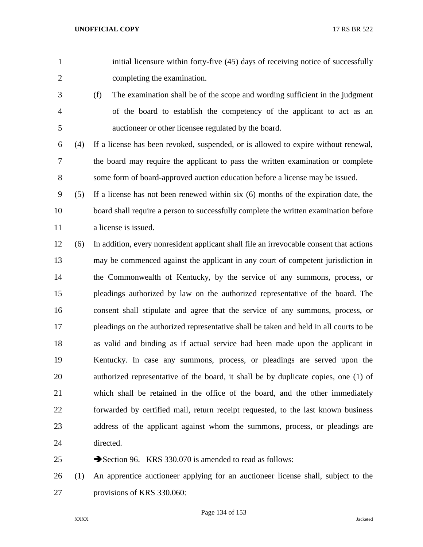- initial licensure within forty-five (45) days of receiving notice of successfully completing the examination.
- (f) The examination shall be of the scope and wording sufficient in the judgment of the board to establish the competency of the applicant to act as an auctioneer or other licensee regulated by the board.
- (4) If a license has been revoked, suspended, or is allowed to expire without renewal, the board may require the applicant to pass the written examination or complete some form of board-approved auction education before a license may be issued.
- (5) If a license has not been renewed within six (6) months of the expiration date, the board shall require a person to successfully complete the written examination before 11 a license is issued.
- (6) In addition, every nonresident applicant shall file an irrevocable consent that actions may be commenced against the applicant in any court of competent jurisdiction in the Commonwealth of Kentucky, by the service of any summons, process, or pleadings authorized by law on the authorized representative of the board. The consent shall stipulate and agree that the service of any summons, process, or pleadings on the authorized representative shall be taken and held in all courts to be as valid and binding as if actual service had been made upon the applicant in Kentucky. In case any summons, process, or pleadings are served upon the authorized representative of the board, it shall be by duplicate copies, one (1) of which shall be retained in the office of the board, and the other immediately forwarded by certified mail, return receipt requested, to the last known business address of the applicant against whom the summons, process, or pleadings are directed.

25 Section 96. KRS 330.070 is amended to read as follows:

 (1) An apprentice auctioneer applying for an auctioneer license shall, subject to the provisions of KRS 330.060: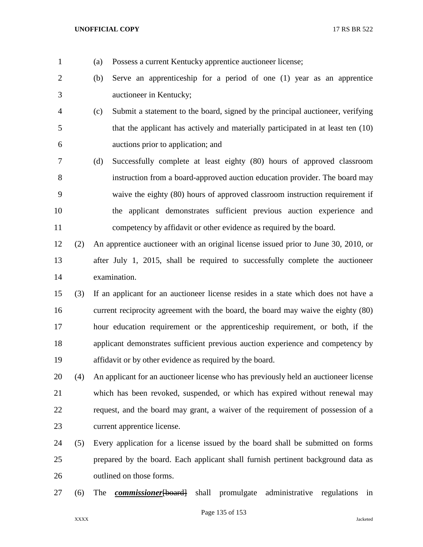- (a) Possess a current Kentucky apprentice auctioneer license;
- (b) Serve an apprenticeship for a period of one (1) year as an apprentice auctioneer in Kentucky;
- (c) Submit a statement to the board, signed by the principal auctioneer, verifying that the applicant has actively and materially participated in at least ten (10) auctions prior to application; and
- (d) Successfully complete at least eighty (80) hours of approved classroom instruction from a board-approved auction education provider. The board may waive the eighty (80) hours of approved classroom instruction requirement if the applicant demonstrates sufficient previous auction experience and competency by affidavit or other evidence as required by the board.
- (2) An apprentice auctioneer with an original license issued prior to June 30, 2010, or after July 1, 2015, shall be required to successfully complete the auctioneer examination.
- (3) If an applicant for an auctioneer license resides in a state which does not have a current reciprocity agreement with the board, the board may waive the eighty (80) hour education requirement or the apprenticeship requirement, or both, if the applicant demonstrates sufficient previous auction experience and competency by affidavit or by other evidence as required by the board.
- (4) An applicant for an auctioneer license who has previously held an auctioneer license which has been revoked, suspended, or which has expired without renewal may request, and the board may grant, a waiver of the requirement of possession of a current apprentice license.
- (5) Every application for a license issued by the board shall be submitted on forms prepared by the board. Each applicant shall furnish pertinent background data as outlined on those forms.
- (6) The *commissioner*[board] shall promulgate administrative regulations in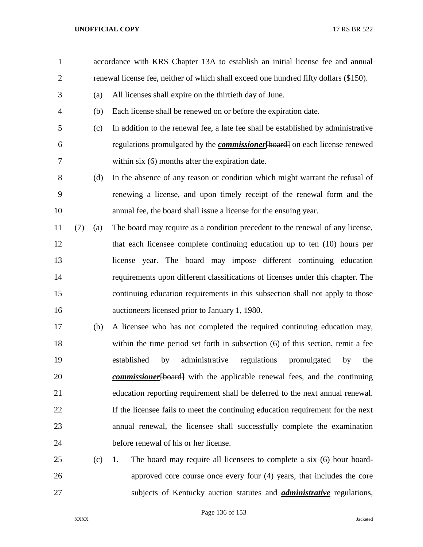accordance with KRS Chapter 13A to establish an initial license fee and annual renewal license fee, neither of which shall exceed one hundred fifty dollars (\$150). (a) All licenses shall expire on the thirtieth day of June. (b) Each license shall be renewed on or before the expiration date. (c) In addition to the renewal fee, a late fee shall be established by administrative regulations promulgated by the *commissioner*[board] on each license renewed within six (6) months after the expiration date. (d) In the absence of any reason or condition which might warrant the refusal of renewing a license, and upon timely receipt of the renewal form and the annual fee, the board shall issue a license for the ensuing year. (7) (a) The board may require as a condition precedent to the renewal of any license, that each licensee complete continuing education up to ten (10) hours per license year. The board may impose different continuing education requirements upon different classifications of licenses under this chapter. The continuing education requirements in this subsection shall not apply to those auctioneers licensed prior to January 1, 1980. (b) A licensee who has not completed the required continuing education may, within the time period set forth in subsection (6) of this section, remit a fee established by administrative regulations promulgated by the *commissioner*[board] with the applicable renewal fees, and the continuing education reporting requirement shall be deferred to the next annual renewal. If the licensee fails to meet the continuing education requirement for the next annual renewal, the licensee shall successfully complete the examination before renewal of his or her license. (c) 1. The board may require all licensees to complete a six (6) hour board- approved core course once every four (4) years, that includes the core subjects of Kentucky auction statutes and *administrative* regulations,

Page 136 of 153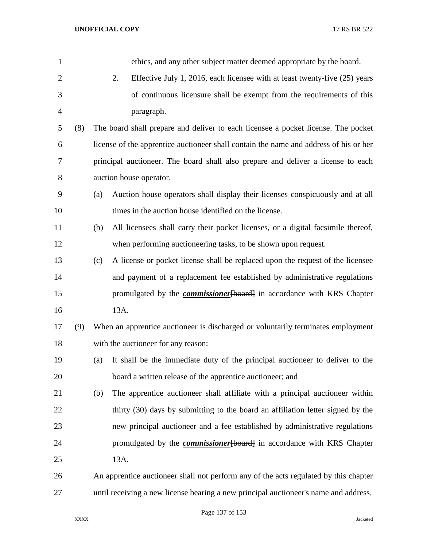| $\mathbf{1}$   |     |     | ethics, and any other subject matter deemed appropriate by the board.                 |
|----------------|-----|-----|---------------------------------------------------------------------------------------|
| $\overline{2}$ |     |     | 2.<br>Effective July 1, 2016, each licensee with at least twenty-five (25) years      |
| 3              |     |     | of continuous licensure shall be exempt from the requirements of this                 |
| $\overline{4}$ |     |     | paragraph.                                                                            |
| 5              | (8) |     | The board shall prepare and deliver to each licensee a pocket license. The pocket     |
| 6              |     |     | license of the apprentice auctioneer shall contain the name and address of his or her |
| 7              |     |     | principal auctioneer. The board shall also prepare and deliver a license to each      |
| 8              |     |     | auction house operator.                                                               |
| 9              |     | (a) | Auction house operators shall display their licenses conspicuously and at all         |
| 10             |     |     | times in the auction house identified on the license.                                 |
| 11             |     | (b) | All licensees shall carry their pocket licenses, or a digital facsimile thereof,      |
| 12             |     |     | when performing auctioneering tasks, to be shown upon request.                        |
| 13             |     | (c) | A license or pocket license shall be replaced upon the request of the licensee        |
| 14             |     |     | and payment of a replacement fee established by administrative regulations            |
| 15             |     |     | promulgated by the <b><i>commissioner</i></b> [board] in accordance with KRS Chapter  |
| 16             |     |     | 13A.                                                                                  |
| 17             | (9) |     | When an apprentice auctioneer is discharged or voluntarily terminates employment      |
| 18             |     |     | with the auctioneer for any reason:                                                   |
| 19             |     | (a) | It shall be the immediate duty of the principal auctioneer to deliver to the          |
| 20             |     |     | board a written release of the apprentice auctioneer; and                             |
| 21             |     | (b) | The apprentice auctioneer shall affiliate with a principal auctioneer within          |
| 22             |     |     | thirty (30) days by submitting to the board an affiliation letter signed by the       |
| 23             |     |     | new principal auctioneer and a fee established by administrative regulations          |
| 24             |     |     | promulgated by the <i>commissioner</i> [board] in accordance with KRS Chapter         |
| 25             |     |     | 13A.                                                                                  |
| 26             |     |     | An apprentice auctioneer shall not perform any of the acts regulated by this chapter  |
| 27             |     |     | until receiving a new license bearing a new principal auctioneer's name and address.  |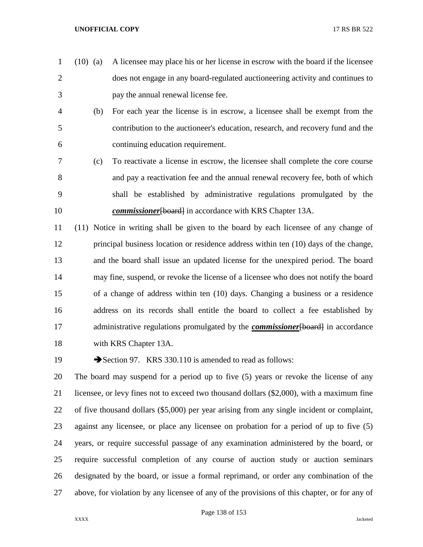- (10) (a) A licensee may place his or her license in escrow with the board if the licensee does not engage in any board-regulated auctioneering activity and continues to pay the annual renewal license fee.
- (b) For each year the license is in escrow, a licensee shall be exempt from the contribution to the auctioneer's education, research, and recovery fund and the continuing education requirement.
- (c) To reactivate a license in escrow, the licensee shall complete the core course and pay a reactivation fee and the annual renewal recovery fee, both of which shall be established by administrative regulations promulgated by the *commissioner* [board] in accordance with KRS Chapter 13A.

 (11) Notice in writing shall be given to the board by each licensee of any change of principal business location or residence address within ten (10) days of the change, and the board shall issue an updated license for the unexpired period. The board may fine, suspend, or revoke the license of a licensee who does not notify the board of a change of address within ten (10) days. Changing a business or a residence address on its records shall entitle the board to collect a fee established by 17 administrative regulations promulgated by the *commissioner*[board] in accordance with KRS Chapter 13A.

19 Section 97. KRS 330.110 is amended to read as follows:

 The board may suspend for a period up to five (5) years or revoke the license of any licensee, or levy fines not to exceed two thousand dollars (\$2,000), with a maximum fine of five thousand dollars (\$5,000) per year arising from any single incident or complaint, against any licensee, or place any licensee on probation for a period of up to five (5) years, or require successful passage of any examination administered by the board, or require successful completion of any course of auction study or auction seminars designated by the board, or issue a formal reprimand, or order any combination of the above, for violation by any licensee of any of the provisions of this chapter, or for any of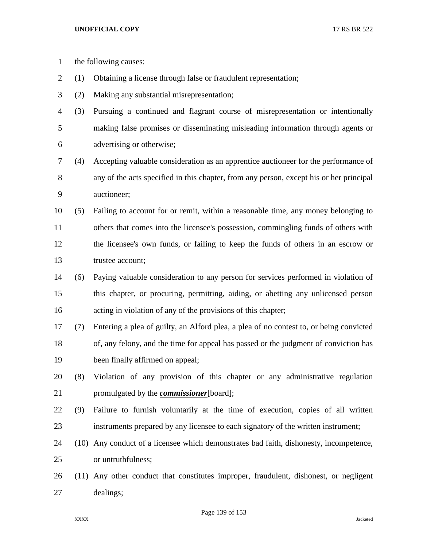- the following causes:
- (1) Obtaining a license through false or fraudulent representation;
- (2) Making any substantial misrepresentation;
- (3) Pursuing a continued and flagrant course of misrepresentation or intentionally making false promises or disseminating misleading information through agents or advertising or otherwise;
- (4) Accepting valuable consideration as an apprentice auctioneer for the performance of any of the acts specified in this chapter, from any person, except his or her principal auctioneer;
- (5) Failing to account for or remit, within a reasonable time, any money belonging to others that comes into the licensee's possession, commingling funds of others with the licensee's own funds, or failing to keep the funds of others in an escrow or trustee account;
- (6) Paying valuable consideration to any person for services performed in violation of this chapter, or procuring, permitting, aiding, or abetting any unlicensed person acting in violation of any of the provisions of this chapter;
- (7) Entering a plea of guilty, an Alford plea, a plea of no contest to, or being convicted of, any felony, and the time for appeal has passed or the judgment of conviction has been finally affirmed on appeal;
- (8) Violation of any provision of this chapter or any administrative regulation promulgated by the *commissioner*[board];
- (9) Failure to furnish voluntarily at the time of execution, copies of all written instruments prepared by any licensee to each signatory of the written instrument;
- (10) Any conduct of a licensee which demonstrates bad faith, dishonesty, incompetence, or untruthfulness;
- (11) Any other conduct that constitutes improper, fraudulent, dishonest, or negligent dealings;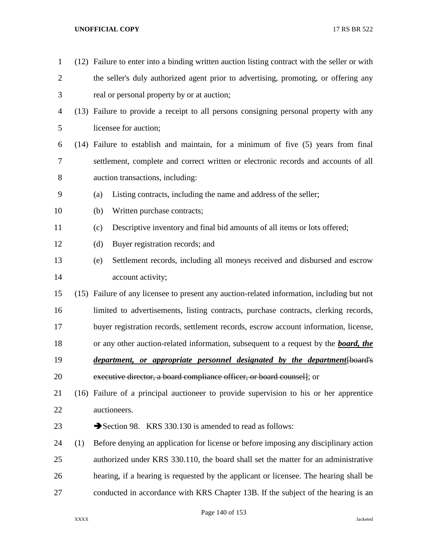| $\mathbf{1}$   |     | (12) Failure to enter into a binding written auction listing contract with the seller or with |  |  |
|----------------|-----|-----------------------------------------------------------------------------------------------|--|--|
| $\overline{2}$ |     | the seller's duly authorized agent prior to advertising, promoting, or offering any           |  |  |
| 3              |     | real or personal property by or at auction;                                                   |  |  |
| 4              |     | (13) Failure to provide a receipt to all persons consigning personal property with any        |  |  |
| 5              |     | licensee for auction;                                                                         |  |  |
| 6              |     | (14) Failure to establish and maintain, for a minimum of five (5) years from final            |  |  |
| 7              |     | settlement, complete and correct written or electronic records and accounts of all            |  |  |
| 8              |     | auction transactions, including:                                                              |  |  |
| 9              |     | Listing contracts, including the name and address of the seller;<br>(a)                       |  |  |
| 10             |     | Written purchase contracts;<br>(b)                                                            |  |  |
| 11             |     | Descriptive inventory and final bid amounts of all items or lots offered;<br>(c)              |  |  |
| 12             |     | (d)<br>Buyer registration records; and                                                        |  |  |
| 13             |     | Settlement records, including all moneys received and disbursed and escrow<br>(e)             |  |  |
| 14             |     | account activity;                                                                             |  |  |
| 15             |     | (15) Failure of any licensee to present any auction-related information, including but not    |  |  |
| 16             |     | limited to advertisements, listing contracts, purchase contracts, clerking records,           |  |  |
| 17             |     | buyer registration records, settlement records, escrow account information, license,          |  |  |
| 18             |     | or any other auction-related information, subsequent to a request by the <b>board</b> , the   |  |  |
| 19             |     | <i>department, or appropriate personnel designated by the department</i> [board's             |  |  |
| 20             |     | executive director, a board compliance officer, or board counsel]; or                         |  |  |
| 21             |     | (16) Failure of a principal auctioneer to provide supervision to his or her apprentice        |  |  |
| 22             |     | auctioneers.                                                                                  |  |  |
| 23             |     | Section 98. KRS 330.130 is amended to read as follows:                                        |  |  |
| 24             | (1) | Before denying an application for license or before imposing any disciplinary action          |  |  |
| 25             |     | authorized under KRS 330.110, the board shall set the matter for an administrative            |  |  |
| 26             |     | hearing, if a hearing is requested by the applicant or licensee. The hearing shall be         |  |  |
| 27             |     | conducted in accordance with KRS Chapter 13B. If the subject of the hearing is an             |  |  |
|                |     |                                                                                               |  |  |

Page 140 of 153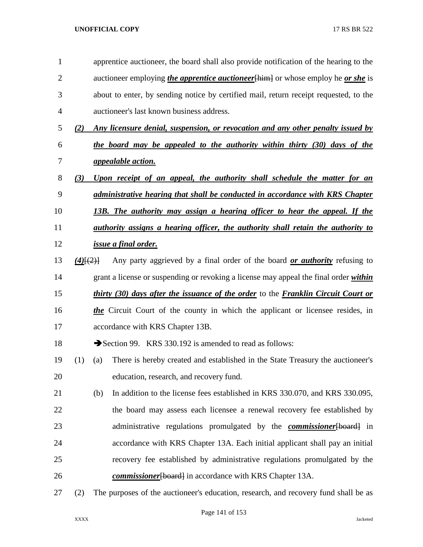| 1              |             | apprentice auctioneer, the board shall also provide notification of the hearing to the          |  |  |  |
|----------------|-------------|-------------------------------------------------------------------------------------------------|--|--|--|
| $\overline{2}$ |             | auctioneer employing <i>the apprentice auctioneer</i> [him] or whose employ he <i>or she</i> is |  |  |  |
| 3              |             | about to enter, by sending notice by certified mail, return receipt requested, to the           |  |  |  |
| $\overline{4}$ |             | auctioneer's last known business address.                                                       |  |  |  |
| 5              | (2)         | Any licensure denial, suspension, or revocation and any other penalty issued by                 |  |  |  |
| 6              |             | the board may be appealed to the authority within thirty (30) days of the                       |  |  |  |
| 7              |             | <i>appealable action.</i>                                                                       |  |  |  |
| $8\,$          | (3)         | Upon receipt of an appeal, the authority shall schedule the matter for an                       |  |  |  |
| 9              |             | administrative hearing that shall be conducted in accordance with KRS Chapter                   |  |  |  |
| 10             |             | 13B. The authority may assign a hearing officer to hear the appeal. If the                      |  |  |  |
| 11             |             | <u>authority assigns a hearing officer, the authority shall retain the authority to</u>         |  |  |  |
| 12             |             | <i><u>issue a final order.</u></i>                                                              |  |  |  |
| 13             | $(4)$ [(2)] | Any party aggrieved by a final order of the board <i>or authority</i> refusing to               |  |  |  |
| 14             |             | grant a license or suspending or revoking a license may appeal the final order within           |  |  |  |
| 15             |             | <i>thirty (30) days after the issuance of the order</i> to the <i>Franklin Circuit Court or</i> |  |  |  |
| 16             |             | the Circuit Court of the county in which the applicant or licensee resides, in                  |  |  |  |
| 17             |             | accordance with KRS Chapter 13B.                                                                |  |  |  |
| 18             |             | Section 99. KRS 330.192 is amended to read as follows:                                          |  |  |  |
| 19             | (1)         | There is hereby created and established in the State Treasury the auctioneer's<br>(a)           |  |  |  |
| 20             |             | education, research, and recovery fund.                                                         |  |  |  |
| 21             |             | In addition to the license fees established in KRS 330.070, and KRS 330.095,<br>(b)             |  |  |  |
| 22             |             | the board may assess each licensee a renewal recovery fee established by                        |  |  |  |
| 23             |             | administrative regulations promulgated by the <b>commissioner</b> [board] in                    |  |  |  |
| 24             |             | accordance with KRS Chapter 13A. Each initial applicant shall pay an initial                    |  |  |  |
| 25             |             | recovery fee established by administrative regulations promulgated by the                       |  |  |  |
| 26             |             | commissioner [board] in accordance with KRS Chapter 13A.                                        |  |  |  |
| 27             | (2)         | The purposes of the auctioneer's education, research, and recovery fund shall be as             |  |  |  |

## Page 141 of 153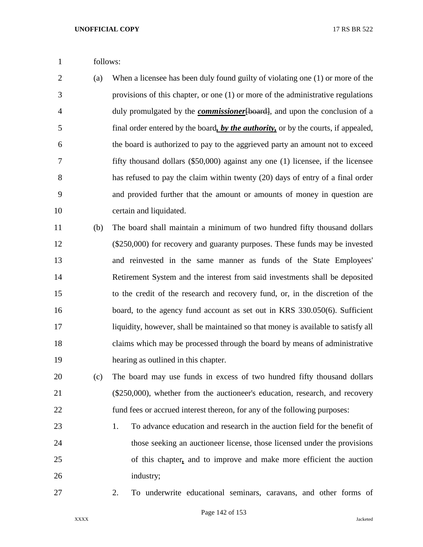- follows:
- (a) When a licensee has been duly found guilty of violating one (1) or more of the provisions of this chapter, or one (1) or more of the administrative regulations duly promulgated by the *commissioner*[board], and upon the conclusion of a final order entered by the board*, by the authority,* or by the courts, if appealed, the board is authorized to pay to the aggrieved party an amount not to exceed fifty thousand dollars (\$50,000) against any one (1) licensee, if the licensee has refused to pay the claim within twenty (20) days of entry of a final order and provided further that the amount or amounts of money in question are certain and liquidated.
- (b) The board shall maintain a minimum of two hundred fifty thousand dollars (\$250,000) for recovery and guaranty purposes. These funds may be invested and reinvested in the same manner as funds of the State Employees' Retirement System and the interest from said investments shall be deposited to the credit of the research and recovery fund, or, in the discretion of the board, to the agency fund account as set out in KRS 330.050(6). Sufficient liquidity, however, shall be maintained so that money is available to satisfy all claims which may be processed through the board by means of administrative hearing as outlined in this chapter.
- (c) The board may use funds in excess of two hundred fifty thousand dollars (\$250,000), whether from the auctioneer's education, research, and recovery fund fees or accrued interest thereon, for any of the following purposes:
- 1. To advance education and research in the auction field for the benefit of those seeking an auctioneer license, those licensed under the provisions of this chapter*,* and to improve and make more efficient the auction industry;
- 

2. To underwrite educational seminars, caravans, and other forms of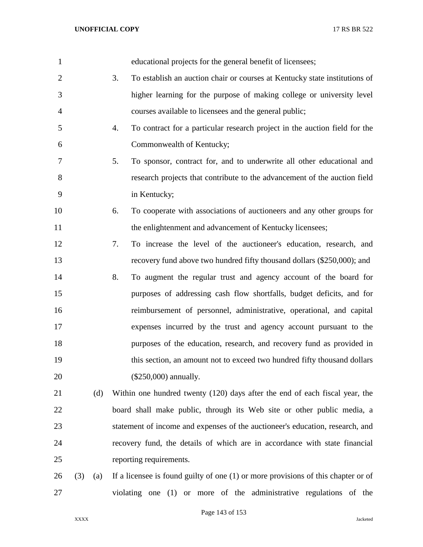| 1              |     |     |    | educational projects for the general benefit of licensees;                          |
|----------------|-----|-----|----|-------------------------------------------------------------------------------------|
| $\overline{2}$ |     |     | 3. | To establish an auction chair or courses at Kentucky state institutions of          |
| 3              |     |     |    | higher learning for the purpose of making college or university level               |
| $\overline{4}$ |     |     |    | courses available to licensees and the general public;                              |
| 5              |     |     | 4. | To contract for a particular research project in the auction field for the          |
| 6              |     |     |    | Commonwealth of Kentucky;                                                           |
| 7              |     |     | 5. | To sponsor, contract for, and to underwrite all other educational and               |
| 8              |     |     |    | research projects that contribute to the advancement of the auction field           |
| 9              |     |     |    | in Kentucky;                                                                        |
| 10             |     |     | 6. | To cooperate with associations of auctioneers and any other groups for              |
| 11             |     |     |    | the enlightenment and advancement of Kentucky licensees;                            |
| 12             |     |     | 7. | To increase the level of the auctioneer's education, research, and                  |
| 13             |     |     |    | recovery fund above two hundred fifty thousand dollars (\$250,000); and             |
| 14             |     |     | 8. | To augment the regular trust and agency account of the board for                    |
| 15             |     |     |    | purposes of addressing cash flow shortfalls, budget deficits, and for               |
| 16             |     |     |    | reimbursement of personnel, administrative, operational, and capital                |
| 17             |     |     |    | expenses incurred by the trust and agency account pursuant to the                   |
| 18             |     |     |    | purposes of the education, research, and recovery fund as provided in               |
| 19             |     |     |    | this section, an amount not to exceed two hundred fifty thousand dollars            |
| 20             |     |     |    | (\$250,000) annually.                                                               |
| 21             |     | (d) |    | Within one hundred twenty (120) days after the end of each fiscal year, the         |
| 22             |     |     |    | board shall make public, through its Web site or other public media, a              |
| 23             |     |     |    | statement of income and expenses of the auctioneer's education, research, and       |
| 24             |     |     |    | recovery fund, the details of which are in accordance with state financial          |
| 25             |     |     |    | reporting requirements.                                                             |
| 26             | (3) | (a) |    | If a licensee is found guilty of one $(1)$ or more provisions of this chapter or of |
| 27             |     |     |    | violating one (1) or more of the administrative regulations of the                  |

Page 143 of 153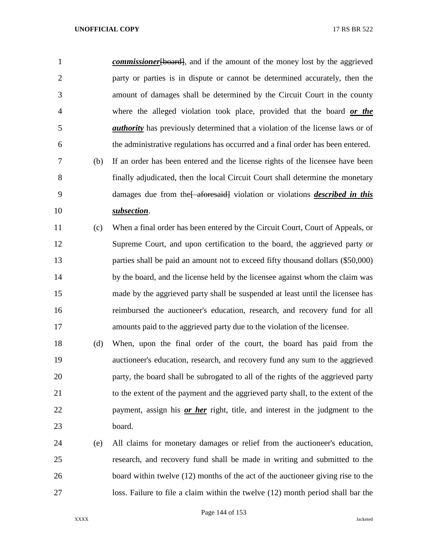*commissioner* [board], and if the amount of the money lost by the aggrieved party or parties is in dispute or cannot be determined accurately, then the amount of damages shall be determined by the Circuit Court in the county where the alleged violation took place, provided that the board *or the authority* has previously determined that a violation of the license laws or of the administrative regulations has occurred and a final order has been entered. (b) If an order has been entered and the license rights of the licensee have been

 finally adjudicated, then the local Circuit Court shall determine the monetary 9 damages due from the state afore said violation or violations *described in this subsection*.

 (c) When a final order has been entered by the Circuit Court, Court of Appeals, or Supreme Court, and upon certification to the board, the aggrieved party or parties shall be paid an amount not to exceed fifty thousand dollars (\$50,000) 14 by the board, and the license held by the licensee against whom the claim was made by the aggrieved party shall be suspended at least until the licensee has reimbursed the auctioneer's education, research, and recovery fund for all amounts paid to the aggrieved party due to the violation of the licensee.

 (d) When, upon the final order of the court, the board has paid from the auctioneer's education, research, and recovery fund any sum to the aggrieved party, the board shall be subrogated to all of the rights of the aggrieved party to the extent of the payment and the aggrieved party shall, to the extent of the payment, assign his *or her* right, title, and interest in the judgment to the board.

 (e) All claims for monetary damages or relief from the auctioneer's education, research, and recovery fund shall be made in writing and submitted to the 26 board within twelve (12) months of the act of the auctioneer giving rise to the loss. Failure to file a claim within the twelve (12) month period shall bar the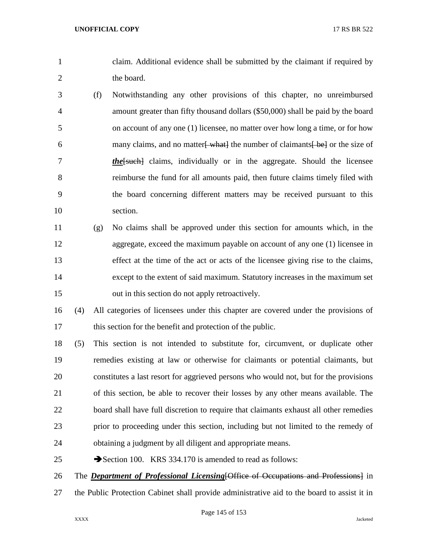- claim. Additional evidence shall be submitted by the claimant if required by 2 the board.
- (f) Notwithstanding any other provisions of this chapter, no unreimbursed amount greater than fifty thousand dollars (\$50,000) shall be paid by the board on account of any one (1) licensee, no matter over how long a time, or for how 6 many claims, and no matter what the number of claimants bet or the size of *the*[such] claims, individually or in the aggregate. Should the licensee reimburse the fund for all amounts paid, then future claims timely filed with the board concerning different matters may be received pursuant to this section.
- (g) No claims shall be approved under this section for amounts which, in the aggregate, exceed the maximum payable on account of any one (1) licensee in effect at the time of the act or acts of the licensee giving rise to the claims, except to the extent of said maximum. Statutory increases in the maximum set out in this section do not apply retroactively.
- (4) All categories of licensees under this chapter are covered under the provisions of 17 this section for the benefit and protection of the public.
- (5) This section is not intended to substitute for, circumvent, or duplicate other remedies existing at law or otherwise for claimants or potential claimants, but constitutes a last resort for aggrieved persons who would not, but for the provisions of this section, be able to recover their losses by any other means available. The board shall have full discretion to require that claimants exhaust all other remedies prior to proceeding under this section, including but not limited to the remedy of obtaining a judgment by all diligent and appropriate means.
- 25 Section 100. KRS 334.170 is amended to read as follows:

The *Department of Professional Licensing*[Office of Occupations and Professions] in

the Public Protection Cabinet shall provide administrative aid to the board to assist it in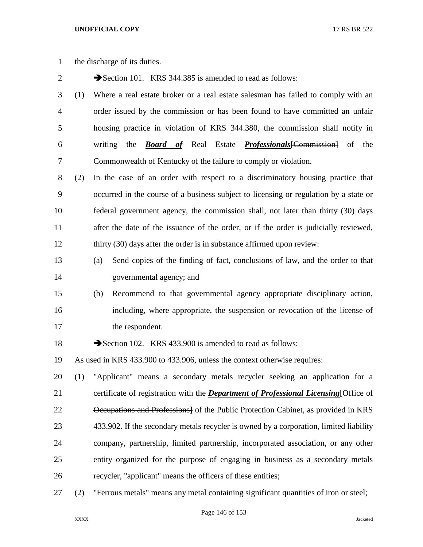the discharge of its duties.

2 Section 101. KRS 344.385 is amended to read as follows:

- (1) Where a real estate broker or a real estate salesman has failed to comply with an order issued by the commission or has been found to have committed an unfair housing practice in violation of KRS 344.380, the commission shall notify in writing the *Board of* Real Estate *Professionals*[Commission] of the Commonwealth of Kentucky of the failure to comply or violation.
- (2) In the case of an order with respect to a discriminatory housing practice that occurred in the course of a business subject to licensing or regulation by a state or federal government agency, the commission shall, not later than thirty (30) days after the date of the issuance of the order, or if the order is judicially reviewed, 12 thirty (30) days after the order is in substance affirmed upon review:
- (a) Send copies of the finding of fact, conclusions of law, and the order to that governmental agency; and
- (b) Recommend to that governmental agency appropriate disciplinary action, including, where appropriate, the suspension or revocation of the license of 17 the respondent.
- 18 Section 102. KRS 433.900 is amended to read as follows:
- As used in KRS 433.900 to 433.906, unless the context otherwise requires:

 (1) "Applicant" means a secondary metals recycler seeking an application for a certificate of registration with the *Department of Professional Licensing*[Office of Occupations and Professions] of the Public Protection Cabinet, as provided in KRS 433.902. If the secondary metals recycler is owned by a corporation, limited liability company, partnership, limited partnership, incorporated association, or any other entity organized for the purpose of engaging in business as a secondary metals recycler, "applicant" means the officers of these entities;

(2) "Ferrous metals" means any metal containing significant quantities of iron or steel;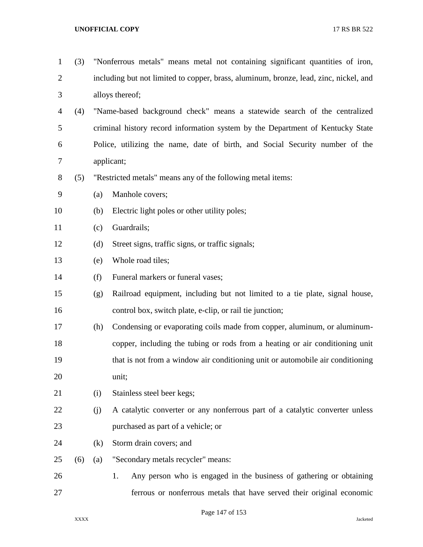## **UNOFFICIAL COPY** 17 RS BR 522

| $\mathbf{1}$   | (3) |                                                                              | "Nonferrous metals" means metal not containing significant quantities of iron,        |  |
|----------------|-----|------------------------------------------------------------------------------|---------------------------------------------------------------------------------------|--|
| $\overline{2}$ |     |                                                                              | including but not limited to copper, brass, aluminum, bronze, lead, zinc, nickel, and |  |
| 3              |     |                                                                              | alloys thereof;                                                                       |  |
| 4              | (4) |                                                                              | "Name-based background check" means a statewide search of the centralized             |  |
| 5              |     |                                                                              | criminal history record information system by the Department of Kentucky State        |  |
| 6              |     | Police, utilizing the name, date of birth, and Social Security number of the |                                                                                       |  |
| 7              |     | applicant;                                                                   |                                                                                       |  |
| $8\,$          | (5) | "Restricted metals" means any of the following metal items:                  |                                                                                       |  |
| 9              |     | (a)                                                                          | Manhole covers;                                                                       |  |
| 10             |     | (b)                                                                          | Electric light poles or other utility poles;                                          |  |
| 11             |     | (c)                                                                          | Guardrails;                                                                           |  |
| 12             |     | (d)                                                                          | Street signs, traffic signs, or traffic signals;                                      |  |
| 13             |     | (e)                                                                          | Whole road tiles;                                                                     |  |
| 14             |     | (f)                                                                          | Funeral markers or funeral vases;                                                     |  |
| 15             |     | (g)                                                                          | Railroad equipment, including but not limited to a tie plate, signal house,           |  |
| 16             |     |                                                                              | control box, switch plate, e-clip, or rail tie junction;                              |  |
| 17             |     | (h)                                                                          | Condensing or evaporating coils made from copper, aluminum, or aluminum-              |  |
| 18             |     |                                                                              | copper, including the tubing or rods from a heating or air conditioning unit          |  |
| 19             |     |                                                                              | that is not from a window air conditioning unit or automobile air conditioning        |  |
| 20             |     |                                                                              | unit;                                                                                 |  |
| 21             |     | (i)                                                                          | Stainless steel beer kegs;                                                            |  |
| 22             |     | (j)                                                                          | A catalytic converter or any nonferrous part of a catalytic converter unless          |  |
| 23             |     |                                                                              | purchased as part of a vehicle; or                                                    |  |
| 24             |     | (k)                                                                          | Storm drain covers; and                                                               |  |
| 25             | (6) | (a)                                                                          | "Secondary metals recycler" means:                                                    |  |
| 26             |     |                                                                              | Any person who is engaged in the business of gathering or obtaining<br>1.             |  |
| 27             |     |                                                                              | ferrous or nonferrous metals that have served their original economic                 |  |

Page 147 of 153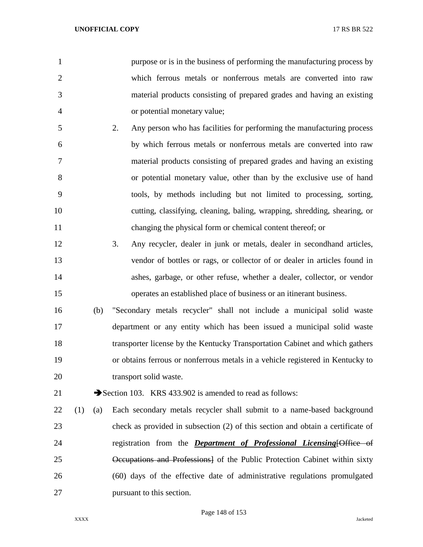purpose or is in the business of performing the manufacturing process by which ferrous metals or nonferrous metals are converted into raw material products consisting of prepared grades and having an existing or potential monetary value;

- 2. Any person who has facilities for performing the manufacturing process by which ferrous metals or nonferrous metals are converted into raw material products consisting of prepared grades and having an existing or potential monetary value, other than by the exclusive use of hand tools, by methods including but not limited to processing, sorting, cutting, classifying, cleaning, baling, wrapping, shredding, shearing, or changing the physical form or chemical content thereof; or
- 3. Any recycler, dealer in junk or metals, dealer in secondhand articles, vendor of bottles or rags, or collector of or dealer in articles found in ashes, garbage, or other refuse, whether a dealer, collector, or vendor operates an established place of business or an itinerant business.
- (b) "Secondary metals recycler" shall not include a municipal solid waste department or any entity which has been issued a municipal solid waste transporter license by the Kentucky Transportation Cabinet and which gathers or obtains ferrous or nonferrous metals in a vehicle registered in Kentucky to 20 transport solid waste.

21 Section 103. KRS 433.902 is amended to read as follows:

 (1) (a) Each secondary metals recycler shall submit to a name-based background check as provided in subsection (2) of this section and obtain a certificate of registration from the *Department of Professional Licensing*[Office of Occupations and Professions] of the Public Protection Cabinet within sixty (60) days of the effective date of administrative regulations promulgated pursuant to this section.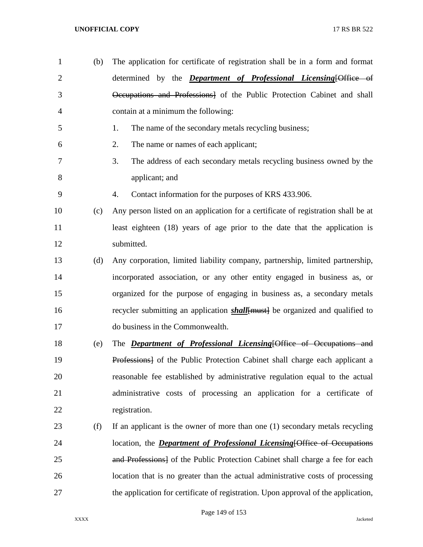(b) The application for certificate of registration shall be in a form and format determined by the *Department of Professional Licensing*[Office of Occupations and Professions] of the Public Protection Cabinet and shall contain at a minimum the following: 1. The name of the secondary metals recycling business; 2. The name or names of each applicant; 3. The address of each secondary metals recycling business owned by the applicant; and 4. Contact information for the purposes of KRS 433.906. (c) Any person listed on an application for a certificate of registration shall be at 11 least eighteen (18) years of age prior to the date that the application is submitted. (d) Any corporation, limited liability company, partnership, limited partnership, incorporated association, or any other entity engaged in business as, or organized for the purpose of engaging in business as, a secondary metals 16 recycler submitting an application *shall* [must] be organized and qualified to do business in the Commonwealth. (e) The *Department of Professional Licensing*[Office of Occupations and Professions] of the Public Protection Cabinet shall charge each applicant a reasonable fee established by administrative regulation equal to the actual administrative costs of processing an application for a certificate of registration. (f) If an applicant is the owner of more than one (1) secondary metals recycling location, the *Department of Professional Licensing*[Office of Occupations 25 and Professions of the Public Protection Cabinet shall charge a fee for each location that is no greater than the actual administrative costs of processing the application for certificate of registration. Upon approval of the application,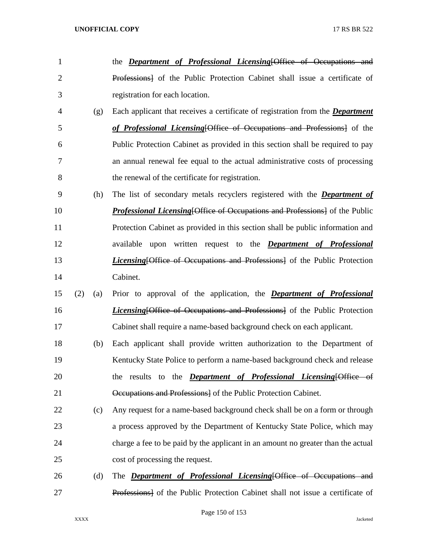registration for each location. (g) Each applicant that receives a certificate of registration from the *Department of Professional Licensing*[Office of Occupations and Professions] of the Public Protection Cabinet as provided in this section shall be required to pay an annual renewal fee equal to the actual administrative costs of processing the renewal of the certificate for registration. (h) The list of secondary metals recyclers registered with the *Department of Professional Licensing* [Office of Occupations and Professions] of the Public Protection Cabinet as provided in this section shall be public information and available upon written request to the *Department of Professional Licensing* [Office of Occupations and Professions] of the Public Protection Cabinet. (2) (a) Prior to approval of the application, the *Department of Professional Licensing* [Office of Occupations and Professions] of the Public Protection Cabinet shall require a name-based background check on each applicant. (b) Each applicant shall provide written authorization to the Department of Kentucky State Police to perform a name-based background check and release the results to the *Department of Professional Licensing*[Office of Occupations and Professions] of the Public Protection Cabinet. (c) Any request for a name-based background check shall be on a form or through a process approved by the Department of Kentucky State Police, which may charge a fee to be paid by the applicant in an amount no greater than the actual cost of processing the request. (d) The *Department of Professional Licensing*[Office of Occupations and Professions] of the Public Protection Cabinet shall not issue a certificate of

the *Department of Professional Licensing*[Office of Occupations and

Professions] of the Public Protection Cabinet shall issue a certificate of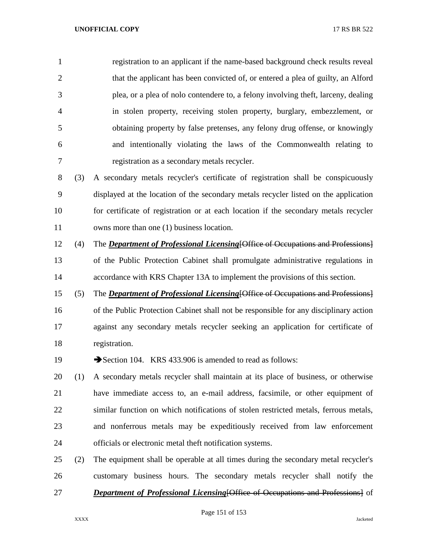registration to an applicant if the name-based background check results reveal that the applicant has been convicted of, or entered a plea of guilty, an Alford plea, or a plea of nolo contendere to, a felony involving theft, larceny, dealing in stolen property, receiving stolen property, burglary, embezzlement, or obtaining property by false pretenses, any felony drug offense, or knowingly and intentionally violating the laws of the Commonwealth relating to registration as a secondary metals recycler.

 (3) A secondary metals recycler's certificate of registration shall be conspicuously displayed at the location of the secondary metals recycler listed on the application for certificate of registration or at each location if the secondary metals recycler 11 owns more than one (1) business location.

- (4) The *Department of Professional Licensing*[Office of Occupations and Professions] of the Public Protection Cabinet shall promulgate administrative regulations in accordance with KRS Chapter 13A to implement the provisions of this section.
- (5) The *Department of Professional Licensing*[Office of Occupations and Professions] of the Public Protection Cabinet shall not be responsible for any disciplinary action against any secondary metals recycler seeking an application for certificate of registration.
- 19 Section 104. KRS 433.906 is amended to read as follows:
- (1) A secondary metals recycler shall maintain at its place of business, or otherwise have immediate access to, an e-mail address, facsimile, or other equipment of similar function on which notifications of stolen restricted metals, ferrous metals, and nonferrous metals may be expeditiously received from law enforcement officials or electronic metal theft notification systems.
- (2) The equipment shall be operable at all times during the secondary metal recycler's customary business hours. The secondary metals recycler shall notify the *Department of Professional Licensing*[Office of Occupations and Professions] of

Page 151 of 153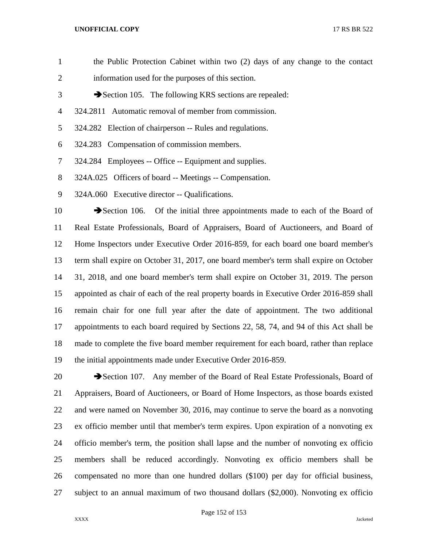## **UNOFFICIAL COPY** 17 RS BR 522

| $\mathbf{1}$   | the Public Protection Cabinet within two (2) days of any change to the contact           |
|----------------|------------------------------------------------------------------------------------------|
| $\overline{2}$ | information used for the purposes of this section.                                       |
| 3              | Section 105. The following KRS sections are repealed:                                    |
| 4              | 324.2811 Automatic removal of member from commission.                                    |
| 5              | 324.282 Election of chairperson -- Rules and regulations.                                |
| 6              | 324.283 Compensation of commission members.                                              |
| 7              | 324.284 Employees -- Office -- Equipment and supplies.                                   |
| 8              | 324A.025 Officers of board -- Meetings -- Compensation.                                  |
| 9              | 324A.060 Executive director -- Qualifications.                                           |
| 10             | Section 106. Of the initial three appointments made to each of the Board of              |
| 11             | Real Estate Professionals, Board of Appraisers, Board of Auctioneers, and Board of       |
| 12             | Home Inspectors under Executive Order 2016-859, for each board one board member's        |
| 13             | term shall expire on October 31, 2017, one board member's term shall expire on October   |
| 14             | 31, 2018, and one board member's term shall expire on October 31, 2019. The person       |
|                |                                                                                          |
| 15             | appointed as chair of each of the real property boards in Executive Order 2016-859 shall |
| 16             | remain chair for one full year after the date of appointment. The two additional         |
| 17             | appointments to each board required by Sections 22, 58, 74, and 94 of this Act shall be  |
| 18             | made to complete the five board member requirement for each board, rather than replace   |

20 Section 107. Any member of the Board of Real Estate Professionals, Board of Appraisers, Board of Auctioneers, or Board of Home Inspectors, as those boards existed and were named on November 30, 2016, may continue to serve the board as a nonvoting ex officio member until that member's term expires. Upon expiration of a nonvoting ex officio member's term, the position shall lapse and the number of nonvoting ex officio members shall be reduced accordingly. Nonvoting ex officio members shall be compensated no more than one hundred dollars (\$100) per day for official business, subject to an annual maximum of two thousand dollars (\$2,000). Nonvoting ex officio

the initial appointments made under Executive Order 2016-859.